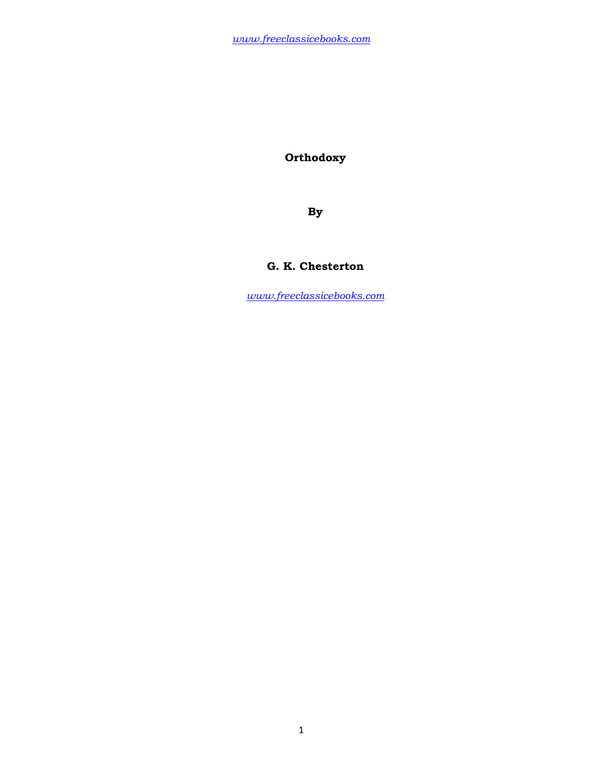**Orthodoxy** 

**By** 

## **G. K. Chesterton**

*www.freeclassicebooks.com*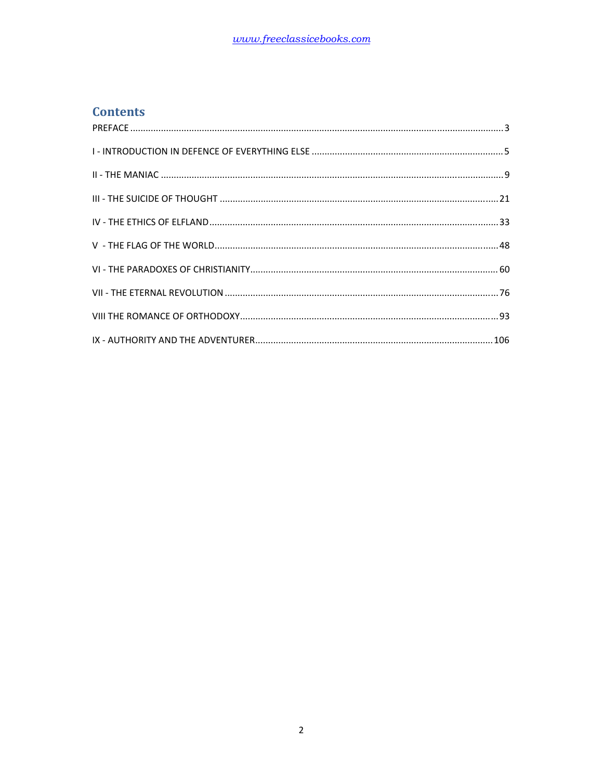# **Contents**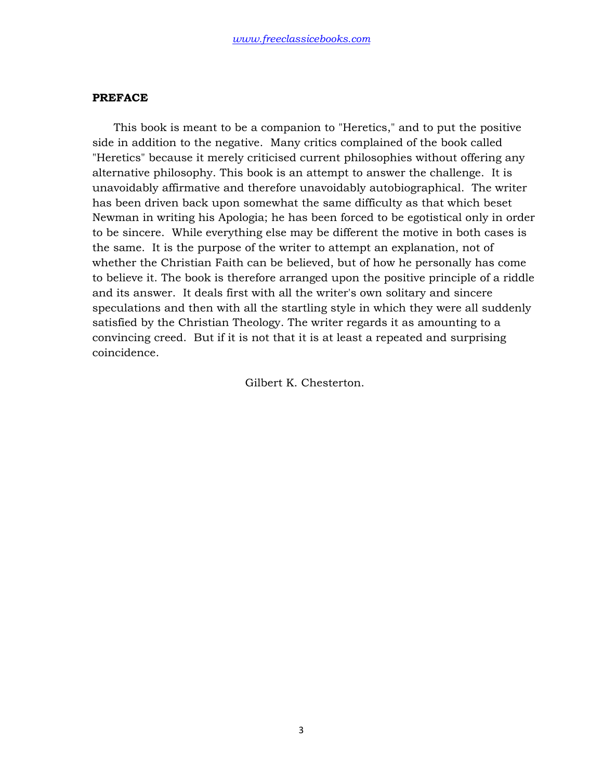### **PREFACE**

 This book is meant to be a companion to "Heretics," and to put the positive side in addition to the negative. Many critics complained of the book called "Heretics" because it merely criticised current philosophies without offering any alternative philosophy. This book is an attempt to answer the challenge. It is unavoidably affirmative and therefore unavoidably autobiographical. The writer has been driven back upon somewhat the same difficulty as that which beset Newman in writing his Apologia; he has been forced to be egotistical only in order to be sincere. While everything else may be different the motive in both cases is the same. It is the purpose of the writer to attempt an explanation, not of whether the Christian Faith can be believed, but of how he personally has come to believe it. The book is therefore arranged upon the positive principle of a riddle and its answer. It deals first with all the writer's own solitary and sincere speculations and then with all the startling style in which they were all suddenly satisfied by the Christian Theology. The writer regards it as amounting to a convincing creed. But if it is not that it is at least a repeated and surprising coincidence.

Gilbert K. Chesterton.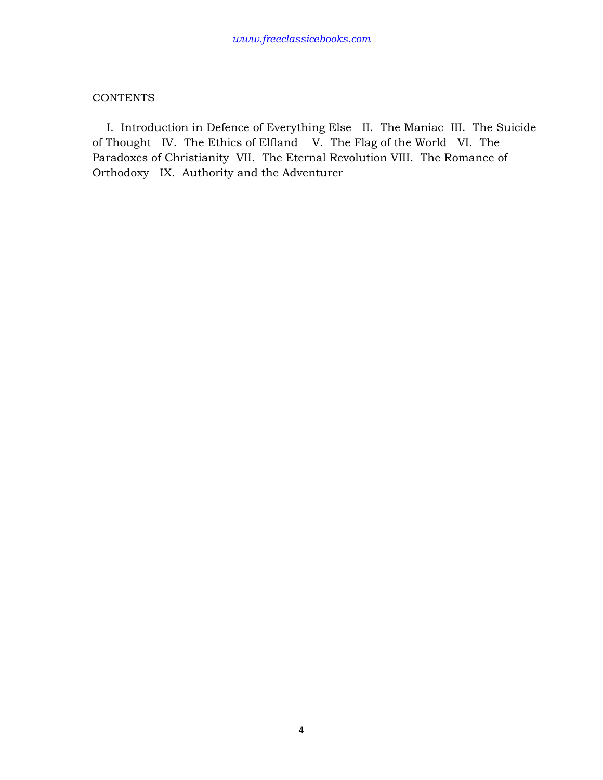## **CONTENTS**

 I. Introduction in Defence of Everything Else II. The Maniac III. The Suicide of Thought IV. The Ethics of Elfland V. The Flag of the World VI. The Paradoxes of Christianity VII. The Eternal Revolution VIII. The Romance of Orthodoxy IX. Authority and the Adventurer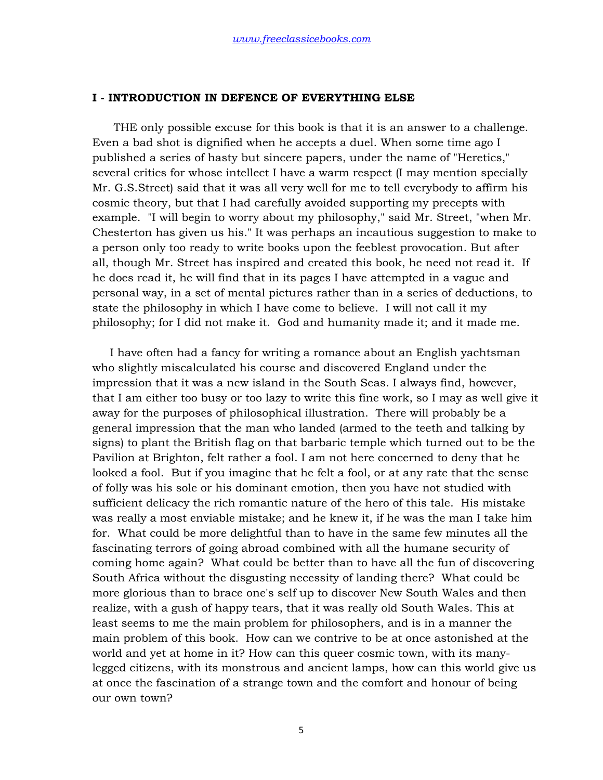#### **I - INTRODUCTION IN DEFENCE OF EVERYTHING ELSE**

 THE only possible excuse for this book is that it is an answer to a challenge. Even a bad shot is dignified when he accepts a duel. When some time ago I published a series of hasty but sincere papers, under the name of "Heretics," several critics for whose intellect I have a warm respect (I may mention specially Mr. G.S.Street) said that it was all very well for me to tell everybody to affirm his cosmic theory, but that I had carefully avoided supporting my precepts with example. "I will begin to worry about my philosophy," said Mr. Street, "when Mr. Chesterton has given us his." It was perhaps an incautious suggestion to make to a person only too ready to write books upon the feeblest provocation. But after all, though Mr. Street has inspired and created this book, he need not read it. If he does read it, he will find that in its pages I have attempted in a vague and personal way, in a set of mental pictures rather than in a series of deductions, to state the philosophy in which I have come to believe. I will not call it my philosophy; for I did not make it. God and humanity made it; and it made me.

 I have often had a fancy for writing a romance about an English yachtsman who slightly miscalculated his course and discovered England under the impression that it was a new island in the South Seas. I always find, however, that I am either too busy or too lazy to write this fine work, so I may as well give it away for the purposes of philosophical illustration. There will probably be a general impression that the man who landed (armed to the teeth and talking by signs) to plant the British flag on that barbaric temple which turned out to be the Pavilion at Brighton, felt rather a fool. I am not here concerned to deny that he looked a fool. But if you imagine that he felt a fool, or at any rate that the sense of folly was his sole or his dominant emotion, then you have not studied with sufficient delicacy the rich romantic nature of the hero of this tale. His mistake was really a most enviable mistake; and he knew it, if he was the man I take him for. What could be more delightful than to have in the same few minutes all the fascinating terrors of going abroad combined with all the humane security of coming home again? What could be better than to have all the fun of discovering South Africa without the disgusting necessity of landing there? What could be more glorious than to brace one's self up to discover New South Wales and then realize, with a gush of happy tears, that it was really old South Wales. This at least seems to me the main problem for philosophers, and is in a manner the main problem of this book. How can we contrive to be at once astonished at the world and yet at home in it? How can this queer cosmic town, with its manylegged citizens, with its monstrous and ancient lamps, how can this world give us at once the fascination of a strange town and the comfort and honour of being our own town?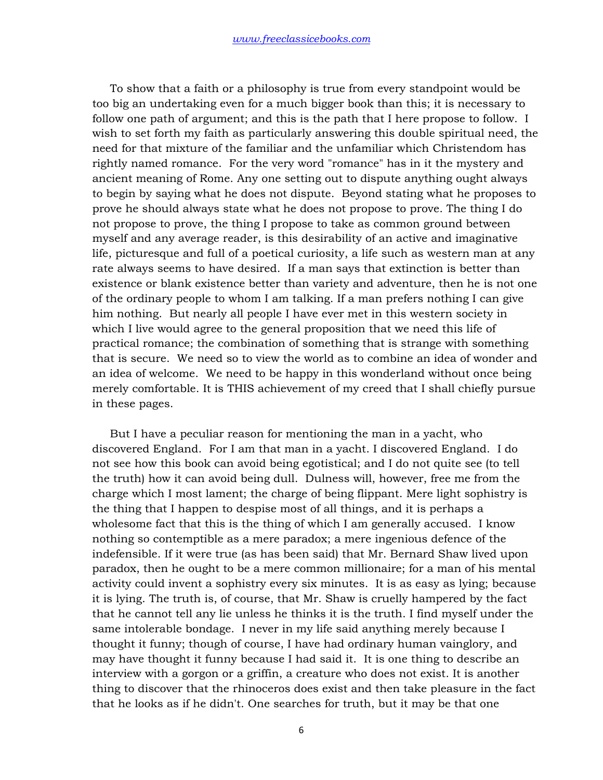To show that a faith or a philosophy is true from every standpoint would be too big an undertaking even for a much bigger book than this; it is necessary to follow one path of argument; and this is the path that I here propose to follow. I wish to set forth my faith as particularly answering this double spiritual need, the need for that mixture of the familiar and the unfamiliar which Christendom has rightly named romance. For the very word "romance" has in it the mystery and ancient meaning of Rome. Any one setting out to dispute anything ought always to begin by saying what he does not dispute. Beyond stating what he proposes to prove he should always state what he does not propose to prove. The thing I do not propose to prove, the thing I propose to take as common ground between myself and any average reader, is this desirability of an active and imaginative life, picturesque and full of a poetical curiosity, a life such as western man at any rate always seems to have desired. If a man says that extinction is better than existence or blank existence better than variety and adventure, then he is not one of the ordinary people to whom I am talking. If a man prefers nothing I can give him nothing. But nearly all people I have ever met in this western society in which I live would agree to the general proposition that we need this life of practical romance; the combination of something that is strange with something that is secure. We need so to view the world as to combine an idea of wonder and an idea of welcome. We need to be happy in this wonderland without once being merely comfortable. It is THIS achievement of my creed that I shall chiefly pursue in these pages.

 But I have a peculiar reason for mentioning the man in a yacht, who discovered England. For I am that man in a yacht. I discovered England. I do not see how this book can avoid being egotistical; and I do not quite see (to tell the truth) how it can avoid being dull. Dulness will, however, free me from the charge which I most lament; the charge of being flippant. Mere light sophistry is the thing that I happen to despise most of all things, and it is perhaps a wholesome fact that this is the thing of which I am generally accused. I know nothing so contemptible as a mere paradox; a mere ingenious defence of the indefensible. If it were true (as has been said) that Mr. Bernard Shaw lived upon paradox, then he ought to be a mere common millionaire; for a man of his mental activity could invent a sophistry every six minutes. It is as easy as lying; because it is lying. The truth is, of course, that Mr. Shaw is cruelly hampered by the fact that he cannot tell any lie unless he thinks it is the truth. I find myself under the same intolerable bondage. I never in my life said anything merely because I thought it funny; though of course, I have had ordinary human vainglory, and may have thought it funny because I had said it. It is one thing to describe an interview with a gorgon or a griffin, a creature who does not exist. It is another thing to discover that the rhinoceros does exist and then take pleasure in the fact that he looks as if he didn't. One searches for truth, but it may be that one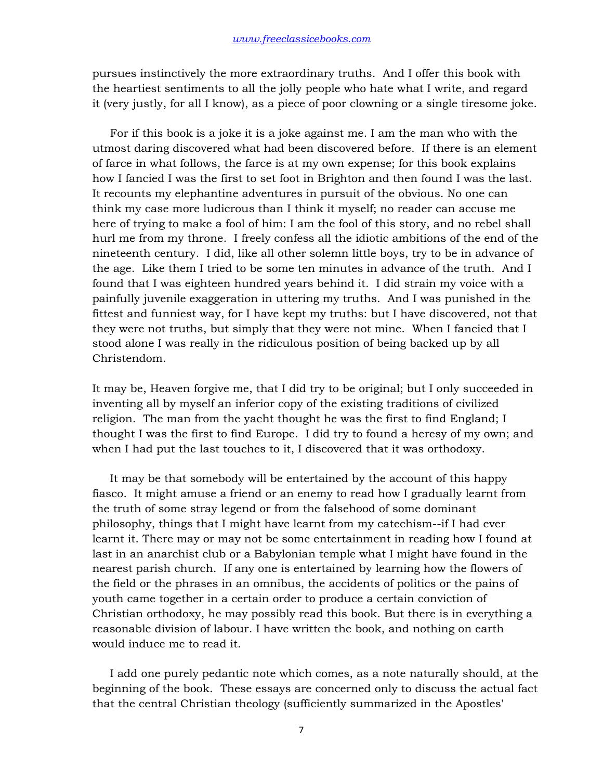pursues instinctively the more extraordinary truths. And I offer this book with the heartiest sentiments to all the jolly people who hate what I write, and regard it (very justly, for all I know), as a piece of poor clowning or a single tiresome joke.

 For if this book is a joke it is a joke against me. I am the man who with the utmost daring discovered what had been discovered before. If there is an element of farce in what follows, the farce is at my own expense; for this book explains how I fancied I was the first to set foot in Brighton and then found I was the last. It recounts my elephantine adventures in pursuit of the obvious. No one can think my case more ludicrous than I think it myself; no reader can accuse me here of trying to make a fool of him: I am the fool of this story, and no rebel shall hurl me from my throne. I freely confess all the idiotic ambitions of the end of the nineteenth century. I did, like all other solemn little boys, try to be in advance of the age. Like them I tried to be some ten minutes in advance of the truth. And I found that I was eighteen hundred years behind it. I did strain my voice with a painfully juvenile exaggeration in uttering my truths. And I was punished in the fittest and funniest way, for I have kept my truths: but I have discovered, not that they were not truths, but simply that they were not mine. When I fancied that I stood alone I was really in the ridiculous position of being backed up by all Christendom.

It may be, Heaven forgive me, that I did try to be original; but I only succeeded in inventing all by myself an inferior copy of the existing traditions of civilized religion. The man from the yacht thought he was the first to find England; I thought I was the first to find Europe. I did try to found a heresy of my own; and when I had put the last touches to it, I discovered that it was orthodoxy.

 It may be that somebody will be entertained by the account of this happy fiasco. It might amuse a friend or an enemy to read how I gradually learnt from the truth of some stray legend or from the falsehood of some dominant philosophy, things that I might have learnt from my catechism--if I had ever learnt it. There may or may not be some entertainment in reading how I found at last in an anarchist club or a Babylonian temple what I might have found in the nearest parish church. If any one is entertained by learning how the flowers of the field or the phrases in an omnibus, the accidents of politics or the pains of youth came together in a certain order to produce a certain conviction of Christian orthodoxy, he may possibly read this book. But there is in everything a reasonable division of labour. I have written the book, and nothing on earth would induce me to read it.

 I add one purely pedantic note which comes, as a note naturally should, at the beginning of the book. These essays are concerned only to discuss the actual fact that the central Christian theology (sufficiently summarized in the Apostles'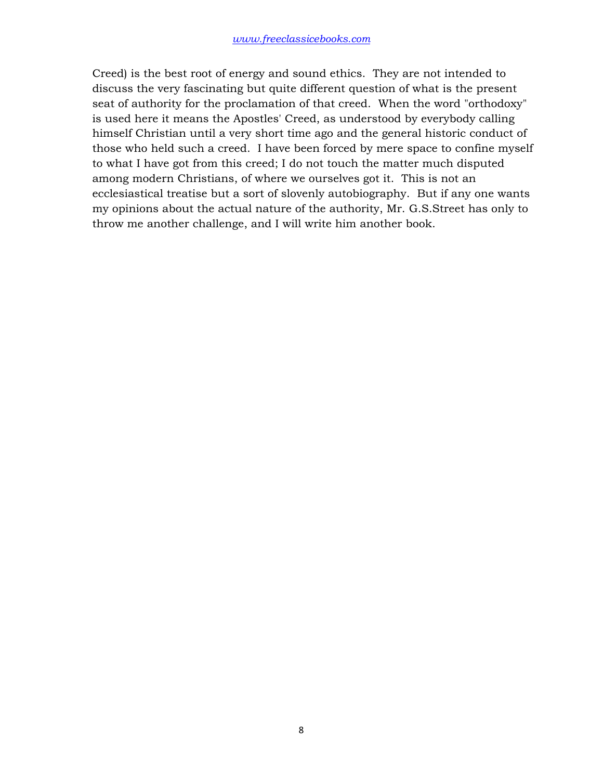Creed) is the best root of energy and sound ethics. They are not intended to discuss the very fascinating but quite different question of what is the present seat of authority for the proclamation of that creed. When the word "orthodoxy" is used here it means the Apostles' Creed, as understood by everybody calling himself Christian until a very short time ago and the general historic conduct of those who held such a creed. I have been forced by mere space to confine myself to what I have got from this creed; I do not touch the matter much disputed among modern Christians, of where we ourselves got it. This is not an ecclesiastical treatise but a sort of slovenly autobiography. But if any one wants my opinions about the actual nature of the authority, Mr. G.S.Street has only to throw me another challenge, and I will write him another book.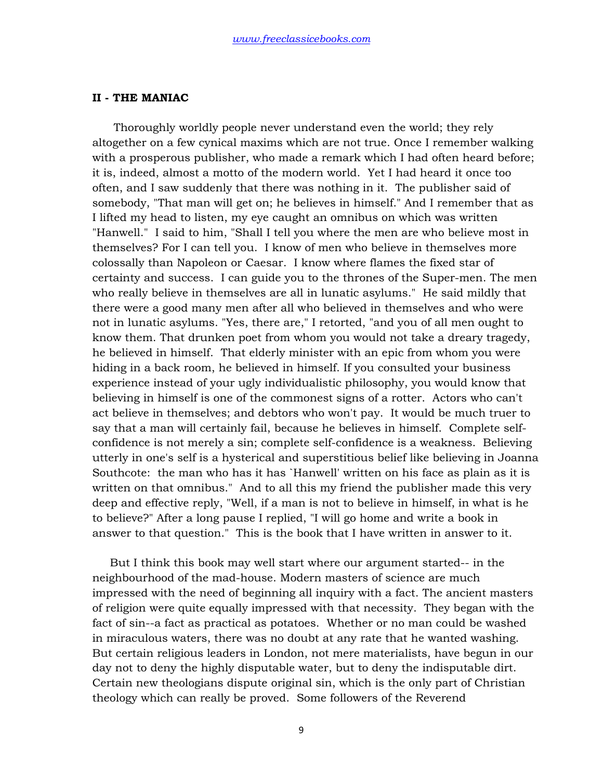## **II - THE MANIAC**

 Thoroughly worldly people never understand even the world; they rely altogether on a few cynical maxims which are not true. Once I remember walking with a prosperous publisher, who made a remark which I had often heard before; it is, indeed, almost a motto of the modern world. Yet I had heard it once too often, and I saw suddenly that there was nothing in it. The publisher said of somebody, "That man will get on; he believes in himself." And I remember that as I lifted my head to listen, my eye caught an omnibus on which was written "Hanwell." I said to him, "Shall I tell you where the men are who believe most in themselves? For I can tell you. I know of men who believe in themselves more colossally than Napoleon or Caesar. I know where flames the fixed star of certainty and success. I can guide you to the thrones of the Super-men. The men who really believe in themselves are all in lunatic asylums." He said mildly that there were a good many men after all who believed in themselves and who were not in lunatic asylums. "Yes, there are," I retorted, "and you of all men ought to know them. That drunken poet from whom you would not take a dreary tragedy, he believed in himself. That elderly minister with an epic from whom you were hiding in a back room, he believed in himself. If you consulted your business experience instead of your ugly individualistic philosophy, you would know that believing in himself is one of the commonest signs of a rotter. Actors who can't act believe in themselves; and debtors who won't pay. It would be much truer to say that a man will certainly fail, because he believes in himself. Complete selfconfidence is not merely a sin; complete self-confidence is a weakness. Believing utterly in one's self is a hysterical and superstitious belief like believing in Joanna Southcote: the man who has it has `Hanwell' written on his face as plain as it is written on that omnibus." And to all this my friend the publisher made this very deep and effective reply, "Well, if a man is not to believe in himself, in what is he to believe?" After a long pause I replied, "I will go home and write a book in answer to that question." This is the book that I have written in answer to it.

 But I think this book may well start where our argument started-- in the neighbourhood of the mad-house. Modern masters of science are much impressed with the need of beginning all inquiry with a fact. The ancient masters of religion were quite equally impressed with that necessity. They began with the fact of sin--a fact as practical as potatoes. Whether or no man could be washed in miraculous waters, there was no doubt at any rate that he wanted washing. But certain religious leaders in London, not mere materialists, have begun in our day not to deny the highly disputable water, but to deny the indisputable dirt. Certain new theologians dispute original sin, which is the only part of Christian theology which can really be proved. Some followers of the Reverend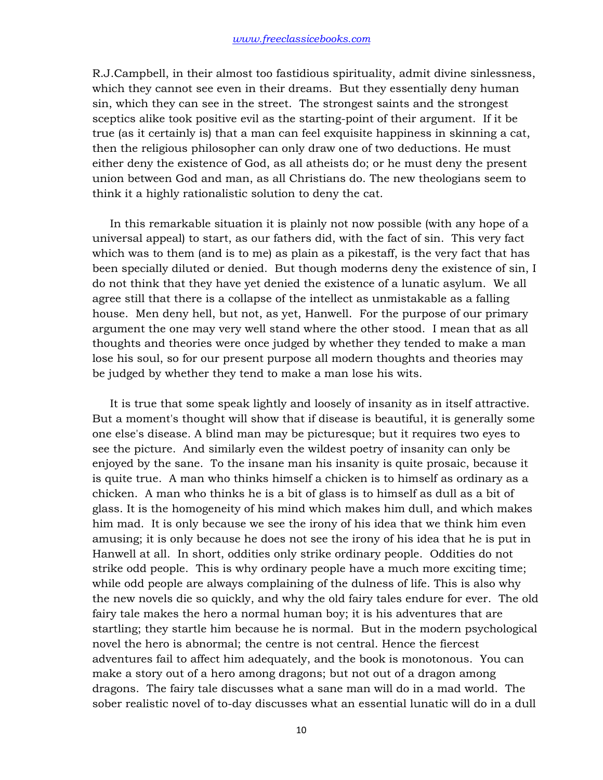R.J.Campbell, in their almost too fastidious spirituality, admit divine sinlessness, which they cannot see even in their dreams. But they essentially deny human sin, which they can see in the street. The strongest saints and the strongest sceptics alike took positive evil as the starting-point of their argument. If it be true (as it certainly is) that a man can feel exquisite happiness in skinning a cat, then the religious philosopher can only draw one of two deductions. He must either deny the existence of God, as all atheists do; or he must deny the present union between God and man, as all Christians do. The new theologians seem to think it a highly rationalistic solution to deny the cat.

 In this remarkable situation it is plainly not now possible (with any hope of a universal appeal) to start, as our fathers did, with the fact of sin. This very fact which was to them (and is to me) as plain as a pikestaff, is the very fact that has been specially diluted or denied. But though moderns deny the existence of sin, I do not think that they have yet denied the existence of a lunatic asylum. We all agree still that there is a collapse of the intellect as unmistakable as a falling house. Men deny hell, but not, as yet, Hanwell. For the purpose of our primary argument the one may very well stand where the other stood. I mean that as all thoughts and theories were once judged by whether they tended to make a man lose his soul, so for our present purpose all modern thoughts and theories may be judged by whether they tend to make a man lose his wits.

 It is true that some speak lightly and loosely of insanity as in itself attractive. But a moment's thought will show that if disease is beautiful, it is generally some one else's disease. A blind man may be picturesque; but it requires two eyes to see the picture. And similarly even the wildest poetry of insanity can only be enjoyed by the sane. To the insane man his insanity is quite prosaic, because it is quite true. A man who thinks himself a chicken is to himself as ordinary as a chicken. A man who thinks he is a bit of glass is to himself as dull as a bit of glass. It is the homogeneity of his mind which makes him dull, and which makes him mad. It is only because we see the irony of his idea that we think him even amusing; it is only because he does not see the irony of his idea that he is put in Hanwell at all. In short, oddities only strike ordinary people. Oddities do not strike odd people. This is why ordinary people have a much more exciting time; while odd people are always complaining of the dulness of life. This is also why the new novels die so quickly, and why the old fairy tales endure for ever. The old fairy tale makes the hero a normal human boy; it is his adventures that are startling; they startle him because he is normal. But in the modern psychological novel the hero is abnormal; the centre is not central. Hence the fiercest adventures fail to affect him adequately, and the book is monotonous. You can make a story out of a hero among dragons; but not out of a dragon among dragons. The fairy tale discusses what a sane man will do in a mad world. The sober realistic novel of to-day discusses what an essential lunatic will do in a dull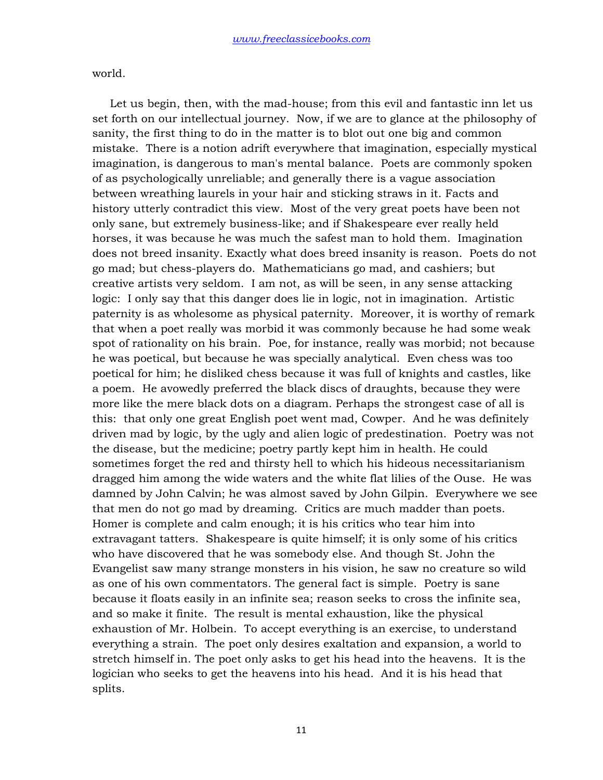world.

 Let us begin, then, with the mad-house; from this evil and fantastic inn let us set forth on our intellectual journey. Now, if we are to glance at the philosophy of sanity, the first thing to do in the matter is to blot out one big and common mistake. There is a notion adrift everywhere that imagination, especially mystical imagination, is dangerous to man's mental balance. Poets are commonly spoken of as psychologically unreliable; and generally there is a vague association between wreathing laurels in your hair and sticking straws in it. Facts and history utterly contradict this view. Most of the very great poets have been not only sane, but extremely business-like; and if Shakespeare ever really held horses, it was because he was much the safest man to hold them. Imagination does not breed insanity. Exactly what does breed insanity is reason. Poets do not go mad; but chess-players do. Mathematicians go mad, and cashiers; but creative artists very seldom. I am not, as will be seen, in any sense attacking logic: I only say that this danger does lie in logic, not in imagination. Artistic paternity is as wholesome as physical paternity. Moreover, it is worthy of remark that when a poet really was morbid it was commonly because he had some weak spot of rationality on his brain. Poe, for instance, really was morbid; not because he was poetical, but because he was specially analytical. Even chess was too poetical for him; he disliked chess because it was full of knights and castles, like a poem. He avowedly preferred the black discs of draughts, because they were more like the mere black dots on a diagram. Perhaps the strongest case of all is this: that only one great English poet went mad, Cowper. And he was definitely driven mad by logic, by the ugly and alien logic of predestination. Poetry was not the disease, but the medicine; poetry partly kept him in health. He could sometimes forget the red and thirsty hell to which his hideous necessitarianism dragged him among the wide waters and the white flat lilies of the Ouse. He was damned by John Calvin; he was almost saved by John Gilpin. Everywhere we see that men do not go mad by dreaming. Critics are much madder than poets. Homer is complete and calm enough; it is his critics who tear him into extravagant tatters. Shakespeare is quite himself; it is only some of his critics who have discovered that he was somebody else. And though St. John the Evangelist saw many strange monsters in his vision, he saw no creature so wild as one of his own commentators. The general fact is simple. Poetry is sane because it floats easily in an infinite sea; reason seeks to cross the infinite sea, and so make it finite. The result is mental exhaustion, like the physical exhaustion of Mr. Holbein. To accept everything is an exercise, to understand everything a strain. The poet only desires exaltation and expansion, a world to stretch himself in. The poet only asks to get his head into the heavens. It is the logician who seeks to get the heavens into his head. And it is his head that splits.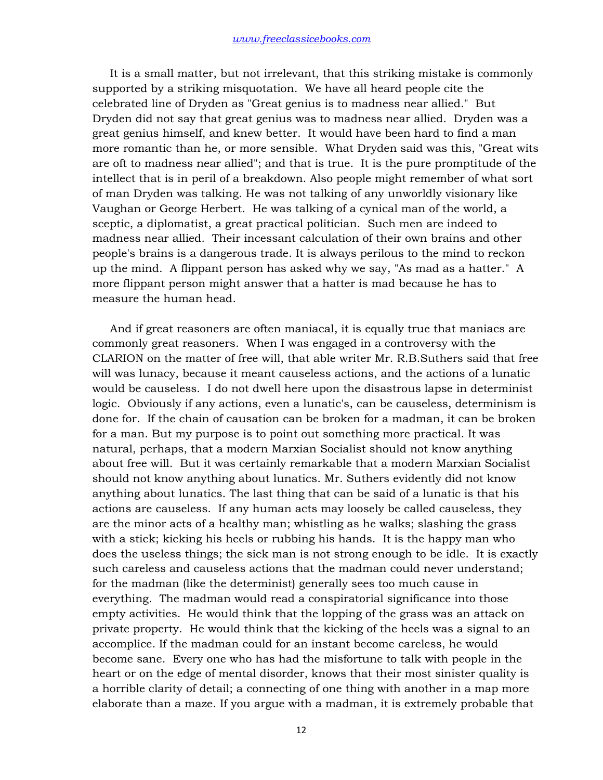It is a small matter, but not irrelevant, that this striking mistake is commonly supported by a striking misquotation. We have all heard people cite the celebrated line of Dryden as "Great genius is to madness near allied." But Dryden did not say that great genius was to madness near allied. Dryden was a great genius himself, and knew better. It would have been hard to find a man more romantic than he, or more sensible. What Dryden said was this, "Great wits are oft to madness near allied"; and that is true. It is the pure promptitude of the intellect that is in peril of a breakdown. Also people might remember of what sort of man Dryden was talking. He was not talking of any unworldly visionary like Vaughan or George Herbert. He was talking of a cynical man of the world, a sceptic, a diplomatist, a great practical politician. Such men are indeed to madness near allied. Their incessant calculation of their own brains and other people's brains is a dangerous trade. It is always perilous to the mind to reckon up the mind. A flippant person has asked why we say, "As mad as a hatter." A more flippant person might answer that a hatter is mad because he has to measure the human head.

 And if great reasoners are often maniacal, it is equally true that maniacs are commonly great reasoners. When I was engaged in a controversy with the CLARION on the matter of free will, that able writer Mr. R.B.Suthers said that free will was lunacy, because it meant causeless actions, and the actions of a lunatic would be causeless. I do not dwell here upon the disastrous lapse in determinist logic. Obviously if any actions, even a lunatic's, can be causeless, determinism is done for. If the chain of causation can be broken for a madman, it can be broken for a man. But my purpose is to point out something more practical. It was natural, perhaps, that a modern Marxian Socialist should not know anything about free will. But it was certainly remarkable that a modern Marxian Socialist should not know anything about lunatics. Mr. Suthers evidently did not know anything about lunatics. The last thing that can be said of a lunatic is that his actions are causeless. If any human acts may loosely be called causeless, they are the minor acts of a healthy man; whistling as he walks; slashing the grass with a stick; kicking his heels or rubbing his hands. It is the happy man who does the useless things; the sick man is not strong enough to be idle. It is exactly such careless and causeless actions that the madman could never understand; for the madman (like the determinist) generally sees too much cause in everything. The madman would read a conspiratorial significance into those empty activities. He would think that the lopping of the grass was an attack on private property. He would think that the kicking of the heels was a signal to an accomplice. If the madman could for an instant become careless, he would become sane. Every one who has had the misfortune to talk with people in the heart or on the edge of mental disorder, knows that their most sinister quality is a horrible clarity of detail; a connecting of one thing with another in a map more elaborate than a maze. If you argue with a madman, it is extremely probable that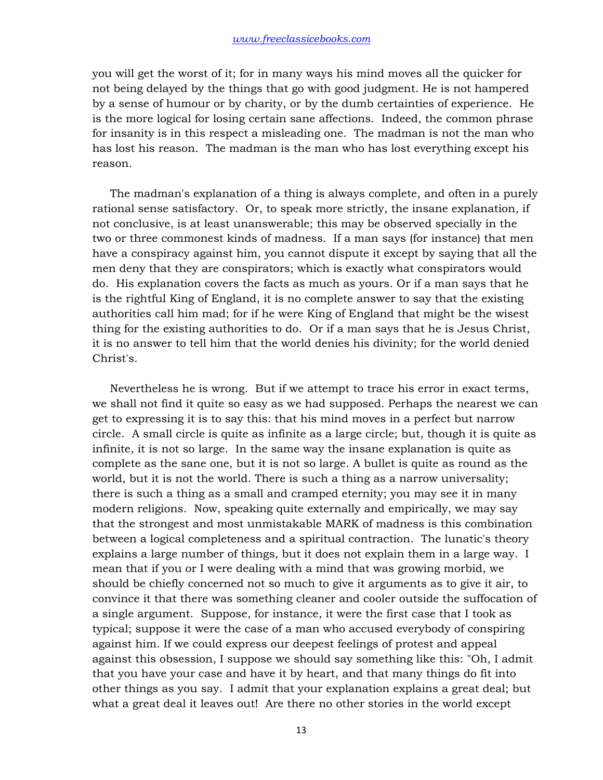you will get the worst of it; for in many ways his mind moves all the quicker for not being delayed by the things that go with good judgment. He is not hampered by a sense of humour or by charity, or by the dumb certainties of experience. He is the more logical for losing certain sane affections. Indeed, the common phrase for insanity is in this respect a misleading one. The madman is not the man who has lost his reason. The madman is the man who has lost everything except his reason.

 The madman's explanation of a thing is always complete, and often in a purely rational sense satisfactory. Or, to speak more strictly, the insane explanation, if not conclusive, is at least unanswerable; this may be observed specially in the two or three commonest kinds of madness. If a man says (for instance) that men have a conspiracy against him, you cannot dispute it except by saying that all the men deny that they are conspirators; which is exactly what conspirators would do. His explanation covers the facts as much as yours. Or if a man says that he is the rightful King of England, it is no complete answer to say that the existing authorities call him mad; for if he were King of England that might be the wisest thing for the existing authorities to do. Or if a man says that he is Jesus Christ, it is no answer to tell him that the world denies his divinity; for the world denied Christ's.

 Nevertheless he is wrong. But if we attempt to trace his error in exact terms, we shall not find it quite so easy as we had supposed. Perhaps the nearest we can get to expressing it is to say this: that his mind moves in a perfect but narrow circle. A small circle is quite as infinite as a large circle; but, though it is quite as infinite, it is not so large. In the same way the insane explanation is quite as complete as the sane one, but it is not so large. A bullet is quite as round as the world, but it is not the world. There is such a thing as a narrow universality; there is such a thing as a small and cramped eternity; you may see it in many modern religions. Now, speaking quite externally and empirically, we may say that the strongest and most unmistakable MARK of madness is this combination between a logical completeness and a spiritual contraction. The lunatic's theory explains a large number of things, but it does not explain them in a large way. I mean that if you or I were dealing with a mind that was growing morbid, we should be chiefly concerned not so much to give it arguments as to give it air, to convince it that there was something cleaner and cooler outside the suffocation of a single argument. Suppose, for instance, it were the first case that I took as typical; suppose it were the case of a man who accused everybody of conspiring against him. If we could express our deepest feelings of protest and appeal against this obsession, I suppose we should say something like this: "Oh, I admit that you have your case and have it by heart, and that many things do fit into other things as you say. I admit that your explanation explains a great deal; but what a great deal it leaves out! Are there no other stories in the world except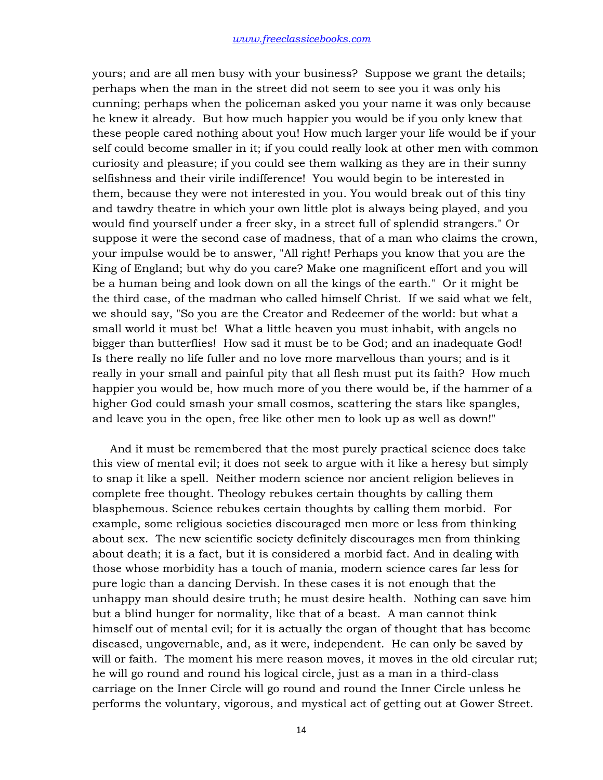yours; and are all men busy with your business? Suppose we grant the details; perhaps when the man in the street did not seem to see you it was only his cunning; perhaps when the policeman asked you your name it was only because he knew it already. But how much happier you would be if you only knew that these people cared nothing about you! How much larger your life would be if your self could become smaller in it; if you could really look at other men with common curiosity and pleasure; if you could see them walking as they are in their sunny selfishness and their virile indifference! You would begin to be interested in them, because they were not interested in you. You would break out of this tiny and tawdry theatre in which your own little plot is always being played, and you would find yourself under a freer sky, in a street full of splendid strangers." Or suppose it were the second case of madness, that of a man who claims the crown, your impulse would be to answer, "All right! Perhaps you know that you are the King of England; but why do you care? Make one magnificent effort and you will be a human being and look down on all the kings of the earth." Or it might be the third case, of the madman who called himself Christ. If we said what we felt, we should say, "So you are the Creator and Redeemer of the world: but what a small world it must be! What a little heaven you must inhabit, with angels no bigger than butterflies! How sad it must be to be God; and an inadequate God! Is there really no life fuller and no love more marvellous than yours; and is it really in your small and painful pity that all flesh must put its faith? How much happier you would be, how much more of you there would be, if the hammer of a higher God could smash your small cosmos, scattering the stars like spangles, and leave you in the open, free like other men to look up as well as down!"

 And it must be remembered that the most purely practical science does take this view of mental evil; it does not seek to argue with it like a heresy but simply to snap it like a spell. Neither modern science nor ancient religion believes in complete free thought. Theology rebukes certain thoughts by calling them blasphemous. Science rebukes certain thoughts by calling them morbid. For example, some religious societies discouraged men more or less from thinking about sex. The new scientific society definitely discourages men from thinking about death; it is a fact, but it is considered a morbid fact. And in dealing with those whose morbidity has a touch of mania, modern science cares far less for pure logic than a dancing Dervish. In these cases it is not enough that the unhappy man should desire truth; he must desire health. Nothing can save him but a blind hunger for normality, like that of a beast. A man cannot think himself out of mental evil; for it is actually the organ of thought that has become diseased, ungovernable, and, as it were, independent. He can only be saved by will or faith. The moment his mere reason moves, it moves in the old circular rut; he will go round and round his logical circle, just as a man in a third-class carriage on the Inner Circle will go round and round the Inner Circle unless he performs the voluntary, vigorous, and mystical act of getting out at Gower Street.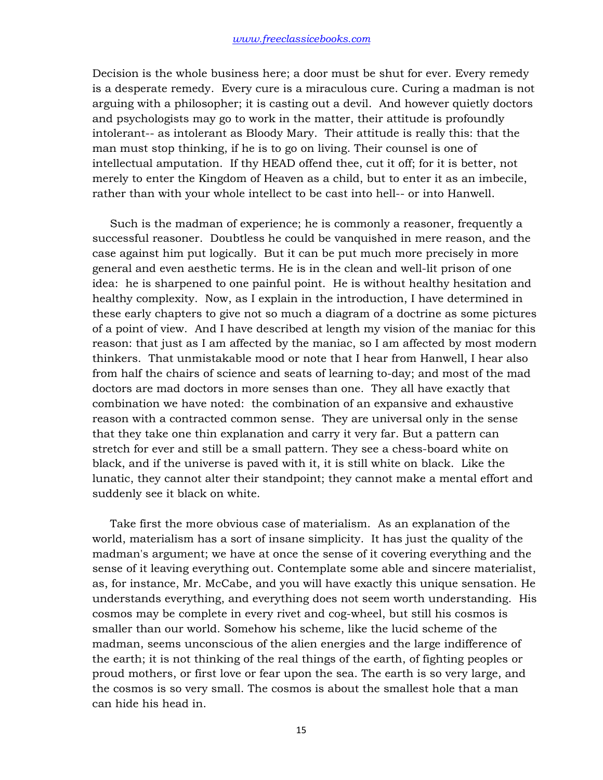Decision is the whole business here; a door must be shut for ever. Every remedy is a desperate remedy. Every cure is a miraculous cure. Curing a madman is not arguing with a philosopher; it is casting out a devil. And however quietly doctors and psychologists may go to work in the matter, their attitude is profoundly intolerant-- as intolerant as Bloody Mary. Their attitude is really this: that the man must stop thinking, if he is to go on living. Their counsel is one of intellectual amputation. If thy HEAD offend thee, cut it off; for it is better, not merely to enter the Kingdom of Heaven as a child, but to enter it as an imbecile, rather than with your whole intellect to be cast into hell-- or into Hanwell.

 Such is the madman of experience; he is commonly a reasoner, frequently a successful reasoner. Doubtless he could be vanquished in mere reason, and the case against him put logically. But it can be put much more precisely in more general and even aesthetic terms. He is in the clean and well-lit prison of one idea: he is sharpened to one painful point. He is without healthy hesitation and healthy complexity. Now, as I explain in the introduction, I have determined in these early chapters to give not so much a diagram of a doctrine as some pictures of a point of view. And I have described at length my vision of the maniac for this reason: that just as I am affected by the maniac, so I am affected by most modern thinkers. That unmistakable mood or note that I hear from Hanwell, I hear also from half the chairs of science and seats of learning to-day; and most of the mad doctors are mad doctors in more senses than one. They all have exactly that combination we have noted: the combination of an expansive and exhaustive reason with a contracted common sense. They are universal only in the sense that they take one thin explanation and carry it very far. But a pattern can stretch for ever and still be a small pattern. They see a chess-board white on black, and if the universe is paved with it, it is still white on black. Like the lunatic, they cannot alter their standpoint; they cannot make a mental effort and suddenly see it black on white.

 Take first the more obvious case of materialism. As an explanation of the world, materialism has a sort of insane simplicity. It has just the quality of the madman's argument; we have at once the sense of it covering everything and the sense of it leaving everything out. Contemplate some able and sincere materialist, as, for instance, Mr. McCabe, and you will have exactly this unique sensation. He understands everything, and everything does not seem worth understanding. His cosmos may be complete in every rivet and cog-wheel, but still his cosmos is smaller than our world. Somehow his scheme, like the lucid scheme of the madman, seems unconscious of the alien energies and the large indifference of the earth; it is not thinking of the real things of the earth, of fighting peoples or proud mothers, or first love or fear upon the sea. The earth is so very large, and the cosmos is so very small. The cosmos is about the smallest hole that a man can hide his head in.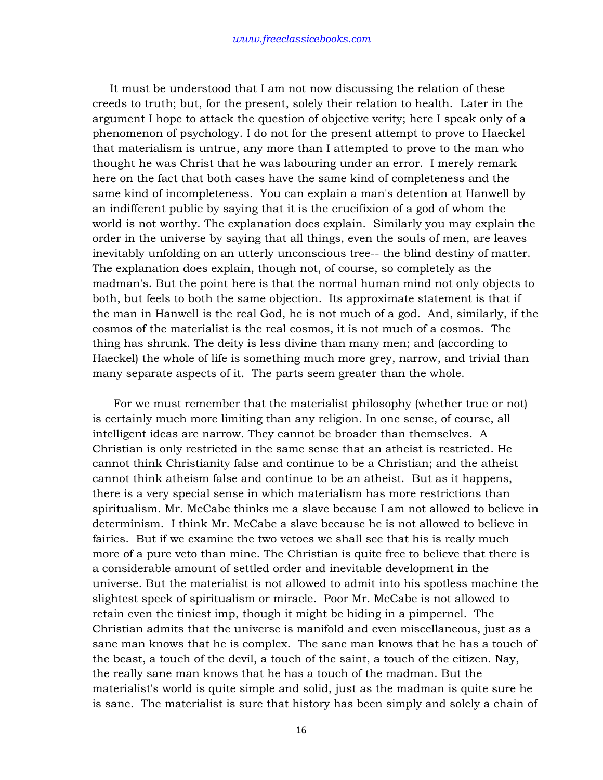It must be understood that I am not now discussing the relation of these creeds to truth; but, for the present, solely their relation to health. Later in the argument I hope to attack the question of objective verity; here I speak only of a phenomenon of psychology. I do not for the present attempt to prove to Haeckel that materialism is untrue, any more than I attempted to prove to the man who thought he was Christ that he was labouring under an error. I merely remark here on the fact that both cases have the same kind of completeness and the same kind of incompleteness. You can explain a man's detention at Hanwell by an indifferent public by saying that it is the crucifixion of a god of whom the world is not worthy. The explanation does explain. Similarly you may explain the order in the universe by saying that all things, even the souls of men, are leaves inevitably unfolding on an utterly unconscious tree-- the blind destiny of matter. The explanation does explain, though not, of course, so completely as the madman's. But the point here is that the normal human mind not only objects to both, but feels to both the same objection. Its approximate statement is that if the man in Hanwell is the real God, he is not much of a god. And, similarly, if the cosmos of the materialist is the real cosmos, it is not much of a cosmos. The thing has shrunk. The deity is less divine than many men; and (according to Haeckel) the whole of life is something much more grey, narrow, and trivial than many separate aspects of it. The parts seem greater than the whole.

 For we must remember that the materialist philosophy (whether true or not) is certainly much more limiting than any religion. In one sense, of course, all intelligent ideas are narrow. They cannot be broader than themselves. A Christian is only restricted in the same sense that an atheist is restricted. He cannot think Christianity false and continue to be a Christian; and the atheist cannot think atheism false and continue to be an atheist. But as it happens, there is a very special sense in which materialism has more restrictions than spiritualism. Mr. McCabe thinks me a slave because I am not allowed to believe in determinism. I think Mr. McCabe a slave because he is not allowed to believe in fairies. But if we examine the two vetoes we shall see that his is really much more of a pure veto than mine. The Christian is quite free to believe that there is a considerable amount of settled order and inevitable development in the universe. But the materialist is not allowed to admit into his spotless machine the slightest speck of spiritualism or miracle. Poor Mr. McCabe is not allowed to retain even the tiniest imp, though it might be hiding in a pimpernel. The Christian admits that the universe is manifold and even miscellaneous, just as a sane man knows that he is complex. The sane man knows that he has a touch of the beast, a touch of the devil, a touch of the saint, a touch of the citizen. Nay, the really sane man knows that he has a touch of the madman. But the materialist's world is quite simple and solid, just as the madman is quite sure he is sane. The materialist is sure that history has been simply and solely a chain of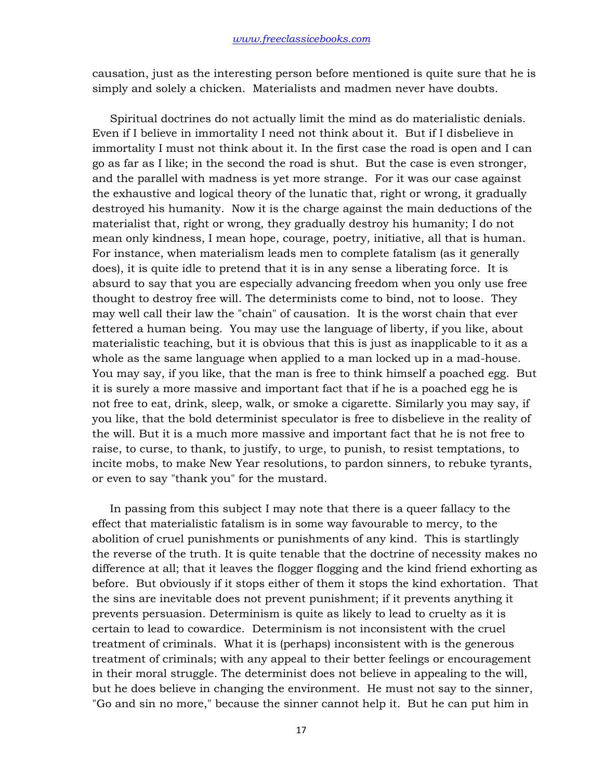causation, just as the interesting person before mentioned is quite sure that he is simply and solely a chicken. Materialists and madmen never have doubts.

 Spiritual doctrines do not actually limit the mind as do materialistic denials. Even if I believe in immortality I need not think about it. But if I disbelieve in immortality I must not think about it. In the first case the road is open and I can go as far as I like; in the second the road is shut. But the case is even stronger, and the parallel with madness is yet more strange. For it was our case against the exhaustive and logical theory of the lunatic that, right or wrong, it gradually destroyed his humanity. Now it is the charge against the main deductions of the materialist that, right or wrong, they gradually destroy his humanity; I do not mean only kindness, I mean hope, courage, poetry, initiative, all that is human. For instance, when materialism leads men to complete fatalism (as it generally does), it is quite idle to pretend that it is in any sense a liberating force. It is absurd to say that you are especially advancing freedom when you only use free thought to destroy free will. The determinists come to bind, not to loose. They may well call their law the "chain" of causation. It is the worst chain that ever fettered a human being. You may use the language of liberty, if you like, about materialistic teaching, but it is obvious that this is just as inapplicable to it as a whole as the same language when applied to a man locked up in a mad-house. You may say, if you like, that the man is free to think himself a poached egg. But it is surely a more massive and important fact that if he is a poached egg he is not free to eat, drink, sleep, walk, or smoke a cigarette. Similarly you may say, if you like, that the bold determinist speculator is free to disbelieve in the reality of the will. But it is a much more massive and important fact that he is not free to raise, to curse, to thank, to justify, to urge, to punish, to resist temptations, to incite mobs, to make New Year resolutions, to pardon sinners, to rebuke tyrants, or even to say "thank you" for the mustard.

 In passing from this subject I may note that there is a queer fallacy to the effect that materialistic fatalism is in some way favourable to mercy, to the abolition of cruel punishments or punishments of any kind. This is startlingly the reverse of the truth. It is quite tenable that the doctrine of necessity makes no difference at all; that it leaves the flogger flogging and the kind friend exhorting as before. But obviously if it stops either of them it stops the kind exhortation. That the sins are inevitable does not prevent punishment; if it prevents anything it prevents persuasion. Determinism is quite as likely to lead to cruelty as it is certain to lead to cowardice. Determinism is not inconsistent with the cruel treatment of criminals. What it is (perhaps) inconsistent with is the generous treatment of criminals; with any appeal to their better feelings or encouragement in their moral struggle. The determinist does not believe in appealing to the will, but he does believe in changing the environment. He must not say to the sinner, "Go and sin no more," because the sinner cannot help it. But he can put him in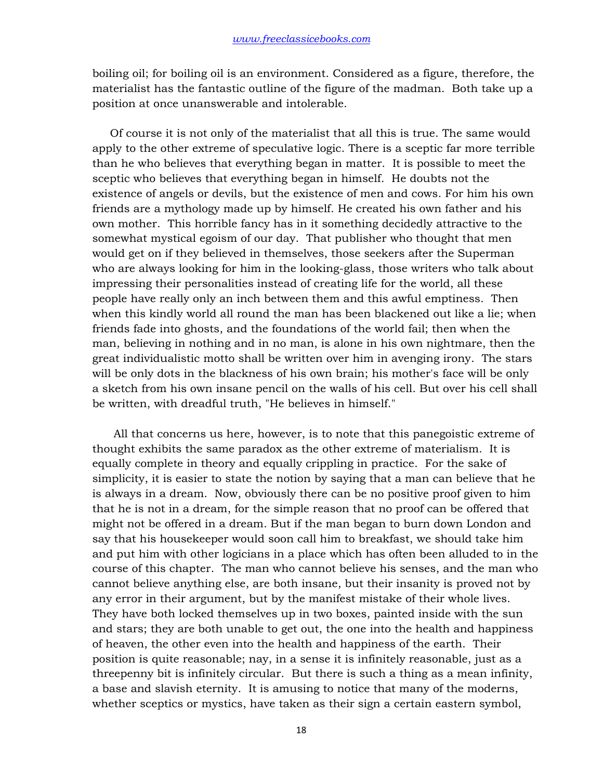boiling oil; for boiling oil is an environment. Considered as a figure, therefore, the materialist has the fantastic outline of the figure of the madman. Both take up a position at once unanswerable and intolerable.

 Of course it is not only of the materialist that all this is true. The same would apply to the other extreme of speculative logic. There is a sceptic far more terrible than he who believes that everything began in matter. It is possible to meet the sceptic who believes that everything began in himself. He doubts not the existence of angels or devils, but the existence of men and cows. For him his own friends are a mythology made up by himself. He created his own father and his own mother. This horrible fancy has in it something decidedly attractive to the somewhat mystical egoism of our day. That publisher who thought that men would get on if they believed in themselves, those seekers after the Superman who are always looking for him in the looking-glass, those writers who talk about impressing their personalities instead of creating life for the world, all these people have really only an inch between them and this awful emptiness. Then when this kindly world all round the man has been blackened out like a lie; when friends fade into ghosts, and the foundations of the world fail; then when the man, believing in nothing and in no man, is alone in his own nightmare, then the great individualistic motto shall be written over him in avenging irony. The stars will be only dots in the blackness of his own brain; his mother's face will be only a sketch from his own insane pencil on the walls of his cell. But over his cell shall be written, with dreadful truth, "He believes in himself."

 All that concerns us here, however, is to note that this panegoistic extreme of thought exhibits the same paradox as the other extreme of materialism. It is equally complete in theory and equally crippling in practice. For the sake of simplicity, it is easier to state the notion by saying that a man can believe that he is always in a dream. Now, obviously there can be no positive proof given to him that he is not in a dream, for the simple reason that no proof can be offered that might not be offered in a dream. But if the man began to burn down London and say that his housekeeper would soon call him to breakfast, we should take him and put him with other logicians in a place which has often been alluded to in the course of this chapter. The man who cannot believe his senses, and the man who cannot believe anything else, are both insane, but their insanity is proved not by any error in their argument, but by the manifest mistake of their whole lives. They have both locked themselves up in two boxes, painted inside with the sun and stars; they are both unable to get out, the one into the health and happiness of heaven, the other even into the health and happiness of the earth. Their position is quite reasonable; nay, in a sense it is infinitely reasonable, just as a threepenny bit is infinitely circular. But there is such a thing as a mean infinity, a base and slavish eternity. It is amusing to notice that many of the moderns, whether sceptics or mystics, have taken as their sign a certain eastern symbol,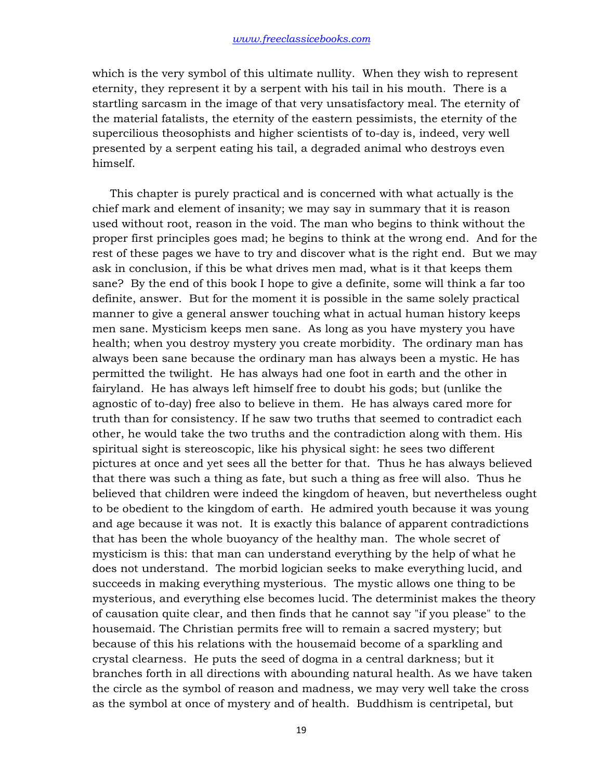which is the very symbol of this ultimate nullity. When they wish to represent eternity, they represent it by a serpent with his tail in his mouth. There is a startling sarcasm in the image of that very unsatisfactory meal. The eternity of the material fatalists, the eternity of the eastern pessimists, the eternity of the supercilious theosophists and higher scientists of to-day is, indeed, very well presented by a serpent eating his tail, a degraded animal who destroys even himself.

 This chapter is purely practical and is concerned with what actually is the chief mark and element of insanity; we may say in summary that it is reason used without root, reason in the void. The man who begins to think without the proper first principles goes mad; he begins to think at the wrong end. And for the rest of these pages we have to try and discover what is the right end. But we may ask in conclusion, if this be what drives men mad, what is it that keeps them sane? By the end of this book I hope to give a definite, some will think a far too definite, answer. But for the moment it is possible in the same solely practical manner to give a general answer touching what in actual human history keeps men sane. Mysticism keeps men sane. As long as you have mystery you have health; when you destroy mystery you create morbidity. The ordinary man has always been sane because the ordinary man has always been a mystic. He has permitted the twilight. He has always had one foot in earth and the other in fairyland. He has always left himself free to doubt his gods; but (unlike the agnostic of to-day) free also to believe in them. He has always cared more for truth than for consistency. If he saw two truths that seemed to contradict each other, he would take the two truths and the contradiction along with them. His spiritual sight is stereoscopic, like his physical sight: he sees two different pictures at once and yet sees all the better for that. Thus he has always believed that there was such a thing as fate, but such a thing as free will also. Thus he believed that children were indeed the kingdom of heaven, but nevertheless ought to be obedient to the kingdom of earth. He admired youth because it was young and age because it was not. It is exactly this balance of apparent contradictions that has been the whole buoyancy of the healthy man. The whole secret of mysticism is this: that man can understand everything by the help of what he does not understand. The morbid logician seeks to make everything lucid, and succeeds in making everything mysterious. The mystic allows one thing to be mysterious, and everything else becomes lucid. The determinist makes the theory of causation quite clear, and then finds that he cannot say "if you please" to the housemaid. The Christian permits free will to remain a sacred mystery; but because of this his relations with the housemaid become of a sparkling and crystal clearness. He puts the seed of dogma in a central darkness; but it branches forth in all directions with abounding natural health. As we have taken the circle as the symbol of reason and madness, we may very well take the cross as the symbol at once of mystery and of health. Buddhism is centripetal, but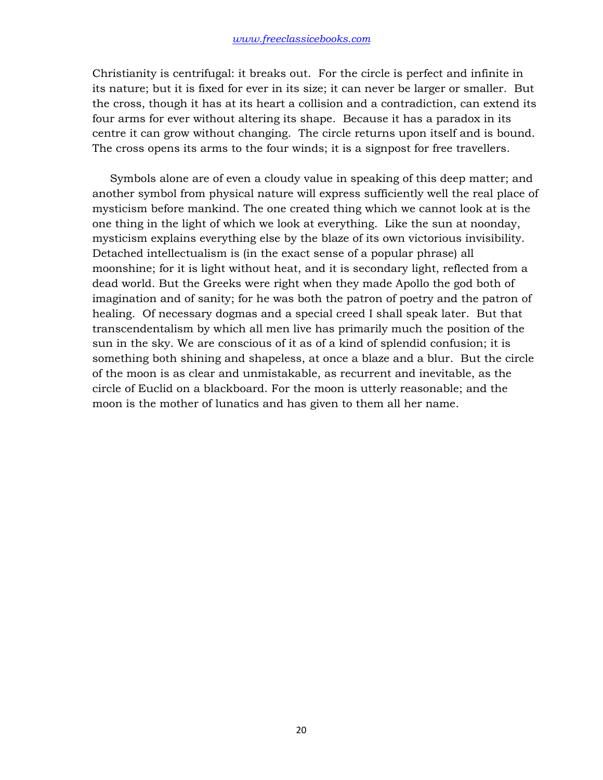Christianity is centrifugal: it breaks out. For the circle is perfect and infinite in its nature; but it is fixed for ever in its size; it can never be larger or smaller. But the cross, though it has at its heart a collision and a contradiction, can extend its four arms for ever without altering its shape. Because it has a paradox in its centre it can grow without changing. The circle returns upon itself and is bound. The cross opens its arms to the four winds; it is a signpost for free travellers.

 Symbols alone are of even a cloudy value in speaking of this deep matter; and another symbol from physical nature will express sufficiently well the real place of mysticism before mankind. The one created thing which we cannot look at is the one thing in the light of which we look at everything. Like the sun at noonday, mysticism explains everything else by the blaze of its own victorious invisibility. Detached intellectualism is (in the exact sense of a popular phrase) all moonshine; for it is light without heat, and it is secondary light, reflected from a dead world. But the Greeks were right when they made Apollo the god both of imagination and of sanity; for he was both the patron of poetry and the patron of healing. Of necessary dogmas and a special creed I shall speak later. But that transcendentalism by which all men live has primarily much the position of the sun in the sky. We are conscious of it as of a kind of splendid confusion; it is something both shining and shapeless, at once a blaze and a blur. But the circle of the moon is as clear and unmistakable, as recurrent and inevitable, as the circle of Euclid on a blackboard. For the moon is utterly reasonable; and the moon is the mother of lunatics and has given to them all her name.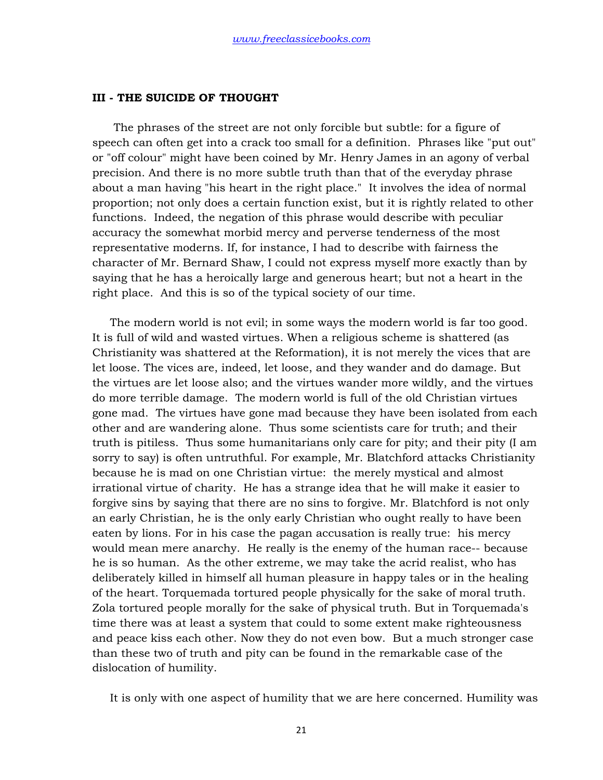#### **III - THE SUICIDE OF THOUGHT**

 The phrases of the street are not only forcible but subtle: for a figure of speech can often get into a crack too small for a definition. Phrases like "put out" or "off colour" might have been coined by Mr. Henry James in an agony of verbal precision. And there is no more subtle truth than that of the everyday phrase about a man having "his heart in the right place." It involves the idea of normal proportion; not only does a certain function exist, but it is rightly related to other functions. Indeed, the negation of this phrase would describe with peculiar accuracy the somewhat morbid mercy and perverse tenderness of the most representative moderns. If, for instance, I had to describe with fairness the character of Mr. Bernard Shaw, I could not express myself more exactly than by saying that he has a heroically large and generous heart; but not a heart in the right place. And this is so of the typical society of our time.

 The modern world is not evil; in some ways the modern world is far too good. It is full of wild and wasted virtues. When a religious scheme is shattered (as Christianity was shattered at the Reformation), it is not merely the vices that are let loose. The vices are, indeed, let loose, and they wander and do damage. But the virtues are let loose also; and the virtues wander more wildly, and the virtues do more terrible damage. The modern world is full of the old Christian virtues gone mad. The virtues have gone mad because they have been isolated from each other and are wandering alone. Thus some scientists care for truth; and their truth is pitiless. Thus some humanitarians only care for pity; and their pity (I am sorry to say) is often untruthful. For example, Mr. Blatchford attacks Christianity because he is mad on one Christian virtue: the merely mystical and almost irrational virtue of charity. He has a strange idea that he will make it easier to forgive sins by saying that there are no sins to forgive. Mr. Blatchford is not only an early Christian, he is the only early Christian who ought really to have been eaten by lions. For in his case the pagan accusation is really true: his mercy would mean mere anarchy. He really is the enemy of the human race-- because he is so human. As the other extreme, we may take the acrid realist, who has deliberately killed in himself all human pleasure in happy tales or in the healing of the heart. Torquemada tortured people physically for the sake of moral truth. Zola tortured people morally for the sake of physical truth. But in Torquemada's time there was at least a system that could to some extent make righteousness and peace kiss each other. Now they do not even bow. But a much stronger case than these two of truth and pity can be found in the remarkable case of the dislocation of humility.

It is only with one aspect of humility that we are here concerned. Humility was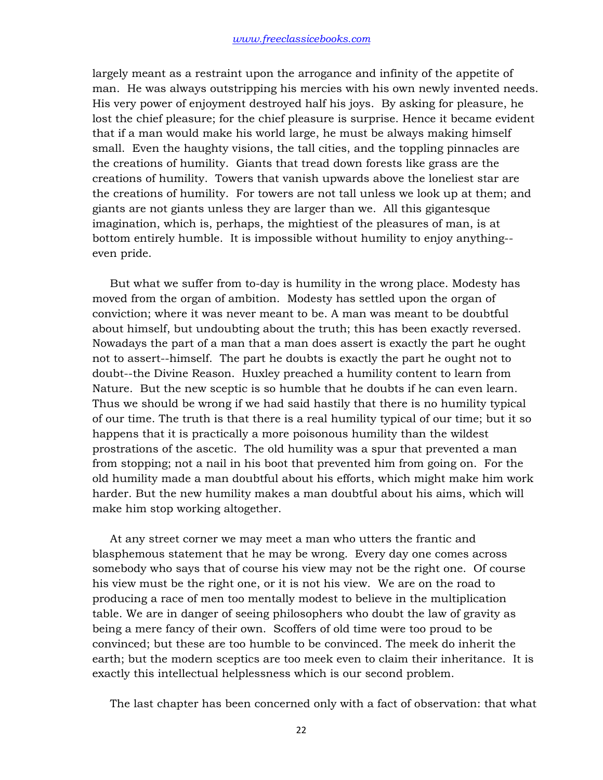largely meant as a restraint upon the arrogance and infinity of the appetite of man. He was always outstripping his mercies with his own newly invented needs. His very power of enjoyment destroyed half his joys. By asking for pleasure, he lost the chief pleasure; for the chief pleasure is surprise. Hence it became evident that if a man would make his world large, he must be always making himself small. Even the haughty visions, the tall cities, and the toppling pinnacles are the creations of humility. Giants that tread down forests like grass are the creations of humility. Towers that vanish upwards above the loneliest star are the creations of humility. For towers are not tall unless we look up at them; and giants are not giants unless they are larger than we. All this gigantesque imagination, which is, perhaps, the mightiest of the pleasures of man, is at bottom entirely humble. It is impossible without humility to enjoy anything- even pride.

 But what we suffer from to-day is humility in the wrong place. Modesty has moved from the organ of ambition. Modesty has settled upon the organ of conviction; where it was never meant to be. A man was meant to be doubtful about himself, but undoubting about the truth; this has been exactly reversed. Nowadays the part of a man that a man does assert is exactly the part he ought not to assert--himself. The part he doubts is exactly the part he ought not to doubt--the Divine Reason. Huxley preached a humility content to learn from Nature. But the new sceptic is so humble that he doubts if he can even learn. Thus we should be wrong if we had said hastily that there is no humility typical of our time. The truth is that there is a real humility typical of our time; but it so happens that it is practically a more poisonous humility than the wildest prostrations of the ascetic. The old humility was a spur that prevented a man from stopping; not a nail in his boot that prevented him from going on. For the old humility made a man doubtful about his efforts, which might make him work harder. But the new humility makes a man doubtful about his aims, which will make him stop working altogether.

 At any street corner we may meet a man who utters the frantic and blasphemous statement that he may be wrong. Every day one comes across somebody who says that of course his view may not be the right one. Of course his view must be the right one, or it is not his view. We are on the road to producing a race of men too mentally modest to believe in the multiplication table. We are in danger of seeing philosophers who doubt the law of gravity as being a mere fancy of their own. Scoffers of old time were too proud to be convinced; but these are too humble to be convinced. The meek do inherit the earth; but the modern sceptics are too meek even to claim their inheritance. It is exactly this intellectual helplessness which is our second problem.

The last chapter has been concerned only with a fact of observation: that what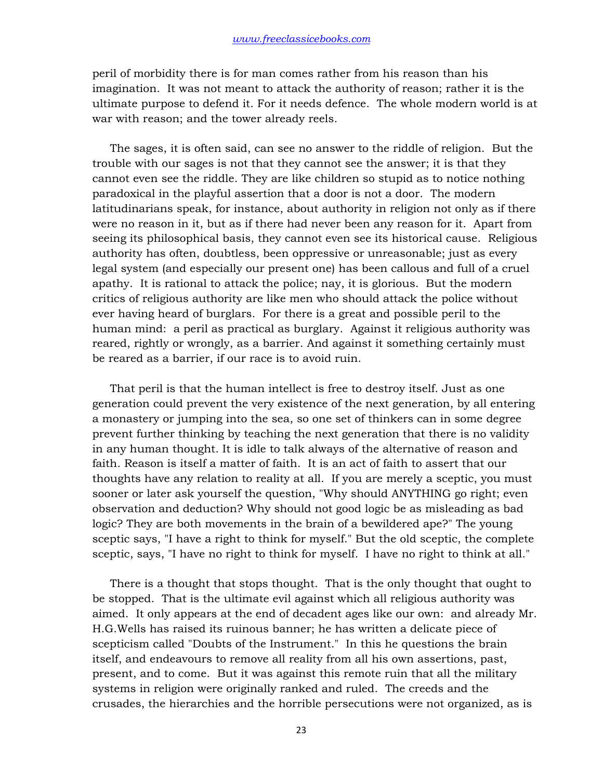peril of morbidity there is for man comes rather from his reason than his imagination. It was not meant to attack the authority of reason; rather it is the ultimate purpose to defend it. For it needs defence. The whole modern world is at war with reason; and the tower already reels.

 The sages, it is often said, can see no answer to the riddle of religion. But the trouble with our sages is not that they cannot see the answer; it is that they cannot even see the riddle. They are like children so stupid as to notice nothing paradoxical in the playful assertion that a door is not a door. The modern latitudinarians speak, for instance, about authority in religion not only as if there were no reason in it, but as if there had never been any reason for it. Apart from seeing its philosophical basis, they cannot even see its historical cause. Religious authority has often, doubtless, been oppressive or unreasonable; just as every legal system (and especially our present one) has been callous and full of a cruel apathy. It is rational to attack the police; nay, it is glorious. But the modern critics of religious authority are like men who should attack the police without ever having heard of burglars. For there is a great and possible peril to the human mind: a peril as practical as burglary. Against it religious authority was reared, rightly or wrongly, as a barrier. And against it something certainly must be reared as a barrier, if our race is to avoid ruin.

 That peril is that the human intellect is free to destroy itself. Just as one generation could prevent the very existence of the next generation, by all entering a monastery or jumping into the sea, so one set of thinkers can in some degree prevent further thinking by teaching the next generation that there is no validity in any human thought. It is idle to talk always of the alternative of reason and faith. Reason is itself a matter of faith. It is an act of faith to assert that our thoughts have any relation to reality at all. If you are merely a sceptic, you must sooner or later ask yourself the question, "Why should ANYTHING go right; even observation and deduction? Why should not good logic be as misleading as bad logic? They are both movements in the brain of a bewildered ape?" The young sceptic says, "I have a right to think for myself." But the old sceptic, the complete sceptic, says, "I have no right to think for myself. I have no right to think at all."

 There is a thought that stops thought. That is the only thought that ought to be stopped. That is the ultimate evil against which all religious authority was aimed. It only appears at the end of decadent ages like our own: and already Mr. H.G.Wells has raised its ruinous banner; he has written a delicate piece of scepticism called "Doubts of the Instrument." In this he questions the brain itself, and endeavours to remove all reality from all his own assertions, past, present, and to come. But it was against this remote ruin that all the military systems in religion were originally ranked and ruled. The creeds and the crusades, the hierarchies and the horrible persecutions were not organized, as is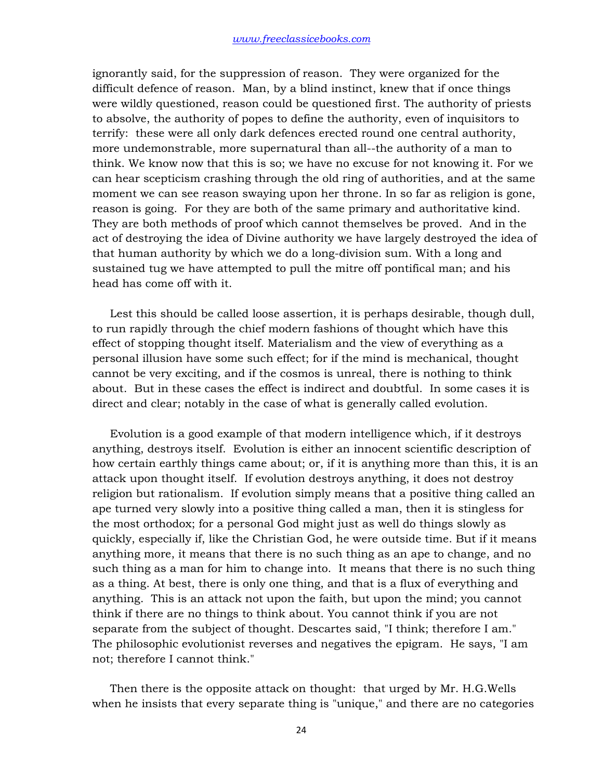ignorantly said, for the suppression of reason. They were organized for the difficult defence of reason. Man, by a blind instinct, knew that if once things were wildly questioned, reason could be questioned first. The authority of priests to absolve, the authority of popes to define the authority, even of inquisitors to terrify: these were all only dark defences erected round one central authority, more undemonstrable, more supernatural than all--the authority of a man to think. We know now that this is so; we have no excuse for not knowing it. For we can hear scepticism crashing through the old ring of authorities, and at the same moment we can see reason swaying upon her throne. In so far as religion is gone, reason is going. For they are both of the same primary and authoritative kind. They are both methods of proof which cannot themselves be proved. And in the act of destroying the idea of Divine authority we have largely destroyed the idea of that human authority by which we do a long-division sum. With a long and sustained tug we have attempted to pull the mitre off pontifical man; and his head has come off with it.

 Lest this should be called loose assertion, it is perhaps desirable, though dull, to run rapidly through the chief modern fashions of thought which have this effect of stopping thought itself. Materialism and the view of everything as a personal illusion have some such effect; for if the mind is mechanical, thought cannot be very exciting, and if the cosmos is unreal, there is nothing to think about. But in these cases the effect is indirect and doubtful. In some cases it is direct and clear; notably in the case of what is generally called evolution.

 Evolution is a good example of that modern intelligence which, if it destroys anything, destroys itself. Evolution is either an innocent scientific description of how certain earthly things came about; or, if it is anything more than this, it is an attack upon thought itself. If evolution destroys anything, it does not destroy religion but rationalism. If evolution simply means that a positive thing called an ape turned very slowly into a positive thing called a man, then it is stingless for the most orthodox; for a personal God might just as well do things slowly as quickly, especially if, like the Christian God, he were outside time. But if it means anything more, it means that there is no such thing as an ape to change, and no such thing as a man for him to change into. It means that there is no such thing as a thing. At best, there is only one thing, and that is a flux of everything and anything. This is an attack not upon the faith, but upon the mind; you cannot think if there are no things to think about. You cannot think if you are not separate from the subject of thought. Descartes said, "I think; therefore I am." The philosophic evolutionist reverses and negatives the epigram. He says, "I am not; therefore I cannot think."

 Then there is the opposite attack on thought: that urged by Mr. H.G.Wells when he insists that every separate thing is "unique," and there are no categories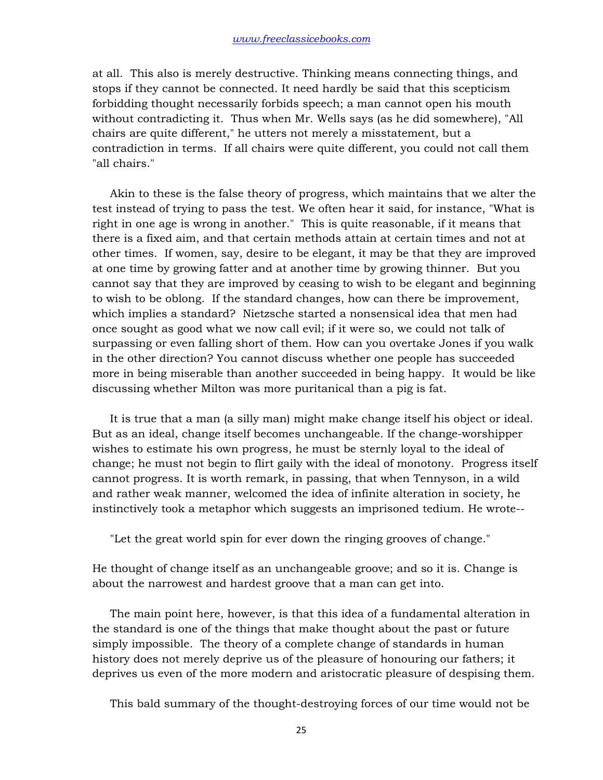at all. This also is merely destructive. Thinking means connecting things, and stops if they cannot be connected. It need hardly be said that this scepticism forbidding thought necessarily forbids speech; a man cannot open his mouth without contradicting it. Thus when Mr. Wells says (as he did somewhere), "All chairs are quite different," he utters not merely a misstatement, but a contradiction in terms. If all chairs were quite different, you could not call them "all chairs."

 Akin to these is the false theory of progress, which maintains that we alter the test instead of trying to pass the test. We often hear it said, for instance, "What is right in one age is wrong in another." This is quite reasonable, if it means that there is a fixed aim, and that certain methods attain at certain times and not at other times. If women, say, desire to be elegant, it may be that they are improved at one time by growing fatter and at another time by growing thinner. But you cannot say that they are improved by ceasing to wish to be elegant and beginning to wish to be oblong. If the standard changes, how can there be improvement, which implies a standard? Nietzsche started a nonsensical idea that men had once sought as good what we now call evil; if it were so, we could not talk of surpassing or even falling short of them. How can you overtake Jones if you walk in the other direction? You cannot discuss whether one people has succeeded more in being miserable than another succeeded in being happy. It would be like discussing whether Milton was more puritanical than a pig is fat.

 It is true that a man (a silly man) might make change itself his object or ideal. But as an ideal, change itself becomes unchangeable. If the change-worshipper wishes to estimate his own progress, he must be sternly loyal to the ideal of change; he must not begin to flirt gaily with the ideal of monotony. Progress itself cannot progress. It is worth remark, in passing, that when Tennyson, in a wild and rather weak manner, welcomed the idea of infinite alteration in society, he instinctively took a metaphor which suggests an imprisoned tedium. He wrote--

"Let the great world spin for ever down the ringing grooves of change."

He thought of change itself as an unchangeable groove; and so it is. Change is about the narrowest and hardest groove that a man can get into.

 The main point here, however, is that this idea of a fundamental alteration in the standard is one of the things that make thought about the past or future simply impossible. The theory of a complete change of standards in human history does not merely deprive us of the pleasure of honouring our fathers; it deprives us even of the more modern and aristocratic pleasure of despising them.

This bald summary of the thought-destroying forces of our time would not be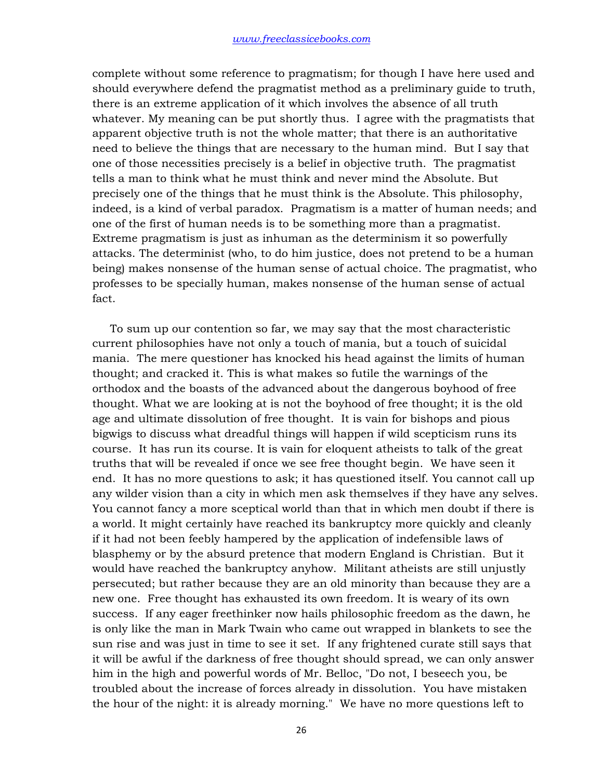complete without some reference to pragmatism; for though I have here used and should everywhere defend the pragmatist method as a preliminary guide to truth, there is an extreme application of it which involves the absence of all truth whatever. My meaning can be put shortly thus. I agree with the pragmatists that apparent objective truth is not the whole matter; that there is an authoritative need to believe the things that are necessary to the human mind. But I say that one of those necessities precisely is a belief in objective truth. The pragmatist tells a man to think what he must think and never mind the Absolute. But precisely one of the things that he must think is the Absolute. This philosophy, indeed, is a kind of verbal paradox. Pragmatism is a matter of human needs; and one of the first of human needs is to be something more than a pragmatist. Extreme pragmatism is just as inhuman as the determinism it so powerfully attacks. The determinist (who, to do him justice, does not pretend to be a human being) makes nonsense of the human sense of actual choice. The pragmatist, who professes to be specially human, makes nonsense of the human sense of actual fact.

 To sum up our contention so far, we may say that the most characteristic current philosophies have not only a touch of mania, but a touch of suicidal mania. The mere questioner has knocked his head against the limits of human thought; and cracked it. This is what makes so futile the warnings of the orthodox and the boasts of the advanced about the dangerous boyhood of free thought. What we are looking at is not the boyhood of free thought; it is the old age and ultimate dissolution of free thought. It is vain for bishops and pious bigwigs to discuss what dreadful things will happen if wild scepticism runs its course. It has run its course. It is vain for eloquent atheists to talk of the great truths that will be revealed if once we see free thought begin. We have seen it end. It has no more questions to ask; it has questioned itself. You cannot call up any wilder vision than a city in which men ask themselves if they have any selves. You cannot fancy a more sceptical world than that in which men doubt if there is a world. It might certainly have reached its bankruptcy more quickly and cleanly if it had not been feebly hampered by the application of indefensible laws of blasphemy or by the absurd pretence that modern England is Christian. But it would have reached the bankruptcy anyhow. Militant atheists are still unjustly persecuted; but rather because they are an old minority than because they are a new one. Free thought has exhausted its own freedom. It is weary of its own success. If any eager freethinker now hails philosophic freedom as the dawn, he is only like the man in Mark Twain who came out wrapped in blankets to see the sun rise and was just in time to see it set. If any frightened curate still says that it will be awful if the darkness of free thought should spread, we can only answer him in the high and powerful words of Mr. Belloc, "Do not, I beseech you, be troubled about the increase of forces already in dissolution. You have mistaken the hour of the night: it is already morning." We have no more questions left to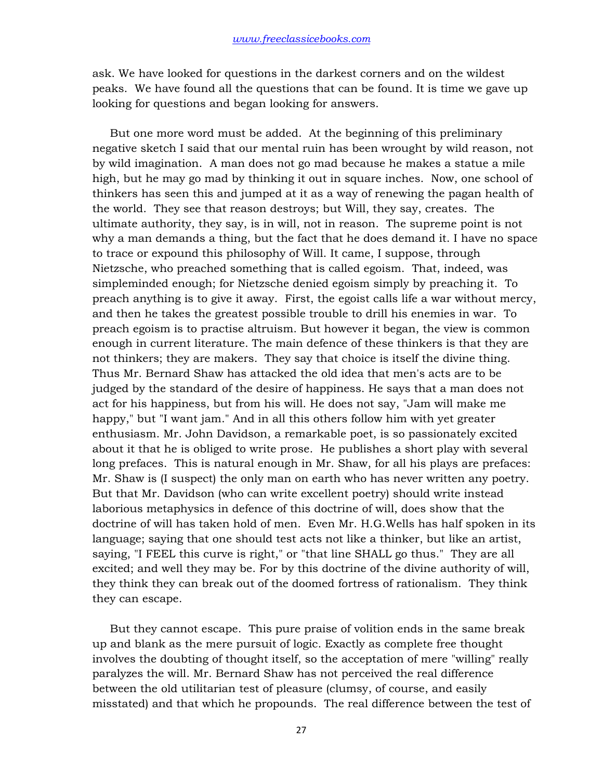ask. We have looked for questions in the darkest corners and on the wildest peaks. We have found all the questions that can be found. It is time we gave up looking for questions and began looking for answers.

 But one more word must be added. At the beginning of this preliminary negative sketch I said that our mental ruin has been wrought by wild reason, not by wild imagination. A man does not go mad because he makes a statue a mile high, but he may go mad by thinking it out in square inches. Now, one school of thinkers has seen this and jumped at it as a way of renewing the pagan health of the world. They see that reason destroys; but Will, they say, creates. The ultimate authority, they say, is in will, not in reason. The supreme point is not why a man demands a thing, but the fact that he does demand it. I have no space to trace or expound this philosophy of Will. It came, I suppose, through Nietzsche, who preached something that is called egoism. That, indeed, was simpleminded enough; for Nietzsche denied egoism simply by preaching it. To preach anything is to give it away. First, the egoist calls life a war without mercy, and then he takes the greatest possible trouble to drill his enemies in war. To preach egoism is to practise altruism. But however it began, the view is common enough in current literature. The main defence of these thinkers is that they are not thinkers; they are makers. They say that choice is itself the divine thing. Thus Mr. Bernard Shaw has attacked the old idea that men's acts are to be judged by the standard of the desire of happiness. He says that a man does not act for his happiness, but from his will. He does not say, "Jam will make me happy," but "I want jam." And in all this others follow him with yet greater enthusiasm. Mr. John Davidson, a remarkable poet, is so passionately excited about it that he is obliged to write prose. He publishes a short play with several long prefaces. This is natural enough in Mr. Shaw, for all his plays are prefaces: Mr. Shaw is (I suspect) the only man on earth who has never written any poetry. But that Mr. Davidson (who can write excellent poetry) should write instead laborious metaphysics in defence of this doctrine of will, does show that the doctrine of will has taken hold of men. Even Mr. H.G.Wells has half spoken in its language; saying that one should test acts not like a thinker, but like an artist, saying, "I FEEL this curve is right," or "that line SHALL go thus." They are all excited; and well they may be. For by this doctrine of the divine authority of will, they think they can break out of the doomed fortress of rationalism. They think they can escape.

 But they cannot escape. This pure praise of volition ends in the same break up and blank as the mere pursuit of logic. Exactly as complete free thought involves the doubting of thought itself, so the acceptation of mere "willing" really paralyzes the will. Mr. Bernard Shaw has not perceived the real difference between the old utilitarian test of pleasure (clumsy, of course, and easily misstated) and that which he propounds. The real difference between the test of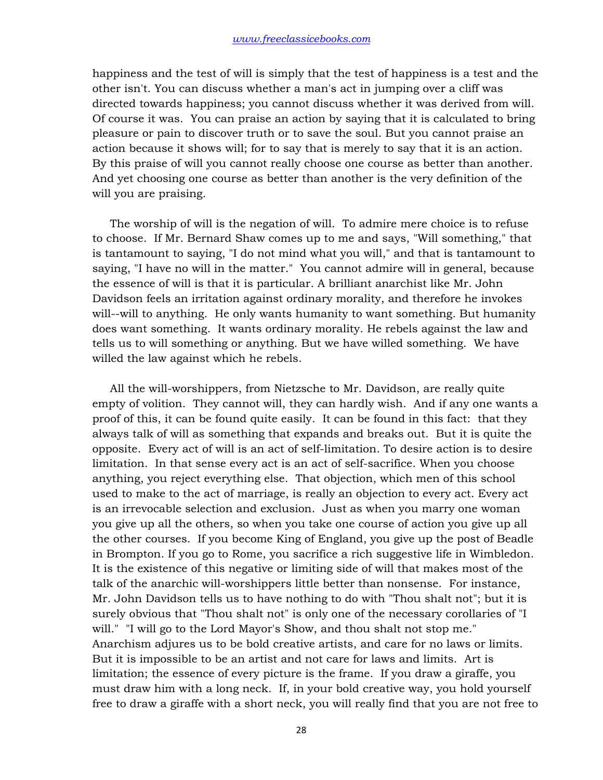happiness and the test of will is simply that the test of happiness is a test and the other isn't. You can discuss whether a man's act in jumping over a cliff was directed towards happiness; you cannot discuss whether it was derived from will. Of course it was. You can praise an action by saying that it is calculated to bring pleasure or pain to discover truth or to save the soul. But you cannot praise an action because it shows will; for to say that is merely to say that it is an action. By this praise of will you cannot really choose one course as better than another. And yet choosing one course as better than another is the very definition of the will you are praising.

 The worship of will is the negation of will. To admire mere choice is to refuse to choose. If Mr. Bernard Shaw comes up to me and says, "Will something," that is tantamount to saying, "I do not mind what you will," and that is tantamount to saying, "I have no will in the matter." You cannot admire will in general, because the essence of will is that it is particular. A brilliant anarchist like Mr. John Davidson feels an irritation against ordinary morality, and therefore he invokes will--will to anything. He only wants humanity to want something. But humanity does want something. It wants ordinary morality. He rebels against the law and tells us to will something or anything. But we have willed something. We have willed the law against which he rebels.

 All the will-worshippers, from Nietzsche to Mr. Davidson, are really quite empty of volition. They cannot will, they can hardly wish. And if any one wants a proof of this, it can be found quite easily. It can be found in this fact: that they always talk of will as something that expands and breaks out. But it is quite the opposite. Every act of will is an act of self-limitation. To desire action is to desire limitation. In that sense every act is an act of self-sacrifice. When you choose anything, you reject everything else. That objection, which men of this school used to make to the act of marriage, is really an objection to every act. Every act is an irrevocable selection and exclusion. Just as when you marry one woman you give up all the others, so when you take one course of action you give up all the other courses. If you become King of England, you give up the post of Beadle in Brompton. If you go to Rome, you sacrifice a rich suggestive life in Wimbledon. It is the existence of this negative or limiting side of will that makes most of the talk of the anarchic will-worshippers little better than nonsense. For instance, Mr. John Davidson tells us to have nothing to do with "Thou shalt not"; but it is surely obvious that "Thou shalt not" is only one of the necessary corollaries of "I will." "I will go to the Lord Mayor's Show, and thou shalt not stop me." Anarchism adjures us to be bold creative artists, and care for no laws or limits. But it is impossible to be an artist and not care for laws and limits. Art is limitation; the essence of every picture is the frame. If you draw a giraffe, you must draw him with a long neck. If, in your bold creative way, you hold yourself free to draw a giraffe with a short neck, you will really find that you are not free to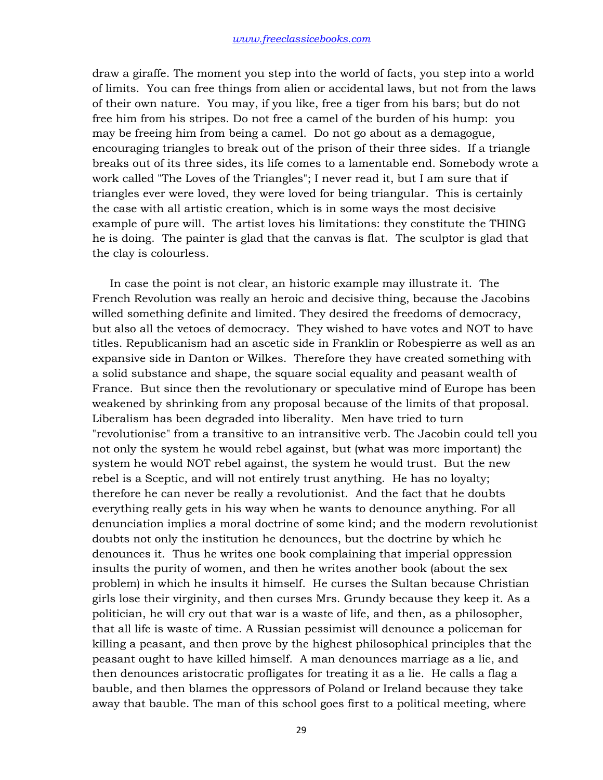draw a giraffe. The moment you step into the world of facts, you step into a world of limits. You can free things from alien or accidental laws, but not from the laws of their own nature. You may, if you like, free a tiger from his bars; but do not free him from his stripes. Do not free a camel of the burden of his hump: you may be freeing him from being a camel. Do not go about as a demagogue, encouraging triangles to break out of the prison of their three sides. If a triangle breaks out of its three sides, its life comes to a lamentable end. Somebody wrote a work called "The Loves of the Triangles"; I never read it, but I am sure that if triangles ever were loved, they were loved for being triangular. This is certainly the case with all artistic creation, which is in some ways the most decisive example of pure will. The artist loves his limitations: they constitute the THING he is doing. The painter is glad that the canvas is flat. The sculptor is glad that the clay is colourless.

 In case the point is not clear, an historic example may illustrate it. The French Revolution was really an heroic and decisive thing, because the Jacobins willed something definite and limited. They desired the freedoms of democracy, but also all the vetoes of democracy. They wished to have votes and NOT to have titles. Republicanism had an ascetic side in Franklin or Robespierre as well as an expansive side in Danton or Wilkes. Therefore they have created something with a solid substance and shape, the square social equality and peasant wealth of France. But since then the revolutionary or speculative mind of Europe has been weakened by shrinking from any proposal because of the limits of that proposal. Liberalism has been degraded into liberality. Men have tried to turn "revolutionise" from a transitive to an intransitive verb. The Jacobin could tell you not only the system he would rebel against, but (what was more important) the system he would NOT rebel against, the system he would trust. But the new rebel is a Sceptic, and will not entirely trust anything. He has no loyalty; therefore he can never be really a revolutionist. And the fact that he doubts everything really gets in his way when he wants to denounce anything. For all denunciation implies a moral doctrine of some kind; and the modern revolutionist doubts not only the institution he denounces, but the doctrine by which he denounces it. Thus he writes one book complaining that imperial oppression insults the purity of women, and then he writes another book (about the sex problem) in which he insults it himself. He curses the Sultan because Christian girls lose their virginity, and then curses Mrs. Grundy because they keep it. As a politician, he will cry out that war is a waste of life, and then, as a philosopher, that all life is waste of time. A Russian pessimist will denounce a policeman for killing a peasant, and then prove by the highest philosophical principles that the peasant ought to have killed himself. A man denounces marriage as a lie, and then denounces aristocratic profligates for treating it as a lie. He calls a flag a bauble, and then blames the oppressors of Poland or Ireland because they take away that bauble. The man of this school goes first to a political meeting, where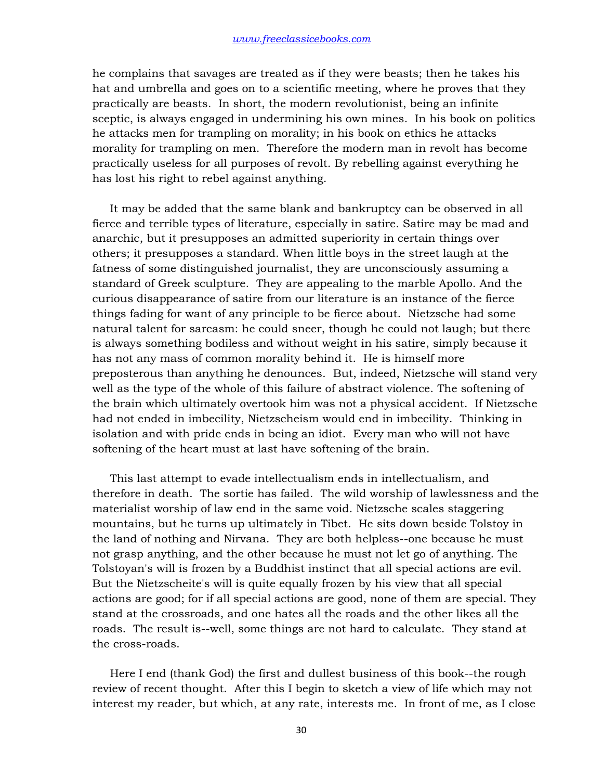he complains that savages are treated as if they were beasts; then he takes his hat and umbrella and goes on to a scientific meeting, where he proves that they practically are beasts. In short, the modern revolutionist, being an infinite sceptic, is always engaged in undermining his own mines. In his book on politics he attacks men for trampling on morality; in his book on ethics he attacks morality for trampling on men. Therefore the modern man in revolt has become practically useless for all purposes of revolt. By rebelling against everything he has lost his right to rebel against anything.

 It may be added that the same blank and bankruptcy can be observed in all fierce and terrible types of literature, especially in satire. Satire may be mad and anarchic, but it presupposes an admitted superiority in certain things over others; it presupposes a standard. When little boys in the street laugh at the fatness of some distinguished journalist, they are unconsciously assuming a standard of Greek sculpture. They are appealing to the marble Apollo. And the curious disappearance of satire from our literature is an instance of the fierce things fading for want of any principle to be fierce about. Nietzsche had some natural talent for sarcasm: he could sneer, though he could not laugh; but there is always something bodiless and without weight in his satire, simply because it has not any mass of common morality behind it. He is himself more preposterous than anything he denounces. But, indeed, Nietzsche will stand very well as the type of the whole of this failure of abstract violence. The softening of the brain which ultimately overtook him was not a physical accident. If Nietzsche had not ended in imbecility, Nietzscheism would end in imbecility. Thinking in isolation and with pride ends in being an idiot. Every man who will not have softening of the heart must at last have softening of the brain.

 This last attempt to evade intellectualism ends in intellectualism, and therefore in death. The sortie has failed. The wild worship of lawlessness and the materialist worship of law end in the same void. Nietzsche scales staggering mountains, but he turns up ultimately in Tibet. He sits down beside Tolstoy in the land of nothing and Nirvana. They are both helpless--one because he must not grasp anything, and the other because he must not let go of anything. The Tolstoyan's will is frozen by a Buddhist instinct that all special actions are evil. But the Nietzscheite's will is quite equally frozen by his view that all special actions are good; for if all special actions are good, none of them are special. They stand at the crossroads, and one hates all the roads and the other likes all the roads. The result is--well, some things are not hard to calculate. They stand at the cross-roads.

 Here I end (thank God) the first and dullest business of this book--the rough review of recent thought. After this I begin to sketch a view of life which may not interest my reader, but which, at any rate, interests me. In front of me, as I close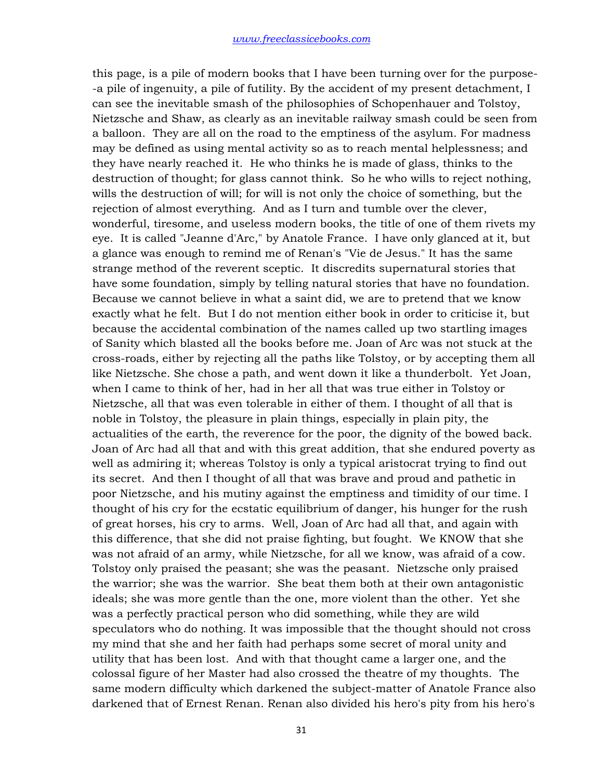this page, is a pile of modern books that I have been turning over for the purpose- -a pile of ingenuity, a pile of futility. By the accident of my present detachment, I can see the inevitable smash of the philosophies of Schopenhauer and Tolstoy, Nietzsche and Shaw, as clearly as an inevitable railway smash could be seen from a balloon. They are all on the road to the emptiness of the asylum. For madness may be defined as using mental activity so as to reach mental helplessness; and they have nearly reached it. He who thinks he is made of glass, thinks to the destruction of thought; for glass cannot think. So he who wills to reject nothing, wills the destruction of will; for will is not only the choice of something, but the rejection of almost everything. And as I turn and tumble over the clever, wonderful, tiresome, and useless modern books, the title of one of them rivets my eye. It is called "Jeanne d'Arc," by Anatole France. I have only glanced at it, but a glance was enough to remind me of Renan's "Vie de Jesus." It has the same strange method of the reverent sceptic. It discredits supernatural stories that have some foundation, simply by telling natural stories that have no foundation. Because we cannot believe in what a saint did, we are to pretend that we know exactly what he felt. But I do not mention either book in order to criticise it, but because the accidental combination of the names called up two startling images of Sanity which blasted all the books before me. Joan of Arc was not stuck at the cross-roads, either by rejecting all the paths like Tolstoy, or by accepting them all like Nietzsche. She chose a path, and went down it like a thunderbolt. Yet Joan, when I came to think of her, had in her all that was true either in Tolstoy or Nietzsche, all that was even tolerable in either of them. I thought of all that is noble in Tolstoy, the pleasure in plain things, especially in plain pity, the actualities of the earth, the reverence for the poor, the dignity of the bowed back. Joan of Arc had all that and with this great addition, that she endured poverty as well as admiring it; whereas Tolstoy is only a typical aristocrat trying to find out its secret. And then I thought of all that was brave and proud and pathetic in poor Nietzsche, and his mutiny against the emptiness and timidity of our time. I thought of his cry for the ecstatic equilibrium of danger, his hunger for the rush of great horses, his cry to arms. Well, Joan of Arc had all that, and again with this difference, that she did not praise fighting, but fought. We KNOW that she was not afraid of an army, while Nietzsche, for all we know, was afraid of a cow. Tolstoy only praised the peasant; she was the peasant. Nietzsche only praised the warrior; she was the warrior. She beat them both at their own antagonistic ideals; she was more gentle than the one, more violent than the other. Yet she was a perfectly practical person who did something, while they are wild speculators who do nothing. It was impossible that the thought should not cross my mind that she and her faith had perhaps some secret of moral unity and utility that has been lost. And with that thought came a larger one, and the colossal figure of her Master had also crossed the theatre of my thoughts. The same modern difficulty which darkened the subject-matter of Anatole France also darkened that of Ernest Renan. Renan also divided his hero's pity from his hero's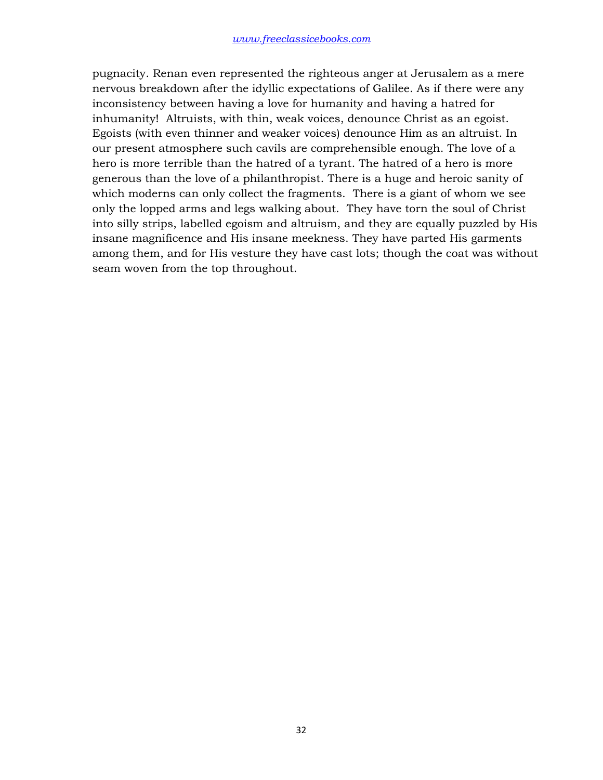pugnacity. Renan even represented the righteous anger at Jerusalem as a mere nervous breakdown after the idyllic expectations of Galilee. As if there were any inconsistency between having a love for humanity and having a hatred for inhumanity! Altruists, with thin, weak voices, denounce Christ as an egoist. Egoists (with even thinner and weaker voices) denounce Him as an altruist. In our present atmosphere such cavils are comprehensible enough. The love of a hero is more terrible than the hatred of a tyrant. The hatred of a hero is more generous than the love of a philanthropist. There is a huge and heroic sanity of which moderns can only collect the fragments. There is a giant of whom we see only the lopped arms and legs walking about. They have torn the soul of Christ into silly strips, labelled egoism and altruism, and they are equally puzzled by His insane magnificence and His insane meekness. They have parted His garments among them, and for His vesture they have cast lots; though the coat was without seam woven from the top throughout.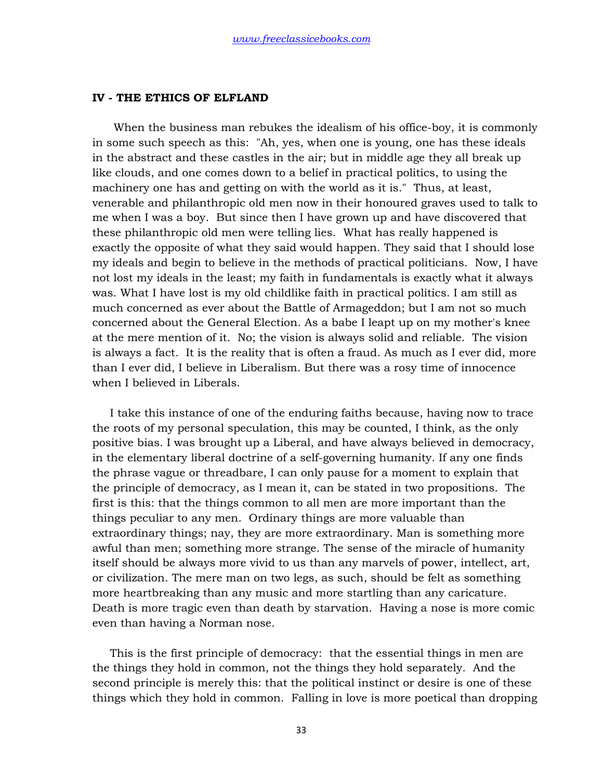#### **IV - THE ETHICS OF ELFLAND**

 When the business man rebukes the idealism of his office-boy, it is commonly in some such speech as this: "Ah, yes, when one is young, one has these ideals in the abstract and these castles in the air; but in middle age they all break up like clouds, and one comes down to a belief in practical politics, to using the machinery one has and getting on with the world as it is." Thus, at least, venerable and philanthropic old men now in their honoured graves used to talk to me when I was a boy. But since then I have grown up and have discovered that these philanthropic old men were telling lies. What has really happened is exactly the opposite of what they said would happen. They said that I should lose my ideals and begin to believe in the methods of practical politicians. Now, I have not lost my ideals in the least; my faith in fundamentals is exactly what it always was. What I have lost is my old childlike faith in practical politics. I am still as much concerned as ever about the Battle of Armageddon; but I am not so much concerned about the General Election. As a babe I leapt up on my mother's knee at the mere mention of it. No; the vision is always solid and reliable. The vision is always a fact. It is the reality that is often a fraud. As much as I ever did, more than I ever did, I believe in Liberalism. But there was a rosy time of innocence when I believed in Liberals.

 I take this instance of one of the enduring faiths because, having now to trace the roots of my personal speculation, this may be counted, I think, as the only positive bias. I was brought up a Liberal, and have always believed in democracy, in the elementary liberal doctrine of a self-governing humanity. If any one finds the phrase vague or threadbare, I can only pause for a moment to explain that the principle of democracy, as I mean it, can be stated in two propositions. The first is this: that the things common to all men are more important than the things peculiar to any men. Ordinary things are more valuable than extraordinary things; nay, they are more extraordinary. Man is something more awful than men; something more strange. The sense of the miracle of humanity itself should be always more vivid to us than any marvels of power, intellect, art, or civilization. The mere man on two legs, as such, should be felt as something more heartbreaking than any music and more startling than any caricature. Death is more tragic even than death by starvation. Having a nose is more comic even than having a Norman nose.

 This is the first principle of democracy: that the essential things in men are the things they hold in common, not the things they hold separately. And the second principle is merely this: that the political instinct or desire is one of these things which they hold in common. Falling in love is more poetical than dropping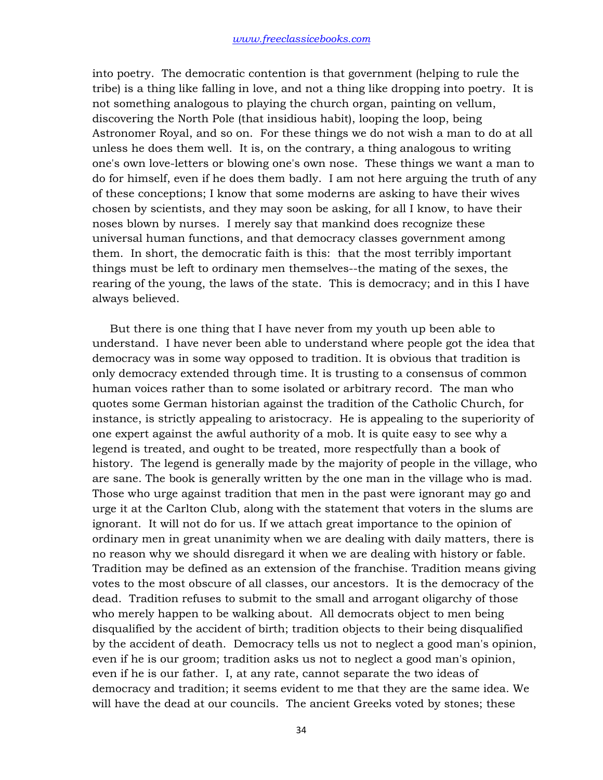into poetry. The democratic contention is that government (helping to rule the tribe) is a thing like falling in love, and not a thing like dropping into poetry. It is not something analogous to playing the church organ, painting on vellum, discovering the North Pole (that insidious habit), looping the loop, being Astronomer Royal, and so on. For these things we do not wish a man to do at all unless he does them well. It is, on the contrary, a thing analogous to writing one's own love-letters or blowing one's own nose. These things we want a man to do for himself, even if he does them badly. I am not here arguing the truth of any of these conceptions; I know that some moderns are asking to have their wives chosen by scientists, and they may soon be asking, for all I know, to have their noses blown by nurses. I merely say that mankind does recognize these universal human functions, and that democracy classes government among them. In short, the democratic faith is this: that the most terribly important things must be left to ordinary men themselves--the mating of the sexes, the rearing of the young, the laws of the state. This is democracy; and in this I have always believed.

 But there is one thing that I have never from my youth up been able to understand. I have never been able to understand where people got the idea that democracy was in some way opposed to tradition. It is obvious that tradition is only democracy extended through time. It is trusting to a consensus of common human voices rather than to some isolated or arbitrary record. The man who quotes some German historian against the tradition of the Catholic Church, for instance, is strictly appealing to aristocracy. He is appealing to the superiority of one expert against the awful authority of a mob. It is quite easy to see why a legend is treated, and ought to be treated, more respectfully than a book of history. The legend is generally made by the majority of people in the village, who are sane. The book is generally written by the one man in the village who is mad. Those who urge against tradition that men in the past were ignorant may go and urge it at the Carlton Club, along with the statement that voters in the slums are ignorant. It will not do for us. If we attach great importance to the opinion of ordinary men in great unanimity when we are dealing with daily matters, there is no reason why we should disregard it when we are dealing with history or fable. Tradition may be defined as an extension of the franchise. Tradition means giving votes to the most obscure of all classes, our ancestors. It is the democracy of the dead. Tradition refuses to submit to the small and arrogant oligarchy of those who merely happen to be walking about. All democrats object to men being disqualified by the accident of birth; tradition objects to their being disqualified by the accident of death. Democracy tells us not to neglect a good man's opinion, even if he is our groom; tradition asks us not to neglect a good man's opinion, even if he is our father. I, at any rate, cannot separate the two ideas of democracy and tradition; it seems evident to me that they are the same idea. We will have the dead at our councils. The ancient Greeks voted by stones; these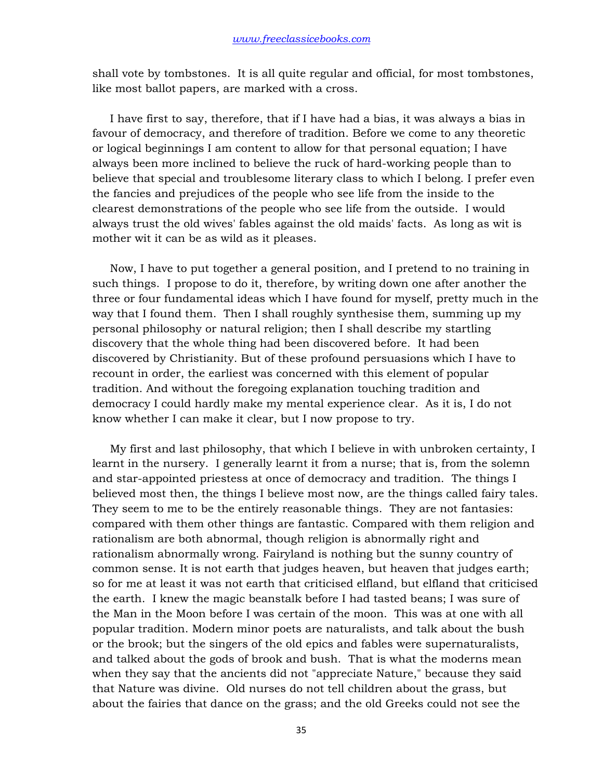shall vote by tombstones. It is all quite regular and official, for most tombstones, like most ballot papers, are marked with a cross.

 I have first to say, therefore, that if I have had a bias, it was always a bias in favour of democracy, and therefore of tradition. Before we come to any theoretic or logical beginnings I am content to allow for that personal equation; I have always been more inclined to believe the ruck of hard-working people than to believe that special and troublesome literary class to which I belong. I prefer even the fancies and prejudices of the people who see life from the inside to the clearest demonstrations of the people who see life from the outside. I would always trust the old wives' fables against the old maids' facts. As long as wit is mother wit it can be as wild as it pleases.

 Now, I have to put together a general position, and I pretend to no training in such things. I propose to do it, therefore, by writing down one after another the three or four fundamental ideas which I have found for myself, pretty much in the way that I found them. Then I shall roughly synthesise them, summing up my personal philosophy or natural religion; then I shall describe my startling discovery that the whole thing had been discovered before. It had been discovered by Christianity. But of these profound persuasions which I have to recount in order, the earliest was concerned with this element of popular tradition. And without the foregoing explanation touching tradition and democracy I could hardly make my mental experience clear. As it is, I do not know whether I can make it clear, but I now propose to try.

 My first and last philosophy, that which I believe in with unbroken certainty, I learnt in the nursery. I generally learnt it from a nurse; that is, from the solemn and star-appointed priestess at once of democracy and tradition. The things I believed most then, the things I believe most now, are the things called fairy tales. They seem to me to be the entirely reasonable things. They are not fantasies: compared with them other things are fantastic. Compared with them religion and rationalism are both abnormal, though religion is abnormally right and rationalism abnormally wrong. Fairyland is nothing but the sunny country of common sense. It is not earth that judges heaven, but heaven that judges earth; so for me at least it was not earth that criticised elfland, but elfland that criticised the earth. I knew the magic beanstalk before I had tasted beans; I was sure of the Man in the Moon before I was certain of the moon. This was at one with all popular tradition. Modern minor poets are naturalists, and talk about the bush or the brook; but the singers of the old epics and fables were supernaturalists, and talked about the gods of brook and bush. That is what the moderns mean when they say that the ancients did not "appreciate Nature," because they said that Nature was divine. Old nurses do not tell children about the grass, but about the fairies that dance on the grass; and the old Greeks could not see the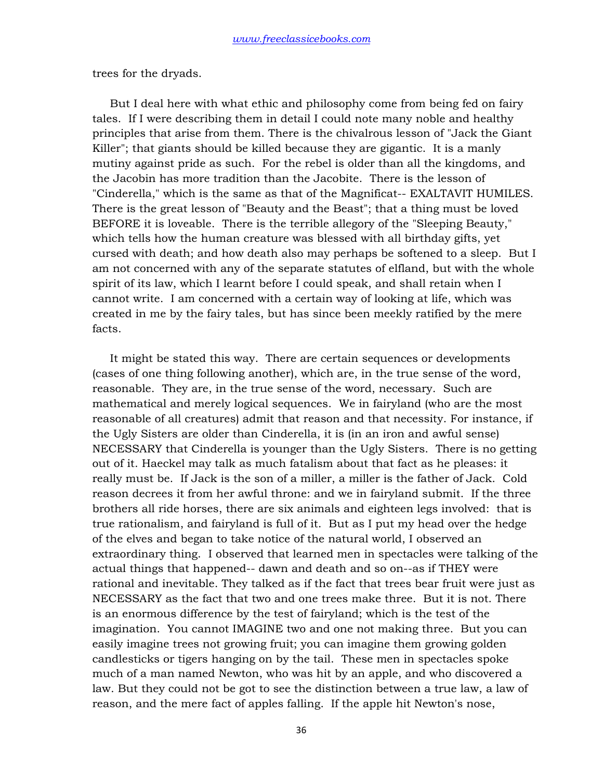trees for the dryads.

 But I deal here with what ethic and philosophy come from being fed on fairy tales. If I were describing them in detail I could note many noble and healthy principles that arise from them. There is the chivalrous lesson of "Jack the Giant Killer"; that giants should be killed because they are gigantic. It is a manly mutiny against pride as such. For the rebel is older than all the kingdoms, and the Jacobin has more tradition than the Jacobite. There is the lesson of "Cinderella," which is the same as that of the Magnificat-- EXALTAVIT HUMILES. There is the great lesson of "Beauty and the Beast"; that a thing must be loved BEFORE it is loveable. There is the terrible allegory of the "Sleeping Beauty," which tells how the human creature was blessed with all birthday gifts, yet cursed with death; and how death also may perhaps be softened to a sleep. But I am not concerned with any of the separate statutes of elfland, but with the whole spirit of its law, which I learnt before I could speak, and shall retain when I cannot write. I am concerned with a certain way of looking at life, which was created in me by the fairy tales, but has since been meekly ratified by the mere facts.

 It might be stated this way. There are certain sequences or developments (cases of one thing following another), which are, in the true sense of the word, reasonable. They are, in the true sense of the word, necessary. Such are mathematical and merely logical sequences. We in fairyland (who are the most reasonable of all creatures) admit that reason and that necessity. For instance, if the Ugly Sisters are older than Cinderella, it is (in an iron and awful sense) NECESSARY that Cinderella is younger than the Ugly Sisters. There is no getting out of it. Haeckel may talk as much fatalism about that fact as he pleases: it really must be. If Jack is the son of a miller, a miller is the father of Jack. Cold reason decrees it from her awful throne: and we in fairyland submit. If the three brothers all ride horses, there are six animals and eighteen legs involved: that is true rationalism, and fairyland is full of it. But as I put my head over the hedge of the elves and began to take notice of the natural world, I observed an extraordinary thing. I observed that learned men in spectacles were talking of the actual things that happened-- dawn and death and so on--as if THEY were rational and inevitable. They talked as if the fact that trees bear fruit were just as NECESSARY as the fact that two and one trees make three. But it is not. There is an enormous difference by the test of fairyland; which is the test of the imagination. You cannot IMAGINE two and one not making three. But you can easily imagine trees not growing fruit; you can imagine them growing golden candlesticks or tigers hanging on by the tail. These men in spectacles spoke much of a man named Newton, who was hit by an apple, and who discovered a law. But they could not be got to see the distinction between a true law, a law of reason, and the mere fact of apples falling. If the apple hit Newton's nose,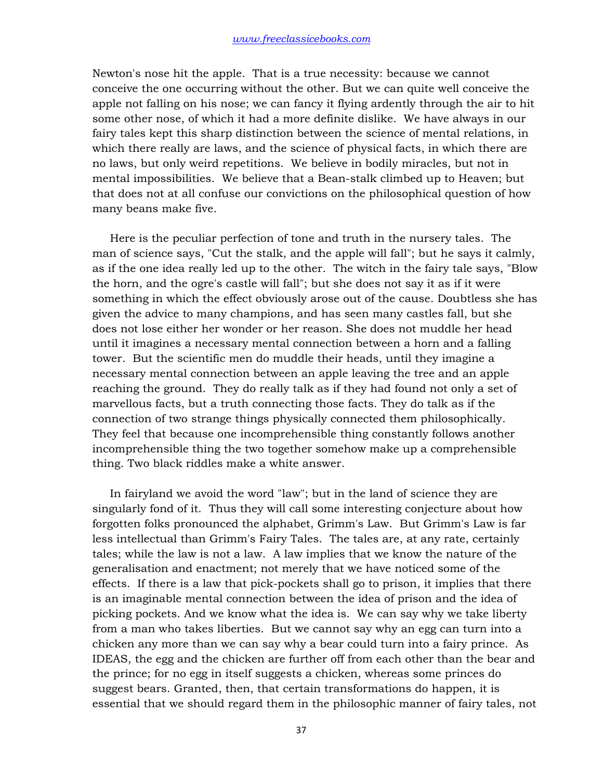Newton's nose hit the apple. That is a true necessity: because we cannot conceive the one occurring without the other. But we can quite well conceive the apple not falling on his nose; we can fancy it flying ardently through the air to hit some other nose, of which it had a more definite dislike. We have always in our fairy tales kept this sharp distinction between the science of mental relations, in which there really are laws, and the science of physical facts, in which there are no laws, but only weird repetitions. We believe in bodily miracles, but not in mental impossibilities. We believe that a Bean-stalk climbed up to Heaven; but that does not at all confuse our convictions on the philosophical question of how many beans make five.

 Here is the peculiar perfection of tone and truth in the nursery tales. The man of science says, "Cut the stalk, and the apple will fall"; but he says it calmly, as if the one idea really led up to the other. The witch in the fairy tale says, "Blow the horn, and the ogre's castle will fall"; but she does not say it as if it were something in which the effect obviously arose out of the cause. Doubtless she has given the advice to many champions, and has seen many castles fall, but she does not lose either her wonder or her reason. She does not muddle her head until it imagines a necessary mental connection between a horn and a falling tower. But the scientific men do muddle their heads, until they imagine a necessary mental connection between an apple leaving the tree and an apple reaching the ground. They do really talk as if they had found not only a set of marvellous facts, but a truth connecting those facts. They do talk as if the connection of two strange things physically connected them philosophically. They feel that because one incomprehensible thing constantly follows another incomprehensible thing the two together somehow make up a comprehensible thing. Two black riddles make a white answer.

 In fairyland we avoid the word "law"; but in the land of science they are singularly fond of it. Thus they will call some interesting conjecture about how forgotten folks pronounced the alphabet, Grimm's Law. But Grimm's Law is far less intellectual than Grimm's Fairy Tales. The tales are, at any rate, certainly tales; while the law is not a law. A law implies that we know the nature of the generalisation and enactment; not merely that we have noticed some of the effects. If there is a law that pick-pockets shall go to prison, it implies that there is an imaginable mental connection between the idea of prison and the idea of picking pockets. And we know what the idea is. We can say why we take liberty from a man who takes liberties. But we cannot say why an egg can turn into a chicken any more than we can say why a bear could turn into a fairy prince. As IDEAS, the egg and the chicken are further off from each other than the bear and the prince; for no egg in itself suggests a chicken, whereas some princes do suggest bears. Granted, then, that certain transformations do happen, it is essential that we should regard them in the philosophic manner of fairy tales, not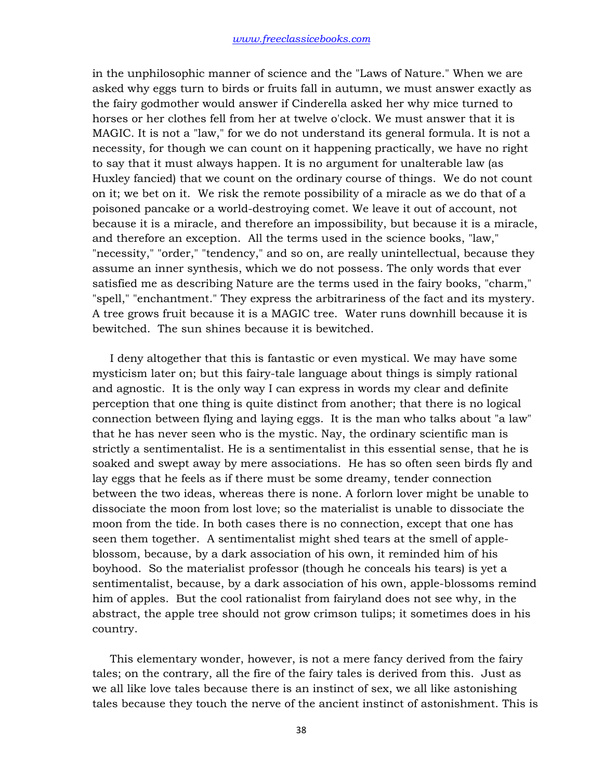in the unphilosophic manner of science and the "Laws of Nature." When we are asked why eggs turn to birds or fruits fall in autumn, we must answer exactly as the fairy godmother would answer if Cinderella asked her why mice turned to horses or her clothes fell from her at twelve o'clock. We must answer that it is MAGIC. It is not a "law," for we do not understand its general formula. It is not a necessity, for though we can count on it happening practically, we have no right to say that it must always happen. It is no argument for unalterable law (as Huxley fancied) that we count on the ordinary course of things. We do not count on it; we bet on it. We risk the remote possibility of a miracle as we do that of a poisoned pancake or a world-destroying comet. We leave it out of account, not because it is a miracle, and therefore an impossibility, but because it is a miracle, and therefore an exception. All the terms used in the science books, "law," "necessity," "order," "tendency," and so on, are really unintellectual, because they assume an inner synthesis, which we do not possess. The only words that ever satisfied me as describing Nature are the terms used in the fairy books, "charm," "spell," "enchantment." They express the arbitrariness of the fact and its mystery. A tree grows fruit because it is a MAGIC tree. Water runs downhill because it is bewitched. The sun shines because it is bewitched.

 I deny altogether that this is fantastic or even mystical. We may have some mysticism later on; but this fairy-tale language about things is simply rational and agnostic. It is the only way I can express in words my clear and definite perception that one thing is quite distinct from another; that there is no logical connection between flying and laying eggs. It is the man who talks about "a law" that he has never seen who is the mystic. Nay, the ordinary scientific man is strictly a sentimentalist. He is a sentimentalist in this essential sense, that he is soaked and swept away by mere associations. He has so often seen birds fly and lay eggs that he feels as if there must be some dreamy, tender connection between the two ideas, whereas there is none. A forlorn lover might be unable to dissociate the moon from lost love; so the materialist is unable to dissociate the moon from the tide. In both cases there is no connection, except that one has seen them together. A sentimentalist might shed tears at the smell of appleblossom, because, by a dark association of his own, it reminded him of his boyhood. So the materialist professor (though he conceals his tears) is yet a sentimentalist, because, by a dark association of his own, apple-blossoms remind him of apples. But the cool rationalist from fairyland does not see why, in the abstract, the apple tree should not grow crimson tulips; it sometimes does in his country.

 This elementary wonder, however, is not a mere fancy derived from the fairy tales; on the contrary, all the fire of the fairy tales is derived from this. Just as we all like love tales because there is an instinct of sex, we all like astonishing tales because they touch the nerve of the ancient instinct of astonishment. This is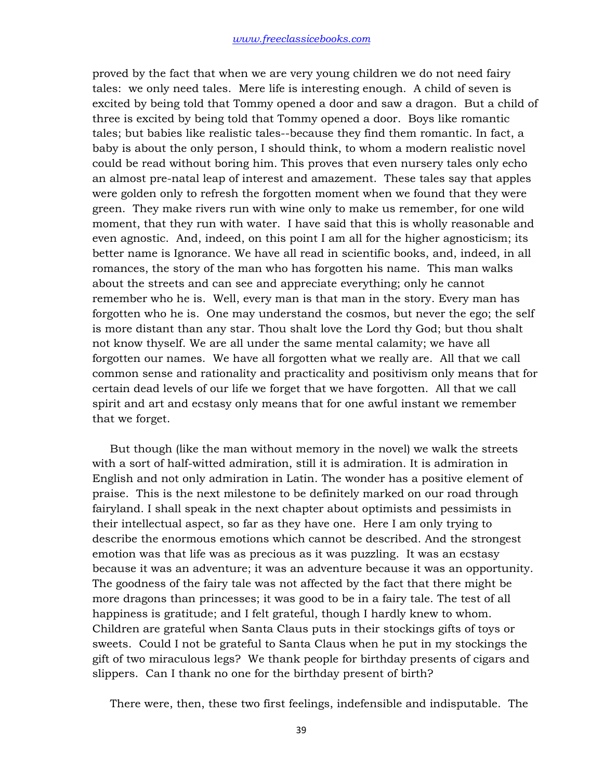proved by the fact that when we are very young children we do not need fairy tales: we only need tales. Mere life is interesting enough. A child of seven is excited by being told that Tommy opened a door and saw a dragon. But a child of three is excited by being told that Tommy opened a door. Boys like romantic tales; but babies like realistic tales--because they find them romantic. In fact, a baby is about the only person, I should think, to whom a modern realistic novel could be read without boring him. This proves that even nursery tales only echo an almost pre-natal leap of interest and amazement. These tales say that apples were golden only to refresh the forgotten moment when we found that they were green. They make rivers run with wine only to make us remember, for one wild moment, that they run with water. I have said that this is wholly reasonable and even agnostic. And, indeed, on this point I am all for the higher agnosticism; its better name is Ignorance. We have all read in scientific books, and, indeed, in all romances, the story of the man who has forgotten his name. This man walks about the streets and can see and appreciate everything; only he cannot remember who he is. Well, every man is that man in the story. Every man has forgotten who he is. One may understand the cosmos, but never the ego; the self is more distant than any star. Thou shalt love the Lord thy God; but thou shalt not know thyself. We are all under the same mental calamity; we have all forgotten our names. We have all forgotten what we really are. All that we call common sense and rationality and practicality and positivism only means that for certain dead levels of our life we forget that we have forgotten. All that we call spirit and art and ecstasy only means that for one awful instant we remember that we forget.

 But though (like the man without memory in the novel) we walk the streets with a sort of half-witted admiration, still it is admiration. It is admiration in English and not only admiration in Latin. The wonder has a positive element of praise. This is the next milestone to be definitely marked on our road through fairyland. I shall speak in the next chapter about optimists and pessimists in their intellectual aspect, so far as they have one. Here I am only trying to describe the enormous emotions which cannot be described. And the strongest emotion was that life was as precious as it was puzzling. It was an ecstasy because it was an adventure; it was an adventure because it was an opportunity. The goodness of the fairy tale was not affected by the fact that there might be more dragons than princesses; it was good to be in a fairy tale. The test of all happiness is gratitude; and I felt grateful, though I hardly knew to whom. Children are grateful when Santa Claus puts in their stockings gifts of toys or sweets. Could I not be grateful to Santa Claus when he put in my stockings the gift of two miraculous legs? We thank people for birthday presents of cigars and slippers. Can I thank no one for the birthday present of birth?

There were, then, these two first feelings, indefensible and indisputable. The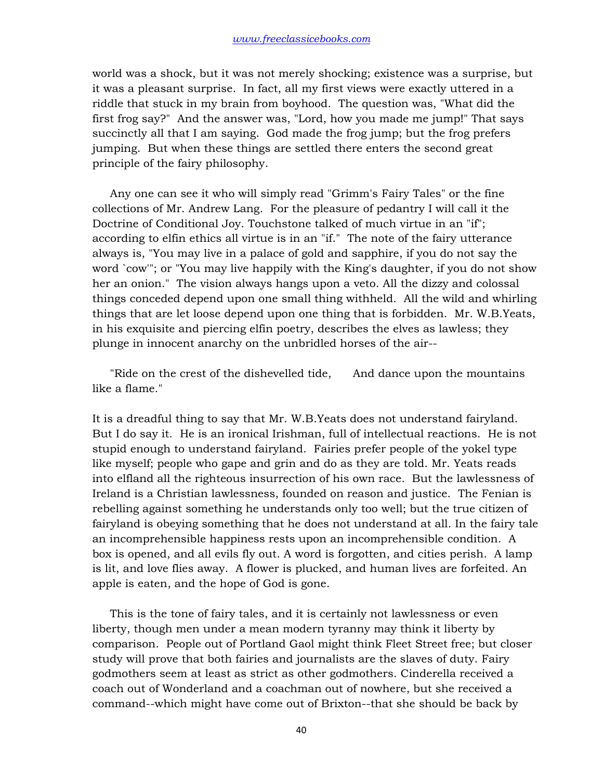world was a shock, but it was not merely shocking; existence was a surprise, but it was a pleasant surprise. In fact, all my first views were exactly uttered in a riddle that stuck in my brain from boyhood. The question was, "What did the first frog say?" And the answer was, "Lord, how you made me jump!" That says succinctly all that I am saying. God made the frog jump; but the frog prefers jumping. But when these things are settled there enters the second great principle of the fairy philosophy.

 Any one can see it who will simply read "Grimm's Fairy Tales" or the fine collections of Mr. Andrew Lang. For the pleasure of pedantry I will call it the Doctrine of Conditional Joy. Touchstone talked of much virtue in an "if"; according to elfin ethics all virtue is in an "if." The note of the fairy utterance always is, "You may live in a palace of gold and sapphire, if you do not say the word `cow'"; or "You may live happily with the King's daughter, if you do not show her an onion." The vision always hangs upon a veto. All the dizzy and colossal things conceded depend upon one small thing withheld. All the wild and whirling things that are let loose depend upon one thing that is forbidden. Mr. W.B.Yeats, in his exquisite and piercing elfin poetry, describes the elves as lawless; they plunge in innocent anarchy on the unbridled horses of the air--

 "Ride on the crest of the dishevelled tide, And dance upon the mountains like a flame."

It is a dreadful thing to say that Mr. W.B.Yeats does not understand fairyland. But I do say it. He is an ironical Irishman, full of intellectual reactions. He is not stupid enough to understand fairyland. Fairies prefer people of the yokel type like myself; people who gape and grin and do as they are told. Mr. Yeats reads into elfland all the righteous insurrection of his own race. But the lawlessness of Ireland is a Christian lawlessness, founded on reason and justice. The Fenian is rebelling against something he understands only too well; but the true citizen of fairyland is obeying something that he does not understand at all. In the fairy tale an incomprehensible happiness rests upon an incomprehensible condition. A box is opened, and all evils fly out. A word is forgotten, and cities perish. A lamp is lit, and love flies away. A flower is plucked, and human lives are forfeited. An apple is eaten, and the hope of God is gone.

 This is the tone of fairy tales, and it is certainly not lawlessness or even liberty, though men under a mean modern tyranny may think it liberty by comparison. People out of Portland Gaol might think Fleet Street free; but closer study will prove that both fairies and journalists are the slaves of duty. Fairy godmothers seem at least as strict as other godmothers. Cinderella received a coach out of Wonderland and a coachman out of nowhere, but she received a command--which might have come out of Brixton--that she should be back by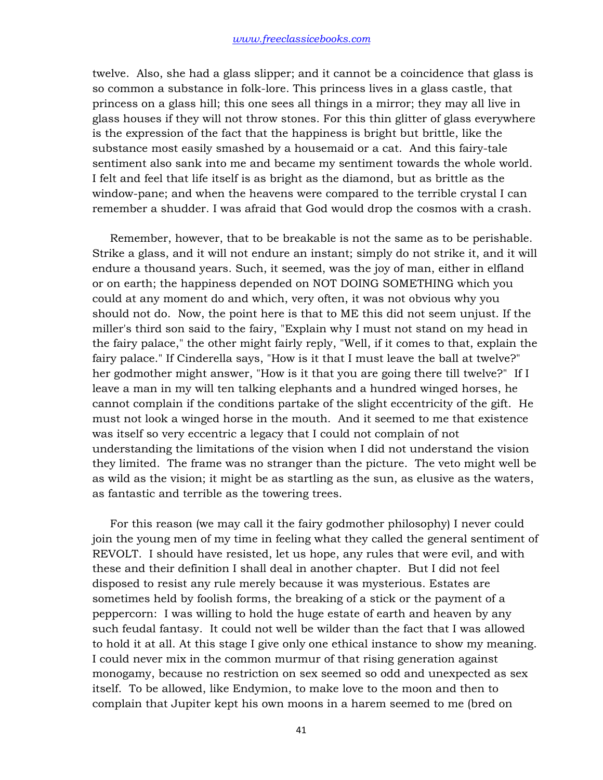twelve. Also, she had a glass slipper; and it cannot be a coincidence that glass is so common a substance in folk-lore. This princess lives in a glass castle, that princess on a glass hill; this one sees all things in a mirror; they may all live in glass houses if they will not throw stones. For this thin glitter of glass everywhere is the expression of the fact that the happiness is bright but brittle, like the substance most easily smashed by a housemaid or a cat. And this fairy-tale sentiment also sank into me and became my sentiment towards the whole world. I felt and feel that life itself is as bright as the diamond, but as brittle as the window-pane; and when the heavens were compared to the terrible crystal I can remember a shudder. I was afraid that God would drop the cosmos with a crash.

 Remember, however, that to be breakable is not the same as to be perishable. Strike a glass, and it will not endure an instant; simply do not strike it, and it will endure a thousand years. Such, it seemed, was the joy of man, either in elfland or on earth; the happiness depended on NOT DOING SOMETHING which you could at any moment do and which, very often, it was not obvious why you should not do. Now, the point here is that to ME this did not seem unjust. If the miller's third son said to the fairy, "Explain why I must not stand on my head in the fairy palace," the other might fairly reply, "Well, if it comes to that, explain the fairy palace." If Cinderella says, "How is it that I must leave the ball at twelve?" her godmother might answer, "How is it that you are going there till twelve?" If I leave a man in my will ten talking elephants and a hundred winged horses, he cannot complain if the conditions partake of the slight eccentricity of the gift. He must not look a winged horse in the mouth. And it seemed to me that existence was itself so very eccentric a legacy that I could not complain of not understanding the limitations of the vision when I did not understand the vision they limited. The frame was no stranger than the picture. The veto might well be as wild as the vision; it might be as startling as the sun, as elusive as the waters, as fantastic and terrible as the towering trees.

 For this reason (we may call it the fairy godmother philosophy) I never could join the young men of my time in feeling what they called the general sentiment of REVOLT. I should have resisted, let us hope, any rules that were evil, and with these and their definition I shall deal in another chapter. But I did not feel disposed to resist any rule merely because it was mysterious. Estates are sometimes held by foolish forms, the breaking of a stick or the payment of a peppercorn: I was willing to hold the huge estate of earth and heaven by any such feudal fantasy. It could not well be wilder than the fact that I was allowed to hold it at all. At this stage I give only one ethical instance to show my meaning. I could never mix in the common murmur of that rising generation against monogamy, because no restriction on sex seemed so odd and unexpected as sex itself. To be allowed, like Endymion, to make love to the moon and then to complain that Jupiter kept his own moons in a harem seemed to me (bred on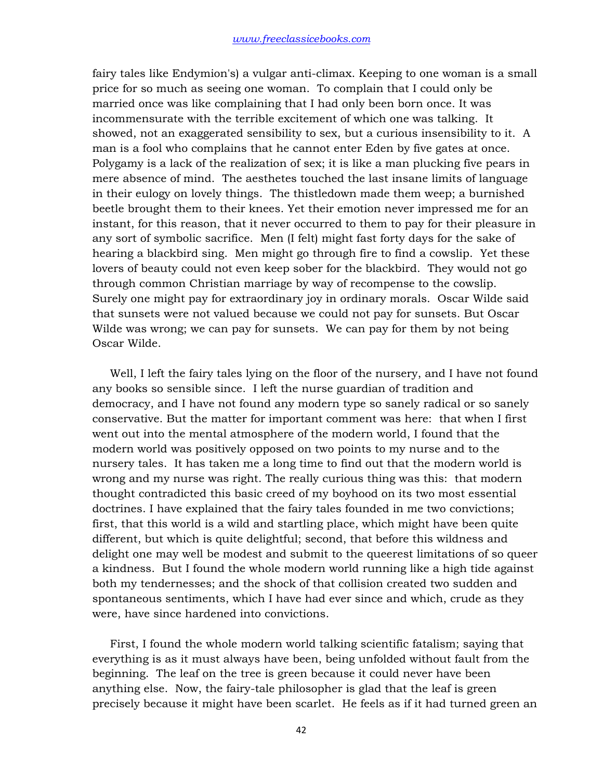fairy tales like Endymion's) a vulgar anti-climax. Keeping to one woman is a small price for so much as seeing one woman. To complain that I could only be married once was like complaining that I had only been born once. It was incommensurate with the terrible excitement of which one was talking. It showed, not an exaggerated sensibility to sex, but a curious insensibility to it. A man is a fool who complains that he cannot enter Eden by five gates at once. Polygamy is a lack of the realization of sex; it is like a man plucking five pears in mere absence of mind. The aesthetes touched the last insane limits of language in their eulogy on lovely things. The thistledown made them weep; a burnished beetle brought them to their knees. Yet their emotion never impressed me for an instant, for this reason, that it never occurred to them to pay for their pleasure in any sort of symbolic sacrifice. Men (I felt) might fast forty days for the sake of hearing a blackbird sing. Men might go through fire to find a cowslip. Yet these lovers of beauty could not even keep sober for the blackbird. They would not go through common Christian marriage by way of recompense to the cowslip. Surely one might pay for extraordinary joy in ordinary morals. Oscar Wilde said that sunsets were not valued because we could not pay for sunsets. But Oscar Wilde was wrong; we can pay for sunsets. We can pay for them by not being Oscar Wilde.

 Well, I left the fairy tales lying on the floor of the nursery, and I have not found any books so sensible since. I left the nurse guardian of tradition and democracy, and I have not found any modern type so sanely radical or so sanely conservative. But the matter for important comment was here: that when I first went out into the mental atmosphere of the modern world, I found that the modern world was positively opposed on two points to my nurse and to the nursery tales. It has taken me a long time to find out that the modern world is wrong and my nurse was right. The really curious thing was this: that modern thought contradicted this basic creed of my boyhood on its two most essential doctrines. I have explained that the fairy tales founded in me two convictions; first, that this world is a wild and startling place, which might have been quite different, but which is quite delightful; second, that before this wildness and delight one may well be modest and submit to the queerest limitations of so queer a kindness. But I found the whole modern world running like a high tide against both my tendernesses; and the shock of that collision created two sudden and spontaneous sentiments, which I have had ever since and which, crude as they were, have since hardened into convictions.

 First, I found the whole modern world talking scientific fatalism; saying that everything is as it must always have been, being unfolded without fault from the beginning. The leaf on the tree is green because it could never have been anything else. Now, the fairy-tale philosopher is glad that the leaf is green precisely because it might have been scarlet. He feels as if it had turned green an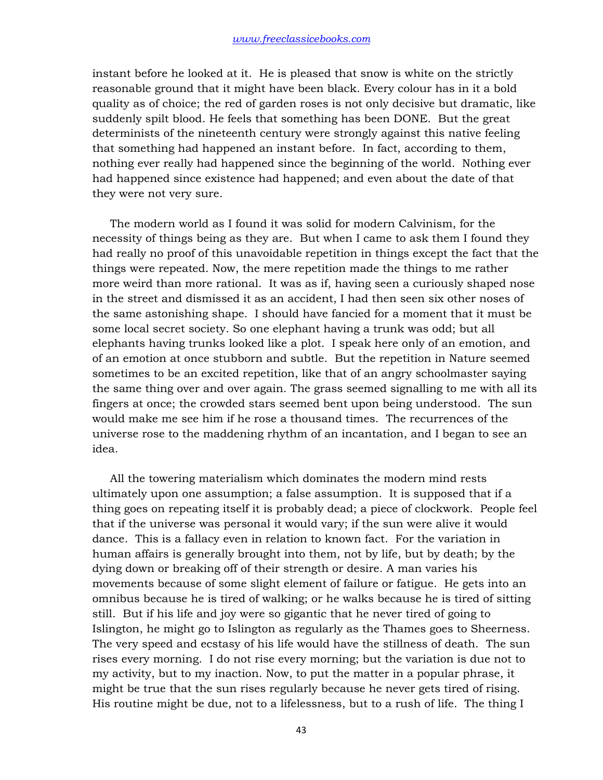instant before he looked at it. He is pleased that snow is white on the strictly reasonable ground that it might have been black. Every colour has in it a bold quality as of choice; the red of garden roses is not only decisive but dramatic, like suddenly spilt blood. He feels that something has been DONE. But the great determinists of the nineteenth century were strongly against this native feeling that something had happened an instant before. In fact, according to them, nothing ever really had happened since the beginning of the world. Nothing ever had happened since existence had happened; and even about the date of that they were not very sure.

 The modern world as I found it was solid for modern Calvinism, for the necessity of things being as they are. But when I came to ask them I found they had really no proof of this unavoidable repetition in things except the fact that the things were repeated. Now, the mere repetition made the things to me rather more weird than more rational. It was as if, having seen a curiously shaped nose in the street and dismissed it as an accident, I had then seen six other noses of the same astonishing shape. I should have fancied for a moment that it must be some local secret society. So one elephant having a trunk was odd; but all elephants having trunks looked like a plot. I speak here only of an emotion, and of an emotion at once stubborn and subtle. But the repetition in Nature seemed sometimes to be an excited repetition, like that of an angry schoolmaster saying the same thing over and over again. The grass seemed signalling to me with all its fingers at once; the crowded stars seemed bent upon being understood. The sun would make me see him if he rose a thousand times. The recurrences of the universe rose to the maddening rhythm of an incantation, and I began to see an idea.

 All the towering materialism which dominates the modern mind rests ultimately upon one assumption; a false assumption. It is supposed that if a thing goes on repeating itself it is probably dead; a piece of clockwork. People feel that if the universe was personal it would vary; if the sun were alive it would dance. This is a fallacy even in relation to known fact. For the variation in human affairs is generally brought into them, not by life, but by death; by the dying down or breaking off of their strength or desire. A man varies his movements because of some slight element of failure or fatigue. He gets into an omnibus because he is tired of walking; or he walks because he is tired of sitting still. But if his life and joy were so gigantic that he never tired of going to Islington, he might go to Islington as regularly as the Thames goes to Sheerness. The very speed and ecstasy of his life would have the stillness of death. The sun rises every morning. I do not rise every morning; but the variation is due not to my activity, but to my inaction. Now, to put the matter in a popular phrase, it might be true that the sun rises regularly because he never gets tired of rising. His routine might be due, not to a lifelessness, but to a rush of life. The thing I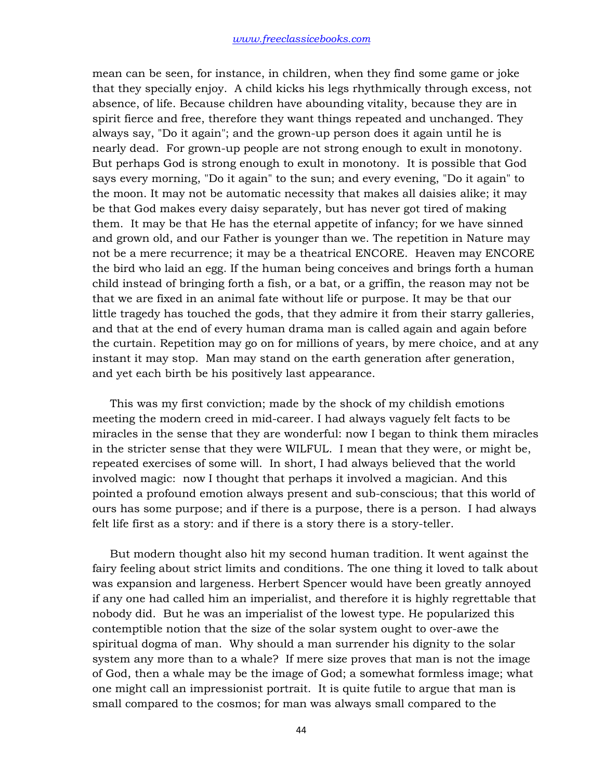mean can be seen, for instance, in children, when they find some game or joke that they specially enjoy. A child kicks his legs rhythmically through excess, not absence, of life. Because children have abounding vitality, because they are in spirit fierce and free, therefore they want things repeated and unchanged. They always say, "Do it again"; and the grown-up person does it again until he is nearly dead. For grown-up people are not strong enough to exult in monotony. But perhaps God is strong enough to exult in monotony. It is possible that God says every morning, "Do it again" to the sun; and every evening, "Do it again" to the moon. It may not be automatic necessity that makes all daisies alike; it may be that God makes every daisy separately, but has never got tired of making them. It may be that He has the eternal appetite of infancy; for we have sinned and grown old, and our Father is younger than we. The repetition in Nature may not be a mere recurrence; it may be a theatrical ENCORE. Heaven may ENCORE the bird who laid an egg. If the human being conceives and brings forth a human child instead of bringing forth a fish, or a bat, or a griffin, the reason may not be that we are fixed in an animal fate without life or purpose. It may be that our little tragedy has touched the gods, that they admire it from their starry galleries, and that at the end of every human drama man is called again and again before the curtain. Repetition may go on for millions of years, by mere choice, and at any instant it may stop. Man may stand on the earth generation after generation, and yet each birth be his positively last appearance.

 This was my first conviction; made by the shock of my childish emotions meeting the modern creed in mid-career. I had always vaguely felt facts to be miracles in the sense that they are wonderful: now I began to think them miracles in the stricter sense that they were WILFUL. I mean that they were, or might be, repeated exercises of some will. In short, I had always believed that the world involved magic: now I thought that perhaps it involved a magician. And this pointed a profound emotion always present and sub-conscious; that this world of ours has some purpose; and if there is a purpose, there is a person. I had always felt life first as a story: and if there is a story there is a story-teller.

 But modern thought also hit my second human tradition. It went against the fairy feeling about strict limits and conditions. The one thing it loved to talk about was expansion and largeness. Herbert Spencer would have been greatly annoyed if any one had called him an imperialist, and therefore it is highly regrettable that nobody did. But he was an imperialist of the lowest type. He popularized this contemptible notion that the size of the solar system ought to over-awe the spiritual dogma of man. Why should a man surrender his dignity to the solar system any more than to a whale? If mere size proves that man is not the image of God, then a whale may be the image of God; a somewhat formless image; what one might call an impressionist portrait. It is quite futile to argue that man is small compared to the cosmos; for man was always small compared to the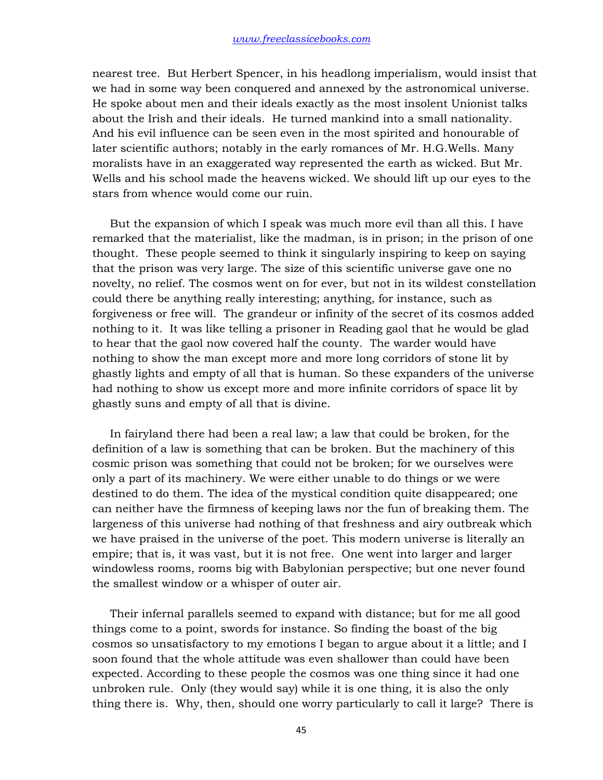nearest tree. But Herbert Spencer, in his headlong imperialism, would insist that we had in some way been conquered and annexed by the astronomical universe. He spoke about men and their ideals exactly as the most insolent Unionist talks about the Irish and their ideals. He turned mankind into a small nationality. And his evil influence can be seen even in the most spirited and honourable of later scientific authors; notably in the early romances of Mr. H.G.Wells. Many moralists have in an exaggerated way represented the earth as wicked. But Mr. Wells and his school made the heavens wicked. We should lift up our eyes to the stars from whence would come our ruin.

 But the expansion of which I speak was much more evil than all this. I have remarked that the materialist, like the madman, is in prison; in the prison of one thought. These people seemed to think it singularly inspiring to keep on saying that the prison was very large. The size of this scientific universe gave one no novelty, no relief. The cosmos went on for ever, but not in its wildest constellation could there be anything really interesting; anything, for instance, such as forgiveness or free will. The grandeur or infinity of the secret of its cosmos added nothing to it. It was like telling a prisoner in Reading gaol that he would be glad to hear that the gaol now covered half the county. The warder would have nothing to show the man except more and more long corridors of stone lit by ghastly lights and empty of all that is human. So these expanders of the universe had nothing to show us except more and more infinite corridors of space lit by ghastly suns and empty of all that is divine.

 In fairyland there had been a real law; a law that could be broken, for the definition of a law is something that can be broken. But the machinery of this cosmic prison was something that could not be broken; for we ourselves were only a part of its machinery. We were either unable to do things or we were destined to do them. The idea of the mystical condition quite disappeared; one can neither have the firmness of keeping laws nor the fun of breaking them. The largeness of this universe had nothing of that freshness and airy outbreak which we have praised in the universe of the poet. This modern universe is literally an empire; that is, it was vast, but it is not free. One went into larger and larger windowless rooms, rooms big with Babylonian perspective; but one never found the smallest window or a whisper of outer air.

 Their infernal parallels seemed to expand with distance; but for me all good things come to a point, swords for instance. So finding the boast of the big cosmos so unsatisfactory to my emotions I began to argue about it a little; and I soon found that the whole attitude was even shallower than could have been expected. According to these people the cosmos was one thing since it had one unbroken rule. Only (they would say) while it is one thing, it is also the only thing there is. Why, then, should one worry particularly to call it large? There is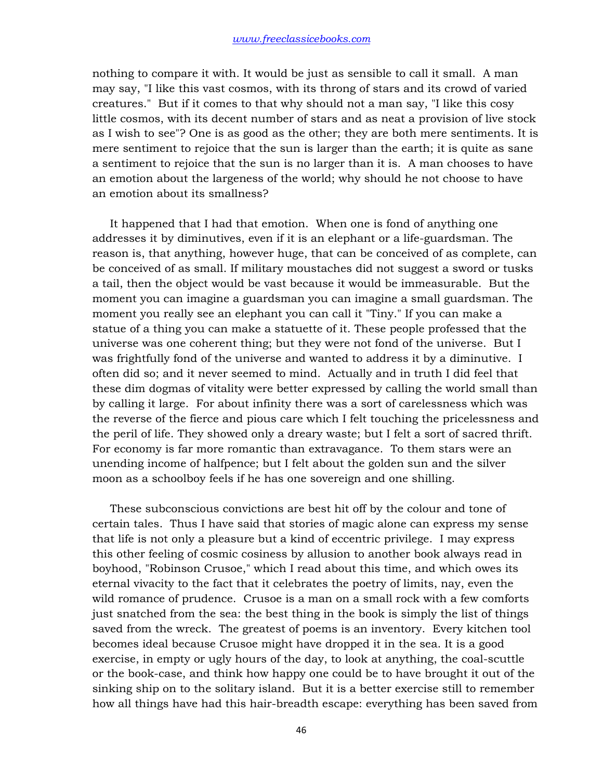nothing to compare it with. It would be just as sensible to call it small. A man may say, "I like this vast cosmos, with its throng of stars and its crowd of varied creatures." But if it comes to that why should not a man say, "I like this cosy little cosmos, with its decent number of stars and as neat a provision of live stock as I wish to see"? One is as good as the other; they are both mere sentiments. It is mere sentiment to rejoice that the sun is larger than the earth; it is quite as sane a sentiment to rejoice that the sun is no larger than it is. A man chooses to have an emotion about the largeness of the world; why should he not choose to have an emotion about its smallness?

 It happened that I had that emotion. When one is fond of anything one addresses it by diminutives, even if it is an elephant or a life-guardsman. The reason is, that anything, however huge, that can be conceived of as complete, can be conceived of as small. If military moustaches did not suggest a sword or tusks a tail, then the object would be vast because it would be immeasurable. But the moment you can imagine a guardsman you can imagine a small guardsman. The moment you really see an elephant you can call it "Tiny." If you can make a statue of a thing you can make a statuette of it. These people professed that the universe was one coherent thing; but they were not fond of the universe. But I was frightfully fond of the universe and wanted to address it by a diminutive. I often did so; and it never seemed to mind. Actually and in truth I did feel that these dim dogmas of vitality were better expressed by calling the world small than by calling it large. For about infinity there was a sort of carelessness which was the reverse of the fierce and pious care which I felt touching the pricelessness and the peril of life. They showed only a dreary waste; but I felt a sort of sacred thrift. For economy is far more romantic than extravagance. To them stars were an unending income of halfpence; but I felt about the golden sun and the silver moon as a schoolboy feels if he has one sovereign and one shilling.

 These subconscious convictions are best hit off by the colour and tone of certain tales. Thus I have said that stories of magic alone can express my sense that life is not only a pleasure but a kind of eccentric privilege. I may express this other feeling of cosmic cosiness by allusion to another book always read in boyhood, "Robinson Crusoe," which I read about this time, and which owes its eternal vivacity to the fact that it celebrates the poetry of limits, nay, even the wild romance of prudence. Crusoe is a man on a small rock with a few comforts just snatched from the sea: the best thing in the book is simply the list of things saved from the wreck. The greatest of poems is an inventory. Every kitchen tool becomes ideal because Crusoe might have dropped it in the sea. It is a good exercise, in empty or ugly hours of the day, to look at anything, the coal-scuttle or the book-case, and think how happy one could be to have brought it out of the sinking ship on to the solitary island. But it is a better exercise still to remember how all things have had this hair-breadth escape: everything has been saved from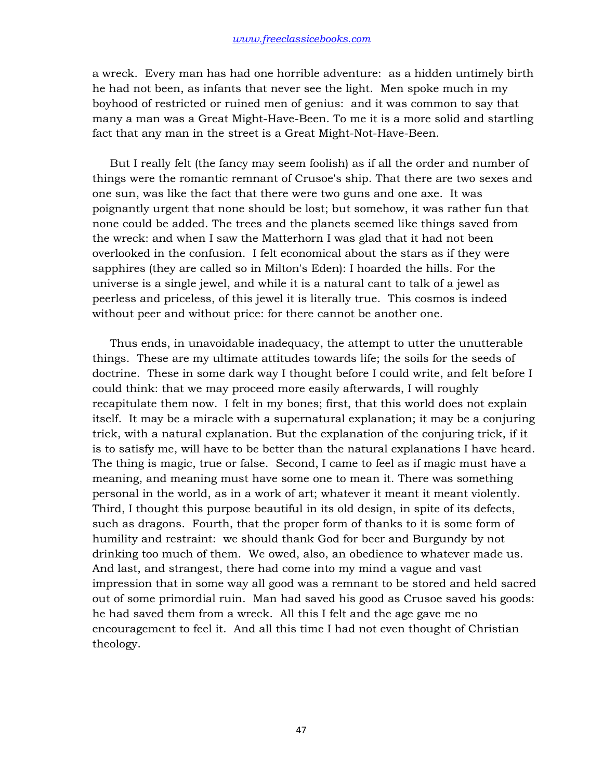a wreck. Every man has had one horrible adventure: as a hidden untimely birth he had not been, as infants that never see the light. Men spoke much in my boyhood of restricted or ruined men of genius: and it was common to say that many a man was a Great Might-Have-Been. To me it is a more solid and startling fact that any man in the street is a Great Might-Not-Have-Been.

 But I really felt (the fancy may seem foolish) as if all the order and number of things were the romantic remnant of Crusoe's ship. That there are two sexes and one sun, was like the fact that there were two guns and one axe. It was poignantly urgent that none should be lost; but somehow, it was rather fun that none could be added. The trees and the planets seemed like things saved from the wreck: and when I saw the Matterhorn I was glad that it had not been overlooked in the confusion. I felt economical about the stars as if they were sapphires (they are called so in Milton's Eden): I hoarded the hills. For the universe is a single jewel, and while it is a natural cant to talk of a jewel as peerless and priceless, of this jewel it is literally true. This cosmos is indeed without peer and without price: for there cannot be another one.

 Thus ends, in unavoidable inadequacy, the attempt to utter the unutterable things. These are my ultimate attitudes towards life; the soils for the seeds of doctrine. These in some dark way I thought before I could write, and felt before I could think: that we may proceed more easily afterwards, I will roughly recapitulate them now. I felt in my bones; first, that this world does not explain itself. It may be a miracle with a supernatural explanation; it may be a conjuring trick, with a natural explanation. But the explanation of the conjuring trick, if it is to satisfy me, will have to be better than the natural explanations I have heard. The thing is magic, true or false. Second, I came to feel as if magic must have a meaning, and meaning must have some one to mean it. There was something personal in the world, as in a work of art; whatever it meant it meant violently. Third, I thought this purpose beautiful in its old design, in spite of its defects, such as dragons. Fourth, that the proper form of thanks to it is some form of humility and restraint: we should thank God for beer and Burgundy by not drinking too much of them. We owed, also, an obedience to whatever made us. And last, and strangest, there had come into my mind a vague and vast impression that in some way all good was a remnant to be stored and held sacred out of some primordial ruin. Man had saved his good as Crusoe saved his goods: he had saved them from a wreck. All this I felt and the age gave me no encouragement to feel it. And all this time I had not even thought of Christian theology.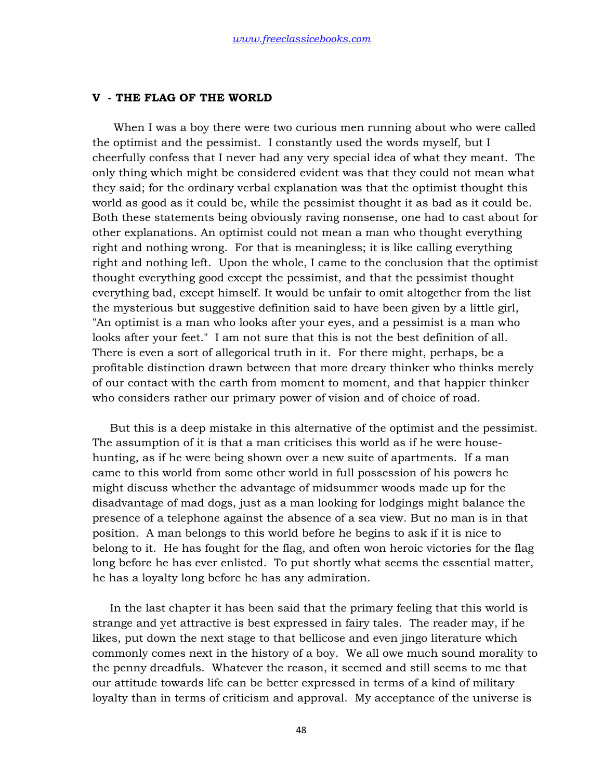## **V - THE FLAG OF THE WORLD**

 When I was a boy there were two curious men running about who were called the optimist and the pessimist. I constantly used the words myself, but I cheerfully confess that I never had any very special idea of what they meant. The only thing which might be considered evident was that they could not mean what they said; for the ordinary verbal explanation was that the optimist thought this world as good as it could be, while the pessimist thought it as bad as it could be. Both these statements being obviously raving nonsense, one had to cast about for other explanations. An optimist could not mean a man who thought everything right and nothing wrong. For that is meaningless; it is like calling everything right and nothing left. Upon the whole, I came to the conclusion that the optimist thought everything good except the pessimist, and that the pessimist thought everything bad, except himself. It would be unfair to omit altogether from the list the mysterious but suggestive definition said to have been given by a little girl, "An optimist is a man who looks after your eyes, and a pessimist is a man who looks after your feet." I am not sure that this is not the best definition of all. There is even a sort of allegorical truth in it. For there might, perhaps, be a profitable distinction drawn between that more dreary thinker who thinks merely of our contact with the earth from moment to moment, and that happier thinker who considers rather our primary power of vision and of choice of road.

 But this is a deep mistake in this alternative of the optimist and the pessimist. The assumption of it is that a man criticises this world as if he were househunting, as if he were being shown over a new suite of apartments. If a man came to this world from some other world in full possession of his powers he might discuss whether the advantage of midsummer woods made up for the disadvantage of mad dogs, just as a man looking for lodgings might balance the presence of a telephone against the absence of a sea view. But no man is in that position. A man belongs to this world before he begins to ask if it is nice to belong to it. He has fought for the flag, and often won heroic victories for the flag long before he has ever enlisted. To put shortly what seems the essential matter, he has a loyalty long before he has any admiration.

 In the last chapter it has been said that the primary feeling that this world is strange and yet attractive is best expressed in fairy tales. The reader may, if he likes, put down the next stage to that bellicose and even jingo literature which commonly comes next in the history of a boy. We all owe much sound morality to the penny dreadfuls. Whatever the reason, it seemed and still seems to me that our attitude towards life can be better expressed in terms of a kind of military loyalty than in terms of criticism and approval. My acceptance of the universe is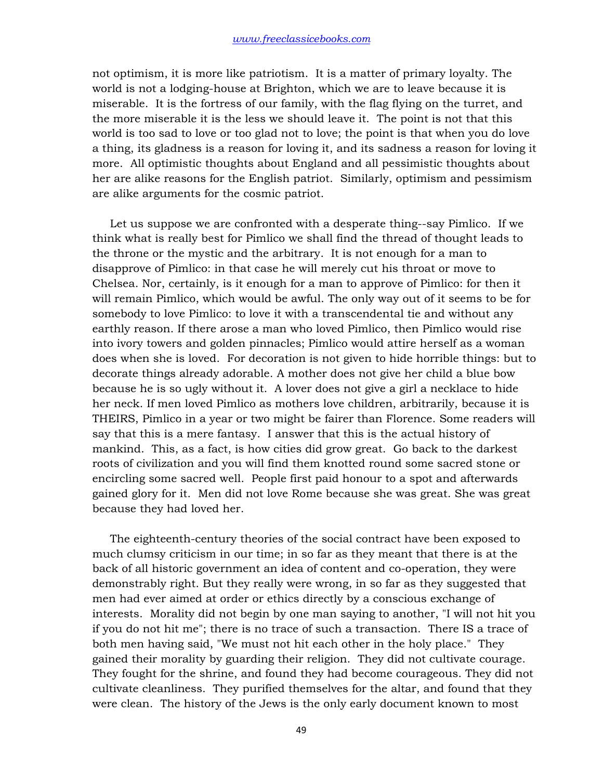not optimism, it is more like patriotism. It is a matter of primary loyalty. The world is not a lodging-house at Brighton, which we are to leave because it is miserable. It is the fortress of our family, with the flag flying on the turret, and the more miserable it is the less we should leave it. The point is not that this world is too sad to love or too glad not to love; the point is that when you do love a thing, its gladness is a reason for loving it, and its sadness a reason for loving it more. All optimistic thoughts about England and all pessimistic thoughts about her are alike reasons for the English patriot. Similarly, optimism and pessimism are alike arguments for the cosmic patriot.

 Let us suppose we are confronted with a desperate thing--say Pimlico. If we think what is really best for Pimlico we shall find the thread of thought leads to the throne or the mystic and the arbitrary. It is not enough for a man to disapprove of Pimlico: in that case he will merely cut his throat or move to Chelsea. Nor, certainly, is it enough for a man to approve of Pimlico: for then it will remain Pimlico, which would be awful. The only way out of it seems to be for somebody to love Pimlico: to love it with a transcendental tie and without any earthly reason. If there arose a man who loved Pimlico, then Pimlico would rise into ivory towers and golden pinnacles; Pimlico would attire herself as a woman does when she is loved. For decoration is not given to hide horrible things: but to decorate things already adorable. A mother does not give her child a blue bow because he is so ugly without it. A lover does not give a girl a necklace to hide her neck. If men loved Pimlico as mothers love children, arbitrarily, because it is THEIRS, Pimlico in a year or two might be fairer than Florence. Some readers will say that this is a mere fantasy. I answer that this is the actual history of mankind. This, as a fact, is how cities did grow great. Go back to the darkest roots of civilization and you will find them knotted round some sacred stone or encircling some sacred well. People first paid honour to a spot and afterwards gained glory for it. Men did not love Rome because she was great. She was great because they had loved her.

 The eighteenth-century theories of the social contract have been exposed to much clumsy criticism in our time; in so far as they meant that there is at the back of all historic government an idea of content and co-operation, they were demonstrably right. But they really were wrong, in so far as they suggested that men had ever aimed at order or ethics directly by a conscious exchange of interests. Morality did not begin by one man saying to another, "I will not hit you if you do not hit me"; there is no trace of such a transaction. There IS a trace of both men having said, "We must not hit each other in the holy place." They gained their morality by guarding their religion. They did not cultivate courage. They fought for the shrine, and found they had become courageous. They did not cultivate cleanliness. They purified themselves for the altar, and found that they were clean. The history of the Jews is the only early document known to most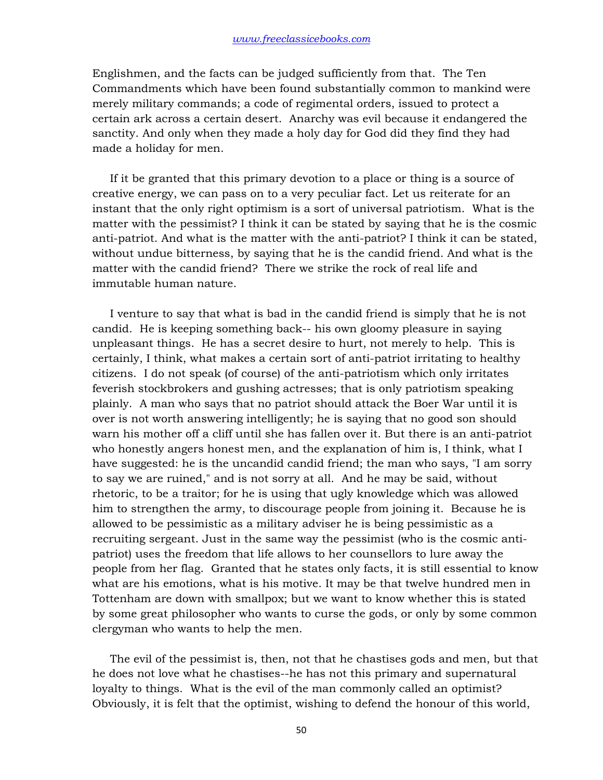Englishmen, and the facts can be judged sufficiently from that. The Ten Commandments which have been found substantially common to mankind were merely military commands; a code of regimental orders, issued to protect a certain ark across a certain desert. Anarchy was evil because it endangered the sanctity. And only when they made a holy day for God did they find they had made a holiday for men.

 If it be granted that this primary devotion to a place or thing is a source of creative energy, we can pass on to a very peculiar fact. Let us reiterate for an instant that the only right optimism is a sort of universal patriotism. What is the matter with the pessimist? I think it can be stated by saying that he is the cosmic anti-patriot. And what is the matter with the anti-patriot? I think it can be stated, without undue bitterness, by saying that he is the candid friend. And what is the matter with the candid friend? There we strike the rock of real life and immutable human nature.

 I venture to say that what is bad in the candid friend is simply that he is not candid. He is keeping something back-- his own gloomy pleasure in saying unpleasant things. He has a secret desire to hurt, not merely to help. This is certainly, I think, what makes a certain sort of anti-patriot irritating to healthy citizens. I do not speak (of course) of the anti-patriotism which only irritates feverish stockbrokers and gushing actresses; that is only patriotism speaking plainly. A man who says that no patriot should attack the Boer War until it is over is not worth answering intelligently; he is saying that no good son should warn his mother off a cliff until she has fallen over it. But there is an anti-patriot who honestly angers honest men, and the explanation of him is, I think, what I have suggested: he is the uncandid candid friend; the man who says, "I am sorry to say we are ruined," and is not sorry at all. And he may be said, without rhetoric, to be a traitor; for he is using that ugly knowledge which was allowed him to strengthen the army, to discourage people from joining it. Because he is allowed to be pessimistic as a military adviser he is being pessimistic as a recruiting sergeant. Just in the same way the pessimist (who is the cosmic antipatriot) uses the freedom that life allows to her counsellors to lure away the people from her flag. Granted that he states only facts, it is still essential to know what are his emotions, what is his motive. It may be that twelve hundred men in Tottenham are down with smallpox; but we want to know whether this is stated by some great philosopher who wants to curse the gods, or only by some common clergyman who wants to help the men.

 The evil of the pessimist is, then, not that he chastises gods and men, but that he does not love what he chastises--he has not this primary and supernatural loyalty to things. What is the evil of the man commonly called an optimist? Obviously, it is felt that the optimist, wishing to defend the honour of this world,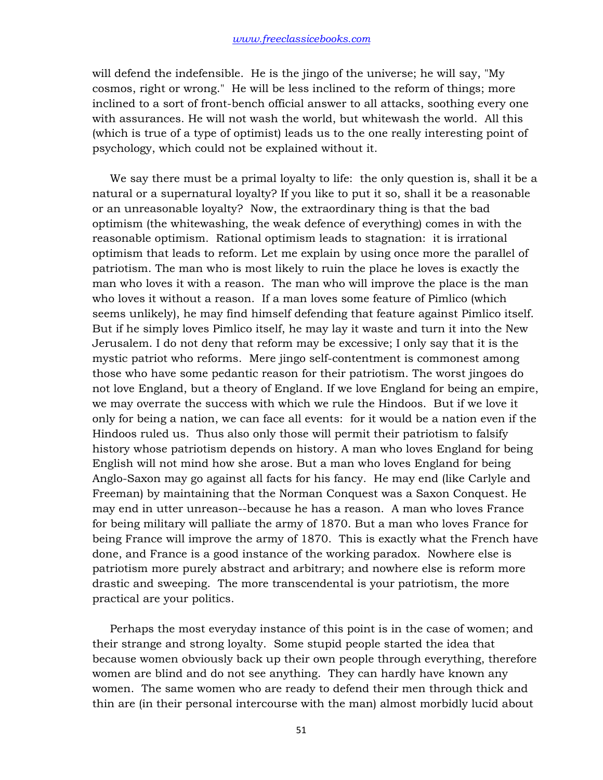will defend the indefensible. He is the jingo of the universe; he will say, "My cosmos, right or wrong." He will be less inclined to the reform of things; more inclined to a sort of front-bench official answer to all attacks, soothing every one with assurances. He will not wash the world, but whitewash the world. All this (which is true of a type of optimist) leads us to the one really interesting point of psychology, which could not be explained without it.

 We say there must be a primal loyalty to life: the only question is, shall it be a natural or a supernatural loyalty? If you like to put it so, shall it be a reasonable or an unreasonable loyalty? Now, the extraordinary thing is that the bad optimism (the whitewashing, the weak defence of everything) comes in with the reasonable optimism. Rational optimism leads to stagnation: it is irrational optimism that leads to reform. Let me explain by using once more the parallel of patriotism. The man who is most likely to ruin the place he loves is exactly the man who loves it with a reason. The man who will improve the place is the man who loves it without a reason. If a man loves some feature of Pimlico (which seems unlikely), he may find himself defending that feature against Pimlico itself. But if he simply loves Pimlico itself, he may lay it waste and turn it into the New Jerusalem. I do not deny that reform may be excessive; I only say that it is the mystic patriot who reforms. Mere jingo self-contentment is commonest among those who have some pedantic reason for their patriotism. The worst jingoes do not love England, but a theory of England. If we love England for being an empire, we may overrate the success with which we rule the Hindoos. But if we love it only for being a nation, we can face all events: for it would be a nation even if the Hindoos ruled us. Thus also only those will permit their patriotism to falsify history whose patriotism depends on history. A man who loves England for being English will not mind how she arose. But a man who loves England for being Anglo-Saxon may go against all facts for his fancy. He may end (like Carlyle and Freeman) by maintaining that the Norman Conquest was a Saxon Conquest. He may end in utter unreason--because he has a reason. A man who loves France for being military will palliate the army of 1870. But a man who loves France for being France will improve the army of 1870. This is exactly what the French have done, and France is a good instance of the working paradox. Nowhere else is patriotism more purely abstract and arbitrary; and nowhere else is reform more drastic and sweeping. The more transcendental is your patriotism, the more practical are your politics.

 Perhaps the most everyday instance of this point is in the case of women; and their strange and strong loyalty. Some stupid people started the idea that because women obviously back up their own people through everything, therefore women are blind and do not see anything. They can hardly have known any women. The same women who are ready to defend their men through thick and thin are (in their personal intercourse with the man) almost morbidly lucid about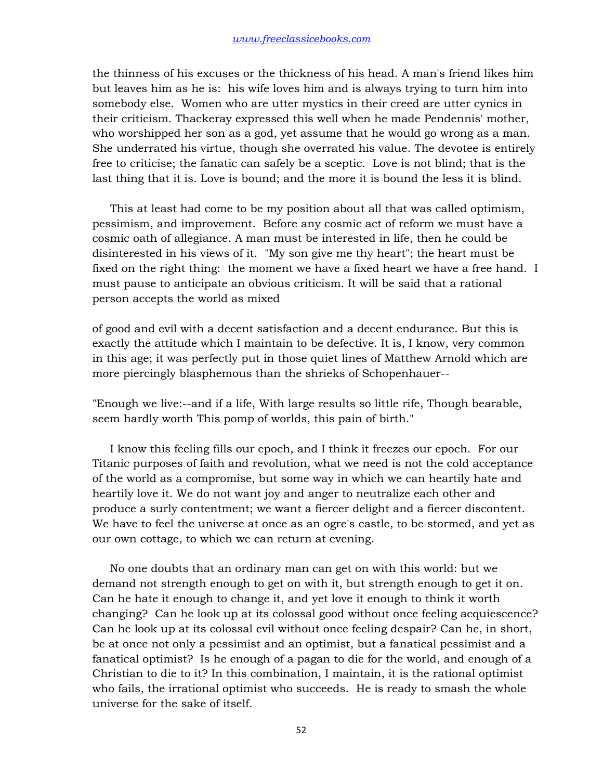the thinness of his excuses or the thickness of his head. A man's friend likes him but leaves him as he is: his wife loves him and is always trying to turn him into somebody else. Women who are utter mystics in their creed are utter cynics in their criticism. Thackeray expressed this well when he made Pendennis' mother, who worshipped her son as a god, yet assume that he would go wrong as a man. She underrated his virtue, though she overrated his value. The devotee is entirely free to criticise; the fanatic can safely be a sceptic. Love is not blind; that is the last thing that it is. Love is bound; and the more it is bound the less it is blind.

 This at least had come to be my position about all that was called optimism, pessimism, and improvement. Before any cosmic act of reform we must have a cosmic oath of allegiance. A man must be interested in life, then he could be disinterested in his views of it. "My son give me thy heart"; the heart must be fixed on the right thing: the moment we have a fixed heart we have a free hand. I must pause to anticipate an obvious criticism. It will be said that a rational person accepts the world as mixed

of good and evil with a decent satisfaction and a decent endurance. But this is exactly the attitude which I maintain to be defective. It is, I know, very common in this age; it was perfectly put in those quiet lines of Matthew Arnold which are more piercingly blasphemous than the shrieks of Schopenhauer--

"Enough we live:--and if a life, With large results so little rife, Though bearable, seem hardly worth This pomp of worlds, this pain of birth."

 I know this feeling fills our epoch, and I think it freezes our epoch. For our Titanic purposes of faith and revolution, what we need is not the cold acceptance of the world as a compromise, but some way in which we can heartily hate and heartily love it. We do not want joy and anger to neutralize each other and produce a surly contentment; we want a fiercer delight and a fiercer discontent. We have to feel the universe at once as an ogre's castle, to be stormed, and yet as our own cottage, to which we can return at evening.

 No one doubts that an ordinary man can get on with this world: but we demand not strength enough to get on with it, but strength enough to get it on. Can he hate it enough to change it, and yet love it enough to think it worth changing? Can he look up at its colossal good without once feeling acquiescence? Can he look up at its colossal evil without once feeling despair? Can he, in short, be at once not only a pessimist and an optimist, but a fanatical pessimist and a fanatical optimist? Is he enough of a pagan to die for the world, and enough of a Christian to die to it? In this combination, I maintain, it is the rational optimist who fails, the irrational optimist who succeeds. He is ready to smash the whole universe for the sake of itself.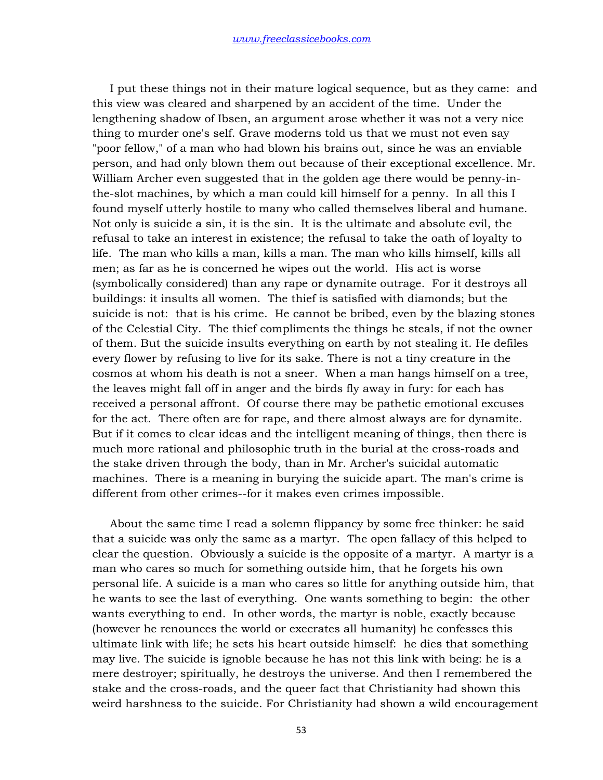I put these things not in their mature logical sequence, but as they came: and this view was cleared and sharpened by an accident of the time. Under the lengthening shadow of Ibsen, an argument arose whether it was not a very nice thing to murder one's self. Grave moderns told us that we must not even say "poor fellow," of a man who had blown his brains out, since he was an enviable person, and had only blown them out because of their exceptional excellence. Mr. William Archer even suggested that in the golden age there would be penny-inthe-slot machines, by which a man could kill himself for a penny. In all this I found myself utterly hostile to many who called themselves liberal and humane. Not only is suicide a sin, it is the sin. It is the ultimate and absolute evil, the refusal to take an interest in existence; the refusal to take the oath of loyalty to life. The man who kills a man, kills a man. The man who kills himself, kills all men; as far as he is concerned he wipes out the world. His act is worse (symbolically considered) than any rape or dynamite outrage. For it destroys all buildings: it insults all women. The thief is satisfied with diamonds; but the suicide is not: that is his crime. He cannot be bribed, even by the blazing stones of the Celestial City. The thief compliments the things he steals, if not the owner of them. But the suicide insults everything on earth by not stealing it. He defiles every flower by refusing to live for its sake. There is not a tiny creature in the cosmos at whom his death is not a sneer. When a man hangs himself on a tree, the leaves might fall off in anger and the birds fly away in fury: for each has received a personal affront. Of course there may be pathetic emotional excuses for the act. There often are for rape, and there almost always are for dynamite. But if it comes to clear ideas and the intelligent meaning of things, then there is much more rational and philosophic truth in the burial at the cross-roads and the stake driven through the body, than in Mr. Archer's suicidal automatic machines. There is a meaning in burying the suicide apart. The man's crime is different from other crimes--for it makes even crimes impossible.

 About the same time I read a solemn flippancy by some free thinker: he said that a suicide was only the same as a martyr. The open fallacy of this helped to clear the question. Obviously a suicide is the opposite of a martyr. A martyr is a man who cares so much for something outside him, that he forgets his own personal life. A suicide is a man who cares so little for anything outside him, that he wants to see the last of everything. One wants something to begin: the other wants everything to end. In other words, the martyr is noble, exactly because (however he renounces the world or execrates all humanity) he confesses this ultimate link with life; he sets his heart outside himself: he dies that something may live. The suicide is ignoble because he has not this link with being: he is a mere destroyer; spiritually, he destroys the universe. And then I remembered the stake and the cross-roads, and the queer fact that Christianity had shown this weird harshness to the suicide. For Christianity had shown a wild encouragement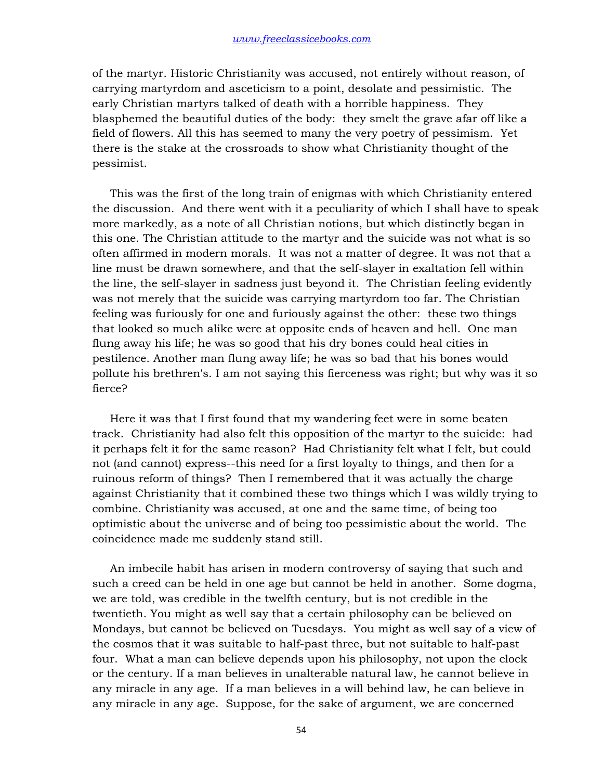of the martyr. Historic Christianity was accused, not entirely without reason, of carrying martyrdom and asceticism to a point, desolate and pessimistic. The early Christian martyrs talked of death with a horrible happiness. They blasphemed the beautiful duties of the body: they smelt the grave afar off like a field of flowers. All this has seemed to many the very poetry of pessimism. Yet there is the stake at the crossroads to show what Christianity thought of the pessimist.

 This was the first of the long train of enigmas with which Christianity entered the discussion. And there went with it a peculiarity of which I shall have to speak more markedly, as a note of all Christian notions, but which distinctly began in this one. The Christian attitude to the martyr and the suicide was not what is so often affirmed in modern morals. It was not a matter of degree. It was not that a line must be drawn somewhere, and that the self-slayer in exaltation fell within the line, the self-slayer in sadness just beyond it. The Christian feeling evidently was not merely that the suicide was carrying martyrdom too far. The Christian feeling was furiously for one and furiously against the other: these two things that looked so much alike were at opposite ends of heaven and hell. One man flung away his life; he was so good that his dry bones could heal cities in pestilence. Another man flung away life; he was so bad that his bones would pollute his brethren's. I am not saying this fierceness was right; but why was it so fierce?

 Here it was that I first found that my wandering feet were in some beaten track. Christianity had also felt this opposition of the martyr to the suicide: had it perhaps felt it for the same reason? Had Christianity felt what I felt, but could not (and cannot) express--this need for a first loyalty to things, and then for a ruinous reform of things? Then I remembered that it was actually the charge against Christianity that it combined these two things which I was wildly trying to combine. Christianity was accused, at one and the same time, of being too optimistic about the universe and of being too pessimistic about the world. The coincidence made me suddenly stand still.

 An imbecile habit has arisen in modern controversy of saying that such and such a creed can be held in one age but cannot be held in another. Some dogma, we are told, was credible in the twelfth century, but is not credible in the twentieth. You might as well say that a certain philosophy can be believed on Mondays, but cannot be believed on Tuesdays. You might as well say of a view of the cosmos that it was suitable to half-past three, but not suitable to half-past four. What a man can believe depends upon his philosophy, not upon the clock or the century. If a man believes in unalterable natural law, he cannot believe in any miracle in any age. If a man believes in a will behind law, he can believe in any miracle in any age. Suppose, for the sake of argument, we are concerned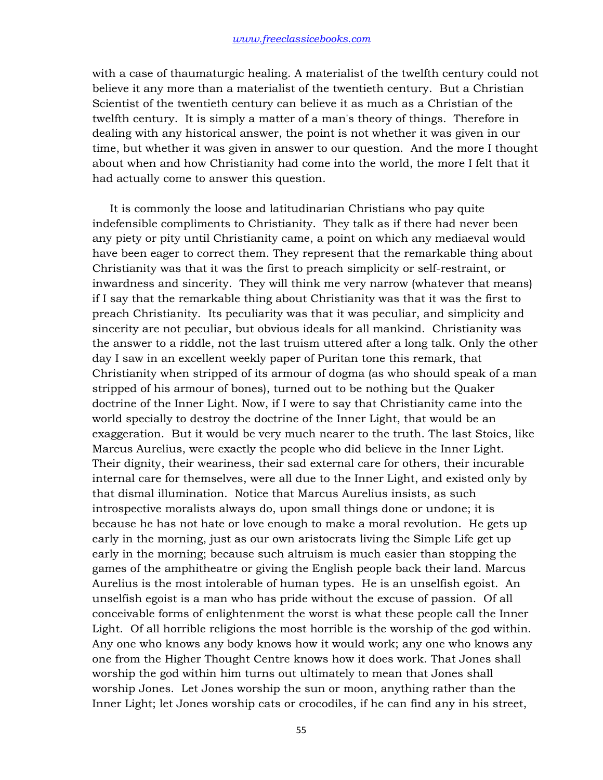with a case of thaumaturgic healing. A materialist of the twelfth century could not believe it any more than a materialist of the twentieth century. But a Christian Scientist of the twentieth century can believe it as much as a Christian of the twelfth century. It is simply a matter of a man's theory of things. Therefore in dealing with any historical answer, the point is not whether it was given in our time, but whether it was given in answer to our question. And the more I thought about when and how Christianity had come into the world, the more I felt that it had actually come to answer this question.

 It is commonly the loose and latitudinarian Christians who pay quite indefensible compliments to Christianity. They talk as if there had never been any piety or pity until Christianity came, a point on which any mediaeval would have been eager to correct them. They represent that the remarkable thing about Christianity was that it was the first to preach simplicity or self-restraint, or inwardness and sincerity. They will think me very narrow (whatever that means) if I say that the remarkable thing about Christianity was that it was the first to preach Christianity. Its peculiarity was that it was peculiar, and simplicity and sincerity are not peculiar, but obvious ideals for all mankind. Christianity was the answer to a riddle, not the last truism uttered after a long talk. Only the other day I saw in an excellent weekly paper of Puritan tone this remark, that Christianity when stripped of its armour of dogma (as who should speak of a man stripped of his armour of bones), turned out to be nothing but the Quaker doctrine of the Inner Light. Now, if I were to say that Christianity came into the world specially to destroy the doctrine of the Inner Light, that would be an exaggeration. But it would be very much nearer to the truth. The last Stoics, like Marcus Aurelius, were exactly the people who did believe in the Inner Light. Their dignity, their weariness, their sad external care for others, their incurable internal care for themselves, were all due to the Inner Light, and existed only by that dismal illumination. Notice that Marcus Aurelius insists, as such introspective moralists always do, upon small things done or undone; it is because he has not hate or love enough to make a moral revolution. He gets up early in the morning, just as our own aristocrats living the Simple Life get up early in the morning; because such altruism is much easier than stopping the games of the amphitheatre or giving the English people back their land. Marcus Aurelius is the most intolerable of human types. He is an unselfish egoist. An unselfish egoist is a man who has pride without the excuse of passion. Of all conceivable forms of enlightenment the worst is what these people call the Inner Light. Of all horrible religions the most horrible is the worship of the god within. Any one who knows any body knows how it would work; any one who knows any one from the Higher Thought Centre knows how it does work. That Jones shall worship the god within him turns out ultimately to mean that Jones shall worship Jones. Let Jones worship the sun or moon, anything rather than the Inner Light; let Jones worship cats or crocodiles, if he can find any in his street,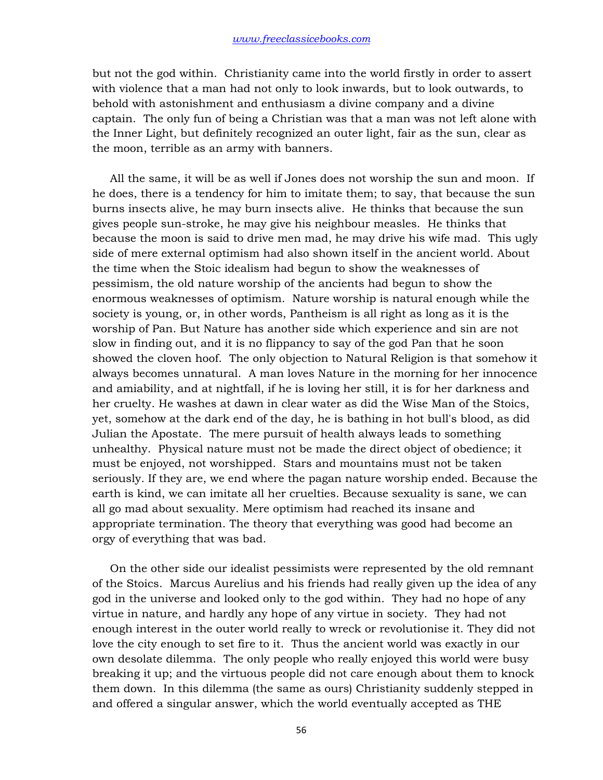but not the god within. Christianity came into the world firstly in order to assert with violence that a man had not only to look inwards, but to look outwards, to behold with astonishment and enthusiasm a divine company and a divine captain. The only fun of being a Christian was that a man was not left alone with the Inner Light, but definitely recognized an outer light, fair as the sun, clear as the moon, terrible as an army with banners.

 All the same, it will be as well if Jones does not worship the sun and moon. If he does, there is a tendency for him to imitate them; to say, that because the sun burns insects alive, he may burn insects alive. He thinks that because the sun gives people sun-stroke, he may give his neighbour measles. He thinks that because the moon is said to drive men mad, he may drive his wife mad. This ugly side of mere external optimism had also shown itself in the ancient world. About the time when the Stoic idealism had begun to show the weaknesses of pessimism, the old nature worship of the ancients had begun to show the enormous weaknesses of optimism. Nature worship is natural enough while the society is young, or, in other words, Pantheism is all right as long as it is the worship of Pan. But Nature has another side which experience and sin are not slow in finding out, and it is no flippancy to say of the god Pan that he soon showed the cloven hoof. The only objection to Natural Religion is that somehow it always becomes unnatural. A man loves Nature in the morning for her innocence and amiability, and at nightfall, if he is loving her still, it is for her darkness and her cruelty. He washes at dawn in clear water as did the Wise Man of the Stoics, yet, somehow at the dark end of the day, he is bathing in hot bull's blood, as did Julian the Apostate. The mere pursuit of health always leads to something unhealthy. Physical nature must not be made the direct object of obedience; it must be enjoyed, not worshipped. Stars and mountains must not be taken seriously. If they are, we end where the pagan nature worship ended. Because the earth is kind, we can imitate all her cruelties. Because sexuality is sane, we can all go mad about sexuality. Mere optimism had reached its insane and appropriate termination. The theory that everything was good had become an orgy of everything that was bad.

 On the other side our idealist pessimists were represented by the old remnant of the Stoics. Marcus Aurelius and his friends had really given up the idea of any god in the universe and looked only to the god within. They had no hope of any virtue in nature, and hardly any hope of any virtue in society. They had not enough interest in the outer world really to wreck or revolutionise it. They did not love the city enough to set fire to it. Thus the ancient world was exactly in our own desolate dilemma. The only people who really enjoyed this world were busy breaking it up; and the virtuous people did not care enough about them to knock them down. In this dilemma (the same as ours) Christianity suddenly stepped in and offered a singular answer, which the world eventually accepted as THE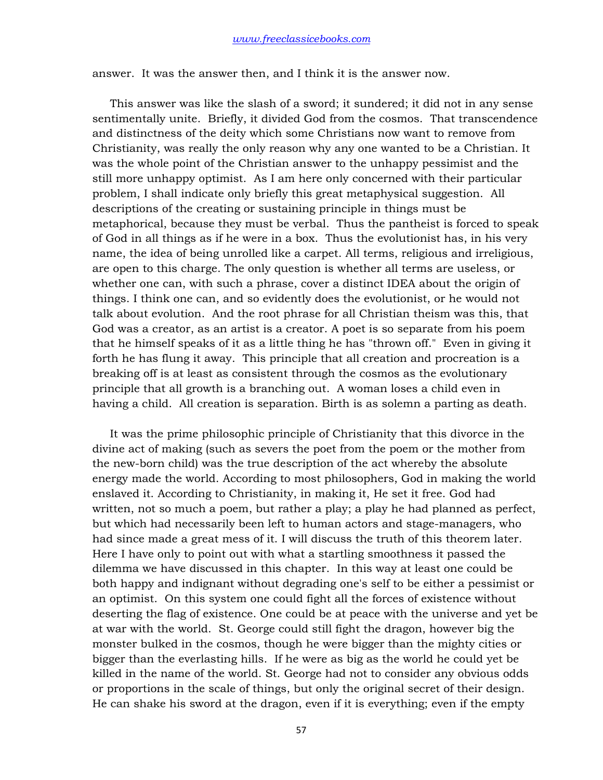answer. It was the answer then, and I think it is the answer now.

 This answer was like the slash of a sword; it sundered; it did not in any sense sentimentally unite. Briefly, it divided God from the cosmos. That transcendence and distinctness of the deity which some Christians now want to remove from Christianity, was really the only reason why any one wanted to be a Christian. It was the whole point of the Christian answer to the unhappy pessimist and the still more unhappy optimist. As I am here only concerned with their particular problem, I shall indicate only briefly this great metaphysical suggestion. All descriptions of the creating or sustaining principle in things must be metaphorical, because they must be verbal. Thus the pantheist is forced to speak of God in all things as if he were in a box. Thus the evolutionist has, in his very name, the idea of being unrolled like a carpet. All terms, religious and irreligious, are open to this charge. The only question is whether all terms are useless, or whether one can, with such a phrase, cover a distinct IDEA about the origin of things. I think one can, and so evidently does the evolutionist, or he would not talk about evolution. And the root phrase for all Christian theism was this, that God was a creator, as an artist is a creator. A poet is so separate from his poem that he himself speaks of it as a little thing he has "thrown off." Even in giving it forth he has flung it away. This principle that all creation and procreation is a breaking off is at least as consistent through the cosmos as the evolutionary principle that all growth is a branching out. A woman loses a child even in having a child. All creation is separation. Birth is as solemn a parting as death.

 It was the prime philosophic principle of Christianity that this divorce in the divine act of making (such as severs the poet from the poem or the mother from the new-born child) was the true description of the act whereby the absolute energy made the world. According to most philosophers, God in making the world enslaved it. According to Christianity, in making it, He set it free. God had written, not so much a poem, but rather a play; a play he had planned as perfect, but which had necessarily been left to human actors and stage-managers, who had since made a great mess of it. I will discuss the truth of this theorem later. Here I have only to point out with what a startling smoothness it passed the dilemma we have discussed in this chapter. In this way at least one could be both happy and indignant without degrading one's self to be either a pessimist or an optimist. On this system one could fight all the forces of existence without deserting the flag of existence. One could be at peace with the universe and yet be at war with the world. St. George could still fight the dragon, however big the monster bulked in the cosmos, though he were bigger than the mighty cities or bigger than the everlasting hills. If he were as big as the world he could yet be killed in the name of the world. St. George had not to consider any obvious odds or proportions in the scale of things, but only the original secret of their design. He can shake his sword at the dragon, even if it is everything; even if the empty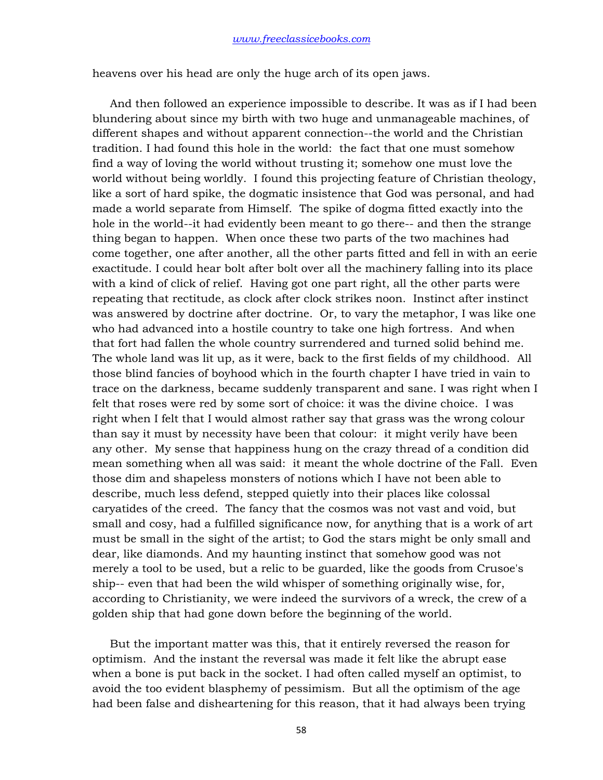heavens over his head are only the huge arch of its open jaws.

 And then followed an experience impossible to describe. It was as if I had been blundering about since my birth with two huge and unmanageable machines, of different shapes and without apparent connection--the world and the Christian tradition. I had found this hole in the world: the fact that one must somehow find a way of loving the world without trusting it; somehow one must love the world without being worldly. I found this projecting feature of Christian theology, like a sort of hard spike, the dogmatic insistence that God was personal, and had made a world separate from Himself. The spike of dogma fitted exactly into the hole in the world--it had evidently been meant to go there-- and then the strange thing began to happen. When once these two parts of the two machines had come together, one after another, all the other parts fitted and fell in with an eerie exactitude. I could hear bolt after bolt over all the machinery falling into its place with a kind of click of relief. Having got one part right, all the other parts were repeating that rectitude, as clock after clock strikes noon. Instinct after instinct was answered by doctrine after doctrine. Or, to vary the metaphor, I was like one who had advanced into a hostile country to take one high fortress. And when that fort had fallen the whole country surrendered and turned solid behind me. The whole land was lit up, as it were, back to the first fields of my childhood. All those blind fancies of boyhood which in the fourth chapter I have tried in vain to trace on the darkness, became suddenly transparent and sane. I was right when I felt that roses were red by some sort of choice: it was the divine choice. I was right when I felt that I would almost rather say that grass was the wrong colour than say it must by necessity have been that colour: it might verily have been any other. My sense that happiness hung on the crazy thread of a condition did mean something when all was said: it meant the whole doctrine of the Fall. Even those dim and shapeless monsters of notions which I have not been able to describe, much less defend, stepped quietly into their places like colossal caryatides of the creed. The fancy that the cosmos was not vast and void, but small and cosy, had a fulfilled significance now, for anything that is a work of art must be small in the sight of the artist; to God the stars might be only small and dear, like diamonds. And my haunting instinct that somehow good was not merely a tool to be used, but a relic to be guarded, like the goods from Crusoe's ship-- even that had been the wild whisper of something originally wise, for, according to Christianity, we were indeed the survivors of a wreck, the crew of a golden ship that had gone down before the beginning of the world.

 But the important matter was this, that it entirely reversed the reason for optimism. And the instant the reversal was made it felt like the abrupt ease when a bone is put back in the socket. I had often called myself an optimist, to avoid the too evident blasphemy of pessimism. But all the optimism of the age had been false and disheartening for this reason, that it had always been trying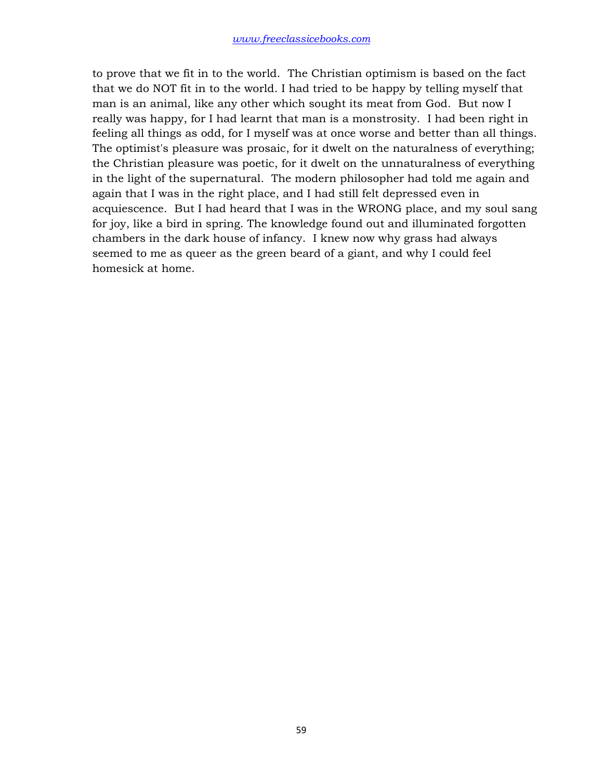to prove that we fit in to the world. The Christian optimism is based on the fact that we do NOT fit in to the world. I had tried to be happy by telling myself that man is an animal, like any other which sought its meat from God. But now I really was happy, for I had learnt that man is a monstrosity. I had been right in feeling all things as odd, for I myself was at once worse and better than all things. The optimist's pleasure was prosaic, for it dwelt on the naturalness of everything; the Christian pleasure was poetic, for it dwelt on the unnaturalness of everything in the light of the supernatural. The modern philosopher had told me again and again that I was in the right place, and I had still felt depressed even in acquiescence. But I had heard that I was in the WRONG place, and my soul sang for joy, like a bird in spring. The knowledge found out and illuminated forgotten chambers in the dark house of infancy. I knew now why grass had always seemed to me as queer as the green beard of a giant, and why I could feel homesick at home.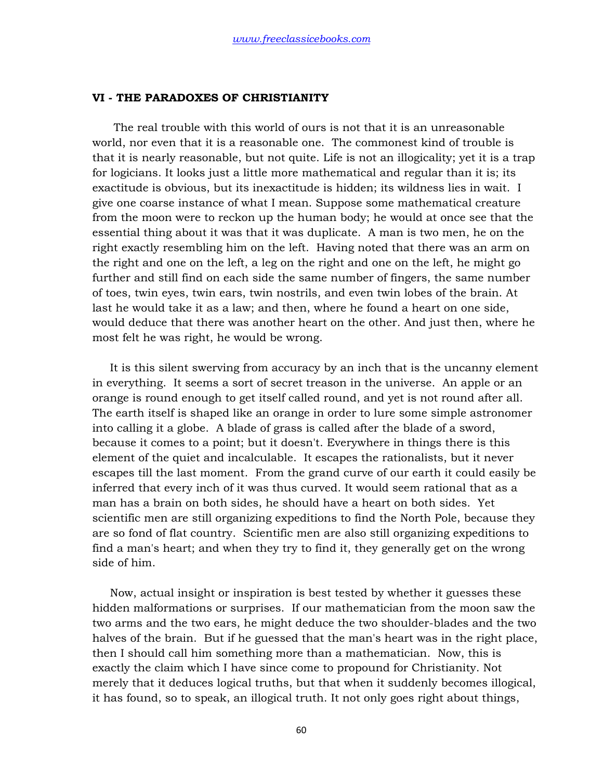## **VI - THE PARADOXES OF CHRISTIANITY**

 The real trouble with this world of ours is not that it is an unreasonable world, nor even that it is a reasonable one. The commonest kind of trouble is that it is nearly reasonable, but not quite. Life is not an illogicality; yet it is a trap for logicians. It looks just a little more mathematical and regular than it is; its exactitude is obvious, but its inexactitude is hidden; its wildness lies in wait. I give one coarse instance of what I mean. Suppose some mathematical creature from the moon were to reckon up the human body; he would at once see that the essential thing about it was that it was duplicate. A man is two men, he on the right exactly resembling him on the left. Having noted that there was an arm on the right and one on the left, a leg on the right and one on the left, he might go further and still find on each side the same number of fingers, the same number of toes, twin eyes, twin ears, twin nostrils, and even twin lobes of the brain. At last he would take it as a law; and then, where he found a heart on one side, would deduce that there was another heart on the other. And just then, where he most felt he was right, he would be wrong.

 It is this silent swerving from accuracy by an inch that is the uncanny element in everything. It seems a sort of secret treason in the universe. An apple or an orange is round enough to get itself called round, and yet is not round after all. The earth itself is shaped like an orange in order to lure some simple astronomer into calling it a globe. A blade of grass is called after the blade of a sword, because it comes to a point; but it doesn't. Everywhere in things there is this element of the quiet and incalculable. It escapes the rationalists, but it never escapes till the last moment. From the grand curve of our earth it could easily be inferred that every inch of it was thus curved. It would seem rational that as a man has a brain on both sides, he should have a heart on both sides. Yet scientific men are still organizing expeditions to find the North Pole, because they are so fond of flat country. Scientific men are also still organizing expeditions to find a man's heart; and when they try to find it, they generally get on the wrong side of him.

 Now, actual insight or inspiration is best tested by whether it guesses these hidden malformations or surprises. If our mathematician from the moon saw the two arms and the two ears, he might deduce the two shoulder-blades and the two halves of the brain. But if he guessed that the man's heart was in the right place, then I should call him something more than a mathematician. Now, this is exactly the claim which I have since come to propound for Christianity. Not merely that it deduces logical truths, but that when it suddenly becomes illogical, it has found, so to speak, an illogical truth. It not only goes right about things,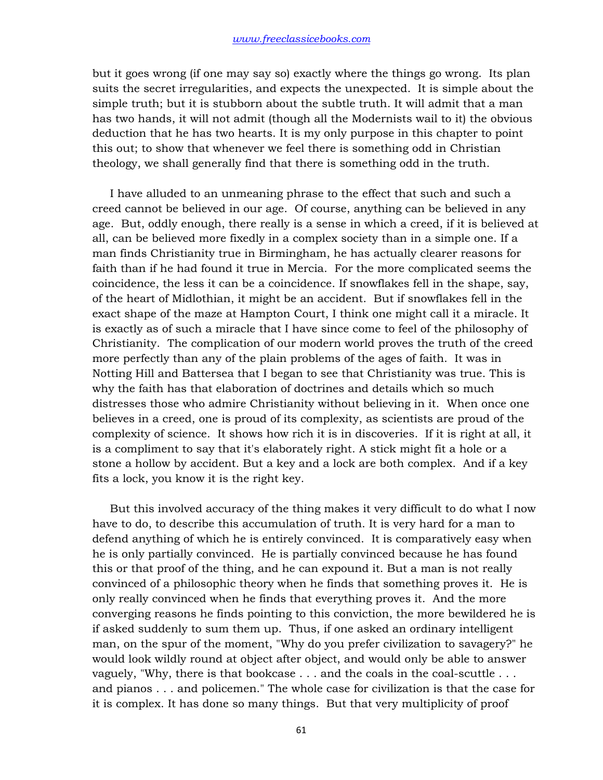but it goes wrong (if one may say so) exactly where the things go wrong. Its plan suits the secret irregularities, and expects the unexpected. It is simple about the simple truth; but it is stubborn about the subtle truth. It will admit that a man has two hands, it will not admit (though all the Modernists wail to it) the obvious deduction that he has two hearts. It is my only purpose in this chapter to point this out; to show that whenever we feel there is something odd in Christian theology, we shall generally find that there is something odd in the truth.

 I have alluded to an unmeaning phrase to the effect that such and such a creed cannot be believed in our age. Of course, anything can be believed in any age. But, oddly enough, there really is a sense in which a creed, if it is believed at all, can be believed more fixedly in a complex society than in a simple one. If a man finds Christianity true in Birmingham, he has actually clearer reasons for faith than if he had found it true in Mercia. For the more complicated seems the coincidence, the less it can be a coincidence. If snowflakes fell in the shape, say, of the heart of Midlothian, it might be an accident. But if snowflakes fell in the exact shape of the maze at Hampton Court, I think one might call it a miracle. It is exactly as of such a miracle that I have since come to feel of the philosophy of Christianity. The complication of our modern world proves the truth of the creed more perfectly than any of the plain problems of the ages of faith. It was in Notting Hill and Battersea that I began to see that Christianity was true. This is why the faith has that elaboration of doctrines and details which so much distresses those who admire Christianity without believing in it. When once one believes in a creed, one is proud of its complexity, as scientists are proud of the complexity of science. It shows how rich it is in discoveries. If it is right at all, it is a compliment to say that it's elaborately right. A stick might fit a hole or a stone a hollow by accident. But a key and a lock are both complex. And if a key fits a lock, you know it is the right key.

 But this involved accuracy of the thing makes it very difficult to do what I now have to do, to describe this accumulation of truth. It is very hard for a man to defend anything of which he is entirely convinced. It is comparatively easy when he is only partially convinced. He is partially convinced because he has found this or that proof of the thing, and he can expound it. But a man is not really convinced of a philosophic theory when he finds that something proves it. He is only really convinced when he finds that everything proves it. And the more converging reasons he finds pointing to this conviction, the more bewildered he is if asked suddenly to sum them up. Thus, if one asked an ordinary intelligent man, on the spur of the moment, "Why do you prefer civilization to savagery?" he would look wildly round at object after object, and would only be able to answer vaguely, "Why, there is that bookcase . . . and the coals in the coal-scuttle . . . and pianos . . . and policemen." The whole case for civilization is that the case for it is complex. It has done so many things. But that very multiplicity of proof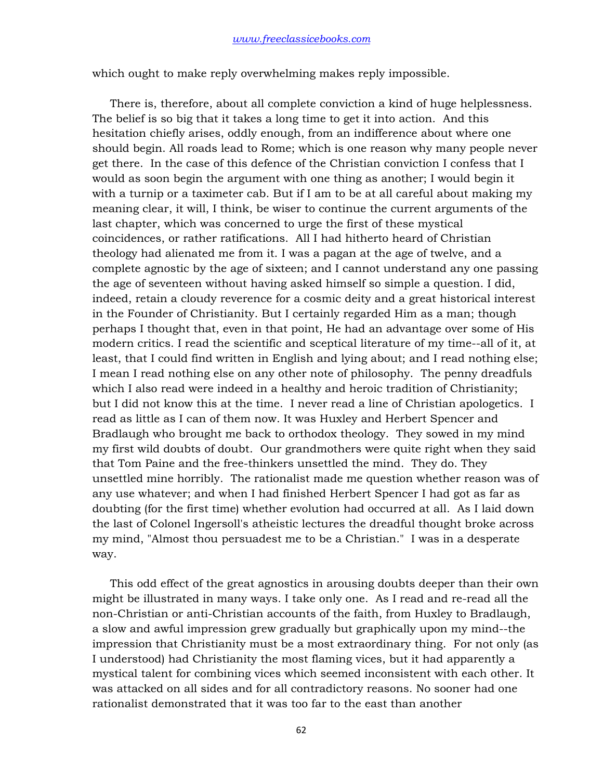which ought to make reply overwhelming makes reply impossible.

 There is, therefore, about all complete conviction a kind of huge helplessness. The belief is so big that it takes a long time to get it into action. And this hesitation chiefly arises, oddly enough, from an indifference about where one should begin. All roads lead to Rome; which is one reason why many people never get there. In the case of this defence of the Christian conviction I confess that I would as soon begin the argument with one thing as another; I would begin it with a turnip or a taximeter cab. But if I am to be at all careful about making my meaning clear, it will, I think, be wiser to continue the current arguments of the last chapter, which was concerned to urge the first of these mystical coincidences, or rather ratifications. All I had hitherto heard of Christian theology had alienated me from it. I was a pagan at the age of twelve, and a complete agnostic by the age of sixteen; and I cannot understand any one passing the age of seventeen without having asked himself so simple a question. I did, indeed, retain a cloudy reverence for a cosmic deity and a great historical interest in the Founder of Christianity. But I certainly regarded Him as a man; though perhaps I thought that, even in that point, He had an advantage over some of His modern critics. I read the scientific and sceptical literature of my time--all of it, at least, that I could find written in English and lying about; and I read nothing else; I mean I read nothing else on any other note of philosophy. The penny dreadfuls which I also read were indeed in a healthy and heroic tradition of Christianity; but I did not know this at the time. I never read a line of Christian apologetics. I read as little as I can of them now. It was Huxley and Herbert Spencer and Bradlaugh who brought me back to orthodox theology. They sowed in my mind my first wild doubts of doubt. Our grandmothers were quite right when they said that Tom Paine and the free-thinkers unsettled the mind. They do. They unsettled mine horribly. The rationalist made me question whether reason was of any use whatever; and when I had finished Herbert Spencer I had got as far as doubting (for the first time) whether evolution had occurred at all. As I laid down the last of Colonel Ingersoll's atheistic lectures the dreadful thought broke across my mind, "Almost thou persuadest me to be a Christian." I was in a desperate way.

 This odd effect of the great agnostics in arousing doubts deeper than their own might be illustrated in many ways. I take only one. As I read and re-read all the non-Christian or anti-Christian accounts of the faith, from Huxley to Bradlaugh, a slow and awful impression grew gradually but graphically upon my mind--the impression that Christianity must be a most extraordinary thing. For not only (as I understood) had Christianity the most flaming vices, but it had apparently a mystical talent for combining vices which seemed inconsistent with each other. It was attacked on all sides and for all contradictory reasons. No sooner had one rationalist demonstrated that it was too far to the east than another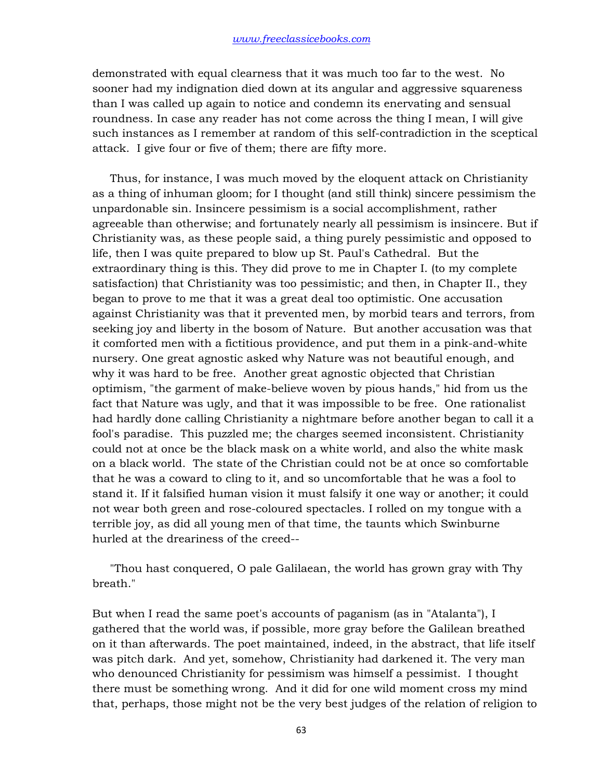demonstrated with equal clearness that it was much too far to the west. No sooner had my indignation died down at its angular and aggressive squareness than I was called up again to notice and condemn its enervating and sensual roundness. In case any reader has not come across the thing I mean, I will give such instances as I remember at random of this self-contradiction in the sceptical attack. I give four or five of them; there are fifty more.

 Thus, for instance, I was much moved by the eloquent attack on Christianity as a thing of inhuman gloom; for I thought (and still think) sincere pessimism the unpardonable sin. Insincere pessimism is a social accomplishment, rather agreeable than otherwise; and fortunately nearly all pessimism is insincere. But if Christianity was, as these people said, a thing purely pessimistic and opposed to life, then I was quite prepared to blow up St. Paul's Cathedral. But the extraordinary thing is this. They did prove to me in Chapter I. (to my complete satisfaction) that Christianity was too pessimistic; and then, in Chapter II., they began to prove to me that it was a great deal too optimistic. One accusation against Christianity was that it prevented men, by morbid tears and terrors, from seeking joy and liberty in the bosom of Nature. But another accusation was that it comforted men with a fictitious providence, and put them in a pink-and-white nursery. One great agnostic asked why Nature was not beautiful enough, and why it was hard to be free. Another great agnostic objected that Christian optimism, "the garment of make-believe woven by pious hands," hid from us the fact that Nature was ugly, and that it was impossible to be free. One rationalist had hardly done calling Christianity a nightmare before another began to call it a fool's paradise. This puzzled me; the charges seemed inconsistent. Christianity could not at once be the black mask on a white world, and also the white mask on a black world. The state of the Christian could not be at once so comfortable that he was a coward to cling to it, and so uncomfortable that he was a fool to stand it. If it falsified human vision it must falsify it one way or another; it could not wear both green and rose-coloured spectacles. I rolled on my tongue with a terrible joy, as did all young men of that time, the taunts which Swinburne hurled at the dreariness of the creed--

 "Thou hast conquered, O pale Galilaean, the world has grown gray with Thy breath."

But when I read the same poet's accounts of paganism (as in "Atalanta"), I gathered that the world was, if possible, more gray before the Galilean breathed on it than afterwards. The poet maintained, indeed, in the abstract, that life itself was pitch dark. And yet, somehow, Christianity had darkened it. The very man who denounced Christianity for pessimism was himself a pessimist. I thought there must be something wrong. And it did for one wild moment cross my mind that, perhaps, those might not be the very best judges of the relation of religion to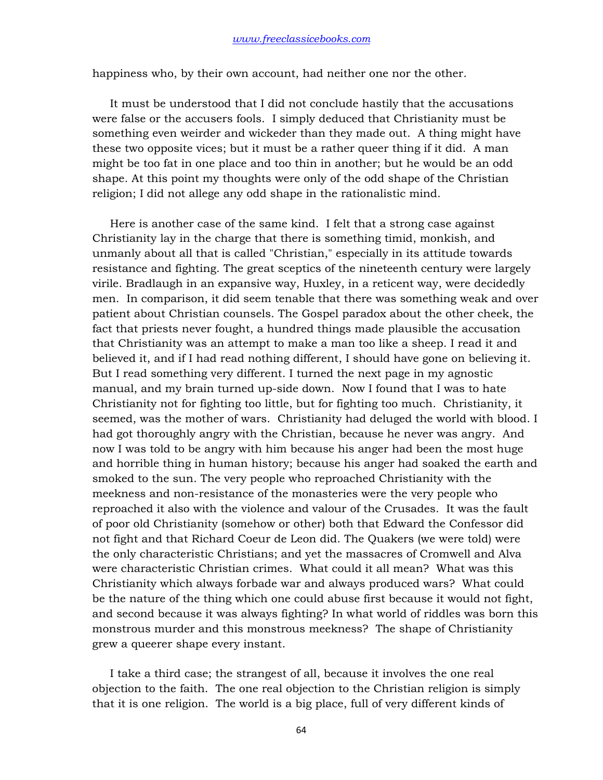happiness who, by their own account, had neither one nor the other.

 It must be understood that I did not conclude hastily that the accusations were false or the accusers fools. I simply deduced that Christianity must be something even weirder and wickeder than they made out. A thing might have these two opposite vices; but it must be a rather queer thing if it did. A man might be too fat in one place and too thin in another; but he would be an odd shape. At this point my thoughts were only of the odd shape of the Christian religion; I did not allege any odd shape in the rationalistic mind.

 Here is another case of the same kind. I felt that a strong case against Christianity lay in the charge that there is something timid, monkish, and unmanly about all that is called "Christian," especially in its attitude towards resistance and fighting. The great sceptics of the nineteenth century were largely virile. Bradlaugh in an expansive way, Huxley, in a reticent way, were decidedly men. In comparison, it did seem tenable that there was something weak and over patient about Christian counsels. The Gospel paradox about the other cheek, the fact that priests never fought, a hundred things made plausible the accusation that Christianity was an attempt to make a man too like a sheep. I read it and believed it, and if I had read nothing different, I should have gone on believing it. But I read something very different. I turned the next page in my agnostic manual, and my brain turned up-side down. Now I found that I was to hate Christianity not for fighting too little, but for fighting too much. Christianity, it seemed, was the mother of wars. Christianity had deluged the world with blood. I had got thoroughly angry with the Christian, because he never was angry. And now I was told to be angry with him because his anger had been the most huge and horrible thing in human history; because his anger had soaked the earth and smoked to the sun. The very people who reproached Christianity with the meekness and non-resistance of the monasteries were the very people who reproached it also with the violence and valour of the Crusades. It was the fault of poor old Christianity (somehow or other) both that Edward the Confessor did not fight and that Richard Coeur de Leon did. The Quakers (we were told) were the only characteristic Christians; and yet the massacres of Cromwell and Alva were characteristic Christian crimes. What could it all mean? What was this Christianity which always forbade war and always produced wars? What could be the nature of the thing which one could abuse first because it would not fight, and second because it was always fighting? In what world of riddles was born this monstrous murder and this monstrous meekness? The shape of Christianity grew a queerer shape every instant.

 I take a third case; the strangest of all, because it involves the one real objection to the faith. The one real objection to the Christian religion is simply that it is one religion. The world is a big place, full of very different kinds of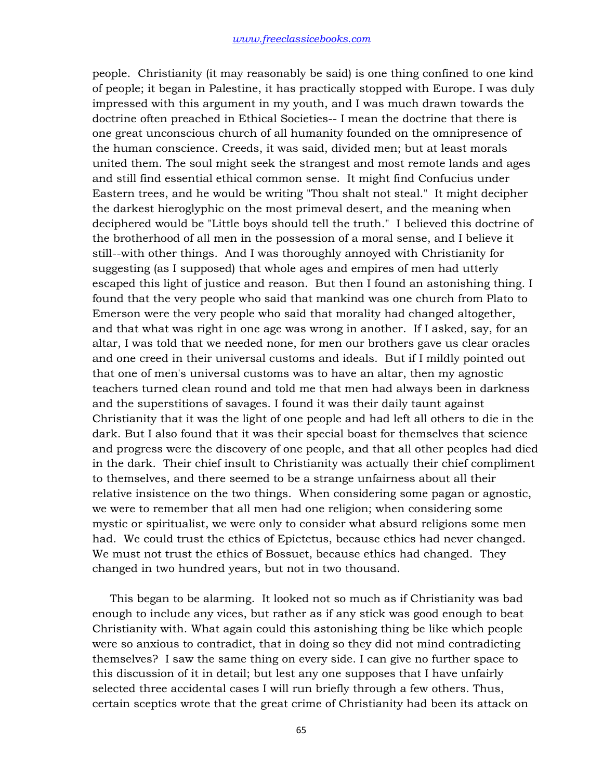people. Christianity (it may reasonably be said) is one thing confined to one kind of people; it began in Palestine, it has practically stopped with Europe. I was duly impressed with this argument in my youth, and I was much drawn towards the doctrine often preached in Ethical Societies-- I mean the doctrine that there is one great unconscious church of all humanity founded on the omnipresence of the human conscience. Creeds, it was said, divided men; but at least morals united them. The soul might seek the strangest and most remote lands and ages and still find essential ethical common sense. It might find Confucius under Eastern trees, and he would be writing "Thou shalt not steal." It might decipher the darkest hieroglyphic on the most primeval desert, and the meaning when deciphered would be "Little boys should tell the truth." I believed this doctrine of the brotherhood of all men in the possession of a moral sense, and I believe it still--with other things. And I was thoroughly annoyed with Christianity for suggesting (as I supposed) that whole ages and empires of men had utterly escaped this light of justice and reason. But then I found an astonishing thing. I found that the very people who said that mankind was one church from Plato to Emerson were the very people who said that morality had changed altogether, and that what was right in one age was wrong in another. If I asked, say, for an altar, I was told that we needed none, for men our brothers gave us clear oracles and one creed in their universal customs and ideals. But if I mildly pointed out that one of men's universal customs was to have an altar, then my agnostic teachers turned clean round and told me that men had always been in darkness and the superstitions of savages. I found it was their daily taunt against Christianity that it was the light of one people and had left all others to die in the dark. But I also found that it was their special boast for themselves that science and progress were the discovery of one people, and that all other peoples had died in the dark. Their chief insult to Christianity was actually their chief compliment to themselves, and there seemed to be a strange unfairness about all their relative insistence on the two things. When considering some pagan or agnostic, we were to remember that all men had one religion; when considering some mystic or spiritualist, we were only to consider what absurd religions some men had. We could trust the ethics of Epictetus, because ethics had never changed. We must not trust the ethics of Bossuet, because ethics had changed. They changed in two hundred years, but not in two thousand.

 This began to be alarming. It looked not so much as if Christianity was bad enough to include any vices, but rather as if any stick was good enough to beat Christianity with. What again could this astonishing thing be like which people were so anxious to contradict, that in doing so they did not mind contradicting themselves? I saw the same thing on every side. I can give no further space to this discussion of it in detail; but lest any one supposes that I have unfairly selected three accidental cases I will run briefly through a few others. Thus, certain sceptics wrote that the great crime of Christianity had been its attack on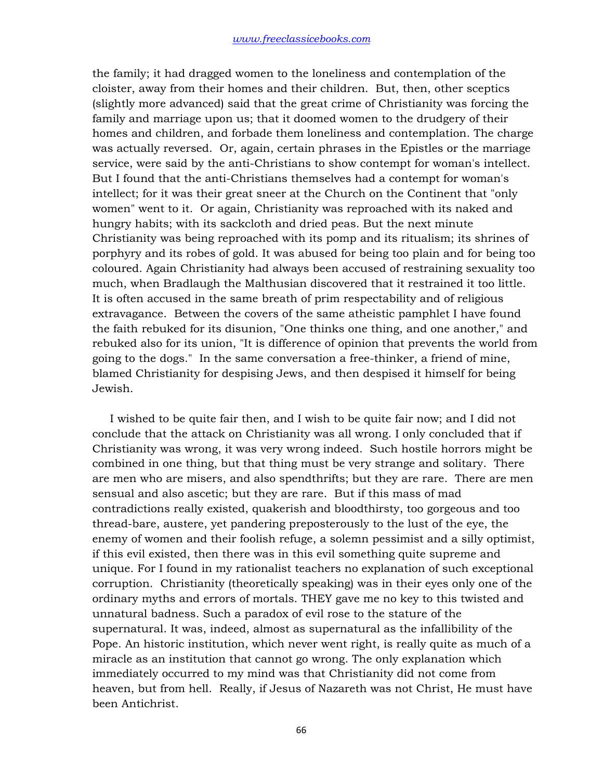the family; it had dragged women to the loneliness and contemplation of the cloister, away from their homes and their children. But, then, other sceptics (slightly more advanced) said that the great crime of Christianity was forcing the family and marriage upon us; that it doomed women to the drudgery of their homes and children, and forbade them loneliness and contemplation. The charge was actually reversed. Or, again, certain phrases in the Epistles or the marriage service, were said by the anti-Christians to show contempt for woman's intellect. But I found that the anti-Christians themselves had a contempt for woman's intellect; for it was their great sneer at the Church on the Continent that "only women" went to it. Or again, Christianity was reproached with its naked and hungry habits; with its sackcloth and dried peas. But the next minute Christianity was being reproached with its pomp and its ritualism; its shrines of porphyry and its robes of gold. It was abused for being too plain and for being too coloured. Again Christianity had always been accused of restraining sexuality too much, when Bradlaugh the Malthusian discovered that it restrained it too little. It is often accused in the same breath of prim respectability and of religious extravagance. Between the covers of the same atheistic pamphlet I have found the faith rebuked for its disunion, "One thinks one thing, and one another," and rebuked also for its union, "It is difference of opinion that prevents the world from going to the dogs." In the same conversation a free-thinker, a friend of mine, blamed Christianity for despising Jews, and then despised it himself for being Jewish.

 I wished to be quite fair then, and I wish to be quite fair now; and I did not conclude that the attack on Christianity was all wrong. I only concluded that if Christianity was wrong, it was very wrong indeed. Such hostile horrors might be combined in one thing, but that thing must be very strange and solitary. There are men who are misers, and also spendthrifts; but they are rare. There are men sensual and also ascetic; but they are rare. But if this mass of mad contradictions really existed, quakerish and bloodthirsty, too gorgeous and too thread-bare, austere, yet pandering preposterously to the lust of the eye, the enemy of women and their foolish refuge, a solemn pessimist and a silly optimist, if this evil existed, then there was in this evil something quite supreme and unique. For I found in my rationalist teachers no explanation of such exceptional corruption. Christianity (theoretically speaking) was in their eyes only one of the ordinary myths and errors of mortals. THEY gave me no key to this twisted and unnatural badness. Such a paradox of evil rose to the stature of the supernatural. It was, indeed, almost as supernatural as the infallibility of the Pope. An historic institution, which never went right, is really quite as much of a miracle as an institution that cannot go wrong. The only explanation which immediately occurred to my mind was that Christianity did not come from heaven, but from hell. Really, if Jesus of Nazareth was not Christ, He must have been Antichrist.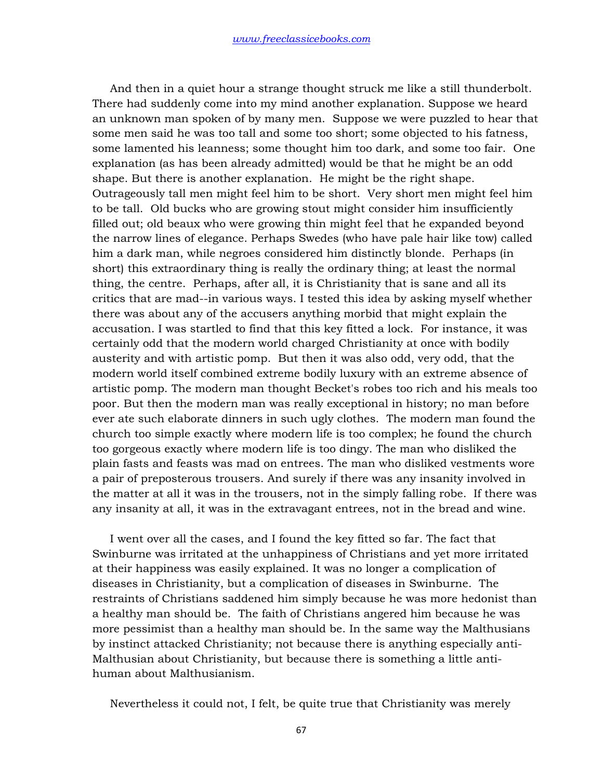And then in a quiet hour a strange thought struck me like a still thunderbolt. There had suddenly come into my mind another explanation. Suppose we heard an unknown man spoken of by many men. Suppose we were puzzled to hear that some men said he was too tall and some too short; some objected to his fatness, some lamented his leanness; some thought him too dark, and some too fair. One explanation (as has been already admitted) would be that he might be an odd shape. But there is another explanation. He might be the right shape. Outrageously tall men might feel him to be short. Very short men might feel him to be tall. Old bucks who are growing stout might consider him insufficiently filled out; old beaux who were growing thin might feel that he expanded beyond the narrow lines of elegance. Perhaps Swedes (who have pale hair like tow) called him a dark man, while negroes considered him distinctly blonde. Perhaps (in short) this extraordinary thing is really the ordinary thing; at least the normal thing, the centre. Perhaps, after all, it is Christianity that is sane and all its critics that are mad--in various ways. I tested this idea by asking myself whether there was about any of the accusers anything morbid that might explain the accusation. I was startled to find that this key fitted a lock. For instance, it was certainly odd that the modern world charged Christianity at once with bodily austerity and with artistic pomp. But then it was also odd, very odd, that the modern world itself combined extreme bodily luxury with an extreme absence of artistic pomp. The modern man thought Becket's robes too rich and his meals too poor. But then the modern man was really exceptional in history; no man before ever ate such elaborate dinners in such ugly clothes. The modern man found the church too simple exactly where modern life is too complex; he found the church too gorgeous exactly where modern life is too dingy. The man who disliked the plain fasts and feasts was mad on entrees. The man who disliked vestments wore a pair of preposterous trousers. And surely if there was any insanity involved in the matter at all it was in the trousers, not in the simply falling robe. If there was any insanity at all, it was in the extravagant entrees, not in the bread and wine.

 I went over all the cases, and I found the key fitted so far. The fact that Swinburne was irritated at the unhappiness of Christians and yet more irritated at their happiness was easily explained. It was no longer a complication of diseases in Christianity, but a complication of diseases in Swinburne. The restraints of Christians saddened him simply because he was more hedonist than a healthy man should be. The faith of Christians angered him because he was more pessimist than a healthy man should be. In the same way the Malthusians by instinct attacked Christianity; not because there is anything especially anti-Malthusian about Christianity, but because there is something a little antihuman about Malthusianism.

Nevertheless it could not, I felt, be quite true that Christianity was merely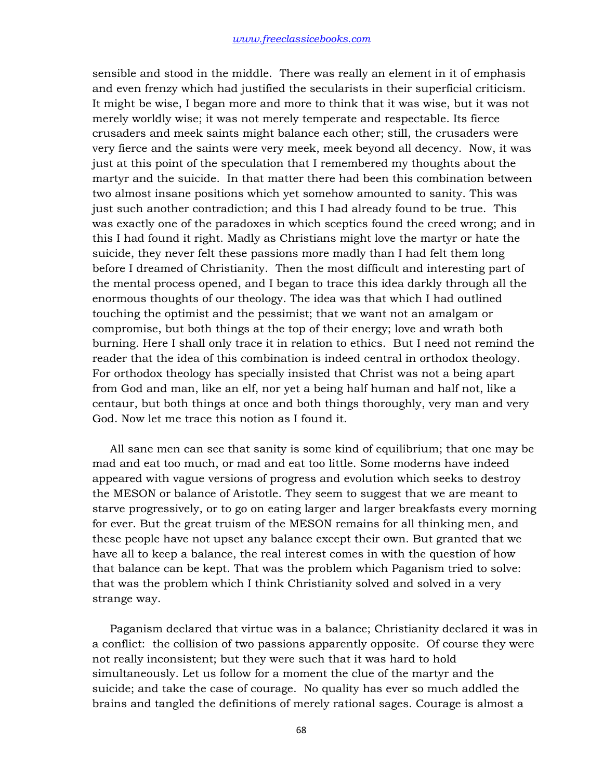sensible and stood in the middle. There was really an element in it of emphasis and even frenzy which had justified the secularists in their superficial criticism. It might be wise, I began more and more to think that it was wise, but it was not merely worldly wise; it was not merely temperate and respectable. Its fierce crusaders and meek saints might balance each other; still, the crusaders were very fierce and the saints were very meek, meek beyond all decency. Now, it was just at this point of the speculation that I remembered my thoughts about the martyr and the suicide. In that matter there had been this combination between two almost insane positions which yet somehow amounted to sanity. This was just such another contradiction; and this I had already found to be true. This was exactly one of the paradoxes in which sceptics found the creed wrong; and in this I had found it right. Madly as Christians might love the martyr or hate the suicide, they never felt these passions more madly than I had felt them long before I dreamed of Christianity. Then the most difficult and interesting part of the mental process opened, and I began to trace this idea darkly through all the enormous thoughts of our theology. The idea was that which I had outlined touching the optimist and the pessimist; that we want not an amalgam or compromise, but both things at the top of their energy; love and wrath both burning. Here I shall only trace it in relation to ethics. But I need not remind the reader that the idea of this combination is indeed central in orthodox theology. For orthodox theology has specially insisted that Christ was not a being apart from God and man, like an elf, nor yet a being half human and half not, like a centaur, but both things at once and both things thoroughly, very man and very God. Now let me trace this notion as I found it.

 All sane men can see that sanity is some kind of equilibrium; that one may be mad and eat too much, or mad and eat too little. Some moderns have indeed appeared with vague versions of progress and evolution which seeks to destroy the MESON or balance of Aristotle. They seem to suggest that we are meant to starve progressively, or to go on eating larger and larger breakfasts every morning for ever. But the great truism of the MESON remains for all thinking men, and these people have not upset any balance except their own. But granted that we have all to keep a balance, the real interest comes in with the question of how that balance can be kept. That was the problem which Paganism tried to solve: that was the problem which I think Christianity solved and solved in a very strange way.

 Paganism declared that virtue was in a balance; Christianity declared it was in a conflict: the collision of two passions apparently opposite. Of course they were not really inconsistent; but they were such that it was hard to hold simultaneously. Let us follow for a moment the clue of the martyr and the suicide; and take the case of courage. No quality has ever so much addled the brains and tangled the definitions of merely rational sages. Courage is almost a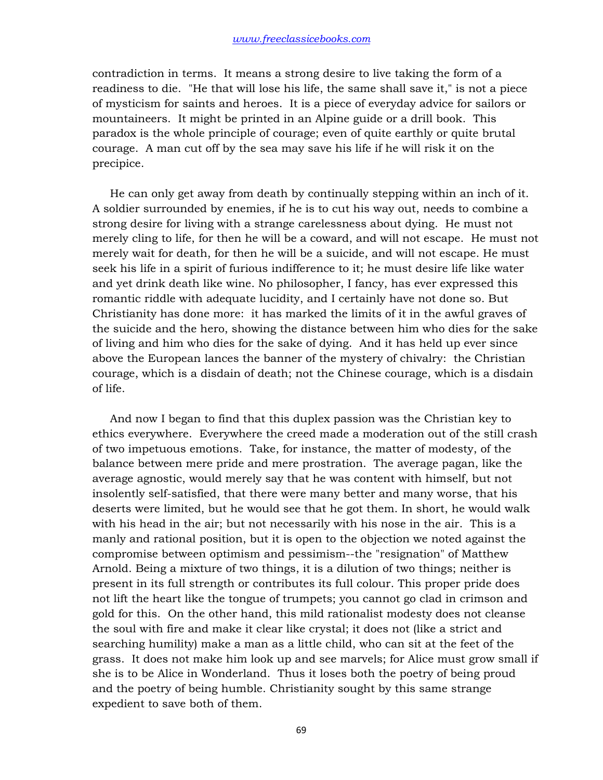contradiction in terms. It means a strong desire to live taking the form of a readiness to die. "He that will lose his life, the same shall save it," is not a piece of mysticism for saints and heroes. It is a piece of everyday advice for sailors or mountaineers. It might be printed in an Alpine guide or a drill book. This paradox is the whole principle of courage; even of quite earthly or quite brutal courage. A man cut off by the sea may save his life if he will risk it on the precipice.

 He can only get away from death by continually stepping within an inch of it. A soldier surrounded by enemies, if he is to cut his way out, needs to combine a strong desire for living with a strange carelessness about dying. He must not merely cling to life, for then he will be a coward, and will not escape. He must not merely wait for death, for then he will be a suicide, and will not escape. He must seek his life in a spirit of furious indifference to it; he must desire life like water and yet drink death like wine. No philosopher, I fancy, has ever expressed this romantic riddle with adequate lucidity, and I certainly have not done so. But Christianity has done more: it has marked the limits of it in the awful graves of the suicide and the hero, showing the distance between him who dies for the sake of living and him who dies for the sake of dying. And it has held up ever since above the European lances the banner of the mystery of chivalry: the Christian courage, which is a disdain of death; not the Chinese courage, which is a disdain of life.

 And now I began to find that this duplex passion was the Christian key to ethics everywhere. Everywhere the creed made a moderation out of the still crash of two impetuous emotions. Take, for instance, the matter of modesty, of the balance between mere pride and mere prostration. The average pagan, like the average agnostic, would merely say that he was content with himself, but not insolently self-satisfied, that there were many better and many worse, that his deserts were limited, but he would see that he got them. In short, he would walk with his head in the air; but not necessarily with his nose in the air. This is a manly and rational position, but it is open to the objection we noted against the compromise between optimism and pessimism--the "resignation" of Matthew Arnold. Being a mixture of two things, it is a dilution of two things; neither is present in its full strength or contributes its full colour. This proper pride does not lift the heart like the tongue of trumpets; you cannot go clad in crimson and gold for this. On the other hand, this mild rationalist modesty does not cleanse the soul with fire and make it clear like crystal; it does not (like a strict and searching humility) make a man as a little child, who can sit at the feet of the grass. It does not make him look up and see marvels; for Alice must grow small if she is to be Alice in Wonderland. Thus it loses both the poetry of being proud and the poetry of being humble. Christianity sought by this same strange expedient to save both of them.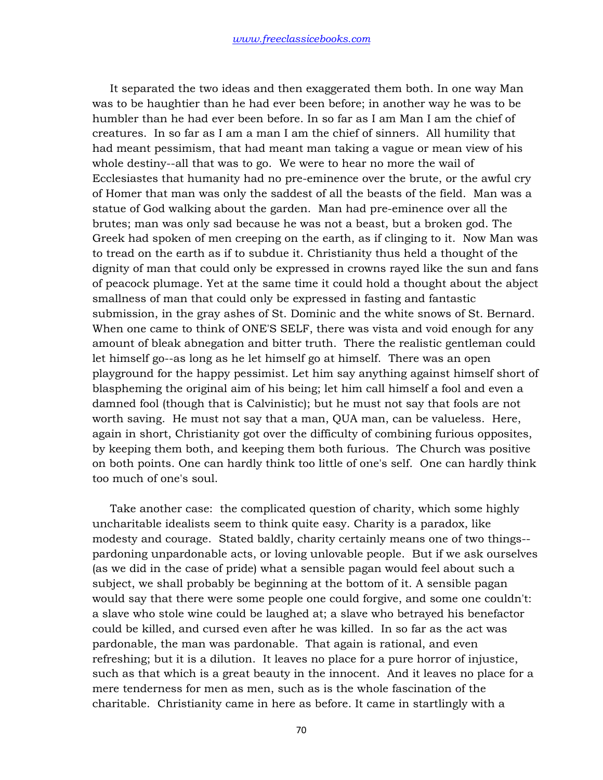It separated the two ideas and then exaggerated them both. In one way Man was to be haughtier than he had ever been before; in another way he was to be humbler than he had ever been before. In so far as I am Man I am the chief of creatures. In so far as I am a man I am the chief of sinners. All humility that had meant pessimism, that had meant man taking a vague or mean view of his whole destiny--all that was to go. We were to hear no more the wail of Ecclesiastes that humanity had no pre-eminence over the brute, or the awful cry of Homer that man was only the saddest of all the beasts of the field. Man was a statue of God walking about the garden. Man had pre-eminence over all the brutes; man was only sad because he was not a beast, but a broken god. The Greek had spoken of men creeping on the earth, as if clinging to it. Now Man was to tread on the earth as if to subdue it. Christianity thus held a thought of the dignity of man that could only be expressed in crowns rayed like the sun and fans of peacock plumage. Yet at the same time it could hold a thought about the abject smallness of man that could only be expressed in fasting and fantastic submission, in the gray ashes of St. Dominic and the white snows of St. Bernard. When one came to think of ONE'S SELF, there was vista and void enough for any amount of bleak abnegation and bitter truth. There the realistic gentleman could let himself go--as long as he let himself go at himself. There was an open playground for the happy pessimist. Let him say anything against himself short of blaspheming the original aim of his being; let him call himself a fool and even a damned fool (though that is Calvinistic); but he must not say that fools are not worth saving. He must not say that a man, QUA man, can be valueless. Here, again in short, Christianity got over the difficulty of combining furious opposites, by keeping them both, and keeping them both furious. The Church was positive on both points. One can hardly think too little of one's self. One can hardly think too much of one's soul.

 Take another case: the complicated question of charity, which some highly uncharitable idealists seem to think quite easy. Charity is a paradox, like modesty and courage. Stated baldly, charity certainly means one of two things- pardoning unpardonable acts, or loving unlovable people. But if we ask ourselves (as we did in the case of pride) what a sensible pagan would feel about such a subject, we shall probably be beginning at the bottom of it. A sensible pagan would say that there were some people one could forgive, and some one couldn't: a slave who stole wine could be laughed at; a slave who betrayed his benefactor could be killed, and cursed even after he was killed. In so far as the act was pardonable, the man was pardonable. That again is rational, and even refreshing; but it is a dilution. It leaves no place for a pure horror of injustice, such as that which is a great beauty in the innocent. And it leaves no place for a mere tenderness for men as men, such as is the whole fascination of the charitable. Christianity came in here as before. It came in startlingly with a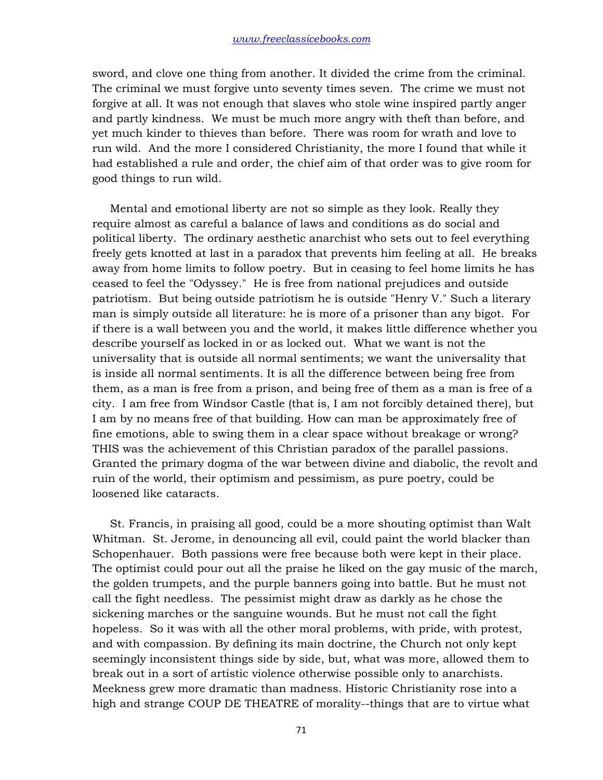sword, and clove one thing from another. It divided the crime from the criminal. The criminal we must forgive unto seventy times seven. The crime we must not forgive at all. It was not enough that slaves who stole wine inspired partly anger and partly kindness. We must be much more angry with theft than before, and yet much kinder to thieves than before. There was room for wrath and love to run wild. And the more I considered Christianity, the more I found that while it had established a rule and order, the chief aim of that order was to give room for good things to run wild.

 Mental and emotional liberty are not so simple as they look. Really they require almost as careful a balance of laws and conditions as do social and political liberty. The ordinary aesthetic anarchist who sets out to feel everything freely gets knotted at last in a paradox that prevents him feeling at all. He breaks away from home limits to follow poetry. But in ceasing to feel home limits he has ceased to feel the "Odyssey." He is free from national prejudices and outside patriotism. But being outside patriotism he is outside "Henry V." Such a literary man is simply outside all literature: he is more of a prisoner than any bigot. For if there is a wall between you and the world, it makes little difference whether you describe yourself as locked in or as locked out. What we want is not the universality that is outside all normal sentiments; we want the universality that is inside all normal sentiments. It is all the difference between being free from them, as a man is free from a prison, and being free of them as a man is free of a city. I am free from Windsor Castle (that is, I am not forcibly detained there), but I am by no means free of that building. How can man be approximately free of fine emotions, able to swing them in a clear space without breakage or wrong? THIS was the achievement of this Christian paradox of the parallel passions. Granted the primary dogma of the war between divine and diabolic, the revolt and ruin of the world, their optimism and pessimism, as pure poetry, could be loosened like cataracts.

 St. Francis, in praising all good, could be a more shouting optimist than Walt Whitman. St. Jerome, in denouncing all evil, could paint the world blacker than Schopenhauer. Both passions were free because both were kept in their place. The optimist could pour out all the praise he liked on the gay music of the march, the golden trumpets, and the purple banners going into battle. But he must not call the fight needless. The pessimist might draw as darkly as he chose the sickening marches or the sanguine wounds. But he must not call the fight hopeless. So it was with all the other moral problems, with pride, with protest, and with compassion. By defining its main doctrine, the Church not only kept seemingly inconsistent things side by side, but, what was more, allowed them to break out in a sort of artistic violence otherwise possible only to anarchists. Meekness grew more dramatic than madness. Historic Christianity rose into a high and strange COUP DE THEATRE of morality--things that are to virtue what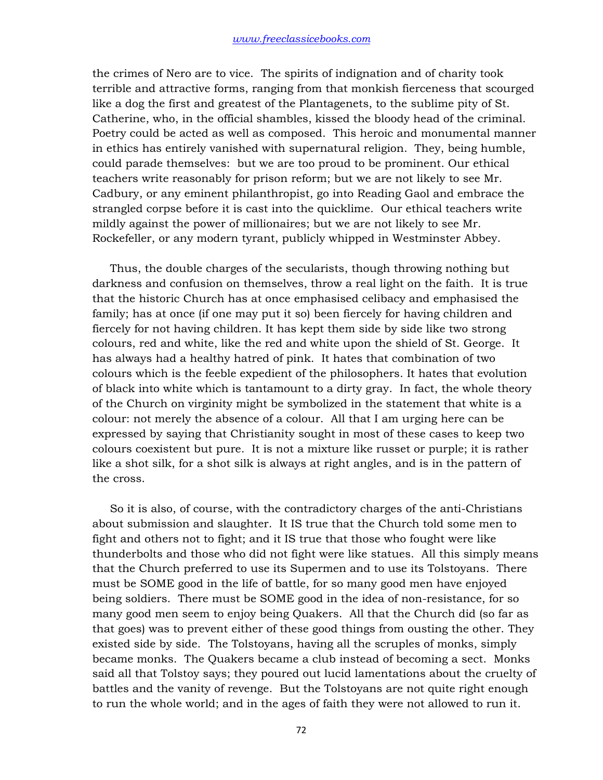the crimes of Nero are to vice. The spirits of indignation and of charity took terrible and attractive forms, ranging from that monkish fierceness that scourged like a dog the first and greatest of the Plantagenets, to the sublime pity of St. Catherine, who, in the official shambles, kissed the bloody head of the criminal. Poetry could be acted as well as composed. This heroic and monumental manner in ethics has entirely vanished with supernatural religion. They, being humble, could parade themselves: but we are too proud to be prominent. Our ethical teachers write reasonably for prison reform; but we are not likely to see Mr. Cadbury, or any eminent philanthropist, go into Reading Gaol and embrace the strangled corpse before it is cast into the quicklime. Our ethical teachers write mildly against the power of millionaires; but we are not likely to see Mr. Rockefeller, or any modern tyrant, publicly whipped in Westminster Abbey.

 Thus, the double charges of the secularists, though throwing nothing but darkness and confusion on themselves, throw a real light on the faith. It is true that the historic Church has at once emphasised celibacy and emphasised the family; has at once (if one may put it so) been fiercely for having children and fiercely for not having children. It has kept them side by side like two strong colours, red and white, like the red and white upon the shield of St. George. It has always had a healthy hatred of pink. It hates that combination of two colours which is the feeble expedient of the philosophers. It hates that evolution of black into white which is tantamount to a dirty gray. In fact, the whole theory of the Church on virginity might be symbolized in the statement that white is a colour: not merely the absence of a colour. All that I am urging here can be expressed by saying that Christianity sought in most of these cases to keep two colours coexistent but pure. It is not a mixture like russet or purple; it is rather like a shot silk, for a shot silk is always at right angles, and is in the pattern of the cross.

 So it is also, of course, with the contradictory charges of the anti-Christians about submission and slaughter. It IS true that the Church told some men to fight and others not to fight; and it IS true that those who fought were like thunderbolts and those who did not fight were like statues. All this simply means that the Church preferred to use its Supermen and to use its Tolstoyans. There must be SOME good in the life of battle, for so many good men have enjoyed being soldiers. There must be SOME good in the idea of non-resistance, for so many good men seem to enjoy being Quakers. All that the Church did (so far as that goes) was to prevent either of these good things from ousting the other. They existed side by side. The Tolstoyans, having all the scruples of monks, simply became monks. The Quakers became a club instead of becoming a sect. Monks said all that Tolstoy says; they poured out lucid lamentations about the cruelty of battles and the vanity of revenge. But the Tolstoyans are not quite right enough to run the whole world; and in the ages of faith they were not allowed to run it.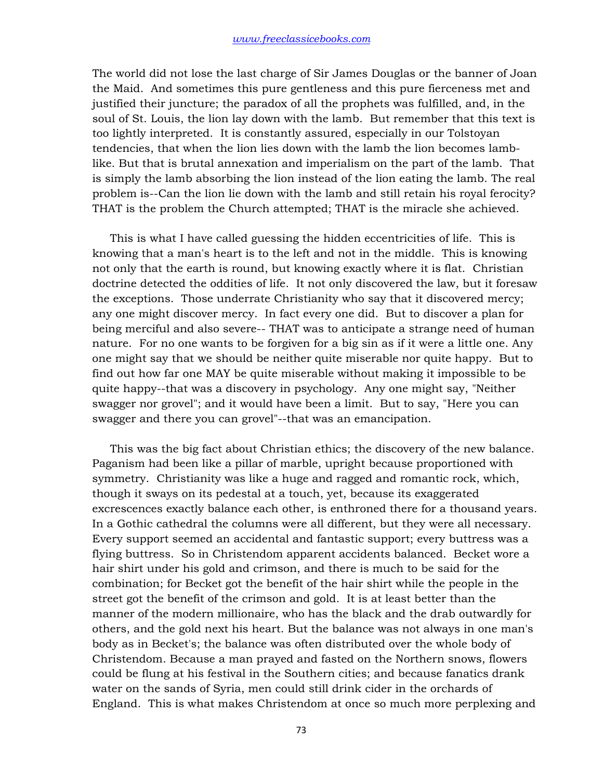The world did not lose the last charge of Sir James Douglas or the banner of Joan the Maid. And sometimes this pure gentleness and this pure fierceness met and justified their juncture; the paradox of all the prophets was fulfilled, and, in the soul of St. Louis, the lion lay down with the lamb. But remember that this text is too lightly interpreted. It is constantly assured, especially in our Tolstoyan tendencies, that when the lion lies down with the lamb the lion becomes lamblike. But that is brutal annexation and imperialism on the part of the lamb. That is simply the lamb absorbing the lion instead of the lion eating the lamb. The real problem is--Can the lion lie down with the lamb and still retain his royal ferocity? THAT is the problem the Church attempted; THAT is the miracle she achieved.

 This is what I have called guessing the hidden eccentricities of life. This is knowing that a man's heart is to the left and not in the middle. This is knowing not only that the earth is round, but knowing exactly where it is flat. Christian doctrine detected the oddities of life. It not only discovered the law, but it foresaw the exceptions. Those underrate Christianity who say that it discovered mercy; any one might discover mercy. In fact every one did. But to discover a plan for being merciful and also severe-- THAT was to anticipate a strange need of human nature. For no one wants to be forgiven for a big sin as if it were a little one. Any one might say that we should be neither quite miserable nor quite happy. But to find out how far one MAY be quite miserable without making it impossible to be quite happy--that was a discovery in psychology. Any one might say, "Neither swagger nor grovel"; and it would have been a limit. But to say, "Here you can swagger and there you can grovel"--that was an emancipation.

 This was the big fact about Christian ethics; the discovery of the new balance. Paganism had been like a pillar of marble, upright because proportioned with symmetry. Christianity was like a huge and ragged and romantic rock, which, though it sways on its pedestal at a touch, yet, because its exaggerated excrescences exactly balance each other, is enthroned there for a thousand years. In a Gothic cathedral the columns were all different, but they were all necessary. Every support seemed an accidental and fantastic support; every buttress was a flying buttress. So in Christendom apparent accidents balanced. Becket wore a hair shirt under his gold and crimson, and there is much to be said for the combination; for Becket got the benefit of the hair shirt while the people in the street got the benefit of the crimson and gold. It is at least better than the manner of the modern millionaire, who has the black and the drab outwardly for others, and the gold next his heart. But the balance was not always in one man's body as in Becket's; the balance was often distributed over the whole body of Christendom. Because a man prayed and fasted on the Northern snows, flowers could be flung at his festival in the Southern cities; and because fanatics drank water on the sands of Syria, men could still drink cider in the orchards of England. This is what makes Christendom at once so much more perplexing and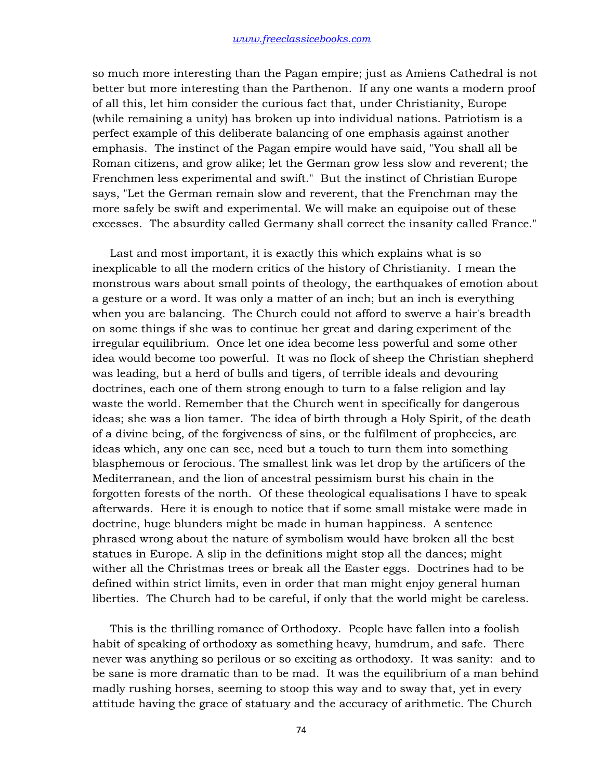so much more interesting than the Pagan empire; just as Amiens Cathedral is not better but more interesting than the Parthenon. If any one wants a modern proof of all this, let him consider the curious fact that, under Christianity, Europe (while remaining a unity) has broken up into individual nations. Patriotism is a perfect example of this deliberate balancing of one emphasis against another emphasis. The instinct of the Pagan empire would have said, "You shall all be Roman citizens, and grow alike; let the German grow less slow and reverent; the Frenchmen less experimental and swift." But the instinct of Christian Europe says, "Let the German remain slow and reverent, that the Frenchman may the more safely be swift and experimental. We will make an equipoise out of these excesses. The absurdity called Germany shall correct the insanity called France."

 Last and most important, it is exactly this which explains what is so inexplicable to all the modern critics of the history of Christianity. I mean the monstrous wars about small points of theology, the earthquakes of emotion about a gesture or a word. It was only a matter of an inch; but an inch is everything when you are balancing. The Church could not afford to swerve a hair's breadth on some things if she was to continue her great and daring experiment of the irregular equilibrium. Once let one idea become less powerful and some other idea would become too powerful. It was no flock of sheep the Christian shepherd was leading, but a herd of bulls and tigers, of terrible ideals and devouring doctrines, each one of them strong enough to turn to a false religion and lay waste the world. Remember that the Church went in specifically for dangerous ideas; she was a lion tamer. The idea of birth through a Holy Spirit, of the death of a divine being, of the forgiveness of sins, or the fulfilment of prophecies, are ideas which, any one can see, need but a touch to turn them into something blasphemous or ferocious. The smallest link was let drop by the artificers of the Mediterranean, and the lion of ancestral pessimism burst his chain in the forgotten forests of the north. Of these theological equalisations I have to speak afterwards. Here it is enough to notice that if some small mistake were made in doctrine, huge blunders might be made in human happiness. A sentence phrased wrong about the nature of symbolism would have broken all the best statues in Europe. A slip in the definitions might stop all the dances; might wither all the Christmas trees or break all the Easter eggs. Doctrines had to be defined within strict limits, even in order that man might enjoy general human liberties. The Church had to be careful, if only that the world might be careless.

 This is the thrilling romance of Orthodoxy. People have fallen into a foolish habit of speaking of orthodoxy as something heavy, humdrum, and safe. There never was anything so perilous or so exciting as orthodoxy. It was sanity: and to be sane is more dramatic than to be mad. It was the equilibrium of a man behind madly rushing horses, seeming to stoop this way and to sway that, yet in every attitude having the grace of statuary and the accuracy of arithmetic. The Church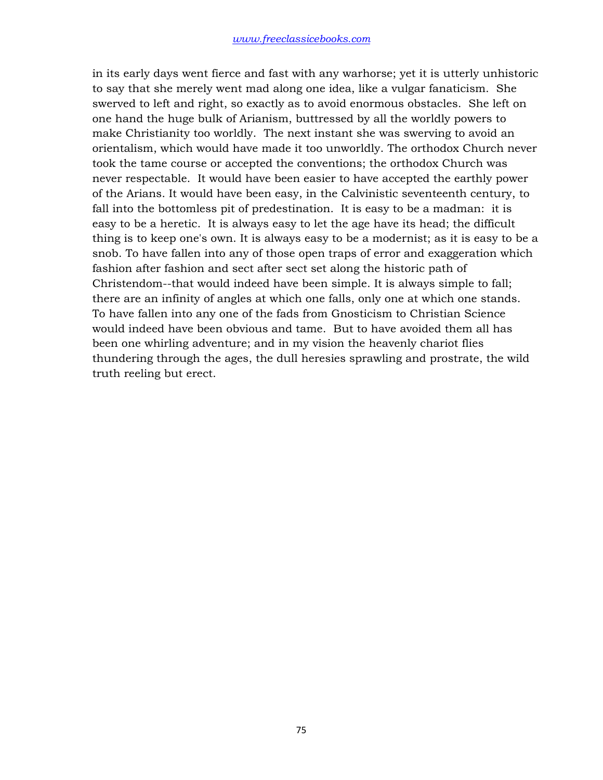in its early days went fierce and fast with any warhorse; yet it is utterly unhistoric to say that she merely went mad along one idea, like a vulgar fanaticism. She swerved to left and right, so exactly as to avoid enormous obstacles. She left on one hand the huge bulk of Arianism, buttressed by all the worldly powers to make Christianity too worldly. The next instant she was swerving to avoid an orientalism, which would have made it too unworldly. The orthodox Church never took the tame course or accepted the conventions; the orthodox Church was never respectable. It would have been easier to have accepted the earthly power of the Arians. It would have been easy, in the Calvinistic seventeenth century, to fall into the bottomless pit of predestination. It is easy to be a madman: it is easy to be a heretic. It is always easy to let the age have its head; the difficult thing is to keep one's own. It is always easy to be a modernist; as it is easy to be a snob. To have fallen into any of those open traps of error and exaggeration which fashion after fashion and sect after sect set along the historic path of Christendom--that would indeed have been simple. It is always simple to fall; there are an infinity of angles at which one falls, only one at which one stands. To have fallen into any one of the fads from Gnosticism to Christian Science would indeed have been obvious and tame. But to have avoided them all has been one whirling adventure; and in my vision the heavenly chariot flies thundering through the ages, the dull heresies sprawling and prostrate, the wild truth reeling but erect.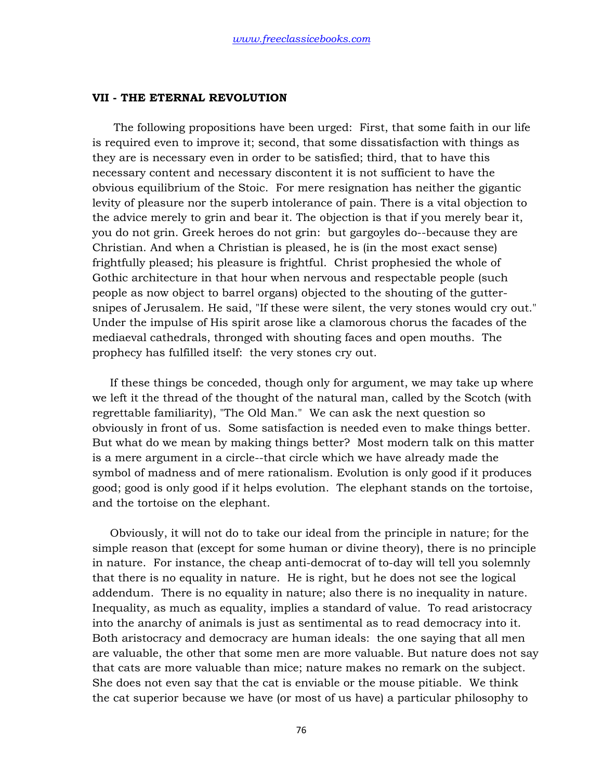## **VII - THE ETERNAL REVOLUTION**

 The following propositions have been urged: First, that some faith in our life is required even to improve it; second, that some dissatisfaction with things as they are is necessary even in order to be satisfied; third, that to have this necessary content and necessary discontent it is not sufficient to have the obvious equilibrium of the Stoic. For mere resignation has neither the gigantic levity of pleasure nor the superb intolerance of pain. There is a vital objection to the advice merely to grin and bear it. The objection is that if you merely bear it, you do not grin. Greek heroes do not grin: but gargoyles do--because they are Christian. And when a Christian is pleased, he is (in the most exact sense) frightfully pleased; his pleasure is frightful. Christ prophesied the whole of Gothic architecture in that hour when nervous and respectable people (such people as now object to barrel organs) objected to the shouting of the guttersnipes of Jerusalem. He said, "If these were silent, the very stones would cry out." Under the impulse of His spirit arose like a clamorous chorus the facades of the mediaeval cathedrals, thronged with shouting faces and open mouths. The prophecy has fulfilled itself: the very stones cry out.

 If these things be conceded, though only for argument, we may take up where we left it the thread of the thought of the natural man, called by the Scotch (with regrettable familiarity), "The Old Man." We can ask the next question so obviously in front of us. Some satisfaction is needed even to make things better. But what do we mean by making things better? Most modern talk on this matter is a mere argument in a circle--that circle which we have already made the symbol of madness and of mere rationalism. Evolution is only good if it produces good; good is only good if it helps evolution. The elephant stands on the tortoise, and the tortoise on the elephant.

 Obviously, it will not do to take our ideal from the principle in nature; for the simple reason that (except for some human or divine theory), there is no principle in nature. For instance, the cheap anti-democrat of to-day will tell you solemnly that there is no equality in nature. He is right, but he does not see the logical addendum. There is no equality in nature; also there is no inequality in nature. Inequality, as much as equality, implies a standard of value. To read aristocracy into the anarchy of animals is just as sentimental as to read democracy into it. Both aristocracy and democracy are human ideals: the one saying that all men are valuable, the other that some men are more valuable. But nature does not say that cats are more valuable than mice; nature makes no remark on the subject. She does not even say that the cat is enviable or the mouse pitiable. We think the cat superior because we have (or most of us have) a particular philosophy to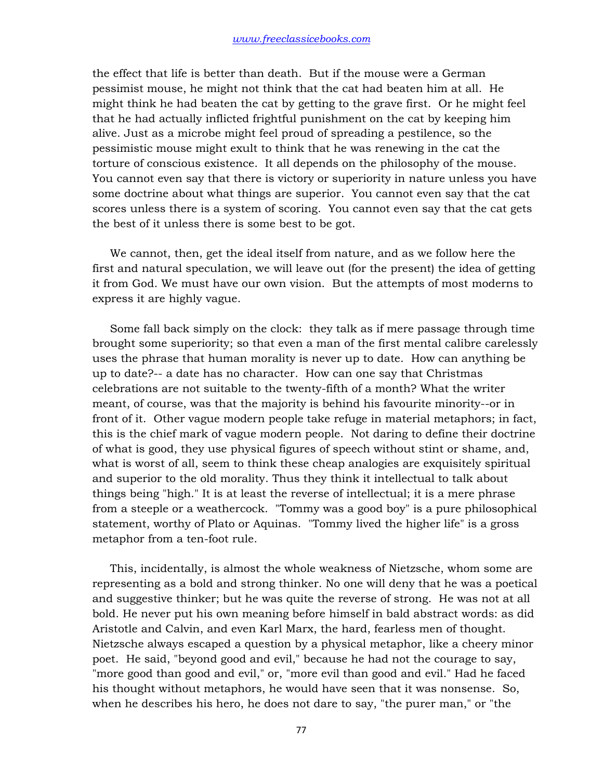the effect that life is better than death. But if the mouse were a German pessimist mouse, he might not think that the cat had beaten him at all. He might think he had beaten the cat by getting to the grave first. Or he might feel that he had actually inflicted frightful punishment on the cat by keeping him alive. Just as a microbe might feel proud of spreading a pestilence, so the pessimistic mouse might exult to think that he was renewing in the cat the torture of conscious existence. It all depends on the philosophy of the mouse. You cannot even say that there is victory or superiority in nature unless you have some doctrine about what things are superior. You cannot even say that the cat scores unless there is a system of scoring. You cannot even say that the cat gets the best of it unless there is some best to be got.

 We cannot, then, get the ideal itself from nature, and as we follow here the first and natural speculation, we will leave out (for the present) the idea of getting it from God. We must have our own vision. But the attempts of most moderns to express it are highly vague.

 Some fall back simply on the clock: they talk as if mere passage through time brought some superiority; so that even a man of the first mental calibre carelessly uses the phrase that human morality is never up to date. How can anything be up to date?-- a date has no character. How can one say that Christmas celebrations are not suitable to the twenty-fifth of a month? What the writer meant, of course, was that the majority is behind his favourite minority--or in front of it. Other vague modern people take refuge in material metaphors; in fact, this is the chief mark of vague modern people. Not daring to define their doctrine of what is good, they use physical figures of speech without stint or shame, and, what is worst of all, seem to think these cheap analogies are exquisitely spiritual and superior to the old morality. Thus they think it intellectual to talk about things being "high." It is at least the reverse of intellectual; it is a mere phrase from a steeple or a weathercock. "Tommy was a good boy" is a pure philosophical statement, worthy of Plato or Aquinas. "Tommy lived the higher life" is a gross metaphor from a ten-foot rule.

 This, incidentally, is almost the whole weakness of Nietzsche, whom some are representing as a bold and strong thinker. No one will deny that he was a poetical and suggestive thinker; but he was quite the reverse of strong. He was not at all bold. He never put his own meaning before himself in bald abstract words: as did Aristotle and Calvin, and even Karl Marx, the hard, fearless men of thought. Nietzsche always escaped a question by a physical metaphor, like a cheery minor poet. He said, "beyond good and evil," because he had not the courage to say, "more good than good and evil," or, "more evil than good and evil." Had he faced his thought without metaphors, he would have seen that it was nonsense. So, when he describes his hero, he does not dare to say, "the purer man," or "the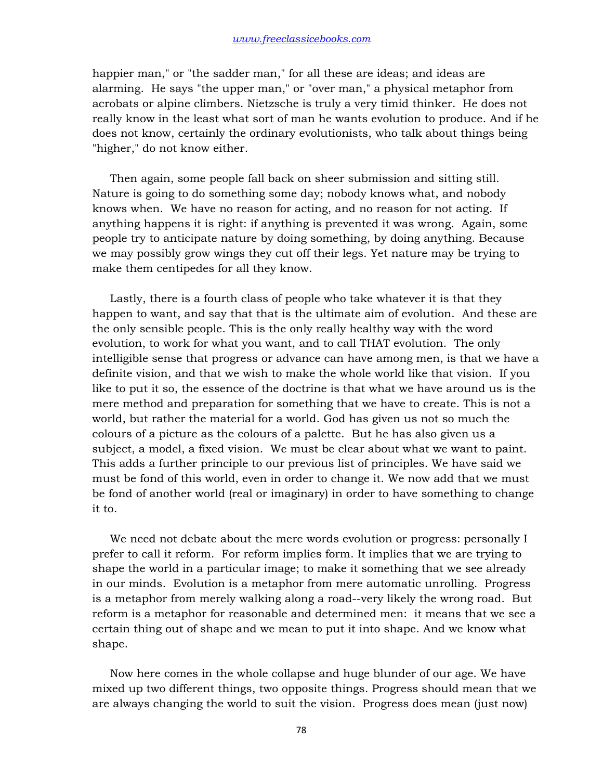happier man," or "the sadder man," for all these are ideas; and ideas are alarming. He says "the upper man," or "over man," a physical metaphor from acrobats or alpine climbers. Nietzsche is truly a very timid thinker. He does not really know in the least what sort of man he wants evolution to produce. And if he does not know, certainly the ordinary evolutionists, who talk about things being "higher," do not know either.

 Then again, some people fall back on sheer submission and sitting still. Nature is going to do something some day; nobody knows what, and nobody knows when. We have no reason for acting, and no reason for not acting. If anything happens it is right: if anything is prevented it was wrong. Again, some people try to anticipate nature by doing something, by doing anything. Because we may possibly grow wings they cut off their legs. Yet nature may be trying to make them centipedes for all they know.

 Lastly, there is a fourth class of people who take whatever it is that they happen to want, and say that that is the ultimate aim of evolution. And these are the only sensible people. This is the only really healthy way with the word evolution, to work for what you want, and to call THAT evolution. The only intelligible sense that progress or advance can have among men, is that we have a definite vision, and that we wish to make the whole world like that vision. If you like to put it so, the essence of the doctrine is that what we have around us is the mere method and preparation for something that we have to create. This is not a world, but rather the material for a world. God has given us not so much the colours of a picture as the colours of a palette. But he has also given us a subject, a model, a fixed vision. We must be clear about what we want to paint. This adds a further principle to our previous list of principles. We have said we must be fond of this world, even in order to change it. We now add that we must be fond of another world (real or imaginary) in order to have something to change it to.

 We need not debate about the mere words evolution or progress: personally I prefer to call it reform. For reform implies form. It implies that we are trying to shape the world in a particular image; to make it something that we see already in our minds. Evolution is a metaphor from mere automatic unrolling. Progress is a metaphor from merely walking along a road--very likely the wrong road. But reform is a metaphor for reasonable and determined men: it means that we see a certain thing out of shape and we mean to put it into shape. And we know what shape.

 Now here comes in the whole collapse and huge blunder of our age. We have mixed up two different things, two opposite things. Progress should mean that we are always changing the world to suit the vision. Progress does mean (just now)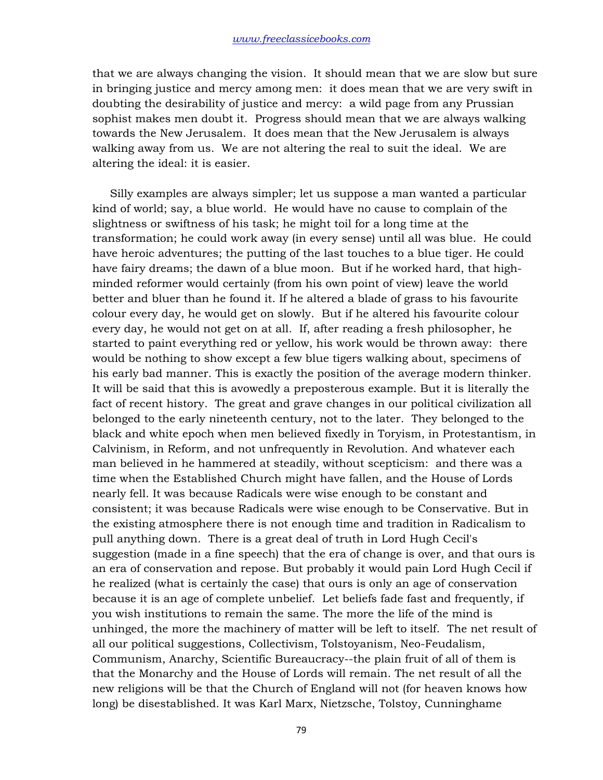that we are always changing the vision. It should mean that we are slow but sure in bringing justice and mercy among men: it does mean that we are very swift in doubting the desirability of justice and mercy: a wild page from any Prussian sophist makes men doubt it. Progress should mean that we are always walking towards the New Jerusalem. It does mean that the New Jerusalem is always walking away from us. We are not altering the real to suit the ideal. We are altering the ideal: it is easier.

 Silly examples are always simpler; let us suppose a man wanted a particular kind of world; say, a blue world. He would have no cause to complain of the slightness or swiftness of his task; he might toil for a long time at the transformation; he could work away (in every sense) until all was blue. He could have heroic adventures; the putting of the last touches to a blue tiger. He could have fairy dreams; the dawn of a blue moon. But if he worked hard, that highminded reformer would certainly (from his own point of view) leave the world better and bluer than he found it. If he altered a blade of grass to his favourite colour every day, he would get on slowly. But if he altered his favourite colour every day, he would not get on at all. If, after reading a fresh philosopher, he started to paint everything red or yellow, his work would be thrown away: there would be nothing to show except a few blue tigers walking about, specimens of his early bad manner. This is exactly the position of the average modern thinker. It will be said that this is avowedly a preposterous example. But it is literally the fact of recent history. The great and grave changes in our political civilization all belonged to the early nineteenth century, not to the later. They belonged to the black and white epoch when men believed fixedly in Toryism, in Protestantism, in Calvinism, in Reform, and not unfrequently in Revolution. And whatever each man believed in he hammered at steadily, without scepticism: and there was a time when the Established Church might have fallen, and the House of Lords nearly fell. It was because Radicals were wise enough to be constant and consistent; it was because Radicals were wise enough to be Conservative. But in the existing atmosphere there is not enough time and tradition in Radicalism to pull anything down. There is a great deal of truth in Lord Hugh Cecil's suggestion (made in a fine speech) that the era of change is over, and that ours is an era of conservation and repose. But probably it would pain Lord Hugh Cecil if he realized (what is certainly the case) that ours is only an age of conservation because it is an age of complete unbelief. Let beliefs fade fast and frequently, if you wish institutions to remain the same. The more the life of the mind is unhinged, the more the machinery of matter will be left to itself. The net result of all our political suggestions, Collectivism, Tolstoyanism, Neo-Feudalism, Communism, Anarchy, Scientific Bureaucracy--the plain fruit of all of them is that the Monarchy and the House of Lords will remain. The net result of all the new religions will be that the Church of England will not (for heaven knows how long) be disestablished. It was Karl Marx, Nietzsche, Tolstoy, Cunninghame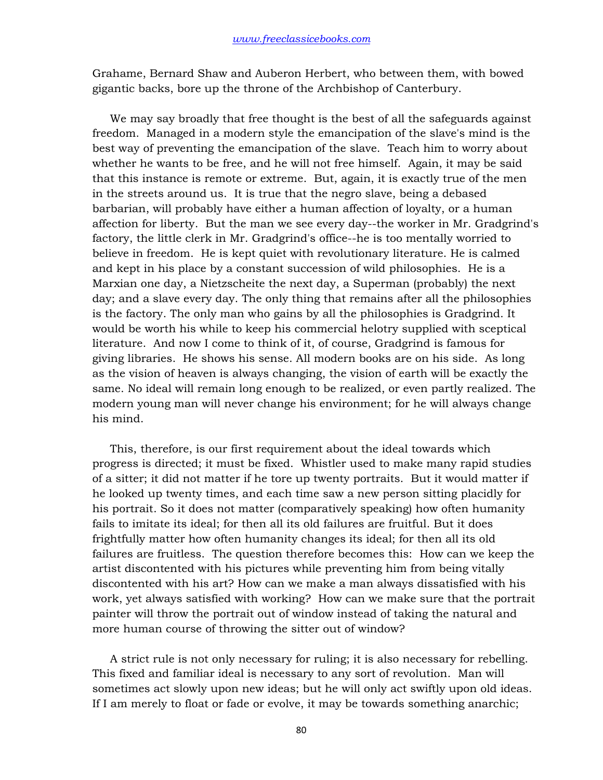Grahame, Bernard Shaw and Auberon Herbert, who between them, with bowed gigantic backs, bore up the throne of the Archbishop of Canterbury.

 We may say broadly that free thought is the best of all the safeguards against freedom. Managed in a modern style the emancipation of the slave's mind is the best way of preventing the emancipation of the slave. Teach him to worry about whether he wants to be free, and he will not free himself. Again, it may be said that this instance is remote or extreme. But, again, it is exactly true of the men in the streets around us. It is true that the negro slave, being a debased barbarian, will probably have either a human affection of loyalty, or a human affection for liberty. But the man we see every day--the worker in Mr. Gradgrind's factory, the little clerk in Mr. Gradgrind's office--he is too mentally worried to believe in freedom. He is kept quiet with revolutionary literature. He is calmed and kept in his place by a constant succession of wild philosophies. He is a Marxian one day, a Nietzscheite the next day, a Superman (probably) the next day; and a slave every day. The only thing that remains after all the philosophies is the factory. The only man who gains by all the philosophies is Gradgrind. It would be worth his while to keep his commercial helotry supplied with sceptical literature. And now I come to think of it, of course, Gradgrind is famous for giving libraries. He shows his sense. All modern books are on his side. As long as the vision of heaven is always changing, the vision of earth will be exactly the same. No ideal will remain long enough to be realized, or even partly realized. The modern young man will never change his environment; for he will always change his mind.

 This, therefore, is our first requirement about the ideal towards which progress is directed; it must be fixed. Whistler used to make many rapid studies of a sitter; it did not matter if he tore up twenty portraits. But it would matter if he looked up twenty times, and each time saw a new person sitting placidly for his portrait. So it does not matter (comparatively speaking) how often humanity fails to imitate its ideal; for then all its old failures are fruitful. But it does frightfully matter how often humanity changes its ideal; for then all its old failures are fruitless. The question therefore becomes this: How can we keep the artist discontented with his pictures while preventing him from being vitally discontented with his art? How can we make a man always dissatisfied with his work, yet always satisfied with working? How can we make sure that the portrait painter will throw the portrait out of window instead of taking the natural and more human course of throwing the sitter out of window?

 A strict rule is not only necessary for ruling; it is also necessary for rebelling. This fixed and familiar ideal is necessary to any sort of revolution. Man will sometimes act slowly upon new ideas; but he will only act swiftly upon old ideas. If I am merely to float or fade or evolve, it may be towards something anarchic;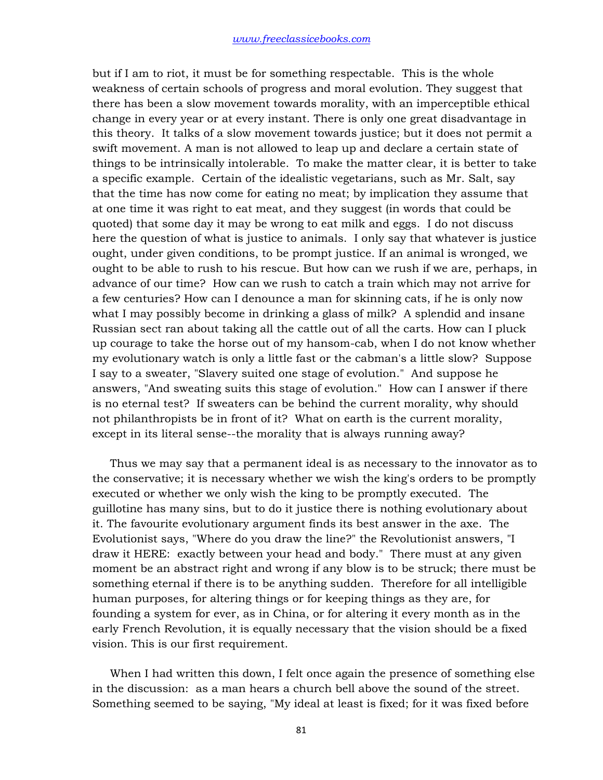but if I am to riot, it must be for something respectable. This is the whole weakness of certain schools of progress and moral evolution. They suggest that there has been a slow movement towards morality, with an imperceptible ethical change in every year or at every instant. There is only one great disadvantage in this theory. It talks of a slow movement towards justice; but it does not permit a swift movement. A man is not allowed to leap up and declare a certain state of things to be intrinsically intolerable. To make the matter clear, it is better to take a specific example. Certain of the idealistic vegetarians, such as Mr. Salt, say that the time has now come for eating no meat; by implication they assume that at one time it was right to eat meat, and they suggest (in words that could be quoted) that some day it may be wrong to eat milk and eggs. I do not discuss here the question of what is justice to animals. I only say that whatever is justice ought, under given conditions, to be prompt justice. If an animal is wronged, we ought to be able to rush to his rescue. But how can we rush if we are, perhaps, in advance of our time? How can we rush to catch a train which may not arrive for a few centuries? How can I denounce a man for skinning cats, if he is only now what I may possibly become in drinking a glass of milk? A splendid and insane Russian sect ran about taking all the cattle out of all the carts. How can I pluck up courage to take the horse out of my hansom-cab, when I do not know whether my evolutionary watch is only a little fast or the cabman's a little slow? Suppose I say to a sweater, "Slavery suited one stage of evolution." And suppose he answers, "And sweating suits this stage of evolution." How can I answer if there is no eternal test? If sweaters can be behind the current morality, why should not philanthropists be in front of it? What on earth is the current morality, except in its literal sense--the morality that is always running away?

 Thus we may say that a permanent ideal is as necessary to the innovator as to the conservative; it is necessary whether we wish the king's orders to be promptly executed or whether we only wish the king to be promptly executed. The guillotine has many sins, but to do it justice there is nothing evolutionary about it. The favourite evolutionary argument finds its best answer in the axe. The Evolutionist says, "Where do you draw the line?" the Revolutionist answers, "I draw it HERE: exactly between your head and body." There must at any given moment be an abstract right and wrong if any blow is to be struck; there must be something eternal if there is to be anything sudden. Therefore for all intelligible human purposes, for altering things or for keeping things as they are, for founding a system for ever, as in China, or for altering it every month as in the early French Revolution, it is equally necessary that the vision should be a fixed vision. This is our first requirement.

 When I had written this down, I felt once again the presence of something else in the discussion: as a man hears a church bell above the sound of the street. Something seemed to be saying, "My ideal at least is fixed; for it was fixed before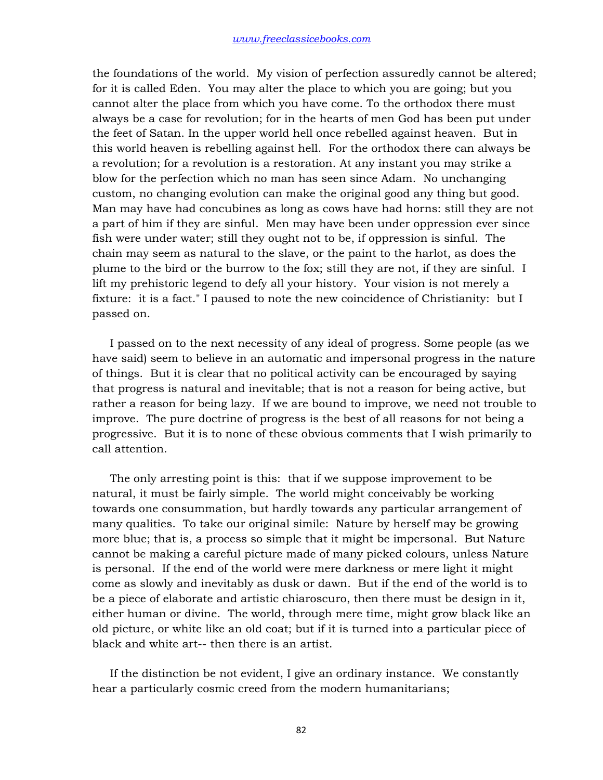the foundations of the world. My vision of perfection assuredly cannot be altered; for it is called Eden. You may alter the place to which you are going; but you cannot alter the place from which you have come. To the orthodox there must always be a case for revolution; for in the hearts of men God has been put under the feet of Satan. In the upper world hell once rebelled against heaven. But in this world heaven is rebelling against hell. For the orthodox there can always be a revolution; for a revolution is a restoration. At any instant you may strike a blow for the perfection which no man has seen since Adam. No unchanging custom, no changing evolution can make the original good any thing but good. Man may have had concubines as long as cows have had horns: still they are not a part of him if they are sinful. Men may have been under oppression ever since fish were under water; still they ought not to be, if oppression is sinful. The chain may seem as natural to the slave, or the paint to the harlot, as does the plume to the bird or the burrow to the fox; still they are not, if they are sinful. I lift my prehistoric legend to defy all your history. Your vision is not merely a fixture: it is a fact." I paused to note the new coincidence of Christianity: but I passed on.

 I passed on to the next necessity of any ideal of progress. Some people (as we have said) seem to believe in an automatic and impersonal progress in the nature of things. But it is clear that no political activity can be encouraged by saying that progress is natural and inevitable; that is not a reason for being active, but rather a reason for being lazy. If we are bound to improve, we need not trouble to improve. The pure doctrine of progress is the best of all reasons for not being a progressive. But it is to none of these obvious comments that I wish primarily to call attention.

 The only arresting point is this: that if we suppose improvement to be natural, it must be fairly simple. The world might conceivably be working towards one consummation, but hardly towards any particular arrangement of many qualities. To take our original simile: Nature by herself may be growing more blue; that is, a process so simple that it might be impersonal. But Nature cannot be making a careful picture made of many picked colours, unless Nature is personal. If the end of the world were mere darkness or mere light it might come as slowly and inevitably as dusk or dawn. But if the end of the world is to be a piece of elaborate and artistic chiaroscuro, then there must be design in it, either human or divine. The world, through mere time, might grow black like an old picture, or white like an old coat; but if it is turned into a particular piece of black and white art-- then there is an artist.

 If the distinction be not evident, I give an ordinary instance. We constantly hear a particularly cosmic creed from the modern humanitarians;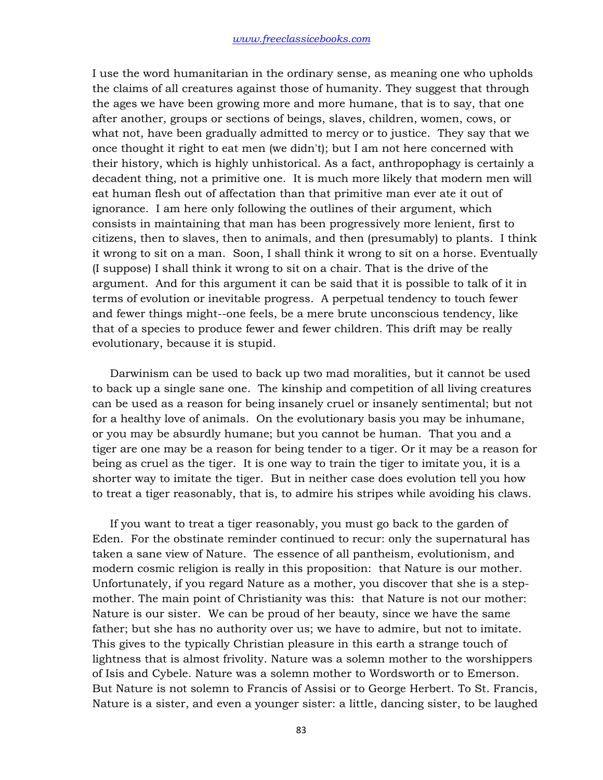I use the word humanitarian in the ordinary sense, as meaning one who upholds the claims of all creatures against those of humanity. They suggest that through the ages we have been growing more and more humane, that is to say, that one after another, groups or sections of beings, slaves, children, women, cows, or what not, have been gradually admitted to mercy or to justice. They say that we once thought it right to eat men (we didn't); but I am not here concerned with their history, which is highly unhistorical. As a fact, anthropophagy is certainly a decadent thing, not a primitive one. It is much more likely that modern men will eat human flesh out of affectation than that primitive man ever ate it out of ignorance. I am here only following the outlines of their argument, which consists in maintaining that man has been progressively more lenient, first to citizens, then to slaves, then to animals, and then (presumably) to plants. I think it wrong to sit on a man. Soon, I shall think it wrong to sit on a horse. Eventually (I suppose) I shall think it wrong to sit on a chair. That is the drive of the argument. And for this argument it can be said that it is possible to talk of it in terms of evolution or inevitable progress. A perpetual tendency to touch fewer and fewer things might--one feels, be a mere brute unconscious tendency, like that of a species to produce fewer and fewer children. This drift may be really evolutionary, because it is stupid.

 Darwinism can be used to back up two mad moralities, but it cannot be used to back up a single sane one. The kinship and competition of all living creatures can be used as a reason for being insanely cruel or insanely sentimental; but not for a healthy love of animals. On the evolutionary basis you may be inhumane, or you may be absurdly humane; but you cannot be human. That you and a tiger are one may be a reason for being tender to a tiger. Or it may be a reason for being as cruel as the tiger. It is one way to train the tiger to imitate you, it is a shorter way to imitate the tiger. But in neither case does evolution tell you how to treat a tiger reasonably, that is, to admire his stripes while avoiding his claws.

 If you want to treat a tiger reasonably, you must go back to the garden of Eden. For the obstinate reminder continued to recur: only the supernatural has taken a sane view of Nature. The essence of all pantheism, evolutionism, and modern cosmic religion is really in this proposition: that Nature is our mother. Unfortunately, if you regard Nature as a mother, you discover that she is a stepmother. The main point of Christianity was this: that Nature is not our mother: Nature is our sister. We can be proud of her beauty, since we have the same father; but she has no authority over us; we have to admire, but not to imitate. This gives to the typically Christian pleasure in this earth a strange touch of lightness that is almost frivolity. Nature was a solemn mother to the worshippers of Isis and Cybele. Nature was a solemn mother to Wordsworth or to Emerson. But Nature is not solemn to Francis of Assisi or to George Herbert. To St. Francis, Nature is a sister, and even a younger sister: a little, dancing sister, to be laughed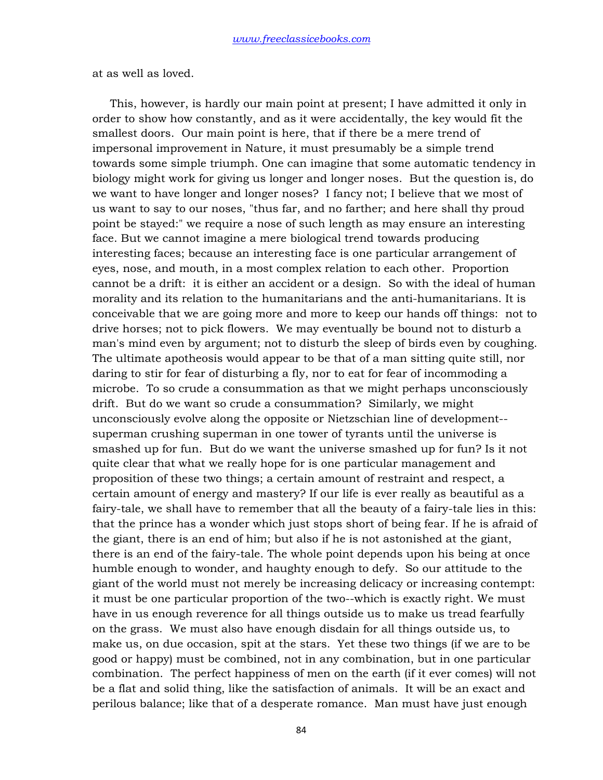at as well as loved.

 This, however, is hardly our main point at present; I have admitted it only in order to show how constantly, and as it were accidentally, the key would fit the smallest doors. Our main point is here, that if there be a mere trend of impersonal improvement in Nature, it must presumably be a simple trend towards some simple triumph. One can imagine that some automatic tendency in biology might work for giving us longer and longer noses. But the question is, do we want to have longer and longer noses? I fancy not; I believe that we most of us want to say to our noses, "thus far, and no farther; and here shall thy proud point be stayed:" we require a nose of such length as may ensure an interesting face. But we cannot imagine a mere biological trend towards producing interesting faces; because an interesting face is one particular arrangement of eyes, nose, and mouth, in a most complex relation to each other. Proportion cannot be a drift: it is either an accident or a design. So with the ideal of human morality and its relation to the humanitarians and the anti-humanitarians. It is conceivable that we are going more and more to keep our hands off things: not to drive horses; not to pick flowers. We may eventually be bound not to disturb a man's mind even by argument; not to disturb the sleep of birds even by coughing. The ultimate apotheosis would appear to be that of a man sitting quite still, nor daring to stir for fear of disturbing a fly, nor to eat for fear of incommoding a microbe. To so crude a consummation as that we might perhaps unconsciously drift. But do we want so crude a consummation? Similarly, we might unconsciously evolve along the opposite or Nietzschian line of development- superman crushing superman in one tower of tyrants until the universe is smashed up for fun. But do we want the universe smashed up for fun? Is it not quite clear that what we really hope for is one particular management and proposition of these two things; a certain amount of restraint and respect, a certain amount of energy and mastery? If our life is ever really as beautiful as a fairy-tale, we shall have to remember that all the beauty of a fairy-tale lies in this: that the prince has a wonder which just stops short of being fear. If he is afraid of the giant, there is an end of him; but also if he is not astonished at the giant, there is an end of the fairy-tale. The whole point depends upon his being at once humble enough to wonder, and haughty enough to defy. So our attitude to the giant of the world must not merely be increasing delicacy or increasing contempt: it must be one particular proportion of the two--which is exactly right. We must have in us enough reverence for all things outside us to make us tread fearfully on the grass. We must also have enough disdain for all things outside us, to make us, on due occasion, spit at the stars. Yet these two things (if we are to be good or happy) must be combined, not in any combination, but in one particular combination. The perfect happiness of men on the earth (if it ever comes) will not be a flat and solid thing, like the satisfaction of animals. It will be an exact and perilous balance; like that of a desperate romance. Man must have just enough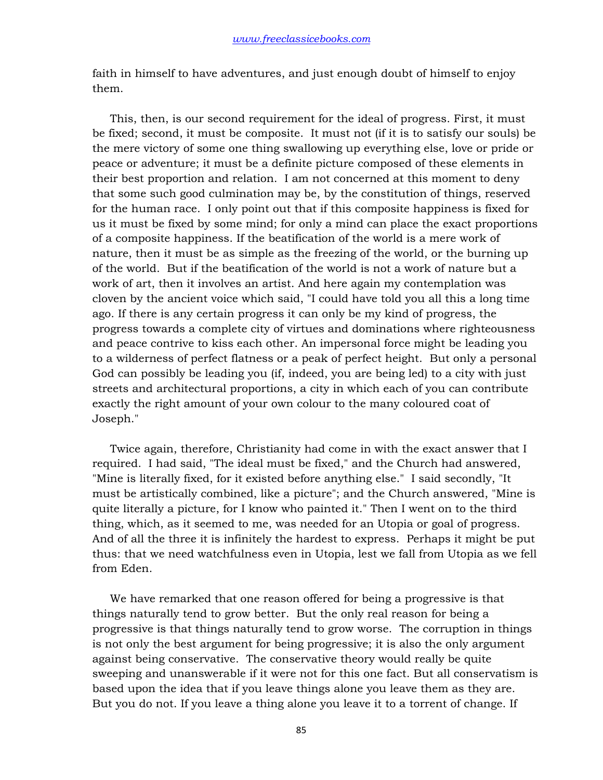faith in himself to have adventures, and just enough doubt of himself to enjoy them.

 This, then, is our second requirement for the ideal of progress. First, it must be fixed; second, it must be composite. It must not (if it is to satisfy our souls) be the mere victory of some one thing swallowing up everything else, love or pride or peace or adventure; it must be a definite picture composed of these elements in their best proportion and relation. I am not concerned at this moment to deny that some such good culmination may be, by the constitution of things, reserved for the human race. I only point out that if this composite happiness is fixed for us it must be fixed by some mind; for only a mind can place the exact proportions of a composite happiness. If the beatification of the world is a mere work of nature, then it must be as simple as the freezing of the world, or the burning up of the world. But if the beatification of the world is not a work of nature but a work of art, then it involves an artist. And here again my contemplation was cloven by the ancient voice which said, "I could have told you all this a long time ago. If there is any certain progress it can only be my kind of progress, the progress towards a complete city of virtues and dominations where righteousness and peace contrive to kiss each other. An impersonal force might be leading you to a wilderness of perfect flatness or a peak of perfect height. But only a personal God can possibly be leading you (if, indeed, you are being led) to a city with just streets and architectural proportions, a city in which each of you can contribute exactly the right amount of your own colour to the many coloured coat of Joseph."

 Twice again, therefore, Christianity had come in with the exact answer that I required. I had said, "The ideal must be fixed," and the Church had answered, "Mine is literally fixed, for it existed before anything else." I said secondly, "It must be artistically combined, like a picture"; and the Church answered, "Mine is quite literally a picture, for I know who painted it." Then I went on to the third thing, which, as it seemed to me, was needed for an Utopia or goal of progress. And of all the three it is infinitely the hardest to express. Perhaps it might be put thus: that we need watchfulness even in Utopia, lest we fall from Utopia as we fell from Eden.

 We have remarked that one reason offered for being a progressive is that things naturally tend to grow better. But the only real reason for being a progressive is that things naturally tend to grow worse. The corruption in things is not only the best argument for being progressive; it is also the only argument against being conservative. The conservative theory would really be quite sweeping and unanswerable if it were not for this one fact. But all conservatism is based upon the idea that if you leave things alone you leave them as they are. But you do not. If you leave a thing alone you leave it to a torrent of change. If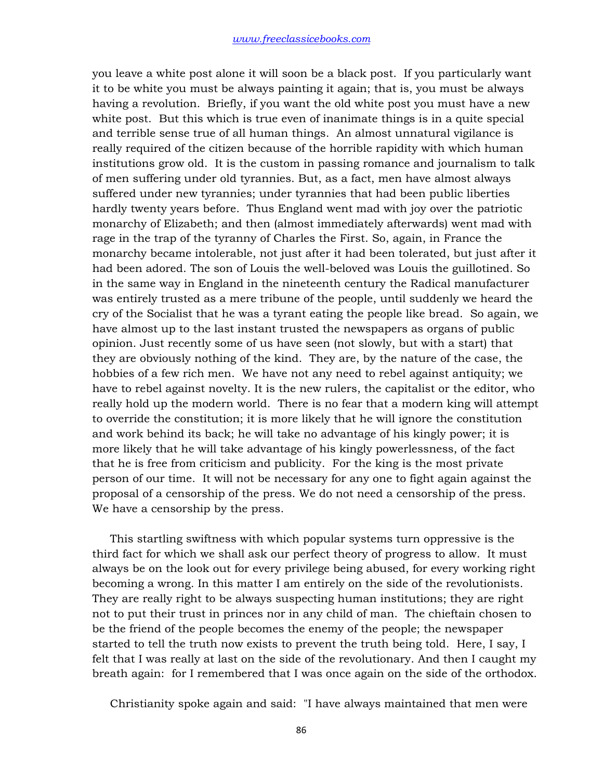you leave a white post alone it will soon be a black post. If you particularly want it to be white you must be always painting it again; that is, you must be always having a revolution. Briefly, if you want the old white post you must have a new white post. But this which is true even of inanimate things is in a quite special and terrible sense true of all human things. An almost unnatural vigilance is really required of the citizen because of the horrible rapidity with which human institutions grow old. It is the custom in passing romance and journalism to talk of men suffering under old tyrannies. But, as a fact, men have almost always suffered under new tyrannies; under tyrannies that had been public liberties hardly twenty years before. Thus England went mad with joy over the patriotic monarchy of Elizabeth; and then (almost immediately afterwards) went mad with rage in the trap of the tyranny of Charles the First. So, again, in France the monarchy became intolerable, not just after it had been tolerated, but just after it had been adored. The son of Louis the well-beloved was Louis the guillotined. So in the same way in England in the nineteenth century the Radical manufacturer was entirely trusted as a mere tribune of the people, until suddenly we heard the cry of the Socialist that he was a tyrant eating the people like bread. So again, we have almost up to the last instant trusted the newspapers as organs of public opinion. Just recently some of us have seen (not slowly, but with a start) that they are obviously nothing of the kind. They are, by the nature of the case, the hobbies of a few rich men. We have not any need to rebel against antiquity; we have to rebel against novelty. It is the new rulers, the capitalist or the editor, who really hold up the modern world. There is no fear that a modern king will attempt to override the constitution; it is more likely that he will ignore the constitution and work behind its back; he will take no advantage of his kingly power; it is more likely that he will take advantage of his kingly powerlessness, of the fact that he is free from criticism and publicity. For the king is the most private person of our time. It will not be necessary for any one to fight again against the proposal of a censorship of the press. We do not need a censorship of the press. We have a censorship by the press.

 This startling swiftness with which popular systems turn oppressive is the third fact for which we shall ask our perfect theory of progress to allow. It must always be on the look out for every privilege being abused, for every working right becoming a wrong. In this matter I am entirely on the side of the revolutionists. They are really right to be always suspecting human institutions; they are right not to put their trust in princes nor in any child of man. The chieftain chosen to be the friend of the people becomes the enemy of the people; the newspaper started to tell the truth now exists to prevent the truth being told. Here, I say, I felt that I was really at last on the side of the revolutionary. And then I caught my breath again: for I remembered that I was once again on the side of the orthodox.

Christianity spoke again and said: "I have always maintained that men were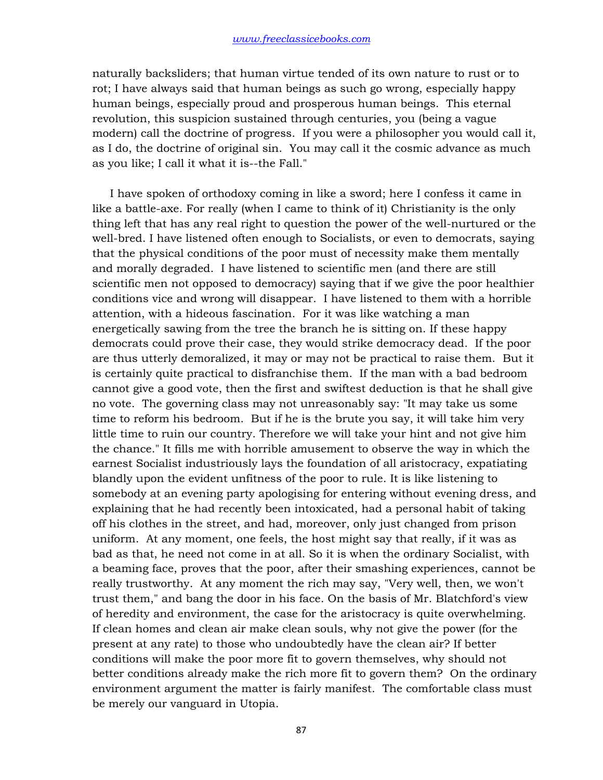naturally backsliders; that human virtue tended of its own nature to rust or to rot; I have always said that human beings as such go wrong, especially happy human beings, especially proud and prosperous human beings. This eternal revolution, this suspicion sustained through centuries, you (being a vague modern) call the doctrine of progress. If you were a philosopher you would call it, as I do, the doctrine of original sin. You may call it the cosmic advance as much as you like; I call it what it is--the Fall."

 I have spoken of orthodoxy coming in like a sword; here I confess it came in like a battle-axe. For really (when I came to think of it) Christianity is the only thing left that has any real right to question the power of the well-nurtured or the well-bred. I have listened often enough to Socialists, or even to democrats, saying that the physical conditions of the poor must of necessity make them mentally and morally degraded. I have listened to scientific men (and there are still scientific men not opposed to democracy) saying that if we give the poor healthier conditions vice and wrong will disappear. I have listened to them with a horrible attention, with a hideous fascination. For it was like watching a man energetically sawing from the tree the branch he is sitting on. If these happy democrats could prove their case, they would strike democracy dead. If the poor are thus utterly demoralized, it may or may not be practical to raise them. But it is certainly quite practical to disfranchise them. If the man with a bad bedroom cannot give a good vote, then the first and swiftest deduction is that he shall give no vote. The governing class may not unreasonably say: "It may take us some time to reform his bedroom. But if he is the brute you say, it will take him very little time to ruin our country. Therefore we will take your hint and not give him the chance." It fills me with horrible amusement to observe the way in which the earnest Socialist industriously lays the foundation of all aristocracy, expatiating blandly upon the evident unfitness of the poor to rule. It is like listening to somebody at an evening party apologising for entering without evening dress, and explaining that he had recently been intoxicated, had a personal habit of taking off his clothes in the street, and had, moreover, only just changed from prison uniform. At any moment, one feels, the host might say that really, if it was as bad as that, he need not come in at all. So it is when the ordinary Socialist, with a beaming face, proves that the poor, after their smashing experiences, cannot be really trustworthy. At any moment the rich may say, "Very well, then, we won't trust them," and bang the door in his face. On the basis of Mr. Blatchford's view of heredity and environment, the case for the aristocracy is quite overwhelming. If clean homes and clean air make clean souls, why not give the power (for the present at any rate) to those who undoubtedly have the clean air? If better conditions will make the poor more fit to govern themselves, why should not better conditions already make the rich more fit to govern them? On the ordinary environment argument the matter is fairly manifest. The comfortable class must be merely our vanguard in Utopia.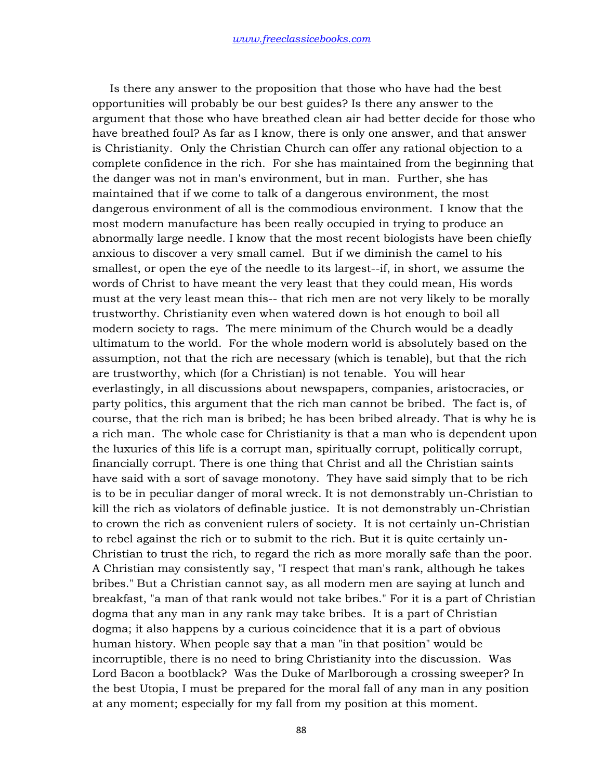Is there any answer to the proposition that those who have had the best opportunities will probably be our best guides? Is there any answer to the argument that those who have breathed clean air had better decide for those who have breathed foul? As far as I know, there is only one answer, and that answer is Christianity. Only the Christian Church can offer any rational objection to a complete confidence in the rich. For she has maintained from the beginning that the danger was not in man's environment, but in man. Further, she has maintained that if we come to talk of a dangerous environment, the most dangerous environment of all is the commodious environment. I know that the most modern manufacture has been really occupied in trying to produce an abnormally large needle. I know that the most recent biologists have been chiefly anxious to discover a very small camel. But if we diminish the camel to his smallest, or open the eye of the needle to its largest--if, in short, we assume the words of Christ to have meant the very least that they could mean, His words must at the very least mean this-- that rich men are not very likely to be morally trustworthy. Christianity even when watered down is hot enough to boil all modern society to rags. The mere minimum of the Church would be a deadly ultimatum to the world. For the whole modern world is absolutely based on the assumption, not that the rich are necessary (which is tenable), but that the rich are trustworthy, which (for a Christian) is not tenable. You will hear everlastingly, in all discussions about newspapers, companies, aristocracies, or party politics, this argument that the rich man cannot be bribed. The fact is, of course, that the rich man is bribed; he has been bribed already. That is why he is a rich man. The whole case for Christianity is that a man who is dependent upon the luxuries of this life is a corrupt man, spiritually corrupt, politically corrupt, financially corrupt. There is one thing that Christ and all the Christian saints have said with a sort of savage monotony. They have said simply that to be rich is to be in peculiar danger of moral wreck. It is not demonstrably un-Christian to kill the rich as violators of definable justice. It is not demonstrably un-Christian to crown the rich as convenient rulers of society. It is not certainly un-Christian to rebel against the rich or to submit to the rich. But it is quite certainly un-Christian to trust the rich, to regard the rich as more morally safe than the poor. A Christian may consistently say, "I respect that man's rank, although he takes bribes." But a Christian cannot say, as all modern men are saying at lunch and breakfast, "a man of that rank would not take bribes." For it is a part of Christian dogma that any man in any rank may take bribes. It is a part of Christian dogma; it also happens by a curious coincidence that it is a part of obvious human history. When people say that a man "in that position" would be incorruptible, there is no need to bring Christianity into the discussion. Was Lord Bacon a bootblack? Was the Duke of Marlborough a crossing sweeper? In the best Utopia, I must be prepared for the moral fall of any man in any position at any moment; especially for my fall from my position at this moment.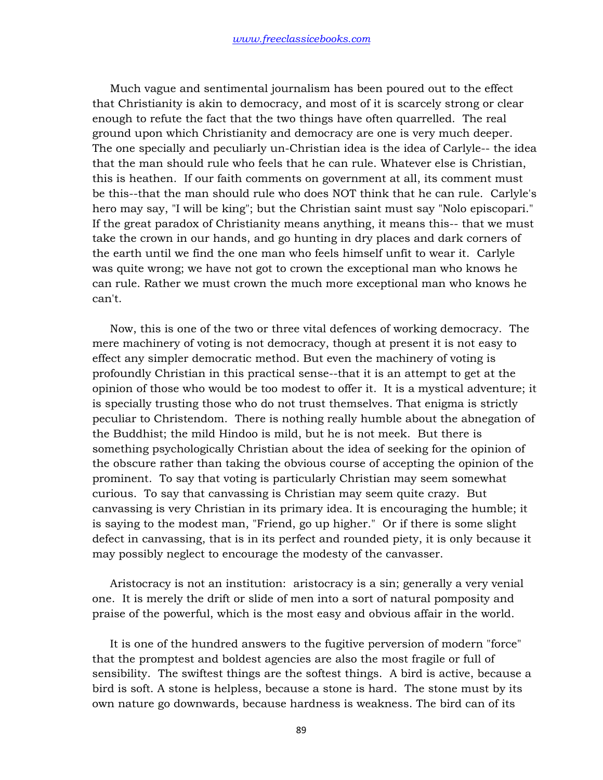Much vague and sentimental journalism has been poured out to the effect that Christianity is akin to democracy, and most of it is scarcely strong or clear enough to refute the fact that the two things have often quarrelled. The real ground upon which Christianity and democracy are one is very much deeper. The one specially and peculiarly un-Christian idea is the idea of Carlyle-- the idea that the man should rule who feels that he can rule. Whatever else is Christian, this is heathen. If our faith comments on government at all, its comment must be this--that the man should rule who does NOT think that he can rule. Carlyle's hero may say, "I will be king"; but the Christian saint must say "Nolo episcopari." If the great paradox of Christianity means anything, it means this-- that we must take the crown in our hands, and go hunting in dry places and dark corners of the earth until we find the one man who feels himself unfit to wear it. Carlyle was quite wrong; we have not got to crown the exceptional man who knows he can rule. Rather we must crown the much more exceptional man who knows he can't.

 Now, this is one of the two or three vital defences of working democracy. The mere machinery of voting is not democracy, though at present it is not easy to effect any simpler democratic method. But even the machinery of voting is profoundly Christian in this practical sense--that it is an attempt to get at the opinion of those who would be too modest to offer it. It is a mystical adventure; it is specially trusting those who do not trust themselves. That enigma is strictly peculiar to Christendom. There is nothing really humble about the abnegation of the Buddhist; the mild Hindoo is mild, but he is not meek. But there is something psychologically Christian about the idea of seeking for the opinion of the obscure rather than taking the obvious course of accepting the opinion of the prominent. To say that voting is particularly Christian may seem somewhat curious. To say that canvassing is Christian may seem quite crazy. But canvassing is very Christian in its primary idea. It is encouraging the humble; it is saying to the modest man, "Friend, go up higher." Or if there is some slight defect in canvassing, that is in its perfect and rounded piety, it is only because it may possibly neglect to encourage the modesty of the canvasser.

 Aristocracy is not an institution: aristocracy is a sin; generally a very venial one. It is merely the drift or slide of men into a sort of natural pomposity and praise of the powerful, which is the most easy and obvious affair in the world.

 It is one of the hundred answers to the fugitive perversion of modern "force" that the promptest and boldest agencies are also the most fragile or full of sensibility. The swiftest things are the softest things. A bird is active, because a bird is soft. A stone is helpless, because a stone is hard. The stone must by its own nature go downwards, because hardness is weakness. The bird can of its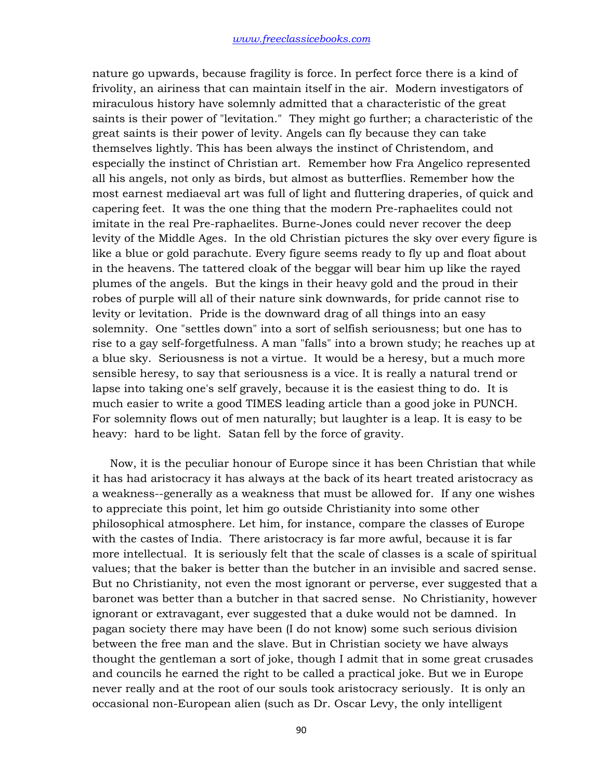nature go upwards, because fragility is force. In perfect force there is a kind of frivolity, an airiness that can maintain itself in the air. Modern investigators of miraculous history have solemnly admitted that a characteristic of the great saints is their power of "levitation." They might go further; a characteristic of the great saints is their power of levity. Angels can fly because they can take themselves lightly. This has been always the instinct of Christendom, and especially the instinct of Christian art. Remember how Fra Angelico represented all his angels, not only as birds, but almost as butterflies. Remember how the most earnest mediaeval art was full of light and fluttering draperies, of quick and capering feet. It was the one thing that the modern Pre-raphaelites could not imitate in the real Pre-raphaelites. Burne-Jones could never recover the deep levity of the Middle Ages. In the old Christian pictures the sky over every figure is like a blue or gold parachute. Every figure seems ready to fly up and float about in the heavens. The tattered cloak of the beggar will bear him up like the rayed plumes of the angels. But the kings in their heavy gold and the proud in their robes of purple will all of their nature sink downwards, for pride cannot rise to levity or levitation. Pride is the downward drag of all things into an easy solemnity. One "settles down" into a sort of selfish seriousness; but one has to rise to a gay self-forgetfulness. A man "falls" into a brown study; he reaches up at a blue sky. Seriousness is not a virtue. It would be a heresy, but a much more sensible heresy, to say that seriousness is a vice. It is really a natural trend or lapse into taking one's self gravely, because it is the easiest thing to do. It is much easier to write a good TIMES leading article than a good joke in PUNCH. For solemnity flows out of men naturally; but laughter is a leap. It is easy to be heavy: hard to be light. Satan fell by the force of gravity.

 Now, it is the peculiar honour of Europe since it has been Christian that while it has had aristocracy it has always at the back of its heart treated aristocracy as a weakness--generally as a weakness that must be allowed for. If any one wishes to appreciate this point, let him go outside Christianity into some other philosophical atmosphere. Let him, for instance, compare the classes of Europe with the castes of India. There aristocracy is far more awful, because it is far more intellectual. It is seriously felt that the scale of classes is a scale of spiritual values; that the baker is better than the butcher in an invisible and sacred sense. But no Christianity, not even the most ignorant or perverse, ever suggested that a baronet was better than a butcher in that sacred sense. No Christianity, however ignorant or extravagant, ever suggested that a duke would not be damned. In pagan society there may have been (I do not know) some such serious division between the free man and the slave. But in Christian society we have always thought the gentleman a sort of joke, though I admit that in some great crusades and councils he earned the right to be called a practical joke. But we in Europe never really and at the root of our souls took aristocracy seriously. It is only an occasional non-European alien (such as Dr. Oscar Levy, the only intelligent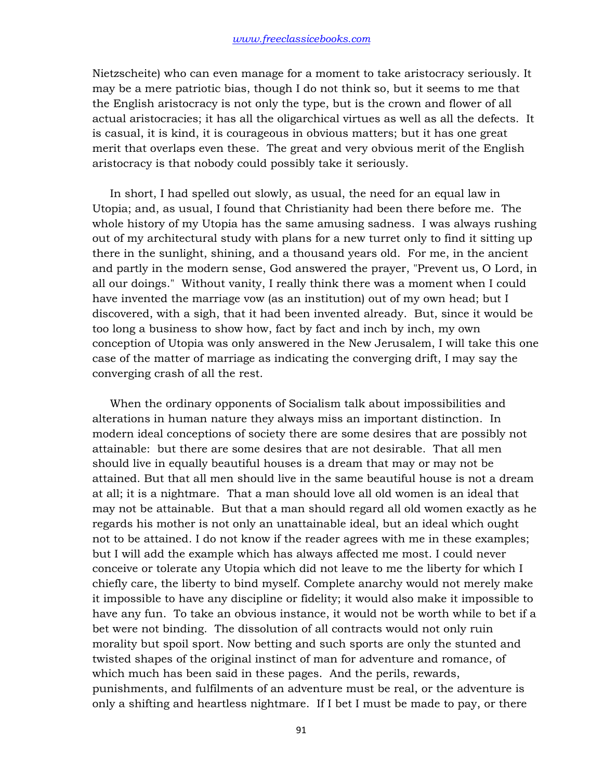Nietzscheite) who can even manage for a moment to take aristocracy seriously. It may be a mere patriotic bias, though I do not think so, but it seems to me that the English aristocracy is not only the type, but is the crown and flower of all actual aristocracies; it has all the oligarchical virtues as well as all the defects. It is casual, it is kind, it is courageous in obvious matters; but it has one great merit that overlaps even these. The great and very obvious merit of the English aristocracy is that nobody could possibly take it seriously.

 In short, I had spelled out slowly, as usual, the need for an equal law in Utopia; and, as usual, I found that Christianity had been there before me. The whole history of my Utopia has the same amusing sadness. I was always rushing out of my architectural study with plans for a new turret only to find it sitting up there in the sunlight, shining, and a thousand years old. For me, in the ancient and partly in the modern sense, God answered the prayer, "Prevent us, O Lord, in all our doings." Without vanity, I really think there was a moment when I could have invented the marriage vow (as an institution) out of my own head; but I discovered, with a sigh, that it had been invented already. But, since it would be too long a business to show how, fact by fact and inch by inch, my own conception of Utopia was only answered in the New Jerusalem, I will take this one case of the matter of marriage as indicating the converging drift, I may say the converging crash of all the rest.

 When the ordinary opponents of Socialism talk about impossibilities and alterations in human nature they always miss an important distinction. In modern ideal conceptions of society there are some desires that are possibly not attainable: but there are some desires that are not desirable. That all men should live in equally beautiful houses is a dream that may or may not be attained. But that all men should live in the same beautiful house is not a dream at all; it is a nightmare. That a man should love all old women is an ideal that may not be attainable. But that a man should regard all old women exactly as he regards his mother is not only an unattainable ideal, but an ideal which ought not to be attained. I do not know if the reader agrees with me in these examples; but I will add the example which has always affected me most. I could never conceive or tolerate any Utopia which did not leave to me the liberty for which I chiefly care, the liberty to bind myself. Complete anarchy would not merely make it impossible to have any discipline or fidelity; it would also make it impossible to have any fun. To take an obvious instance, it would not be worth while to bet if a bet were not binding. The dissolution of all contracts would not only ruin morality but spoil sport. Now betting and such sports are only the stunted and twisted shapes of the original instinct of man for adventure and romance, of which much has been said in these pages. And the perils, rewards, punishments, and fulfilments of an adventure must be real, or the adventure is only a shifting and heartless nightmare. If I bet I must be made to pay, or there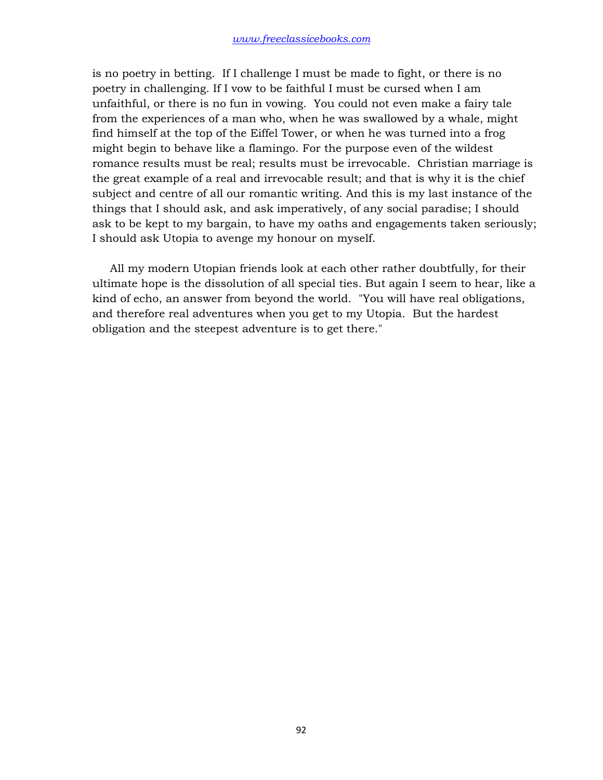is no poetry in betting. If I challenge I must be made to fight, or there is no poetry in challenging. If I vow to be faithful I must be cursed when I am unfaithful, or there is no fun in vowing. You could not even make a fairy tale from the experiences of a man who, when he was swallowed by a whale, might find himself at the top of the Eiffel Tower, or when he was turned into a frog might begin to behave like a flamingo. For the purpose even of the wildest romance results must be real; results must be irrevocable. Christian marriage is the great example of a real and irrevocable result; and that is why it is the chief subject and centre of all our romantic writing. And this is my last instance of the things that I should ask, and ask imperatively, of any social paradise; I should ask to be kept to my bargain, to have my oaths and engagements taken seriously; I should ask Utopia to avenge my honour on myself.

 All my modern Utopian friends look at each other rather doubtfully, for their ultimate hope is the dissolution of all special ties. But again I seem to hear, like a kind of echo, an answer from beyond the world. "You will have real obligations, and therefore real adventures when you get to my Utopia. But the hardest obligation and the steepest adventure is to get there."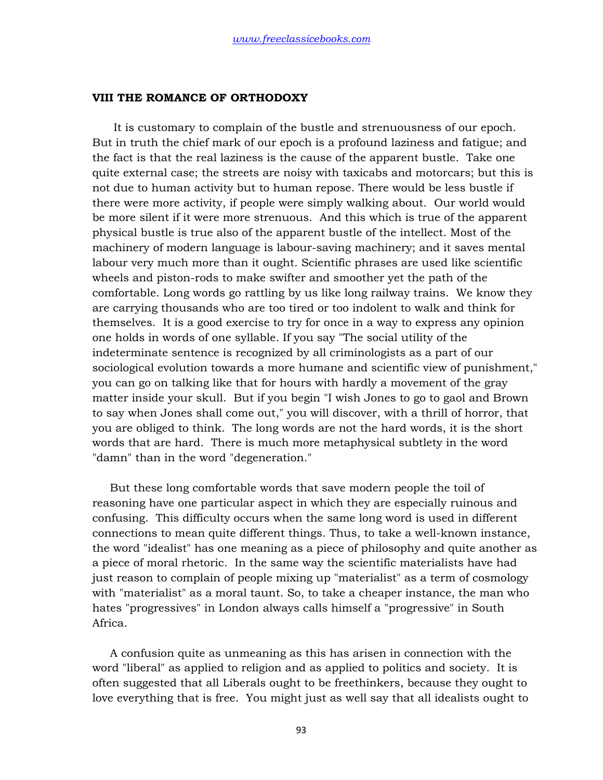## **VIII THE ROMANCE OF ORTHODOXY**

 It is customary to complain of the bustle and strenuousness of our epoch. But in truth the chief mark of our epoch is a profound laziness and fatigue; and the fact is that the real laziness is the cause of the apparent bustle. Take one quite external case; the streets are noisy with taxicabs and motorcars; but this is not due to human activity but to human repose. There would be less bustle if there were more activity, if people were simply walking about. Our world would be more silent if it were more strenuous. And this which is true of the apparent physical bustle is true also of the apparent bustle of the intellect. Most of the machinery of modern language is labour-saving machinery; and it saves mental labour very much more than it ought. Scientific phrases are used like scientific wheels and piston-rods to make swifter and smoother yet the path of the comfortable. Long words go rattling by us like long railway trains. We know they are carrying thousands who are too tired or too indolent to walk and think for themselves. It is a good exercise to try for once in a way to express any opinion one holds in words of one syllable. If you say "The social utility of the indeterminate sentence is recognized by all criminologists as a part of our sociological evolution towards a more humane and scientific view of punishment," you can go on talking like that for hours with hardly a movement of the gray matter inside your skull. But if you begin "I wish Jones to go to gaol and Brown to say when Jones shall come out," you will discover, with a thrill of horror, that you are obliged to think. The long words are not the hard words, it is the short words that are hard. There is much more metaphysical subtlety in the word "damn" than in the word "degeneration."

 But these long comfortable words that save modern people the toil of reasoning have one particular aspect in which they are especially ruinous and confusing. This difficulty occurs when the same long word is used in different connections to mean quite different things. Thus, to take a well-known instance, the word "idealist" has one meaning as a piece of philosophy and quite another as a piece of moral rhetoric. In the same way the scientific materialists have had just reason to complain of people mixing up "materialist" as a term of cosmology with "materialist" as a moral taunt. So, to take a cheaper instance, the man who hates "progressives" in London always calls himself a "progressive" in South Africa.

 A confusion quite as unmeaning as this has arisen in connection with the word "liberal" as applied to religion and as applied to politics and society. It is often suggested that all Liberals ought to be freethinkers, because they ought to love everything that is free. You might just as well say that all idealists ought to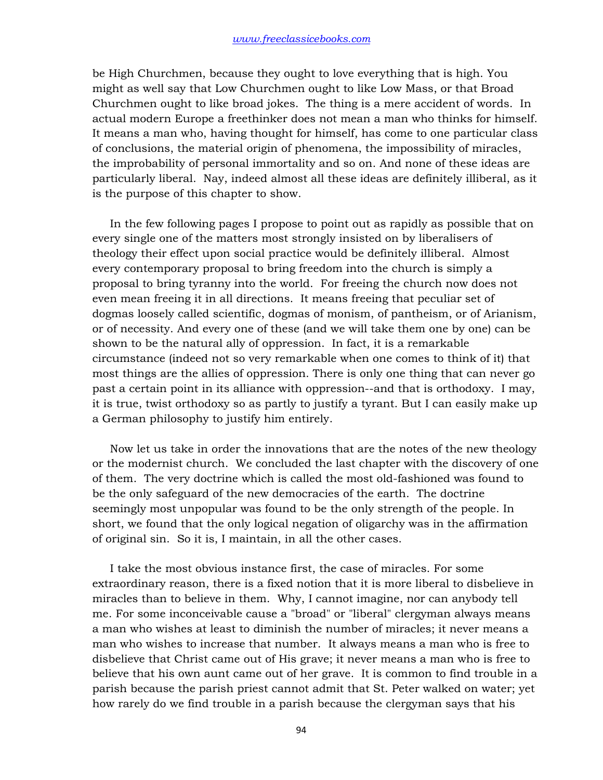be High Churchmen, because they ought to love everything that is high. You might as well say that Low Churchmen ought to like Low Mass, or that Broad Churchmen ought to like broad jokes. The thing is a mere accident of words. In actual modern Europe a freethinker does not mean a man who thinks for himself. It means a man who, having thought for himself, has come to one particular class of conclusions, the material origin of phenomena, the impossibility of miracles, the improbability of personal immortality and so on. And none of these ideas are particularly liberal. Nay, indeed almost all these ideas are definitely illiberal, as it is the purpose of this chapter to show.

 In the few following pages I propose to point out as rapidly as possible that on every single one of the matters most strongly insisted on by liberalisers of theology their effect upon social practice would be definitely illiberal. Almost every contemporary proposal to bring freedom into the church is simply a proposal to bring tyranny into the world. For freeing the church now does not even mean freeing it in all directions. It means freeing that peculiar set of dogmas loosely called scientific, dogmas of monism, of pantheism, or of Arianism, or of necessity. And every one of these (and we will take them one by one) can be shown to be the natural ally of oppression. In fact, it is a remarkable circumstance (indeed not so very remarkable when one comes to think of it) that most things are the allies of oppression. There is only one thing that can never go past a certain point in its alliance with oppression--and that is orthodoxy. I may, it is true, twist orthodoxy so as partly to justify a tyrant. But I can easily make up a German philosophy to justify him entirely.

 Now let us take in order the innovations that are the notes of the new theology or the modernist church. We concluded the last chapter with the discovery of one of them. The very doctrine which is called the most old-fashioned was found to be the only safeguard of the new democracies of the earth. The doctrine seemingly most unpopular was found to be the only strength of the people. In short, we found that the only logical negation of oligarchy was in the affirmation of original sin. So it is, I maintain, in all the other cases.

 I take the most obvious instance first, the case of miracles. For some extraordinary reason, there is a fixed notion that it is more liberal to disbelieve in miracles than to believe in them. Why, I cannot imagine, nor can anybody tell me. For some inconceivable cause a "broad" or "liberal" clergyman always means a man who wishes at least to diminish the number of miracles; it never means a man who wishes to increase that number. It always means a man who is free to disbelieve that Christ came out of His grave; it never means a man who is free to believe that his own aunt came out of her grave. It is common to find trouble in a parish because the parish priest cannot admit that St. Peter walked on water; yet how rarely do we find trouble in a parish because the clergyman says that his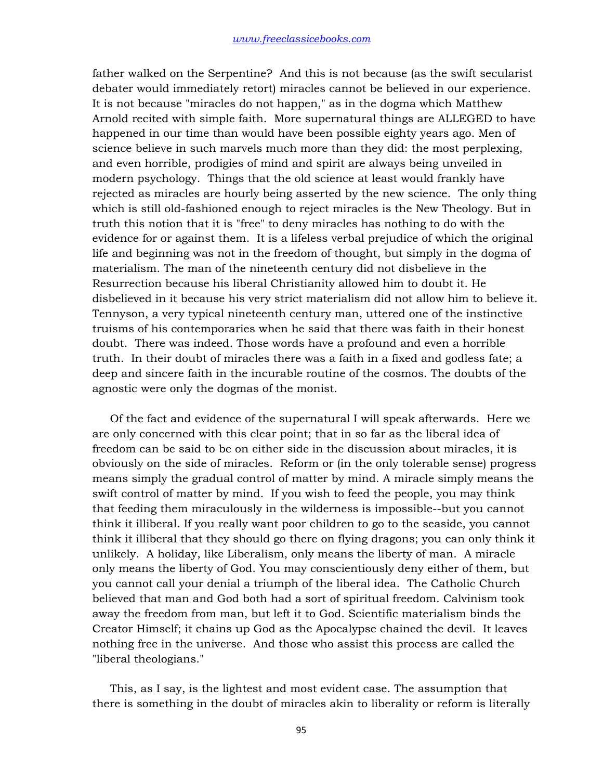father walked on the Serpentine? And this is not because (as the swift secularist debater would immediately retort) miracles cannot be believed in our experience. It is not because "miracles do not happen," as in the dogma which Matthew Arnold recited with simple faith. More supernatural things are ALLEGED to have happened in our time than would have been possible eighty years ago. Men of science believe in such marvels much more than they did: the most perplexing, and even horrible, prodigies of mind and spirit are always being unveiled in modern psychology. Things that the old science at least would frankly have rejected as miracles are hourly being asserted by the new science. The only thing which is still old-fashioned enough to reject miracles is the New Theology. But in truth this notion that it is "free" to deny miracles has nothing to do with the evidence for or against them. It is a lifeless verbal prejudice of which the original life and beginning was not in the freedom of thought, but simply in the dogma of materialism. The man of the nineteenth century did not disbelieve in the Resurrection because his liberal Christianity allowed him to doubt it. He disbelieved in it because his very strict materialism did not allow him to believe it. Tennyson, a very typical nineteenth century man, uttered one of the instinctive truisms of his contemporaries when he said that there was faith in their honest doubt. There was indeed. Those words have a profound and even a horrible truth. In their doubt of miracles there was a faith in a fixed and godless fate; a deep and sincere faith in the incurable routine of the cosmos. The doubts of the agnostic were only the dogmas of the monist.

 Of the fact and evidence of the supernatural I will speak afterwards. Here we are only concerned with this clear point; that in so far as the liberal idea of freedom can be said to be on either side in the discussion about miracles, it is obviously on the side of miracles. Reform or (in the only tolerable sense) progress means simply the gradual control of matter by mind. A miracle simply means the swift control of matter by mind. If you wish to feed the people, you may think that feeding them miraculously in the wilderness is impossible--but you cannot think it illiberal. If you really want poor children to go to the seaside, you cannot think it illiberal that they should go there on flying dragons; you can only think it unlikely. A holiday, like Liberalism, only means the liberty of man. A miracle only means the liberty of God. You may conscientiously deny either of them, but you cannot call your denial a triumph of the liberal idea. The Catholic Church believed that man and God both had a sort of spiritual freedom. Calvinism took away the freedom from man, but left it to God. Scientific materialism binds the Creator Himself; it chains up God as the Apocalypse chained the devil. It leaves nothing free in the universe. And those who assist this process are called the "liberal theologians."

 This, as I say, is the lightest and most evident case. The assumption that there is something in the doubt of miracles akin to liberality or reform is literally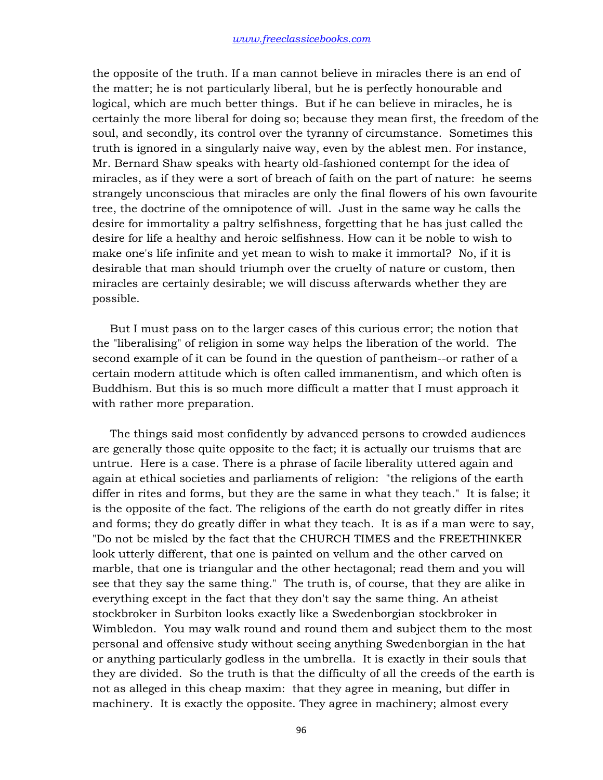the opposite of the truth. If a man cannot believe in miracles there is an end of the matter; he is not particularly liberal, but he is perfectly honourable and logical, which are much better things. But if he can believe in miracles, he is certainly the more liberal for doing so; because they mean first, the freedom of the soul, and secondly, its control over the tyranny of circumstance. Sometimes this truth is ignored in a singularly naive way, even by the ablest men. For instance, Mr. Bernard Shaw speaks with hearty old-fashioned contempt for the idea of miracles, as if they were a sort of breach of faith on the part of nature: he seems strangely unconscious that miracles are only the final flowers of his own favourite tree, the doctrine of the omnipotence of will. Just in the same way he calls the desire for immortality a paltry selfishness, forgetting that he has just called the desire for life a healthy and heroic selfishness. How can it be noble to wish to make one's life infinite and yet mean to wish to make it immortal? No, if it is desirable that man should triumph over the cruelty of nature or custom, then miracles are certainly desirable; we will discuss afterwards whether they are possible.

 But I must pass on to the larger cases of this curious error; the notion that the "liberalising" of religion in some way helps the liberation of the world. The second example of it can be found in the question of pantheism--or rather of a certain modern attitude which is often called immanentism, and which often is Buddhism. But this is so much more difficult a matter that I must approach it with rather more preparation.

 The things said most confidently by advanced persons to crowded audiences are generally those quite opposite to the fact; it is actually our truisms that are untrue. Here is a case. There is a phrase of facile liberality uttered again and again at ethical societies and parliaments of religion: "the religions of the earth differ in rites and forms, but they are the same in what they teach." It is false; it is the opposite of the fact. The religions of the earth do not greatly differ in rites and forms; they do greatly differ in what they teach. It is as if a man were to say, "Do not be misled by the fact that the CHURCH TIMES and the FREETHINKER look utterly different, that one is painted on vellum and the other carved on marble, that one is triangular and the other hectagonal; read them and you will see that they say the same thing." The truth is, of course, that they are alike in everything except in the fact that they don't say the same thing. An atheist stockbroker in Surbiton looks exactly like a Swedenborgian stockbroker in Wimbledon. You may walk round and round them and subject them to the most personal and offensive study without seeing anything Swedenborgian in the hat or anything particularly godless in the umbrella. It is exactly in their souls that they are divided. So the truth is that the difficulty of all the creeds of the earth is not as alleged in this cheap maxim: that they agree in meaning, but differ in machinery. It is exactly the opposite. They agree in machinery; almost every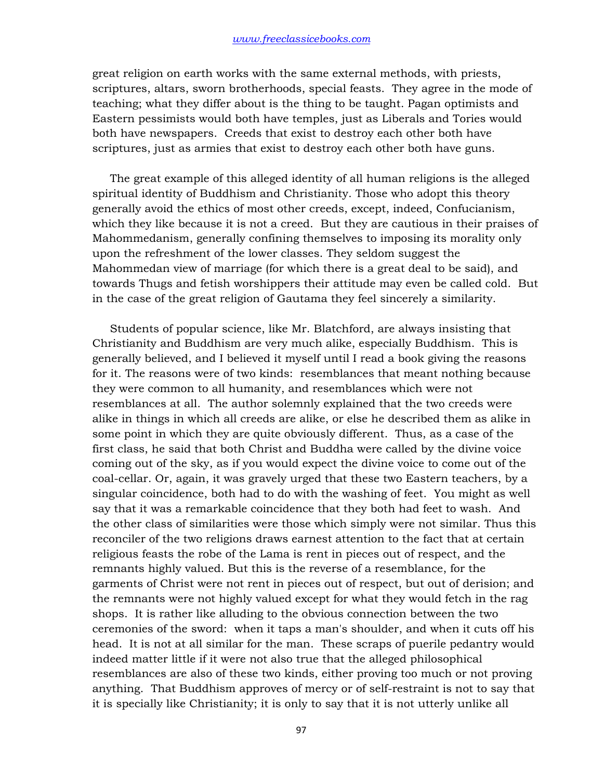great religion on earth works with the same external methods, with priests, scriptures, altars, sworn brotherhoods, special feasts. They agree in the mode of teaching; what they differ about is the thing to be taught. Pagan optimists and Eastern pessimists would both have temples, just as Liberals and Tories would both have newspapers. Creeds that exist to destroy each other both have scriptures, just as armies that exist to destroy each other both have guns.

 The great example of this alleged identity of all human religions is the alleged spiritual identity of Buddhism and Christianity. Those who adopt this theory generally avoid the ethics of most other creeds, except, indeed, Confucianism, which they like because it is not a creed. But they are cautious in their praises of Mahommedanism, generally confining themselves to imposing its morality only upon the refreshment of the lower classes. They seldom suggest the Mahommedan view of marriage (for which there is a great deal to be said), and towards Thugs and fetish worshippers their attitude may even be called cold. But in the case of the great religion of Gautama they feel sincerely a similarity.

 Students of popular science, like Mr. Blatchford, are always insisting that Christianity and Buddhism are very much alike, especially Buddhism. This is generally believed, and I believed it myself until I read a book giving the reasons for it. The reasons were of two kinds: resemblances that meant nothing because they were common to all humanity, and resemblances which were not resemblances at all. The author solemnly explained that the two creeds were alike in things in which all creeds are alike, or else he described them as alike in some point in which they are quite obviously different. Thus, as a case of the first class, he said that both Christ and Buddha were called by the divine voice coming out of the sky, as if you would expect the divine voice to come out of the coal-cellar. Or, again, it was gravely urged that these two Eastern teachers, by a singular coincidence, both had to do with the washing of feet. You might as well say that it was a remarkable coincidence that they both had feet to wash. And the other class of similarities were those which simply were not similar. Thus this reconciler of the two religions draws earnest attention to the fact that at certain religious feasts the robe of the Lama is rent in pieces out of respect, and the remnants highly valued. But this is the reverse of a resemblance, for the garments of Christ were not rent in pieces out of respect, but out of derision; and the remnants were not highly valued except for what they would fetch in the rag shops. It is rather like alluding to the obvious connection between the two ceremonies of the sword: when it taps a man's shoulder, and when it cuts off his head. It is not at all similar for the man. These scraps of puerile pedantry would indeed matter little if it were not also true that the alleged philosophical resemblances are also of these two kinds, either proving too much or not proving anything. That Buddhism approves of mercy or of self-restraint is not to say that it is specially like Christianity; it is only to say that it is not utterly unlike all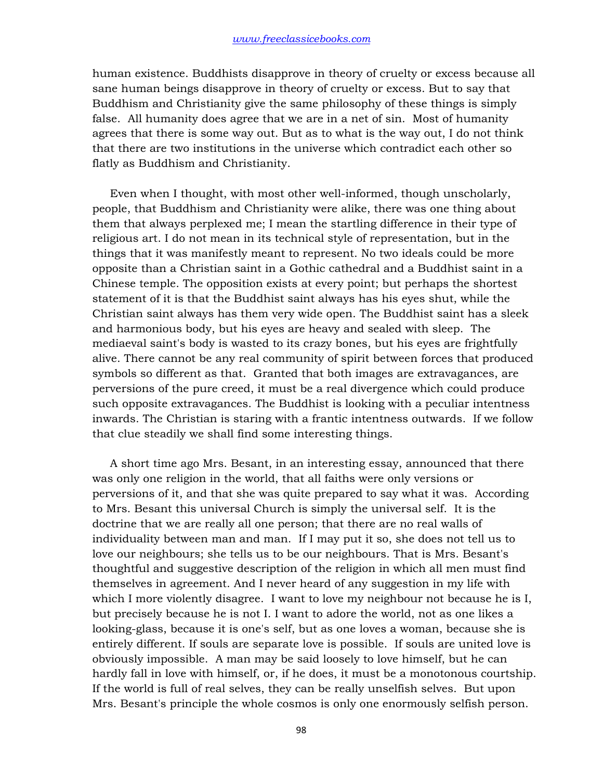human existence. Buddhists disapprove in theory of cruelty or excess because all sane human beings disapprove in theory of cruelty or excess. But to say that Buddhism and Christianity give the same philosophy of these things is simply false. All humanity does agree that we are in a net of sin. Most of humanity agrees that there is some way out. But as to what is the way out, I do not think that there are two institutions in the universe which contradict each other so flatly as Buddhism and Christianity.

 Even when I thought, with most other well-informed, though unscholarly, people, that Buddhism and Christianity were alike, there was one thing about them that always perplexed me; I mean the startling difference in their type of religious art. I do not mean in its technical style of representation, but in the things that it was manifestly meant to represent. No two ideals could be more opposite than a Christian saint in a Gothic cathedral and a Buddhist saint in a Chinese temple. The opposition exists at every point; but perhaps the shortest statement of it is that the Buddhist saint always has his eyes shut, while the Christian saint always has them very wide open. The Buddhist saint has a sleek and harmonious body, but his eyes are heavy and sealed with sleep. The mediaeval saint's body is wasted to its crazy bones, but his eyes are frightfully alive. There cannot be any real community of spirit between forces that produced symbols so different as that. Granted that both images are extravagances, are perversions of the pure creed, it must be a real divergence which could produce such opposite extravagances. The Buddhist is looking with a peculiar intentness inwards. The Christian is staring with a frantic intentness outwards. If we follow that clue steadily we shall find some interesting things.

 A short time ago Mrs. Besant, in an interesting essay, announced that there was only one religion in the world, that all faiths were only versions or perversions of it, and that she was quite prepared to say what it was. According to Mrs. Besant this universal Church is simply the universal self. It is the doctrine that we are really all one person; that there are no real walls of individuality between man and man. If I may put it so, she does not tell us to love our neighbours; she tells us to be our neighbours. That is Mrs. Besant's thoughtful and suggestive description of the religion in which all men must find themselves in agreement. And I never heard of any suggestion in my life with which I more violently disagree. I want to love my neighbour not because he is I, but precisely because he is not I. I want to adore the world, not as one likes a looking-glass, because it is one's self, but as one loves a woman, because she is entirely different. If souls are separate love is possible. If souls are united love is obviously impossible. A man may be said loosely to love himself, but he can hardly fall in love with himself, or, if he does, it must be a monotonous courtship. If the world is full of real selves, they can be really unselfish selves. But upon Mrs. Besant's principle the whole cosmos is only one enormously selfish person.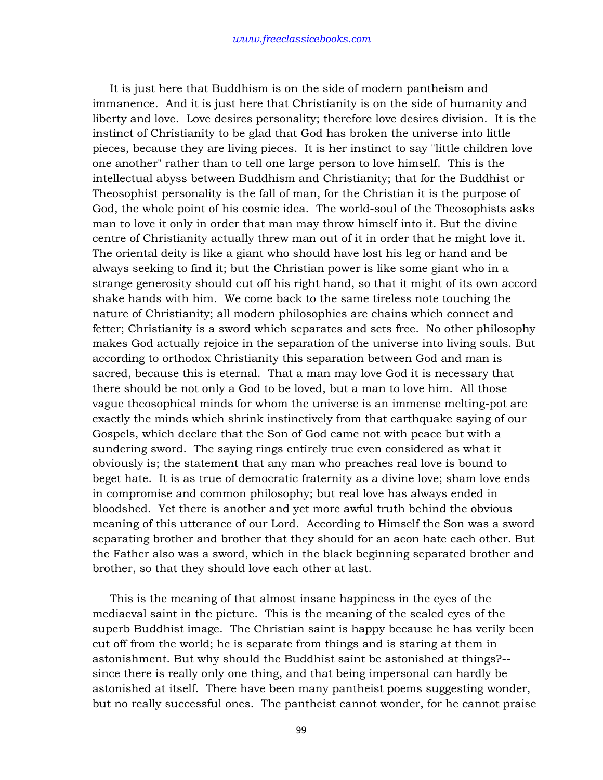It is just here that Buddhism is on the side of modern pantheism and immanence. And it is just here that Christianity is on the side of humanity and liberty and love. Love desires personality; therefore love desires division. It is the instinct of Christianity to be glad that God has broken the universe into little pieces, because they are living pieces. It is her instinct to say "little children love one another" rather than to tell one large person to love himself. This is the intellectual abyss between Buddhism and Christianity; that for the Buddhist or Theosophist personality is the fall of man, for the Christian it is the purpose of God, the whole point of his cosmic idea. The world-soul of the Theosophists asks man to love it only in order that man may throw himself into it. But the divine centre of Christianity actually threw man out of it in order that he might love it. The oriental deity is like a giant who should have lost his leg or hand and be always seeking to find it; but the Christian power is like some giant who in a strange generosity should cut off his right hand, so that it might of its own accord shake hands with him. We come back to the same tireless note touching the nature of Christianity; all modern philosophies are chains which connect and fetter; Christianity is a sword which separates and sets free. No other philosophy makes God actually rejoice in the separation of the universe into living souls. But according to orthodox Christianity this separation between God and man is sacred, because this is eternal. That a man may love God it is necessary that there should be not only a God to be loved, but a man to love him. All those vague theosophical minds for whom the universe is an immense melting-pot are exactly the minds which shrink instinctively from that earthquake saying of our Gospels, which declare that the Son of God came not with peace but with a sundering sword. The saying rings entirely true even considered as what it obviously is; the statement that any man who preaches real love is bound to beget hate. It is as true of democratic fraternity as a divine love; sham love ends in compromise and common philosophy; but real love has always ended in bloodshed. Yet there is another and yet more awful truth behind the obvious meaning of this utterance of our Lord. According to Himself the Son was a sword separating brother and brother that they should for an aeon hate each other. But the Father also was a sword, which in the black beginning separated brother and brother, so that they should love each other at last.

 This is the meaning of that almost insane happiness in the eyes of the mediaeval saint in the picture. This is the meaning of the sealed eyes of the superb Buddhist image. The Christian saint is happy because he has verily been cut off from the world; he is separate from things and is staring at them in astonishment. But why should the Buddhist saint be astonished at things?- since there is really only one thing, and that being impersonal can hardly be astonished at itself. There have been many pantheist poems suggesting wonder, but no really successful ones. The pantheist cannot wonder, for he cannot praise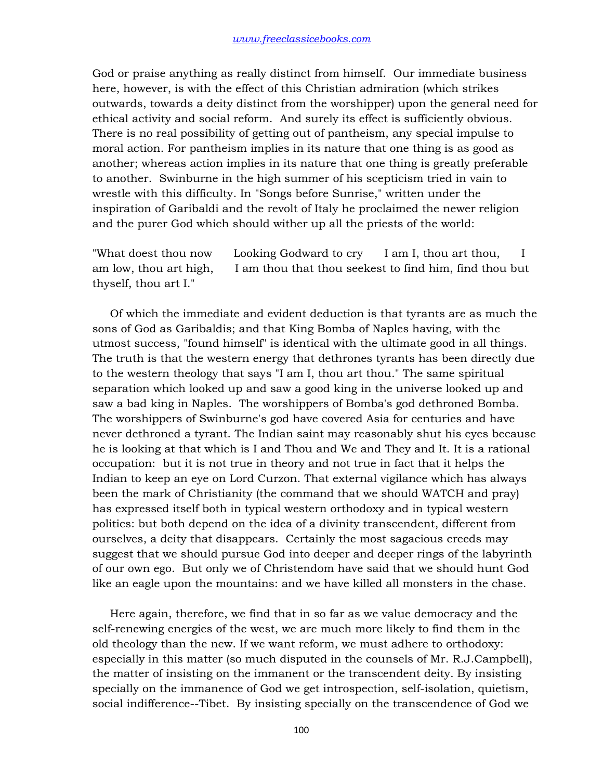God or praise anything as really distinct from himself. Our immediate business here, however, is with the effect of this Christian admiration (which strikes outwards, towards a deity distinct from the worshipper) upon the general need for ethical activity and social reform. And surely its effect is sufficiently obvious. There is no real possibility of getting out of pantheism, any special impulse to moral action. For pantheism implies in its nature that one thing is as good as another; whereas action implies in its nature that one thing is greatly preferable to another. Swinburne in the high summer of his scepticism tried in vain to wrestle with this difficulty. In "Songs before Sunrise," written under the inspiration of Garibaldi and the revolt of Italy he proclaimed the newer religion and the purer God which should wither up all the priests of the world:

"What doest thou now Looking Godward to cry I am I, thou art thou, I am low, thou art high, I am thou that thou seekest to find him, find thou but thyself, thou art I."

 Of which the immediate and evident deduction is that tyrants are as much the sons of God as Garibaldis; and that King Bomba of Naples having, with the utmost success, "found himself" is identical with the ultimate good in all things. The truth is that the western energy that dethrones tyrants has been directly due to the western theology that says "I am I, thou art thou." The same spiritual separation which looked up and saw a good king in the universe looked up and saw a bad king in Naples. The worshippers of Bomba's god dethroned Bomba. The worshippers of Swinburne's god have covered Asia for centuries and have never dethroned a tyrant. The Indian saint may reasonably shut his eyes because he is looking at that which is I and Thou and We and They and It. It is a rational occupation: but it is not true in theory and not true in fact that it helps the Indian to keep an eye on Lord Curzon. That external vigilance which has always been the mark of Christianity (the command that we should WATCH and pray) has expressed itself both in typical western orthodoxy and in typical western politics: but both depend on the idea of a divinity transcendent, different from ourselves, a deity that disappears. Certainly the most sagacious creeds may suggest that we should pursue God into deeper and deeper rings of the labyrinth of our own ego. But only we of Christendom have said that we should hunt God like an eagle upon the mountains: and we have killed all monsters in the chase.

 Here again, therefore, we find that in so far as we value democracy and the self-renewing energies of the west, we are much more likely to find them in the old theology than the new. If we want reform, we must adhere to orthodoxy: especially in this matter (so much disputed in the counsels of Mr. R.J.Campbell), the matter of insisting on the immanent or the transcendent deity. By insisting specially on the immanence of God we get introspection, self-isolation, quietism, social indifference--Tibet. By insisting specially on the transcendence of God we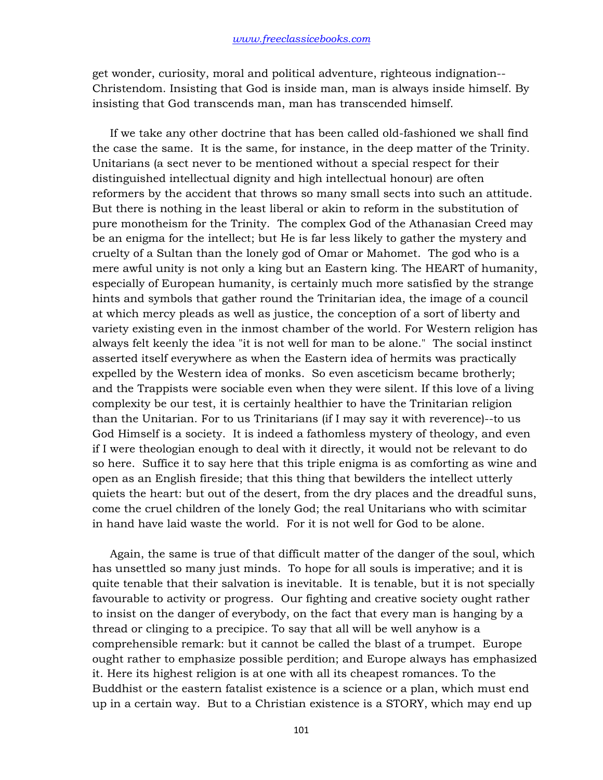get wonder, curiosity, moral and political adventure, righteous indignation-- Christendom. Insisting that God is inside man, man is always inside himself. By insisting that God transcends man, man has transcended himself.

 If we take any other doctrine that has been called old-fashioned we shall find the case the same. It is the same, for instance, in the deep matter of the Trinity. Unitarians (a sect never to be mentioned without a special respect for their distinguished intellectual dignity and high intellectual honour) are often reformers by the accident that throws so many small sects into such an attitude. But there is nothing in the least liberal or akin to reform in the substitution of pure monotheism for the Trinity. The complex God of the Athanasian Creed may be an enigma for the intellect; but He is far less likely to gather the mystery and cruelty of a Sultan than the lonely god of Omar or Mahomet. The god who is a mere awful unity is not only a king but an Eastern king. The HEART of humanity, especially of European humanity, is certainly much more satisfied by the strange hints and symbols that gather round the Trinitarian idea, the image of a council at which mercy pleads as well as justice, the conception of a sort of liberty and variety existing even in the inmost chamber of the world. For Western religion has always felt keenly the idea "it is not well for man to be alone." The social instinct asserted itself everywhere as when the Eastern idea of hermits was practically expelled by the Western idea of monks. So even asceticism became brotherly; and the Trappists were sociable even when they were silent. If this love of a living complexity be our test, it is certainly healthier to have the Trinitarian religion than the Unitarian. For to us Trinitarians (if I may say it with reverence)--to us God Himself is a society. It is indeed a fathomless mystery of theology, and even if I were theologian enough to deal with it directly, it would not be relevant to do so here. Suffice it to say here that this triple enigma is as comforting as wine and open as an English fireside; that this thing that bewilders the intellect utterly quiets the heart: but out of the desert, from the dry places and the dreadful suns, come the cruel children of the lonely God; the real Unitarians who with scimitar in hand have laid waste the world. For it is not well for God to be alone.

 Again, the same is true of that difficult matter of the danger of the soul, which has unsettled so many just minds. To hope for all souls is imperative; and it is quite tenable that their salvation is inevitable. It is tenable, but it is not specially favourable to activity or progress. Our fighting and creative society ought rather to insist on the danger of everybody, on the fact that every man is hanging by a thread or clinging to a precipice. To say that all will be well anyhow is a comprehensible remark: but it cannot be called the blast of a trumpet. Europe ought rather to emphasize possible perdition; and Europe always has emphasized it. Here its highest religion is at one with all its cheapest romances. To the Buddhist or the eastern fatalist existence is a science or a plan, which must end up in a certain way. But to a Christian existence is a STORY, which may end up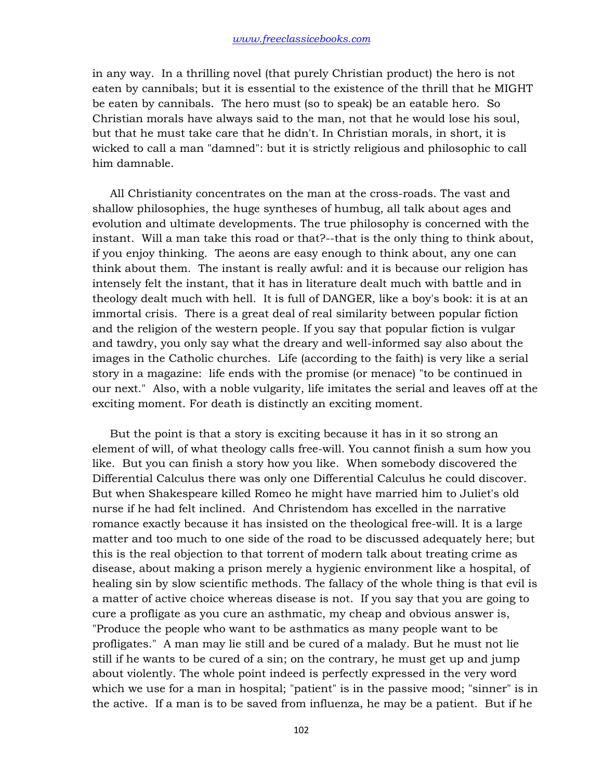in any way. In a thrilling novel (that purely Christian product) the hero is not eaten by cannibals; but it is essential to the existence of the thrill that he MIGHT be eaten by cannibals. The hero must (so to speak) be an eatable hero. So Christian morals have always said to the man, not that he would lose his soul, but that he must take care that he didn't. In Christian morals, in short, it is wicked to call a man "damned": but it is strictly religious and philosophic to call him damnable.

 All Christianity concentrates on the man at the cross-roads. The vast and shallow philosophies, the huge syntheses of humbug, all talk about ages and evolution and ultimate developments. The true philosophy is concerned with the instant. Will a man take this road or that?--that is the only thing to think about, if you enjoy thinking. The aeons are easy enough to think about, any one can think about them. The instant is really awful: and it is because our religion has intensely felt the instant, that it has in literature dealt much with battle and in theology dealt much with hell. It is full of DANGER, like a boy's book: it is at an immortal crisis. There is a great deal of real similarity between popular fiction and the religion of the western people. If you say that popular fiction is vulgar and tawdry, you only say what the dreary and well-informed say also about the images in the Catholic churches. Life (according to the faith) is very like a serial story in a magazine: life ends with the promise (or menace) "to be continued in our next." Also, with a noble vulgarity, life imitates the serial and leaves off at the exciting moment. For death is distinctly an exciting moment.

 But the point is that a story is exciting because it has in it so strong an element of will, of what theology calls free-will. You cannot finish a sum how you like. But you can finish a story how you like. When somebody discovered the Differential Calculus there was only one Differential Calculus he could discover. But when Shakespeare killed Romeo he might have married him to Juliet's old nurse if he had felt inclined. And Christendom has excelled in the narrative romance exactly because it has insisted on the theological free-will. It is a large matter and too much to one side of the road to be discussed adequately here; but this is the real objection to that torrent of modern talk about treating crime as disease, about making a prison merely a hygienic environment like a hospital, of healing sin by slow scientific methods. The fallacy of the whole thing is that evil is a matter of active choice whereas disease is not. If you say that you are going to cure a profligate as you cure an asthmatic, my cheap and obvious answer is, "Produce the people who want to be asthmatics as many people want to be profligates." A man may lie still and be cured of a malady. But he must not lie still if he wants to be cured of a sin; on the contrary, he must get up and jump about violently. The whole point indeed is perfectly expressed in the very word which we use for a man in hospital; "patient" is in the passive mood; "sinner" is in the active. If a man is to be saved from influenza, he may be a patient. But if he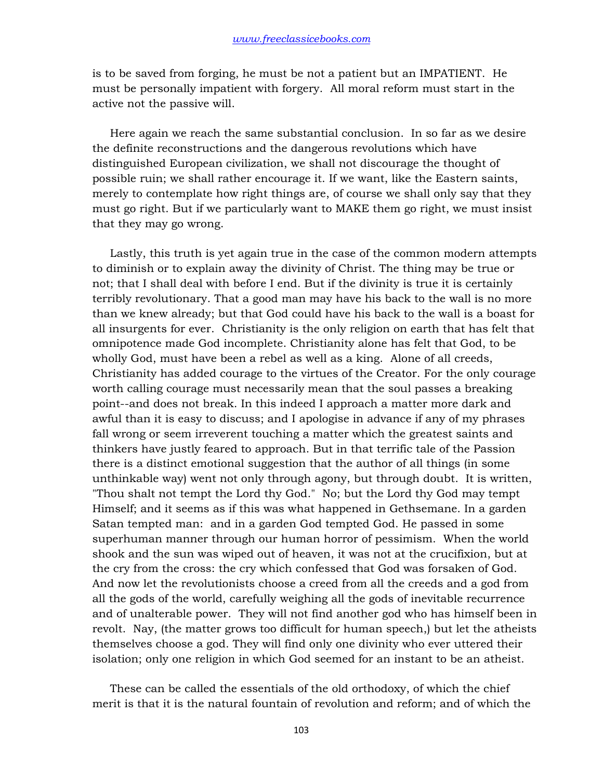is to be saved from forging, he must be not a patient but an IMPATIENT. He must be personally impatient with forgery. All moral reform must start in the active not the passive will.

 Here again we reach the same substantial conclusion. In so far as we desire the definite reconstructions and the dangerous revolutions which have distinguished European civilization, we shall not discourage the thought of possible ruin; we shall rather encourage it. If we want, like the Eastern saints, merely to contemplate how right things are, of course we shall only say that they must go right. But if we particularly want to MAKE them go right, we must insist that they may go wrong.

 Lastly, this truth is yet again true in the case of the common modern attempts to diminish or to explain away the divinity of Christ. The thing may be true or not; that I shall deal with before I end. But if the divinity is true it is certainly terribly revolutionary. That a good man may have his back to the wall is no more than we knew already; but that God could have his back to the wall is a boast for all insurgents for ever. Christianity is the only religion on earth that has felt that omnipotence made God incomplete. Christianity alone has felt that God, to be wholly God, must have been a rebel as well as a king. Alone of all creeds, Christianity has added courage to the virtues of the Creator. For the only courage worth calling courage must necessarily mean that the soul passes a breaking point--and does not break. In this indeed I approach a matter more dark and awful than it is easy to discuss; and I apologise in advance if any of my phrases fall wrong or seem irreverent touching a matter which the greatest saints and thinkers have justly feared to approach. But in that terrific tale of the Passion there is a distinct emotional suggestion that the author of all things (in some unthinkable way) went not only through agony, but through doubt. It is written, "Thou shalt not tempt the Lord thy God." No; but the Lord thy God may tempt Himself; and it seems as if this was what happened in Gethsemane. In a garden Satan tempted man: and in a garden God tempted God. He passed in some superhuman manner through our human horror of pessimism. When the world shook and the sun was wiped out of heaven, it was not at the crucifixion, but at the cry from the cross: the cry which confessed that God was forsaken of God. And now let the revolutionists choose a creed from all the creeds and a god from all the gods of the world, carefully weighing all the gods of inevitable recurrence and of unalterable power. They will not find another god who has himself been in revolt. Nay, (the matter grows too difficult for human speech,) but let the atheists themselves choose a god. They will find only one divinity who ever uttered their isolation; only one religion in which God seemed for an instant to be an atheist.

 These can be called the essentials of the old orthodoxy, of which the chief merit is that it is the natural fountain of revolution and reform; and of which the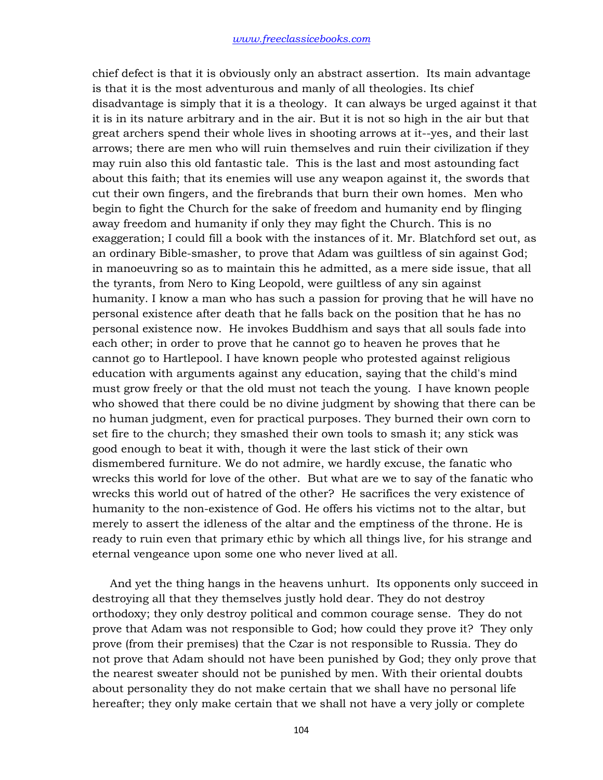chief defect is that it is obviously only an abstract assertion. Its main advantage is that it is the most adventurous and manly of all theologies. Its chief disadvantage is simply that it is a theology. It can always be urged against it that it is in its nature arbitrary and in the air. But it is not so high in the air but that great archers spend their whole lives in shooting arrows at it--yes, and their last arrows; there are men who will ruin themselves and ruin their civilization if they may ruin also this old fantastic tale. This is the last and most astounding fact about this faith; that its enemies will use any weapon against it, the swords that cut their own fingers, and the firebrands that burn their own homes. Men who begin to fight the Church for the sake of freedom and humanity end by flinging away freedom and humanity if only they may fight the Church. This is no exaggeration; I could fill a book with the instances of it. Mr. Blatchford set out, as an ordinary Bible-smasher, to prove that Adam was guiltless of sin against God; in manoeuvring so as to maintain this he admitted, as a mere side issue, that all the tyrants, from Nero to King Leopold, were guiltless of any sin against humanity. I know a man who has such a passion for proving that he will have no personal existence after death that he falls back on the position that he has no personal existence now. He invokes Buddhism and says that all souls fade into each other; in order to prove that he cannot go to heaven he proves that he cannot go to Hartlepool. I have known people who protested against religious education with arguments against any education, saying that the child's mind must grow freely or that the old must not teach the young. I have known people who showed that there could be no divine judgment by showing that there can be no human judgment, even for practical purposes. They burned their own corn to set fire to the church; they smashed their own tools to smash it; any stick was good enough to beat it with, though it were the last stick of their own dismembered furniture. We do not admire, we hardly excuse, the fanatic who wrecks this world for love of the other. But what are we to say of the fanatic who wrecks this world out of hatred of the other? He sacrifices the very existence of humanity to the non-existence of God. He offers his victims not to the altar, but merely to assert the idleness of the altar and the emptiness of the throne. He is ready to ruin even that primary ethic by which all things live, for his strange and eternal vengeance upon some one who never lived at all.

 And yet the thing hangs in the heavens unhurt. Its opponents only succeed in destroying all that they themselves justly hold dear. They do not destroy orthodoxy; they only destroy political and common courage sense. They do not prove that Adam was not responsible to God; how could they prove it? They only prove (from their premises) that the Czar is not responsible to Russia. They do not prove that Adam should not have been punished by God; they only prove that the nearest sweater should not be punished by men. With their oriental doubts about personality they do not make certain that we shall have no personal life hereafter; they only make certain that we shall not have a very jolly or complete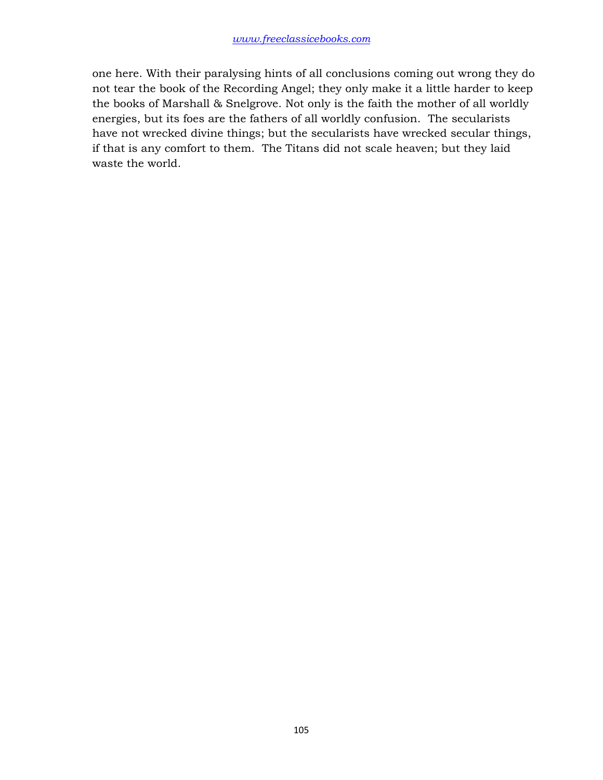one here. With their paralysing hints of all conclusions coming out wrong they do not tear the book of the Recording Angel; they only make it a little harder to keep the books of Marshall & Snelgrove. Not only is the faith the mother of all worldly energies, but its foes are the fathers of all worldly confusion. The secularists have not wrecked divine things; but the secularists have wrecked secular things, if that is any comfort to them. The Titans did not scale heaven; but they laid waste the world.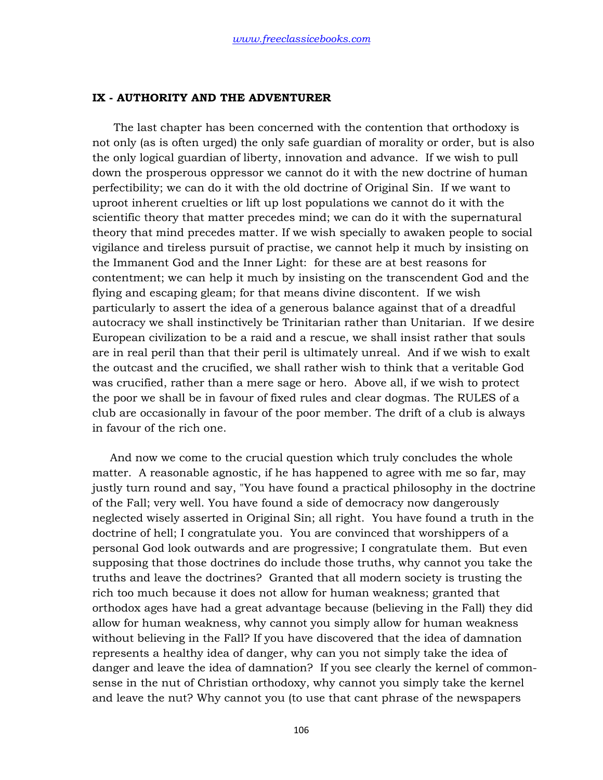## **IX - AUTHORITY AND THE ADVENTURER**

 The last chapter has been concerned with the contention that orthodoxy is not only (as is often urged) the only safe guardian of morality or order, but is also the only logical guardian of liberty, innovation and advance. If we wish to pull down the prosperous oppressor we cannot do it with the new doctrine of human perfectibility; we can do it with the old doctrine of Original Sin. If we want to uproot inherent cruelties or lift up lost populations we cannot do it with the scientific theory that matter precedes mind; we can do it with the supernatural theory that mind precedes matter. If we wish specially to awaken people to social vigilance and tireless pursuit of practise, we cannot help it much by insisting on the Immanent God and the Inner Light: for these are at best reasons for contentment; we can help it much by insisting on the transcendent God and the flying and escaping gleam; for that means divine discontent. If we wish particularly to assert the idea of a generous balance against that of a dreadful autocracy we shall instinctively be Trinitarian rather than Unitarian. If we desire European civilization to be a raid and a rescue, we shall insist rather that souls are in real peril than that their peril is ultimately unreal. And if we wish to exalt the outcast and the crucified, we shall rather wish to think that a veritable God was crucified, rather than a mere sage or hero. Above all, if we wish to protect the poor we shall be in favour of fixed rules and clear dogmas. The RULES of a club are occasionally in favour of the poor member. The drift of a club is always in favour of the rich one.

 And now we come to the crucial question which truly concludes the whole matter. A reasonable agnostic, if he has happened to agree with me so far, may justly turn round and say, "You have found a practical philosophy in the doctrine of the Fall; very well. You have found a side of democracy now dangerously neglected wisely asserted in Original Sin; all right. You have found a truth in the doctrine of hell; I congratulate you. You are convinced that worshippers of a personal God look outwards and are progressive; I congratulate them. But even supposing that those doctrines do include those truths, why cannot you take the truths and leave the doctrines? Granted that all modern society is trusting the rich too much because it does not allow for human weakness; granted that orthodox ages have had a great advantage because (believing in the Fall) they did allow for human weakness, why cannot you simply allow for human weakness without believing in the Fall? If you have discovered that the idea of damnation represents a healthy idea of danger, why can you not simply take the idea of danger and leave the idea of damnation? If you see clearly the kernel of commonsense in the nut of Christian orthodoxy, why cannot you simply take the kernel and leave the nut? Why cannot you (to use that cant phrase of the newspapers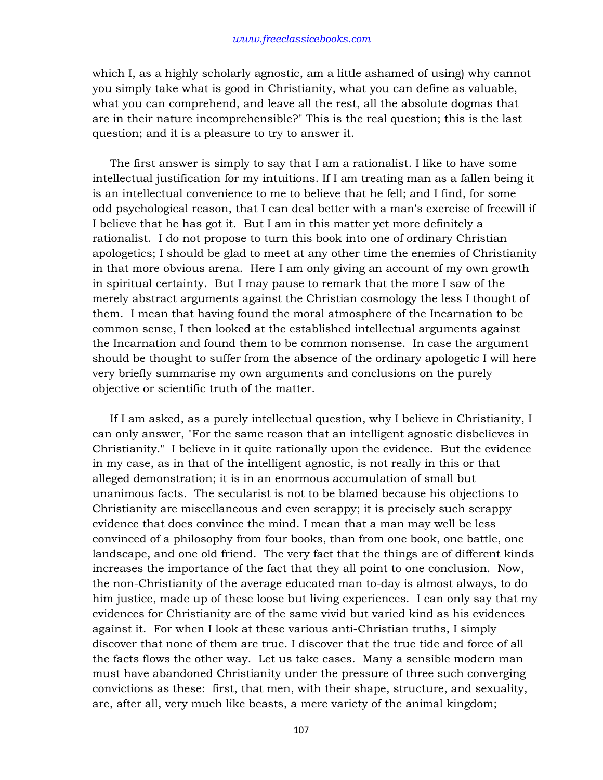which I, as a highly scholarly agnostic, am a little ashamed of using) why cannot you simply take what is good in Christianity, what you can define as valuable, what you can comprehend, and leave all the rest, all the absolute dogmas that are in their nature incomprehensible?" This is the real question; this is the last question; and it is a pleasure to try to answer it.

 The first answer is simply to say that I am a rationalist. I like to have some intellectual justification for my intuitions. If I am treating man as a fallen being it is an intellectual convenience to me to believe that he fell; and I find, for some odd psychological reason, that I can deal better with a man's exercise of freewill if I believe that he has got it. But I am in this matter yet more definitely a rationalist. I do not propose to turn this book into one of ordinary Christian apologetics; I should be glad to meet at any other time the enemies of Christianity in that more obvious arena. Here I am only giving an account of my own growth in spiritual certainty. But I may pause to remark that the more I saw of the merely abstract arguments against the Christian cosmology the less I thought of them. I mean that having found the moral atmosphere of the Incarnation to be common sense, I then looked at the established intellectual arguments against the Incarnation and found them to be common nonsense. In case the argument should be thought to suffer from the absence of the ordinary apologetic I will here very briefly summarise my own arguments and conclusions on the purely objective or scientific truth of the matter.

 If I am asked, as a purely intellectual question, why I believe in Christianity, I can only answer, "For the same reason that an intelligent agnostic disbelieves in Christianity." I believe in it quite rationally upon the evidence. But the evidence in my case, as in that of the intelligent agnostic, is not really in this or that alleged demonstration; it is in an enormous accumulation of small but unanimous facts. The secularist is not to be blamed because his objections to Christianity are miscellaneous and even scrappy; it is precisely such scrappy evidence that does convince the mind. I mean that a man may well be less convinced of a philosophy from four books, than from one book, one battle, one landscape, and one old friend. The very fact that the things are of different kinds increases the importance of the fact that they all point to one conclusion. Now, the non-Christianity of the average educated man to-day is almost always, to do him justice, made up of these loose but living experiences. I can only say that my evidences for Christianity are of the same vivid but varied kind as his evidences against it. For when I look at these various anti-Christian truths, I simply discover that none of them are true. I discover that the true tide and force of all the facts flows the other way. Let us take cases. Many a sensible modern man must have abandoned Christianity under the pressure of three such converging convictions as these: first, that men, with their shape, structure, and sexuality, are, after all, very much like beasts, a mere variety of the animal kingdom;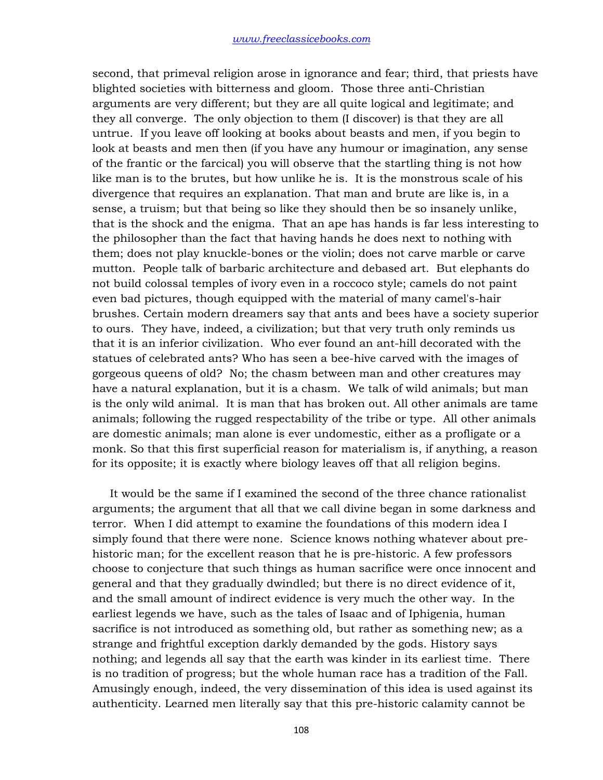second, that primeval religion arose in ignorance and fear; third, that priests have blighted societies with bitterness and gloom. Those three anti-Christian arguments are very different; but they are all quite logical and legitimate; and they all converge. The only objection to them (I discover) is that they are all untrue. If you leave off looking at books about beasts and men, if you begin to look at beasts and men then (if you have any humour or imagination, any sense of the frantic or the farcical) you will observe that the startling thing is not how like man is to the brutes, but how unlike he is. It is the monstrous scale of his divergence that requires an explanation. That man and brute are like is, in a sense, a truism; but that being so like they should then be so insanely unlike, that is the shock and the enigma. That an ape has hands is far less interesting to the philosopher than the fact that having hands he does next to nothing with them; does not play knuckle-bones or the violin; does not carve marble or carve mutton. People talk of barbaric architecture and debased art. But elephants do not build colossal temples of ivory even in a roccoco style; camels do not paint even bad pictures, though equipped with the material of many camel's-hair brushes. Certain modern dreamers say that ants and bees have a society superior to ours. They have, indeed, a civilization; but that very truth only reminds us that it is an inferior civilization. Who ever found an ant-hill decorated with the statues of celebrated ants? Who has seen a bee-hive carved with the images of gorgeous queens of old? No; the chasm between man and other creatures may have a natural explanation, but it is a chasm. We talk of wild animals; but man is the only wild animal. It is man that has broken out. All other animals are tame animals; following the rugged respectability of the tribe or type. All other animals are domestic animals; man alone is ever undomestic, either as a profligate or a monk. So that this first superficial reason for materialism is, if anything, a reason for its opposite; it is exactly where biology leaves off that all religion begins.

 It would be the same if I examined the second of the three chance rationalist arguments; the argument that all that we call divine began in some darkness and terror. When I did attempt to examine the foundations of this modern idea I simply found that there were none. Science knows nothing whatever about prehistoric man; for the excellent reason that he is pre-historic. A few professors choose to conjecture that such things as human sacrifice were once innocent and general and that they gradually dwindled; but there is no direct evidence of it, and the small amount of indirect evidence is very much the other way. In the earliest legends we have, such as the tales of Isaac and of Iphigenia, human sacrifice is not introduced as something old, but rather as something new; as a strange and frightful exception darkly demanded by the gods. History says nothing; and legends all say that the earth was kinder in its earliest time. There is no tradition of progress; but the whole human race has a tradition of the Fall. Amusingly enough, indeed, the very dissemination of this idea is used against its authenticity. Learned men literally say that this pre-historic calamity cannot be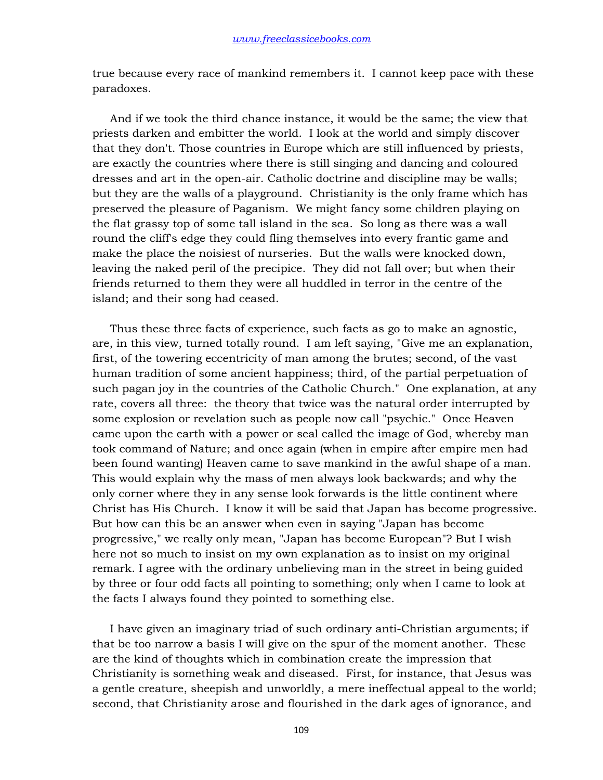true because every race of mankind remembers it. I cannot keep pace with these paradoxes.

 And if we took the third chance instance, it would be the same; the view that priests darken and embitter the world. I look at the world and simply discover that they don't. Those countries in Europe which are still influenced by priests, are exactly the countries where there is still singing and dancing and coloured dresses and art in the open-air. Catholic doctrine and discipline may be walls; but they are the walls of a playground. Christianity is the only frame which has preserved the pleasure of Paganism. We might fancy some children playing on the flat grassy top of some tall island in the sea. So long as there was a wall round the cliff's edge they could fling themselves into every frantic game and make the place the noisiest of nurseries. But the walls were knocked down, leaving the naked peril of the precipice. They did not fall over; but when their friends returned to them they were all huddled in terror in the centre of the island; and their song had ceased.

 Thus these three facts of experience, such facts as go to make an agnostic, are, in this view, turned totally round. I am left saying, "Give me an explanation, first, of the towering eccentricity of man among the brutes; second, of the vast human tradition of some ancient happiness; third, of the partial perpetuation of such pagan joy in the countries of the Catholic Church." One explanation, at any rate, covers all three: the theory that twice was the natural order interrupted by some explosion or revelation such as people now call "psychic." Once Heaven came upon the earth with a power or seal called the image of God, whereby man took command of Nature; and once again (when in empire after empire men had been found wanting) Heaven came to save mankind in the awful shape of a man. This would explain why the mass of men always look backwards; and why the only corner where they in any sense look forwards is the little continent where Christ has His Church. I know it will be said that Japan has become progressive. But how can this be an answer when even in saying "Japan has become progressive," we really only mean, "Japan has become European"? But I wish here not so much to insist on my own explanation as to insist on my original remark. I agree with the ordinary unbelieving man in the street in being guided by three or four odd facts all pointing to something; only when I came to look at the facts I always found they pointed to something else.

 I have given an imaginary triad of such ordinary anti-Christian arguments; if that be too narrow a basis I will give on the spur of the moment another. These are the kind of thoughts which in combination create the impression that Christianity is something weak and diseased. First, for instance, that Jesus was a gentle creature, sheepish and unworldly, a mere ineffectual appeal to the world; second, that Christianity arose and flourished in the dark ages of ignorance, and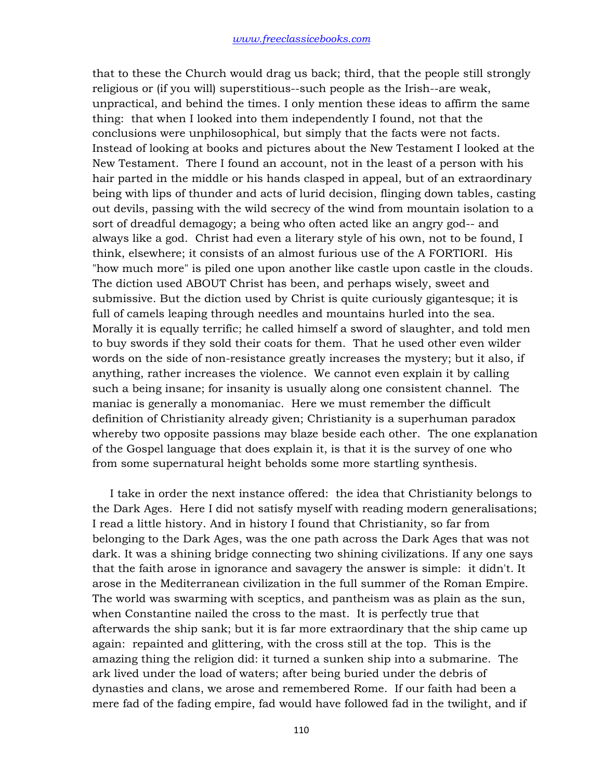that to these the Church would drag us back; third, that the people still strongly religious or (if you will) superstitious--such people as the Irish--are weak, unpractical, and behind the times. I only mention these ideas to affirm the same thing: that when I looked into them independently I found, not that the conclusions were unphilosophical, but simply that the facts were not facts. Instead of looking at books and pictures about the New Testament I looked at the New Testament. There I found an account, not in the least of a person with his hair parted in the middle or his hands clasped in appeal, but of an extraordinary being with lips of thunder and acts of lurid decision, flinging down tables, casting out devils, passing with the wild secrecy of the wind from mountain isolation to a sort of dreadful demagogy; a being who often acted like an angry god-- and always like a god. Christ had even a literary style of his own, not to be found, I think, elsewhere; it consists of an almost furious use of the A FORTIORI. His "how much more" is piled one upon another like castle upon castle in the clouds. The diction used ABOUT Christ has been, and perhaps wisely, sweet and submissive. But the diction used by Christ is quite curiously gigantesque; it is full of camels leaping through needles and mountains hurled into the sea. Morally it is equally terrific; he called himself a sword of slaughter, and told men to buy swords if they sold their coats for them. That he used other even wilder words on the side of non-resistance greatly increases the mystery; but it also, if anything, rather increases the violence. We cannot even explain it by calling such a being insane; for insanity is usually along one consistent channel. The maniac is generally a monomaniac. Here we must remember the difficult definition of Christianity already given; Christianity is a superhuman paradox whereby two opposite passions may blaze beside each other. The one explanation of the Gospel language that does explain it, is that it is the survey of one who from some supernatural height beholds some more startling synthesis.

 I take in order the next instance offered: the idea that Christianity belongs to the Dark Ages. Here I did not satisfy myself with reading modern generalisations; I read a little history. And in history I found that Christianity, so far from belonging to the Dark Ages, was the one path across the Dark Ages that was not dark. It was a shining bridge connecting two shining civilizations. If any one says that the faith arose in ignorance and savagery the answer is simple: it didn't. It arose in the Mediterranean civilization in the full summer of the Roman Empire. The world was swarming with sceptics, and pantheism was as plain as the sun, when Constantine nailed the cross to the mast. It is perfectly true that afterwards the ship sank; but it is far more extraordinary that the ship came up again: repainted and glittering, with the cross still at the top. This is the amazing thing the religion did: it turned a sunken ship into a submarine. The ark lived under the load of waters; after being buried under the debris of dynasties and clans, we arose and remembered Rome. If our faith had been a mere fad of the fading empire, fad would have followed fad in the twilight, and if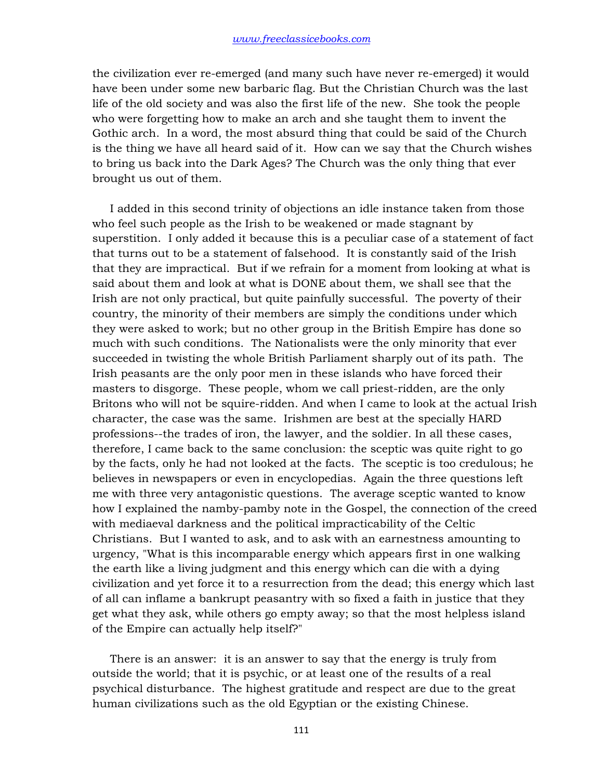the civilization ever re-emerged (and many such have never re-emerged) it would have been under some new barbaric flag. But the Christian Church was the last life of the old society and was also the first life of the new. She took the people who were forgetting how to make an arch and she taught them to invent the Gothic arch. In a word, the most absurd thing that could be said of the Church is the thing we have all heard said of it. How can we say that the Church wishes to bring us back into the Dark Ages? The Church was the only thing that ever brought us out of them.

 I added in this second trinity of objections an idle instance taken from those who feel such people as the Irish to be weakened or made stagnant by superstition. I only added it because this is a peculiar case of a statement of fact that turns out to be a statement of falsehood. It is constantly said of the Irish that they are impractical. But if we refrain for a moment from looking at what is said about them and look at what is DONE about them, we shall see that the Irish are not only practical, but quite painfully successful. The poverty of their country, the minority of their members are simply the conditions under which they were asked to work; but no other group in the British Empire has done so much with such conditions. The Nationalists were the only minority that ever succeeded in twisting the whole British Parliament sharply out of its path. The Irish peasants are the only poor men in these islands who have forced their masters to disgorge. These people, whom we call priest-ridden, are the only Britons who will not be squire-ridden. And when I came to look at the actual Irish character, the case was the same. Irishmen are best at the specially HARD professions--the trades of iron, the lawyer, and the soldier. In all these cases, therefore, I came back to the same conclusion: the sceptic was quite right to go by the facts, only he had not looked at the facts. The sceptic is too credulous; he believes in newspapers or even in encyclopedias. Again the three questions left me with three very antagonistic questions. The average sceptic wanted to know how I explained the namby-pamby note in the Gospel, the connection of the creed with mediaeval darkness and the political impracticability of the Celtic Christians. But I wanted to ask, and to ask with an earnestness amounting to urgency, "What is this incomparable energy which appears first in one walking the earth like a living judgment and this energy which can die with a dying civilization and yet force it to a resurrection from the dead; this energy which last of all can inflame a bankrupt peasantry with so fixed a faith in justice that they get what they ask, while others go empty away; so that the most helpless island of the Empire can actually help itself?"

 There is an answer: it is an answer to say that the energy is truly from outside the world; that it is psychic, or at least one of the results of a real psychical disturbance. The highest gratitude and respect are due to the great human civilizations such as the old Egyptian or the existing Chinese.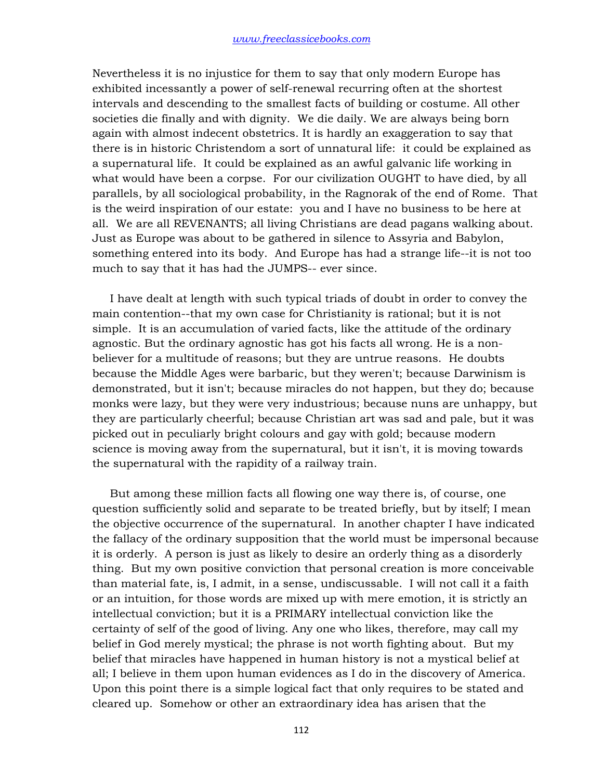Nevertheless it is no injustice for them to say that only modern Europe has exhibited incessantly a power of self-renewal recurring often at the shortest intervals and descending to the smallest facts of building or costume. All other societies die finally and with dignity. We die daily. We are always being born again with almost indecent obstetrics. It is hardly an exaggeration to say that there is in historic Christendom a sort of unnatural life: it could be explained as a supernatural life. It could be explained as an awful galvanic life working in what would have been a corpse. For our civilization OUGHT to have died, by all parallels, by all sociological probability, in the Ragnorak of the end of Rome. That is the weird inspiration of our estate: you and I have no business to be here at all. We are all REVENANTS; all living Christians are dead pagans walking about. Just as Europe was about to be gathered in silence to Assyria and Babylon, something entered into its body. And Europe has had a strange life--it is not too much to say that it has had the JUMPS-- ever since.

 I have dealt at length with such typical triads of doubt in order to convey the main contention--that my own case for Christianity is rational; but it is not simple. It is an accumulation of varied facts, like the attitude of the ordinary agnostic. But the ordinary agnostic has got his facts all wrong. He is a nonbeliever for a multitude of reasons; but they are untrue reasons. He doubts because the Middle Ages were barbaric, but they weren't; because Darwinism is demonstrated, but it isn't; because miracles do not happen, but they do; because monks were lazy, but they were very industrious; because nuns are unhappy, but they are particularly cheerful; because Christian art was sad and pale, but it was picked out in peculiarly bright colours and gay with gold; because modern science is moving away from the supernatural, but it isn't, it is moving towards the supernatural with the rapidity of a railway train.

 But among these million facts all flowing one way there is, of course, one question sufficiently solid and separate to be treated briefly, but by itself; I mean the objective occurrence of the supernatural. In another chapter I have indicated the fallacy of the ordinary supposition that the world must be impersonal because it is orderly. A person is just as likely to desire an orderly thing as a disorderly thing. But my own positive conviction that personal creation is more conceivable than material fate, is, I admit, in a sense, undiscussable. I will not call it a faith or an intuition, for those words are mixed up with mere emotion, it is strictly an intellectual conviction; but it is a PRIMARY intellectual conviction like the certainty of self of the good of living. Any one who likes, therefore, may call my belief in God merely mystical; the phrase is not worth fighting about. But my belief that miracles have happened in human history is not a mystical belief at all; I believe in them upon human evidences as I do in the discovery of America. Upon this point there is a simple logical fact that only requires to be stated and cleared up. Somehow or other an extraordinary idea has arisen that the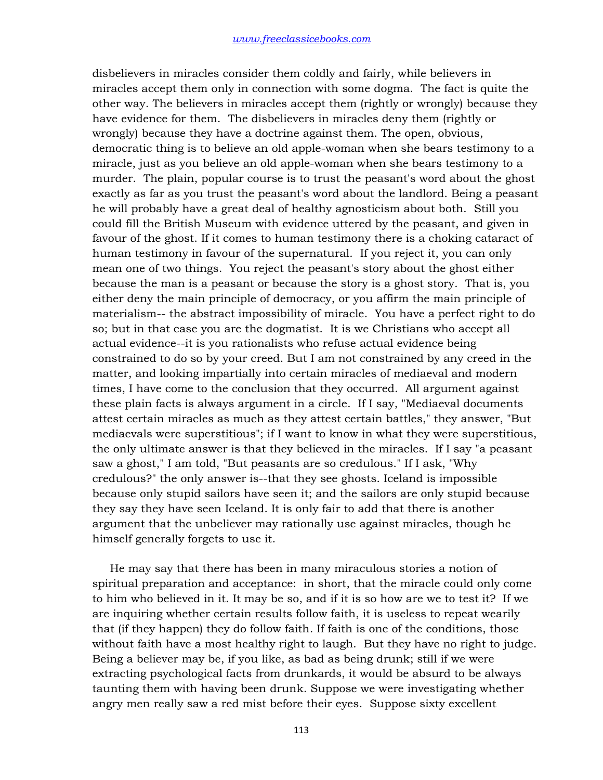disbelievers in miracles consider them coldly and fairly, while believers in miracles accept them only in connection with some dogma. The fact is quite the other way. The believers in miracles accept them (rightly or wrongly) because they have evidence for them. The disbelievers in miracles deny them (rightly or wrongly) because they have a doctrine against them. The open, obvious, democratic thing is to believe an old apple-woman when she bears testimony to a miracle, just as you believe an old apple-woman when she bears testimony to a murder. The plain, popular course is to trust the peasant's word about the ghost exactly as far as you trust the peasant's word about the landlord. Being a peasant he will probably have a great deal of healthy agnosticism about both. Still you could fill the British Museum with evidence uttered by the peasant, and given in favour of the ghost. If it comes to human testimony there is a choking cataract of human testimony in favour of the supernatural. If you reject it, you can only mean one of two things. You reject the peasant's story about the ghost either because the man is a peasant or because the story is a ghost story. That is, you either deny the main principle of democracy, or you affirm the main principle of materialism-- the abstract impossibility of miracle. You have a perfect right to do so; but in that case you are the dogmatist. It is we Christians who accept all actual evidence--it is you rationalists who refuse actual evidence being constrained to do so by your creed. But I am not constrained by any creed in the matter, and looking impartially into certain miracles of mediaeval and modern times, I have come to the conclusion that they occurred. All argument against these plain facts is always argument in a circle. If I say, "Mediaeval documents attest certain miracles as much as they attest certain battles," they answer, "But mediaevals were superstitious"; if I want to know in what they were superstitious, the only ultimate answer is that they believed in the miracles. If I say "a peasant saw a ghost," I am told, "But peasants are so credulous." If I ask, "Why credulous?" the only answer is--that they see ghosts. Iceland is impossible because only stupid sailors have seen it; and the sailors are only stupid because they say they have seen Iceland. It is only fair to add that there is another argument that the unbeliever may rationally use against miracles, though he himself generally forgets to use it.

 He may say that there has been in many miraculous stories a notion of spiritual preparation and acceptance: in short, that the miracle could only come to him who believed in it. It may be so, and if it is so how are we to test it? If we are inquiring whether certain results follow faith, it is useless to repeat wearily that (if they happen) they do follow faith. If faith is one of the conditions, those without faith have a most healthy right to laugh. But they have no right to judge. Being a believer may be, if you like, as bad as being drunk; still if we were extracting psychological facts from drunkards, it would be absurd to be always taunting them with having been drunk. Suppose we were investigating whether angry men really saw a red mist before their eyes. Suppose sixty excellent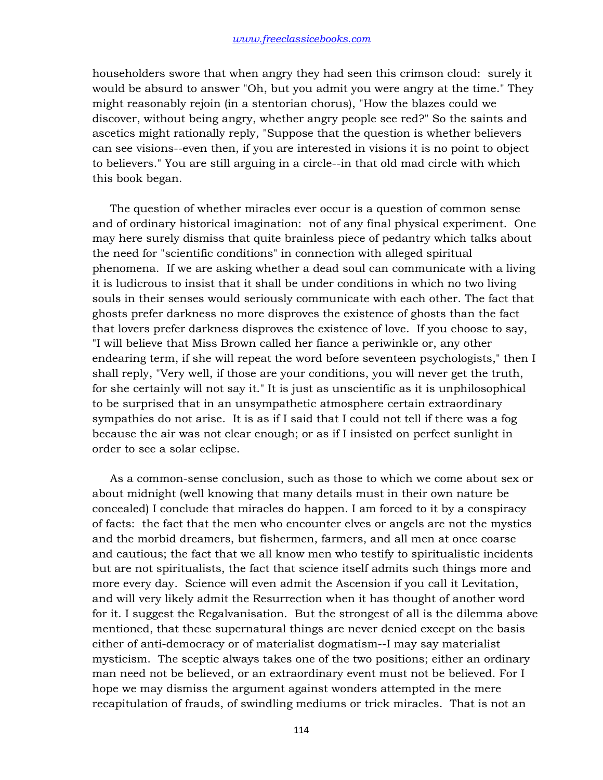householders swore that when angry they had seen this crimson cloud: surely it would be absurd to answer "Oh, but you admit you were angry at the time." They might reasonably rejoin (in a stentorian chorus), "How the blazes could we discover, without being angry, whether angry people see red?" So the saints and ascetics might rationally reply, "Suppose that the question is whether believers can see visions--even then, if you are interested in visions it is no point to object to believers." You are still arguing in a circle--in that old mad circle with which this book began.

 The question of whether miracles ever occur is a question of common sense and of ordinary historical imagination: not of any final physical experiment. One may here surely dismiss that quite brainless piece of pedantry which talks about the need for "scientific conditions" in connection with alleged spiritual phenomena. If we are asking whether a dead soul can communicate with a living it is ludicrous to insist that it shall be under conditions in which no two living souls in their senses would seriously communicate with each other. The fact that ghosts prefer darkness no more disproves the existence of ghosts than the fact that lovers prefer darkness disproves the existence of love. If you choose to say, "I will believe that Miss Brown called her fiance a periwinkle or, any other endearing term, if she will repeat the word before seventeen psychologists," then I shall reply, "Very well, if those are your conditions, you will never get the truth, for she certainly will not say it." It is just as unscientific as it is unphilosophical to be surprised that in an unsympathetic atmosphere certain extraordinary sympathies do not arise. It is as if I said that I could not tell if there was a fog because the air was not clear enough; or as if I insisted on perfect sunlight in order to see a solar eclipse.

 As a common-sense conclusion, such as those to which we come about sex or about midnight (well knowing that many details must in their own nature be concealed) I conclude that miracles do happen. I am forced to it by a conspiracy of facts: the fact that the men who encounter elves or angels are not the mystics and the morbid dreamers, but fishermen, farmers, and all men at once coarse and cautious; the fact that we all know men who testify to spiritualistic incidents but are not spiritualists, the fact that science itself admits such things more and more every day. Science will even admit the Ascension if you call it Levitation, and will very likely admit the Resurrection when it has thought of another word for it. I suggest the Regalvanisation. But the strongest of all is the dilemma above mentioned, that these supernatural things are never denied except on the basis either of anti-democracy or of materialist dogmatism--I may say materialist mysticism. The sceptic always takes one of the two positions; either an ordinary man need not be believed, or an extraordinary event must not be believed. For I hope we may dismiss the argument against wonders attempted in the mere recapitulation of frauds, of swindling mediums or trick miracles. That is not an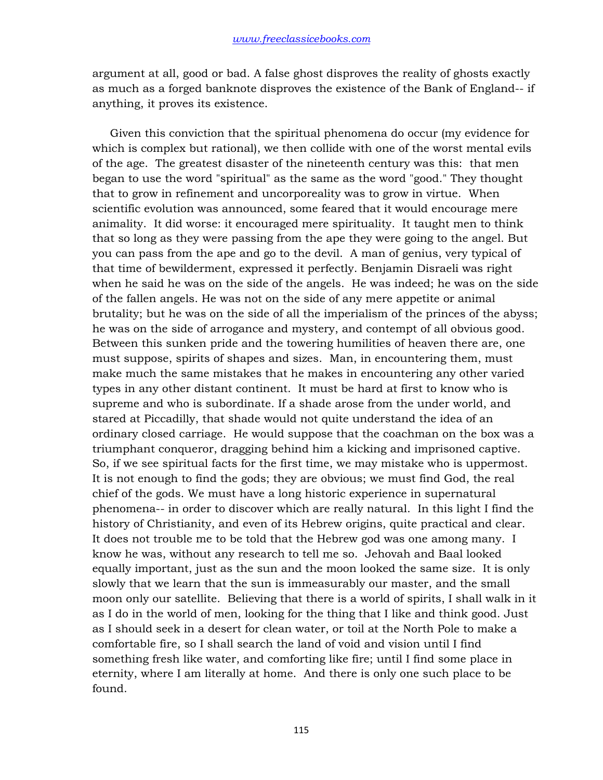argument at all, good or bad. A false ghost disproves the reality of ghosts exactly as much as a forged banknote disproves the existence of the Bank of England-- if anything, it proves its existence.

 Given this conviction that the spiritual phenomena do occur (my evidence for which is complex but rational), we then collide with one of the worst mental evils of the age. The greatest disaster of the nineteenth century was this: that men began to use the word "spiritual" as the same as the word "good." They thought that to grow in refinement and uncorporeality was to grow in virtue. When scientific evolution was announced, some feared that it would encourage mere animality. It did worse: it encouraged mere spirituality. It taught men to think that so long as they were passing from the ape they were going to the angel. But you can pass from the ape and go to the devil. A man of genius, very typical of that time of bewilderment, expressed it perfectly. Benjamin Disraeli was right when he said he was on the side of the angels. He was indeed; he was on the side of the fallen angels. He was not on the side of any mere appetite or animal brutality; but he was on the side of all the imperialism of the princes of the abyss; he was on the side of arrogance and mystery, and contempt of all obvious good. Between this sunken pride and the towering humilities of heaven there are, one must suppose, spirits of shapes and sizes. Man, in encountering them, must make much the same mistakes that he makes in encountering any other varied types in any other distant continent. It must be hard at first to know who is supreme and who is subordinate. If a shade arose from the under world, and stared at Piccadilly, that shade would not quite understand the idea of an ordinary closed carriage. He would suppose that the coachman on the box was a triumphant conqueror, dragging behind him a kicking and imprisoned captive. So, if we see spiritual facts for the first time, we may mistake who is uppermost. It is not enough to find the gods; they are obvious; we must find God, the real chief of the gods. We must have a long historic experience in supernatural phenomena-- in order to discover which are really natural. In this light I find the history of Christianity, and even of its Hebrew origins, quite practical and clear. It does not trouble me to be told that the Hebrew god was one among many. I know he was, without any research to tell me so. Jehovah and Baal looked equally important, just as the sun and the moon looked the same size. It is only slowly that we learn that the sun is immeasurably our master, and the small moon only our satellite. Believing that there is a world of spirits, I shall walk in it as I do in the world of men, looking for the thing that I like and think good. Just as I should seek in a desert for clean water, or toil at the North Pole to make a comfortable fire, so I shall search the land of void and vision until I find something fresh like water, and comforting like fire; until I find some place in eternity, where I am literally at home. And there is only one such place to be found.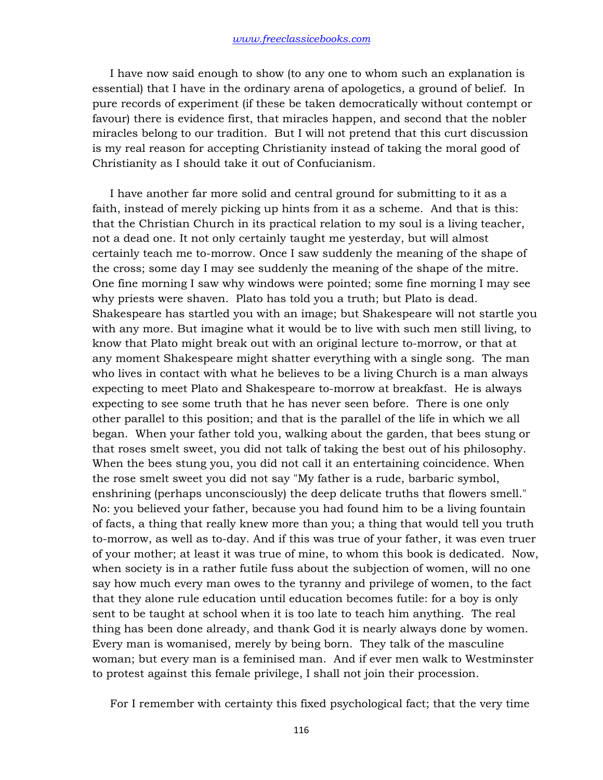I have now said enough to show (to any one to whom such an explanation is essential) that I have in the ordinary arena of apologetics, a ground of belief. In pure records of experiment (if these be taken democratically without contempt or favour) there is evidence first, that miracles happen, and second that the nobler miracles belong to our tradition. But I will not pretend that this curt discussion is my real reason for accepting Christianity instead of taking the moral good of Christianity as I should take it out of Confucianism.

 I have another far more solid and central ground for submitting to it as a faith, instead of merely picking up hints from it as a scheme. And that is this: that the Christian Church in its practical relation to my soul is a living teacher, not a dead one. It not only certainly taught me yesterday, but will almost certainly teach me to-morrow. Once I saw suddenly the meaning of the shape of the cross; some day I may see suddenly the meaning of the shape of the mitre. One fine morning I saw why windows were pointed; some fine morning I may see why priests were shaven. Plato has told you a truth; but Plato is dead. Shakespeare has startled you with an image; but Shakespeare will not startle you with any more. But imagine what it would be to live with such men still living, to know that Plato might break out with an original lecture to-morrow, or that at any moment Shakespeare might shatter everything with a single song. The man who lives in contact with what he believes to be a living Church is a man always expecting to meet Plato and Shakespeare to-morrow at breakfast. He is always expecting to see some truth that he has never seen before. There is one only other parallel to this position; and that is the parallel of the life in which we all began. When your father told you, walking about the garden, that bees stung or that roses smelt sweet, you did not talk of taking the best out of his philosophy. When the bees stung you, you did not call it an entertaining coincidence. When the rose smelt sweet you did not say "My father is a rude, barbaric symbol, enshrining (perhaps unconsciously) the deep delicate truths that flowers smell." No: you believed your father, because you had found him to be a living fountain of facts, a thing that really knew more than you; a thing that would tell you truth to-morrow, as well as to-day. And if this was true of your father, it was even truer of your mother; at least it was true of mine, to whom this book is dedicated. Now, when society is in a rather futile fuss about the subjection of women, will no one say how much every man owes to the tyranny and privilege of women, to the fact that they alone rule education until education becomes futile: for a boy is only sent to be taught at school when it is too late to teach him anything. The real thing has been done already, and thank God it is nearly always done by women. Every man is womanised, merely by being born. They talk of the masculine woman; but every man is a feminised man. And if ever men walk to Westminster to protest against this female privilege, I shall not join their procession.

For I remember with certainty this fixed psychological fact; that the very time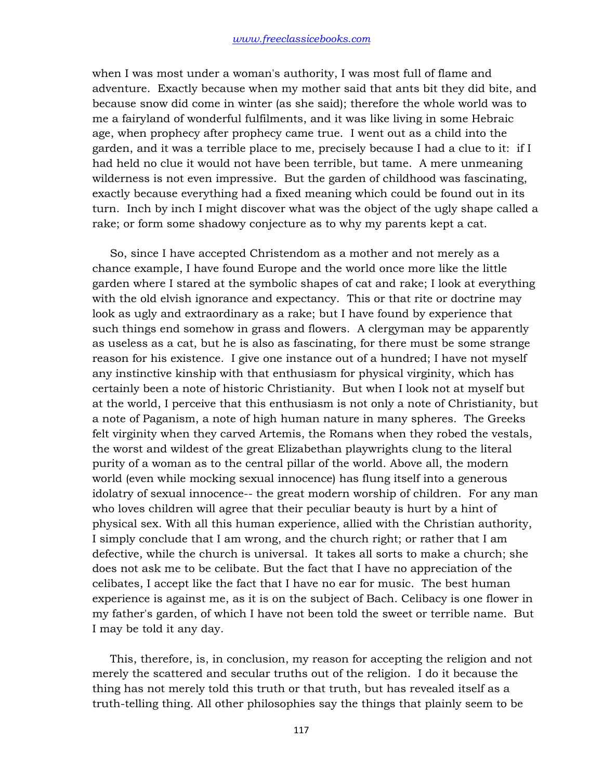when I was most under a woman's authority, I was most full of flame and adventure. Exactly because when my mother said that ants bit they did bite, and because snow did come in winter (as she said); therefore the whole world was to me a fairyland of wonderful fulfilments, and it was like living in some Hebraic age, when prophecy after prophecy came true. I went out as a child into the garden, and it was a terrible place to me, precisely because I had a clue to it: if I had held no clue it would not have been terrible, but tame. A mere unmeaning wilderness is not even impressive. But the garden of childhood was fascinating, exactly because everything had a fixed meaning which could be found out in its turn. Inch by inch I might discover what was the object of the ugly shape called a rake; or form some shadowy conjecture as to why my parents kept a cat.

 So, since I have accepted Christendom as a mother and not merely as a chance example, I have found Europe and the world once more like the little garden where I stared at the symbolic shapes of cat and rake; I look at everything with the old elvish ignorance and expectancy. This or that rite or doctrine may look as ugly and extraordinary as a rake; but I have found by experience that such things end somehow in grass and flowers. A clergyman may be apparently as useless as a cat, but he is also as fascinating, for there must be some strange reason for his existence. I give one instance out of a hundred; I have not myself any instinctive kinship with that enthusiasm for physical virginity, which has certainly been a note of historic Christianity. But when I look not at myself but at the world, I perceive that this enthusiasm is not only a note of Christianity, but a note of Paganism, a note of high human nature in many spheres. The Greeks felt virginity when they carved Artemis, the Romans when they robed the vestals, the worst and wildest of the great Elizabethan playwrights clung to the literal purity of a woman as to the central pillar of the world. Above all, the modern world (even while mocking sexual innocence) has flung itself into a generous idolatry of sexual innocence-- the great modern worship of children. For any man who loves children will agree that their peculiar beauty is hurt by a hint of physical sex. With all this human experience, allied with the Christian authority, I simply conclude that I am wrong, and the church right; or rather that I am defective, while the church is universal. It takes all sorts to make a church; she does not ask me to be celibate. But the fact that I have no appreciation of the celibates, I accept like the fact that I have no ear for music. The best human experience is against me, as it is on the subject of Bach. Celibacy is one flower in my father's garden, of which I have not been told the sweet or terrible name. But I may be told it any day.

 This, therefore, is, in conclusion, my reason for accepting the religion and not merely the scattered and secular truths out of the religion. I do it because the thing has not merely told this truth or that truth, but has revealed itself as a truth-telling thing. All other philosophies say the things that plainly seem to be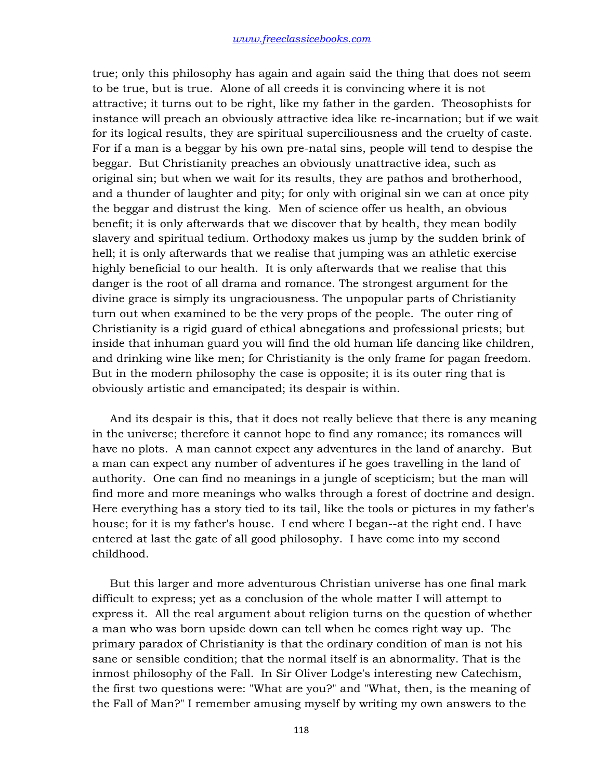true; only this philosophy has again and again said the thing that does not seem to be true, but is true. Alone of all creeds it is convincing where it is not attractive; it turns out to be right, like my father in the garden. Theosophists for instance will preach an obviously attractive idea like re-incarnation; but if we wait for its logical results, they are spiritual superciliousness and the cruelty of caste. For if a man is a beggar by his own pre-natal sins, people will tend to despise the beggar. But Christianity preaches an obviously unattractive idea, such as original sin; but when we wait for its results, they are pathos and brotherhood, and a thunder of laughter and pity; for only with original sin we can at once pity the beggar and distrust the king. Men of science offer us health, an obvious benefit; it is only afterwards that we discover that by health, they mean bodily slavery and spiritual tedium. Orthodoxy makes us jump by the sudden brink of hell; it is only afterwards that we realise that jumping was an athletic exercise highly beneficial to our health. It is only afterwards that we realise that this danger is the root of all drama and romance. The strongest argument for the divine grace is simply its ungraciousness. The unpopular parts of Christianity turn out when examined to be the very props of the people. The outer ring of Christianity is a rigid guard of ethical abnegations and professional priests; but inside that inhuman guard you will find the old human life dancing like children, and drinking wine like men; for Christianity is the only frame for pagan freedom. But in the modern philosophy the case is opposite; it is its outer ring that is obviously artistic and emancipated; its despair is within.

 And its despair is this, that it does not really believe that there is any meaning in the universe; therefore it cannot hope to find any romance; its romances will have no plots. A man cannot expect any adventures in the land of anarchy. But a man can expect any number of adventures if he goes travelling in the land of authority. One can find no meanings in a jungle of scepticism; but the man will find more and more meanings who walks through a forest of doctrine and design. Here everything has a story tied to its tail, like the tools or pictures in my father's house; for it is my father's house. I end where I began--at the right end. I have entered at last the gate of all good philosophy. I have come into my second childhood.

 But this larger and more adventurous Christian universe has one final mark difficult to express; yet as a conclusion of the whole matter I will attempt to express it. All the real argument about religion turns on the question of whether a man who was born upside down can tell when he comes right way up. The primary paradox of Christianity is that the ordinary condition of man is not his sane or sensible condition; that the normal itself is an abnormality. That is the inmost philosophy of the Fall. In Sir Oliver Lodge's interesting new Catechism, the first two questions were: "What are you?" and "What, then, is the meaning of the Fall of Man?" I remember amusing myself by writing my own answers to the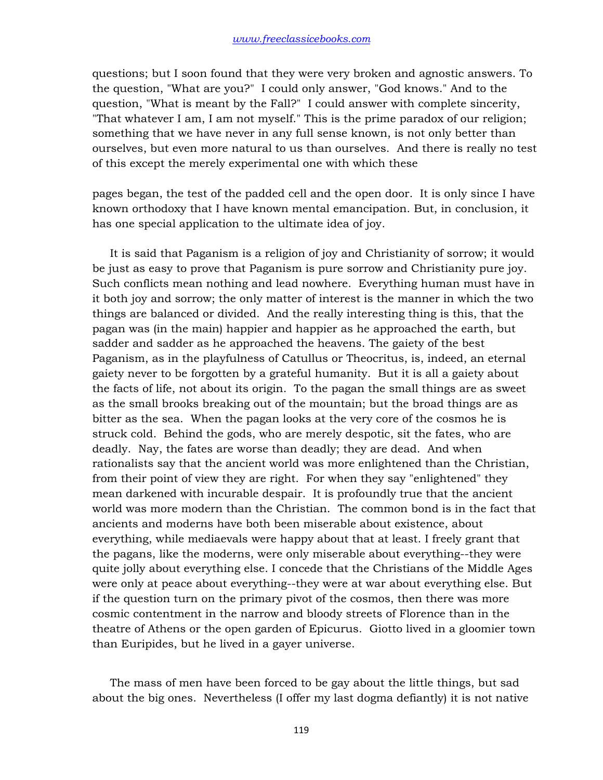questions; but I soon found that they were very broken and agnostic answers. To the question, "What are you?" I could only answer, "God knows." And to the question, "What is meant by the Fall?" I could answer with complete sincerity, "That whatever I am, I am not myself." This is the prime paradox of our religion; something that we have never in any full sense known, is not only better than ourselves, but even more natural to us than ourselves. And there is really no test of this except the merely experimental one with which these

pages began, the test of the padded cell and the open door. It is only since I have known orthodoxy that I have known mental emancipation. But, in conclusion, it has one special application to the ultimate idea of joy.

 It is said that Paganism is a religion of joy and Christianity of sorrow; it would be just as easy to prove that Paganism is pure sorrow and Christianity pure joy. Such conflicts mean nothing and lead nowhere. Everything human must have in it both joy and sorrow; the only matter of interest is the manner in which the two things are balanced or divided. And the really interesting thing is this, that the pagan was (in the main) happier and happier as he approached the earth, but sadder and sadder as he approached the heavens. The gaiety of the best Paganism, as in the playfulness of Catullus or Theocritus, is, indeed, an eternal gaiety never to be forgotten by a grateful humanity. But it is all a gaiety about the facts of life, not about its origin. To the pagan the small things are as sweet as the small brooks breaking out of the mountain; but the broad things are as bitter as the sea. When the pagan looks at the very core of the cosmos he is struck cold. Behind the gods, who are merely despotic, sit the fates, who are deadly. Nay, the fates are worse than deadly; they are dead. And when rationalists say that the ancient world was more enlightened than the Christian, from their point of view they are right. For when they say "enlightened" they mean darkened with incurable despair. It is profoundly true that the ancient world was more modern than the Christian. The common bond is in the fact that ancients and moderns have both been miserable about existence, about everything, while mediaevals were happy about that at least. I freely grant that the pagans, like the moderns, were only miserable about everything--they were quite jolly about everything else. I concede that the Christians of the Middle Ages were only at peace about everything--they were at war about everything else. But if the question turn on the primary pivot of the cosmos, then there was more cosmic contentment in the narrow and bloody streets of Florence than in the theatre of Athens or the open garden of Epicurus. Giotto lived in a gloomier town than Euripides, but he lived in a gayer universe.

 The mass of men have been forced to be gay about the little things, but sad about the big ones. Nevertheless (I offer my last dogma defiantly) it is not native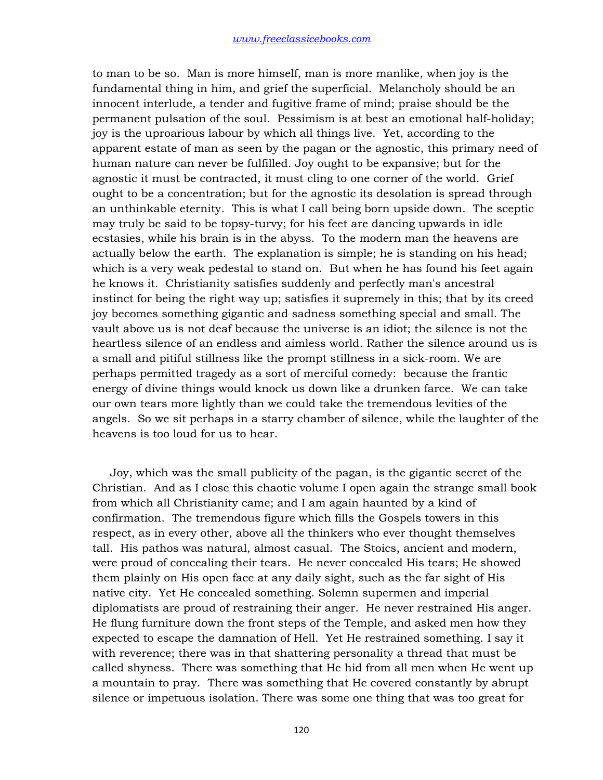to man to be so. Man is more himself, man is more manlike, when joy is the fundamental thing in him, and grief the superficial. Melancholy should be an innocent interlude, a tender and fugitive frame of mind; praise should be the permanent pulsation of the soul. Pessimism is at best an emotional half-holiday; joy is the uproarious labour by which all things live. Yet, according to the apparent estate of man as seen by the pagan or the agnostic, this primary need of human nature can never be fulfilled. Joy ought to be expansive; but for the agnostic it must be contracted, it must cling to one corner of the world. Grief ought to be a concentration; but for the agnostic its desolation is spread through an unthinkable eternity. This is what I call being born upside down. The sceptic may truly be said to be topsy-turvy; for his feet are dancing upwards in idle ecstasies, while his brain is in the abyss. To the modern man the heavens are actually below the earth. The explanation is simple; he is standing on his head; which is a very weak pedestal to stand on. But when he has found his feet again he knows it. Christianity satisfies suddenly and perfectly man's ancestral instinct for being the right way up; satisfies it supremely in this; that by its creed joy becomes something gigantic and sadness something special and small. The vault above us is not deaf because the universe is an idiot; the silence is not the heartless silence of an endless and aimless world. Rather the silence around us is a small and pitiful stillness like the prompt stillness in a sick-room. We are perhaps permitted tragedy as a sort of merciful comedy: because the frantic energy of divine things would knock us down like a drunken farce. We can take our own tears more lightly than we could take the tremendous levities of the angels. So we sit perhaps in a starry chamber of silence, while the laughter of the heavens is too loud for us to hear.

 Joy, which was the small publicity of the pagan, is the gigantic secret of the Christian. And as I close this chaotic volume I open again the strange small book from which all Christianity came; and I am again haunted by a kind of confirmation. The tremendous figure which fills the Gospels towers in this respect, as in every other, above all the thinkers who ever thought themselves tall. His pathos was natural, almost casual. The Stoics, ancient and modern, were proud of concealing their tears. He never concealed His tears; He showed them plainly on His open face at any daily sight, such as the far sight of His native city. Yet He concealed something. Solemn supermen and imperial diplomatists are proud of restraining their anger. He never restrained His anger. He flung furniture down the front steps of the Temple, and asked men how they expected to escape the damnation of Hell. Yet He restrained something. I say it with reverence; there was in that shattering personality a thread that must be called shyness. There was something that He hid from all men when He went up a mountain to pray. There was something that He covered constantly by abrupt silence or impetuous isolation. There was some one thing that was too great for